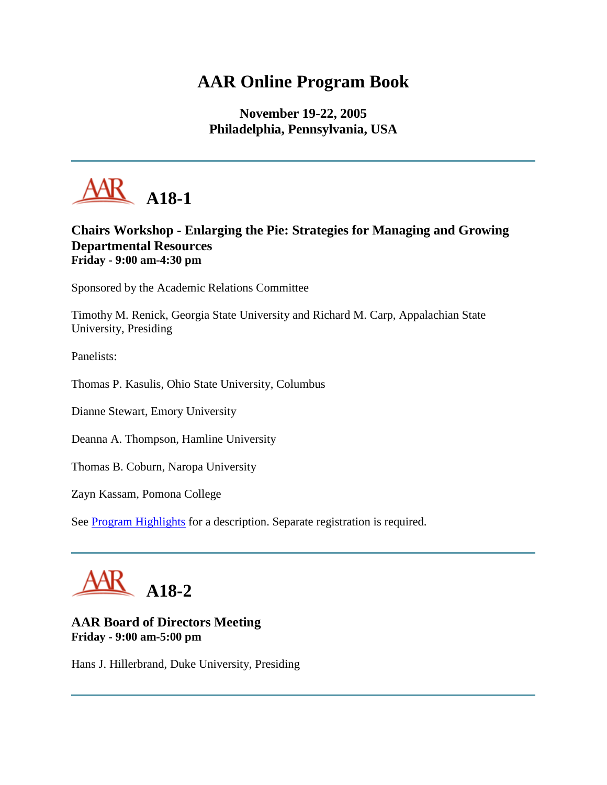# **AAR Online Program Book**

**November 19-22, 2005 Philadelphia, Pennsylvania, USA**



# **Chairs Workshop - Enlarging the Pie: Strategies for Managing and Growing Departmental Resources Friday - 9:00 am-4:30 pm**

Sponsored by the Academic Relations Committee

Timothy M. Renick, Georgia State University and Richard M. Carp, Appalachian State University, Presiding

Panelists:

Thomas P. Kasulis, Ohio State University, Columbus

Dianne Stewart, Emory University

Deanna A. Thompson, Hamline University

Thomas B. Coburn, Naropa University

Zayn Kassam, Pomona College

See **Program Highlights** for a description. Separate registration is required.



# **AAR Board of Directors Meeting Friday - 9:00 am-5:00 pm**

Hans J. Hillerbrand, Duke University, Presiding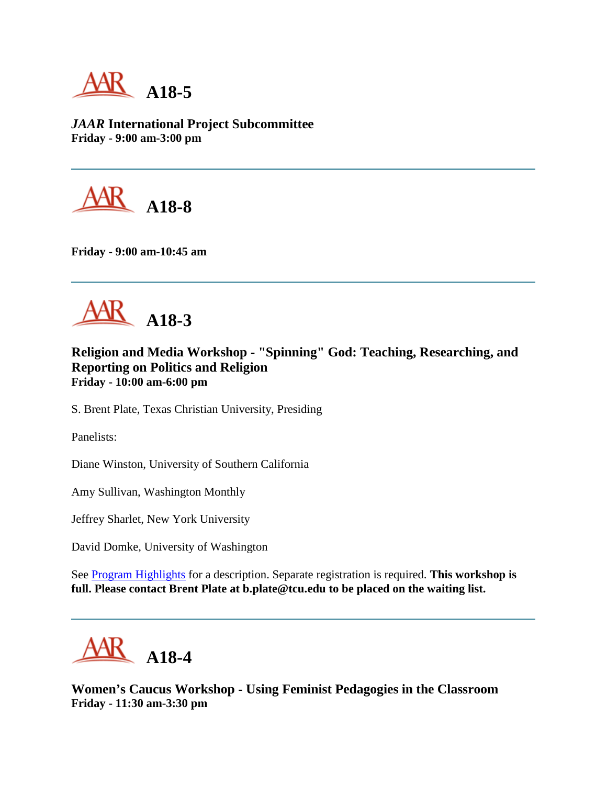AR **A18-5**

*JAAR* **International Project Subcommittee Friday - 9:00 am-3:00 pm**



**Friday - 9:00 am-10:45 am**



**Religion and Media Workshop - "Spinning" God: Teaching, Researching, and Reporting on Politics and Religion Friday - 10:00 am-6:00 pm**

S. Brent Plate, Texas Christian University, Presiding

Panelists:

Diane Winston, University of Southern California

Amy Sullivan, Washington Monthly

Jeffrey Sharlet, New York University

David Domke, University of Washington

See [Program Highlights](http://www.aarweb.org/Meetings/Annual_Meeting/Past_and_Future_Meetings/2005/highlights.asp) for a description. Separate registration is required. **This workshop is full. Please contact Brent Plate at b.plate@tcu.edu to be placed on the waiting list.**



**Women's Caucus Workshop - Using Feminist Pedagogies in the Classroom Friday - 11:30 am-3:30 pm**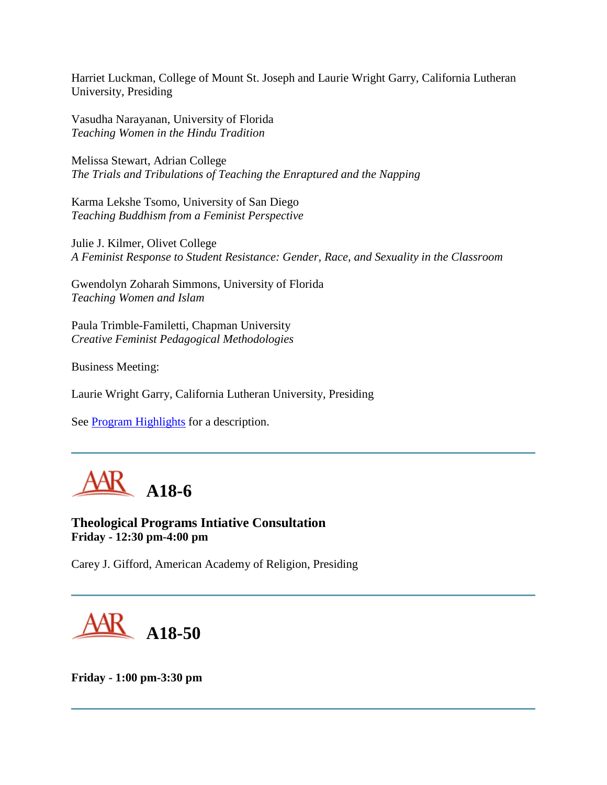Harriet Luckman, College of Mount St. Joseph and Laurie Wright Garry, California Lutheran University, Presiding

Vasudha Narayanan, University of Florida *Teaching Women in the Hindu Tradition*

Melissa Stewart, Adrian College *The Trials and Tribulations of Teaching the Enraptured and the Napping*

Karma Lekshe Tsomo, University of San Diego *Teaching Buddhism from a Feminist Perspective*

Julie J. Kilmer, Olivet College *A Feminist Response to Student Resistance: Gender, Race, and Sexuality in the Classroom*

Gwendolyn Zoharah Simmons, University of Florida *Teaching Women and Islam*

Paula Trimble-Familetti, Chapman University *Creative Feminist Pedagogical Methodologies*

Business Meeting:

Laurie Wright Garry, California Lutheran University, Presiding

See **Program Highlights** for a description.



**Theological Programs Intiative Consultation Friday - 12:30 pm-4:00 pm**

Carey J. Gifford, American Academy of Religion, Presiding

**A18-50**

**Friday - 1:00 pm-3:30 pm**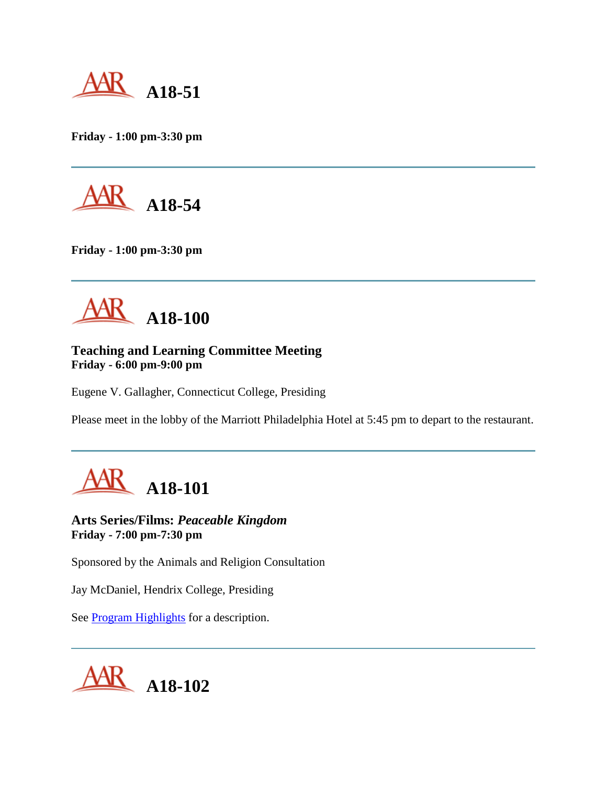

**Friday - 1:00 pm-3:30 pm**



**Friday - 1:00 pm-3:30 pm**



# **Teaching and Learning Committee Meeting Friday - 6:00 pm-9:00 pm**

Eugene V. Gallagher, Connecticut College, Presiding

Please meet in the lobby of the Marriott Philadelphia Hotel at 5:45 pm to depart to the restaurant.



**Arts Series/Films:** *Peaceable Kingdom* **Friday - 7:00 pm-7:30 pm**

Sponsored by the Animals and Religion Consultation

Jay McDaniel, Hendrix College, Presiding

See [Program Highlights](http://www.aarweb.org/Meetings/Annual_Meeting/Past_and_Future_Meetings/2005/highlights.asp) for a description.

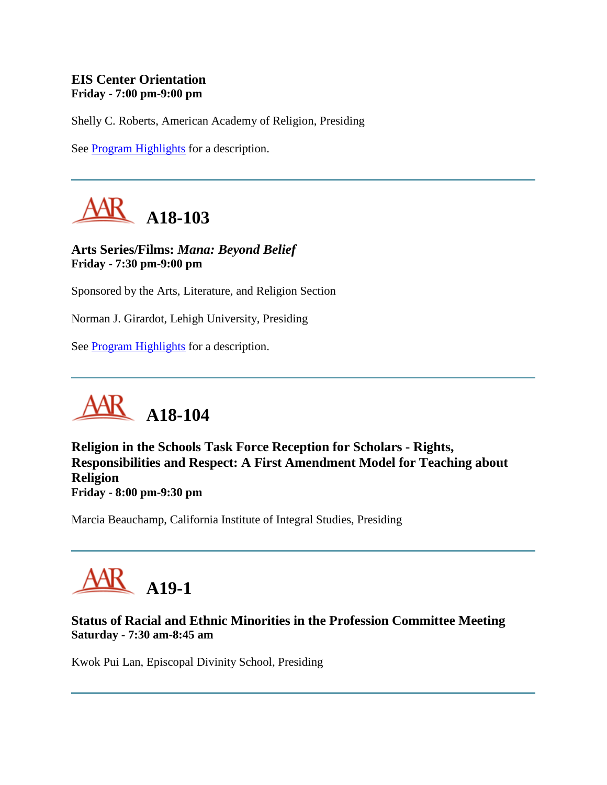# **EIS Center Orientation Friday - 7:00 pm-9:00 pm**

Shelly C. Roberts, American Academy of Religion, Presiding

See [Program Highlights](http://www.aarweb.org/Meetings/Annual_Meeting/Past_and_Future_Meetings/2005/highlights.asp) for a description.



**Arts Series/Films:** *Mana: Beyond Belief* **Friday - 7:30 pm-9:00 pm**

Sponsored by the Arts, Literature, and Religion Section

Norman J. Girardot, Lehigh University, Presiding

See **Program Highlights** for a description.



**Religion in the Schools Task Force Reception for Scholars - Rights, Responsibilities and Respect: A First Amendment Model for Teaching about Religion Friday - 8:00 pm-9:30 pm**

Marcia Beauchamp, California Institute of Integral Studies, Presiding



# **Status of Racial and Ethnic Minorities in the Profession Committee Meeting Saturday - 7:30 am-8:45 am**

Kwok Pui Lan, Episcopal Divinity School, Presiding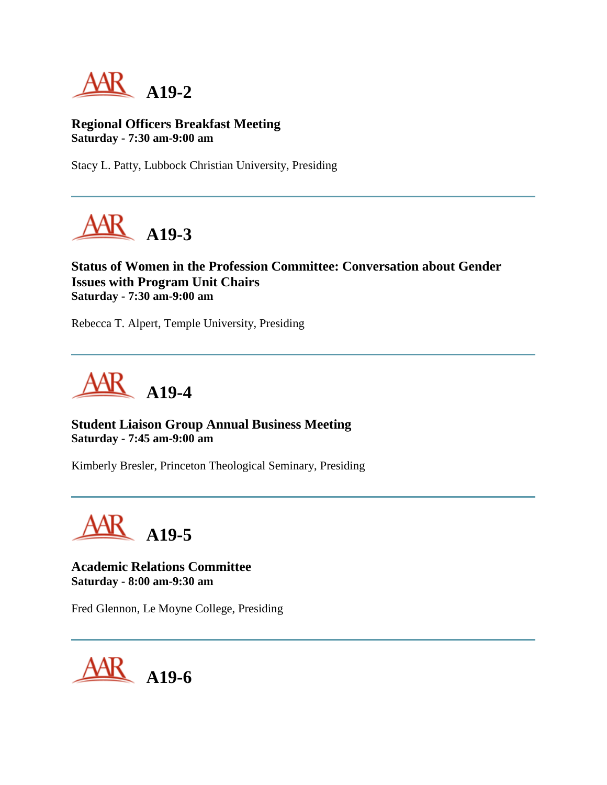

**Regional Officers Breakfast Meeting Saturday - 7:30 am-9:00 am**

Stacy L. Patty, Lubbock Christian University, Presiding



# **Status of Women in the Profession Committee: Conversation about Gender Issues with Program Unit Chairs Saturday - 7:30 am-9:00 am**

Rebecca T. Alpert, Temple University, Presiding



# **Student Liaison Group Annual Business Meeting Saturday - 7:45 am-9:00 am**

Kimberly Bresler, Princeton Theological Seminary, Presiding

**A19-5**

**Academic Relations Committee Saturday - 8:00 am-9:30 am**

Fred Glennon, Le Moyne College, Presiding

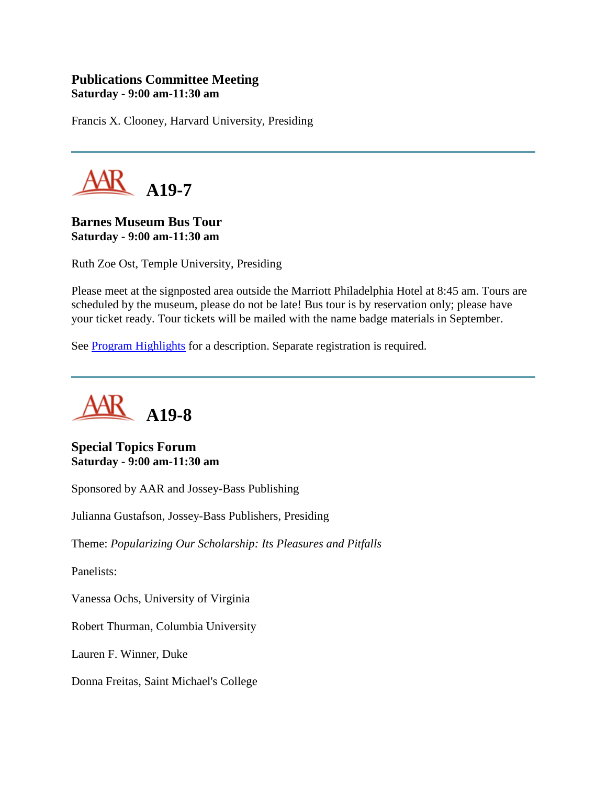# **Publications Committee Meeting Saturday - 9:00 am-11:30 am**

Francis X. Clooney, Harvard University, Presiding



**Barnes Museum Bus Tour Saturday - 9:00 am-11:30 am**

Ruth Zoe Ost, Temple University, Presiding

Please meet at the signposted area outside the Marriott Philadelphia Hotel at 8:45 am. Tours are scheduled by the museum, please do not be late! Bus tour is by reservation only; please have your ticket ready. Tour tickets will be mailed with the name badge materials in September.

See **Program Highlights** for a description. Separate registration is required.



**Special Topics Forum Saturday - 9:00 am-11:30 am**

Sponsored by AAR and Jossey-Bass Publishing

Julianna Gustafson, Jossey-Bass Publishers, Presiding

Theme: *Popularizing Our Scholarship: Its Pleasures and Pitfalls*

Panelists:

Vanessa Ochs, University of Virginia

Robert Thurman, Columbia University

Lauren F. Winner, Duke

Donna Freitas, Saint Michael's College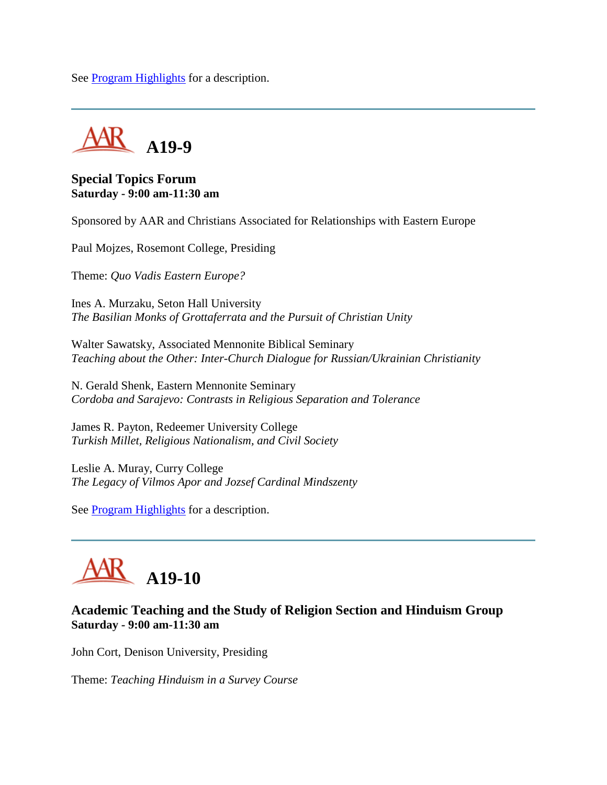See [Program Highlights](http://www.aarweb.org/Meetings/Annual_Meeting/Past_and_Future_Meetings/2005/highlights.asp) for a description.



#### **Special Topics Forum Saturday - 9:00 am-11:30 am**

Sponsored by AAR and Christians Associated for Relationships with Eastern Europe

Paul Mojzes, Rosemont College, Presiding

Theme: *Quo Vadis Eastern Europe?*

Ines A. Murzaku, Seton Hall University *The Basilian Monks of Grottaferrata and the Pursuit of Christian Unity*

Walter Sawatsky, Associated Mennonite Biblical Seminary *Teaching about the Other: Inter-Church Dialogue for Russian/Ukrainian Christianity*

N. Gerald Shenk, Eastern Mennonite Seminary *Cordoba and Sarajevo: Contrasts in Religious Separation and Tolerance*

James R. Payton, Redeemer University College *Turkish Millet, Religious Nationalism, and Civil Society*

Leslie A. Muray, Curry College *The Legacy of Vilmos Apor and Jozsef Cardinal Mindszenty*

See **Program Highlights** for a description.

# **A19-10**

# **Academic Teaching and the Study of Religion Section and Hinduism Group Saturday - 9:00 am-11:30 am**

John Cort, Denison University, Presiding

Theme: *Teaching Hinduism in a Survey Course*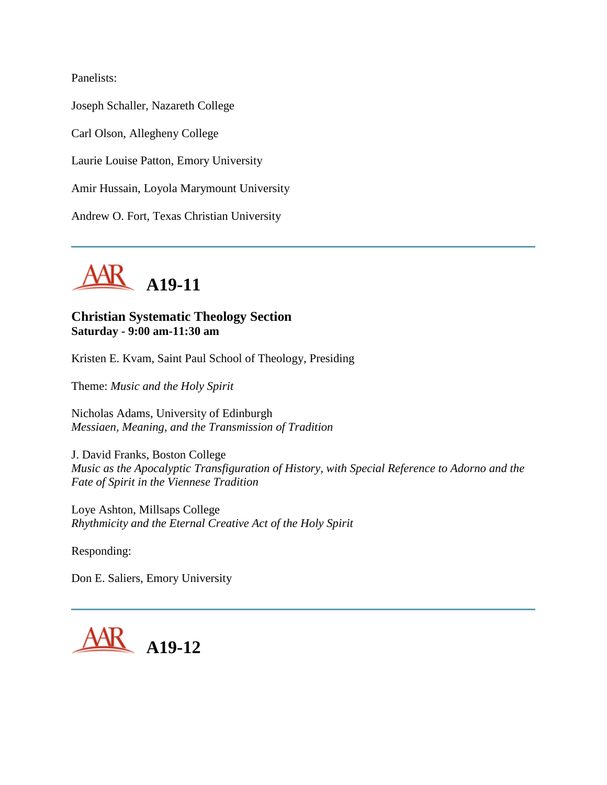Panelists:

Joseph Schaller, Nazareth College Carl Olson, Allegheny College Laurie Louise Patton, Emory University Amir Hussain, Loyola Marymount University Andrew O. Fort, Texas Christian University



# **Christian Systematic Theology Section Saturday - 9:00 am-11:30 am**

Kristen E. Kvam, Saint Paul School of Theology, Presiding

Theme: *Music and the Holy Spirit*

Nicholas Adams, University of Edinburgh *Messiaen, Meaning, and the Transmission of Tradition*

J. David Franks, Boston College *Music as the Apocalyptic Transfiguration of History, with Special Reference to Adorno and the Fate of Spirit in the Viennese Tradition*

Loye Ashton, Millsaps College *Rhythmicity and the Eternal Creative Act of the Holy Spirit*

Responding:

Don E. Saliers, Emory University

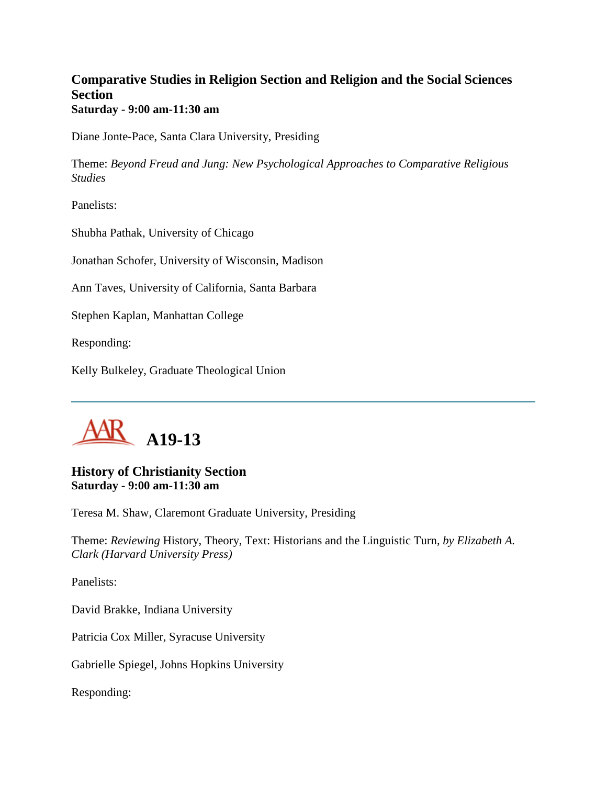# **Comparative Studies in Religion Section and Religion and the Social Sciences Section Saturday - 9:00 am-11:30 am**

Diane Jonte-Pace, Santa Clara University, Presiding

Theme: *Beyond Freud and Jung: New Psychological Approaches to Comparative Religious Studies*

Panelists:

Shubha Pathak, University of Chicago

Jonathan Schofer, University of Wisconsin, Madison

Ann Taves, University of California, Santa Barbara

Stephen Kaplan, Manhattan College

Responding:

Kelly Bulkeley, Graduate Theological Union



# **History of Christianity Section Saturday - 9:00 am-11:30 am**

Teresa M. Shaw, Claremont Graduate University, Presiding

Theme: *Reviewing* History, Theory, Text: Historians and the Linguistic Turn*, by Elizabeth A. Clark (Harvard University Press)*

Panelists:

David Brakke, Indiana University

Patricia Cox Miller, Syracuse University

Gabrielle Spiegel, Johns Hopkins University

Responding: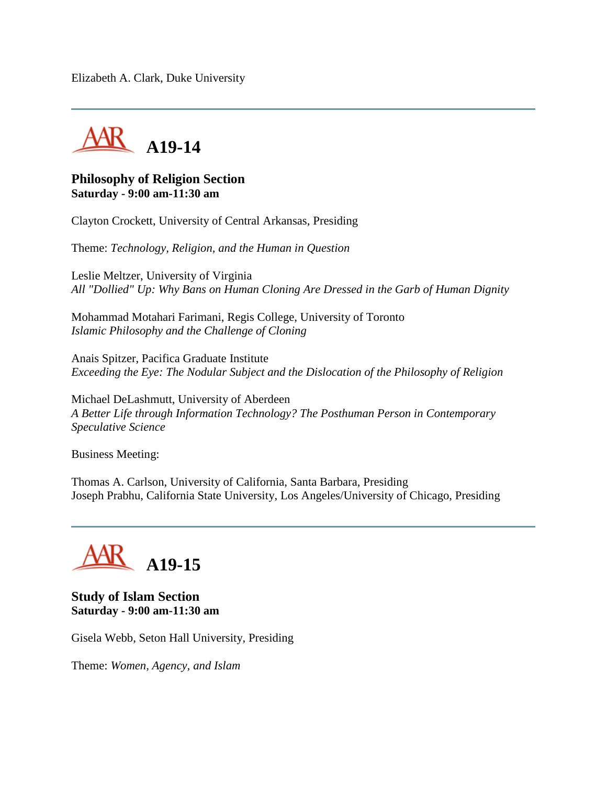Elizabeth A. Clark, Duke University



#### **Philosophy of Religion Section Saturday - 9:00 am-11:30 am**

Clayton Crockett, University of Central Arkansas, Presiding

Theme: *Technology, Religion, and the Human in Question*

Leslie Meltzer, University of Virginia *All "Dollied" Up: Why Bans on Human Cloning Are Dressed in the Garb of Human Dignity*

Mohammad Motahari Farimani, Regis College, University of Toronto *Islamic Philosophy and the Challenge of Cloning*

Anais Spitzer, Pacifica Graduate Institute *Exceeding the Eye: The Nodular Subject and the Dislocation of the Philosophy of Religion*

Michael DeLashmutt, University of Aberdeen *A Better Life through Information Technology? The Posthuman Person in Contemporary Speculative Science*

Business Meeting:

Thomas A. Carlson, University of California, Santa Barbara, Presiding Joseph Prabhu, California State University, Los Angeles/University of Chicago, Presiding



#### **Study of Islam Section Saturday - 9:00 am-11:30 am**

Gisela Webb, Seton Hall University, Presiding

Theme: *Women, Agency, and Islam*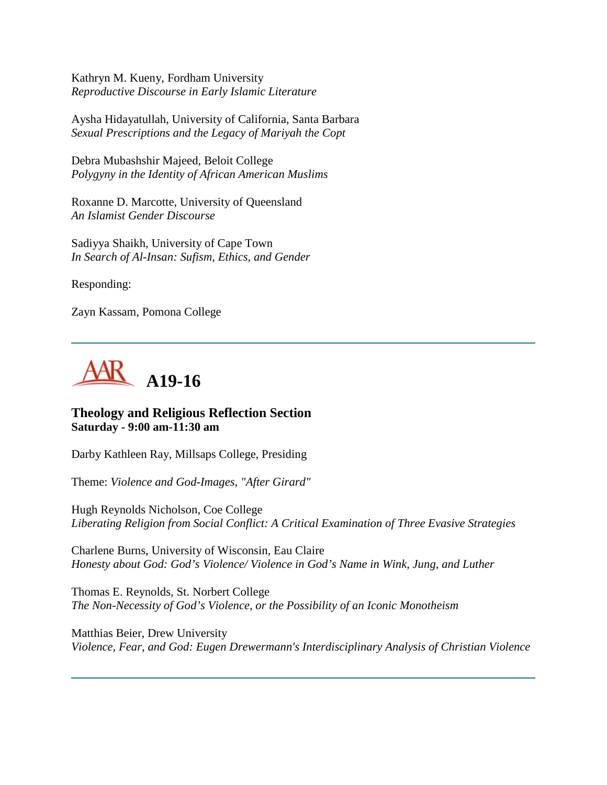Kathryn M. Kueny, Fordham University *Reproductive Discourse in Early Islamic Literature*

Aysha Hidayatullah, University of California, Santa Barbara *Sexual Prescriptions and the Legacy of Mariyah the Copt*

Debra Mubashshir Majeed, Beloit College *Polygyny in the Identity of African American Muslims*

Roxanne D. Marcotte, University of Queensland *An Islamist Gender Discourse*

Sadiyya Shaikh, University of Cape Town *In Search of Al-Insan: Sufism, Ethics, and Gender*

Responding:

Zayn Kassam, Pomona College



# **Theology and Religious Reflection Section Saturday - 9:00 am-11:30 am**

Darby Kathleen Ray, Millsaps College, Presiding

Theme: *Violence and God-Images, "After Girard"*

Hugh Reynolds Nicholson, Coe College *Liberating Religion from Social Conflict: A Critical Examination of Three Evasive Strategies*

Charlene Burns, University of Wisconsin, Eau Claire *Honesty about God: God's Violence/ Violence in God's Name in Wink, Jung, and Luther*

Thomas E. Reynolds, St. Norbert College *The Non-Necessity of God's Violence, or the Possibility of an Iconic Monotheism*

Matthias Beier, Drew University *Violence, Fear, and God: Eugen Drewermann's Interdisciplinary Analysis of Christian Violence*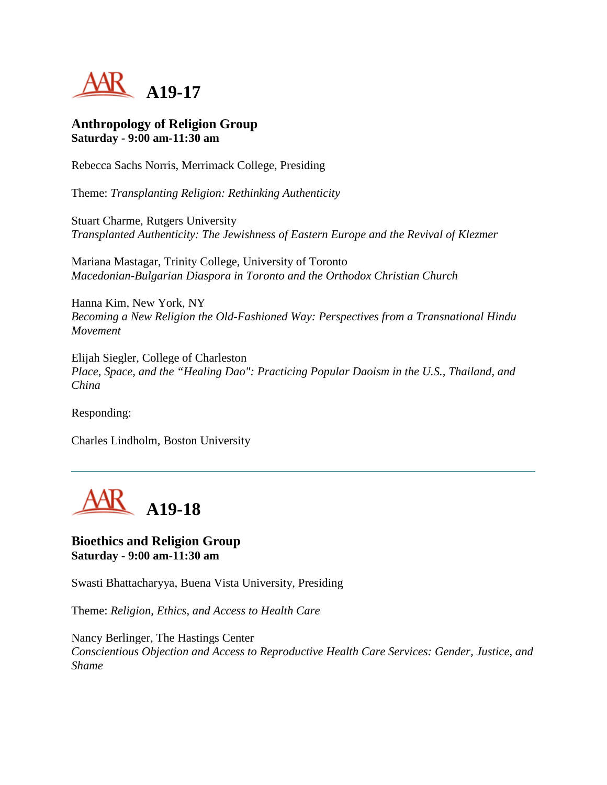

#### **Anthropology of Religion Group Saturday - 9:00 am-11:30 am**

Rebecca Sachs Norris, Merrimack College, Presiding

Theme: *Transplanting Religion: Rethinking Authenticity*

Stuart Charme, Rutgers University *Transplanted Authenticity: The Jewishness of Eastern Europe and the Revival of Klezmer*

Mariana Mastagar, Trinity College, University of Toronto *Macedonian-Bulgarian Diaspora in Toronto and the Orthodox Christian Church*

Hanna Kim, New York, NY *Becoming a New Religion the Old-Fashioned Way: Perspectives from a Transnational Hindu Movement*

Elijah Siegler, College of Charleston *Place, Space, and the "Healing Dao": Practicing Popular Daoism in the U.S., Thailand, and China*

Responding:

Charles Lindholm, Boston University



#### **Bioethics and Religion Group Saturday - 9:00 am-11:30 am**

Swasti Bhattacharyya, Buena Vista University, Presiding

Theme: *Religion, Ethics, and Access to Health Care*

Nancy Berlinger, The Hastings Center *Conscientious Objection and Access to Reproductive Health Care Services: Gender, Justice, and Shame*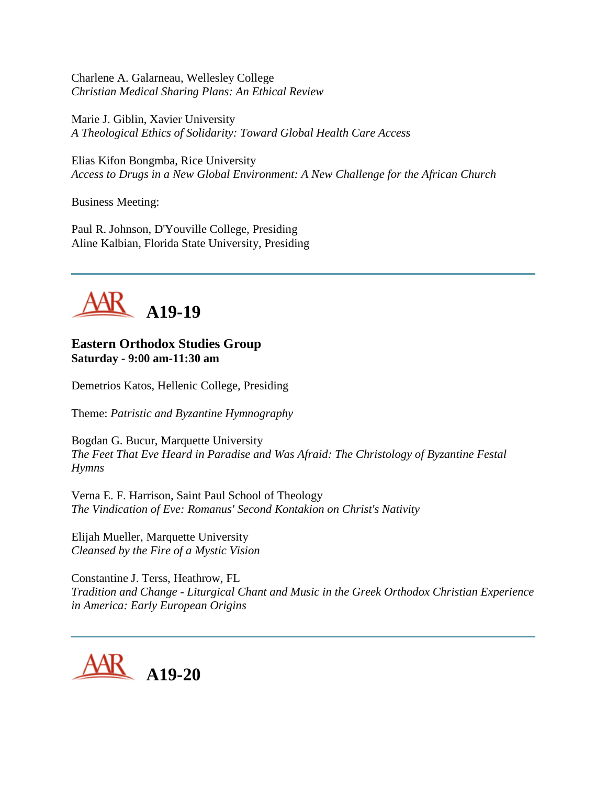Charlene A. Galarneau, Wellesley College *Christian Medical Sharing Plans: An Ethical Review*

Marie J. Giblin, Xavier University *A Theological Ethics of Solidarity: Toward Global Health Care Access*

Elias Kifon Bongmba, Rice University *Access to Drugs in a New Global Environment: A New Challenge for the African Church*

Business Meeting:

Paul R. Johnson, D'Youville College, Presiding Aline Kalbian, Florida State University, Presiding



#### **Eastern Orthodox Studies Group Saturday - 9:00 am-11:30 am**

Demetrios Katos, Hellenic College, Presiding

Theme: *Patristic and Byzantine Hymnography*

Bogdan G. Bucur, Marquette University *The Feet That Eve Heard in Paradise and Was Afraid: The Christology of Byzantine Festal Hymns*

Verna E. F. Harrison, Saint Paul School of Theology *The Vindication of Eve: Romanus' Second Kontakion on Christ's Nativity*

Elijah Mueller, Marquette University *Cleansed by the Fire of a Mystic Vision*

Constantine J. Terss, Heathrow, FL *Tradition and Change - Liturgical Chant and Music in the Greek Orthodox Christian Experience in America: Early European Origins*

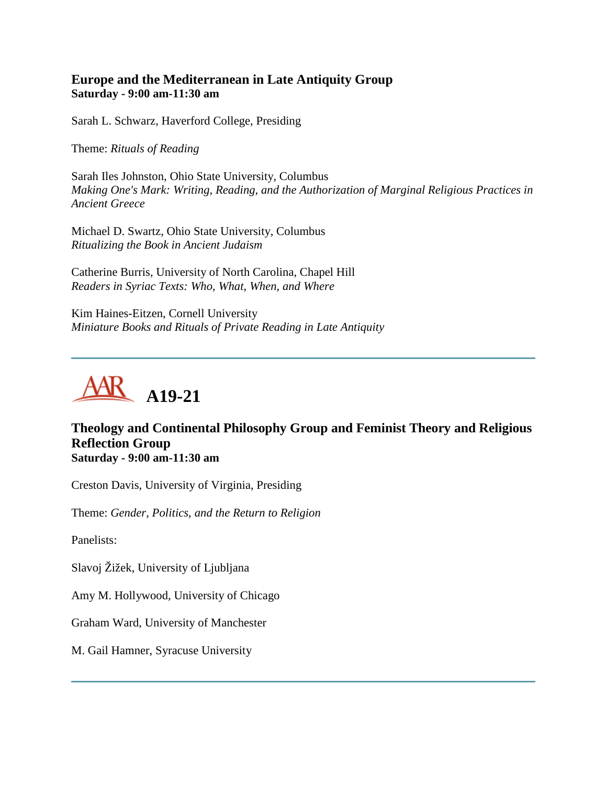# **Europe and the Mediterranean in Late Antiquity Group Saturday - 9:00 am-11:30 am**

Sarah L. Schwarz, Haverford College, Presiding

Theme: *Rituals of Reading*

Sarah Iles Johnston, Ohio State University, Columbus *Making One's Mark: Writing, Reading, and the Authorization of Marginal Religious Practices in Ancient Greece*

Michael D. Swartz, Ohio State University, Columbus *Ritualizing the Book in Ancient Judaism*

Catherine Burris, University of North Carolina, Chapel Hill *Readers in Syriac Texts: Who, What, When, and Where*

Kim Haines-Eitzen, Cornell University *Miniature Books and Rituals of Private Reading in Late Antiquity*



# **Theology and Continental Philosophy Group and Feminist Theory and Religious Reflection Group Saturday - 9:00 am-11:30 am**

Creston Davis, University of Virginia, Presiding

Theme: *Gender, Politics, and the Return to Religion*

Panelists:

Slavoj Žižek, University of Ljubljana

Amy M. Hollywood, University of Chicago

Graham Ward, University of Manchester

M. Gail Hamner, Syracuse University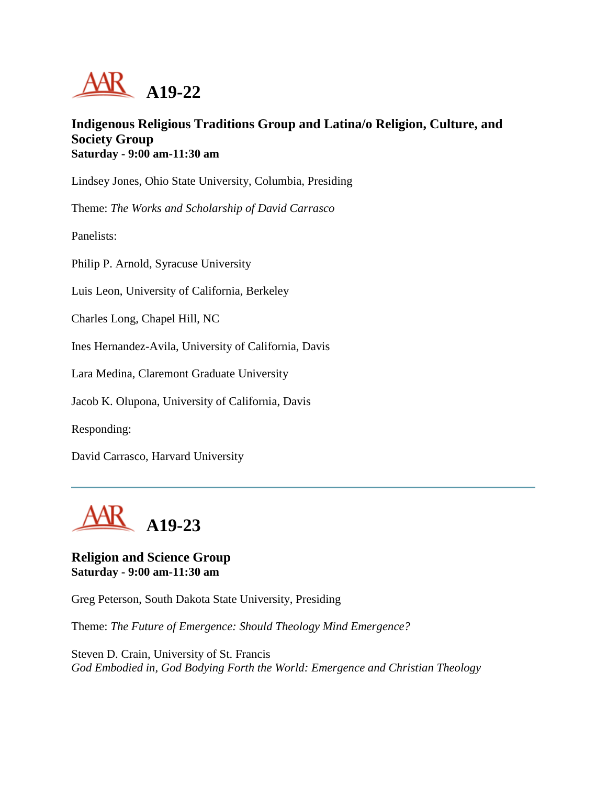

# **Indigenous Religious Traditions Group and Latina/o Religion, Culture, and Society Group Saturday - 9:00 am-11:30 am**

Lindsey Jones, Ohio State University, Columbia, Presiding

Theme: *The Works and Scholarship of David Carrasco*

Panelists:

Philip P. Arnold, Syracuse University

Luis Leon, University of California, Berkeley

Charles Long, Chapel Hill, NC

Ines Hernandez-Avila, University of California, Davis

Lara Medina, Claremont Graduate University

Jacob K. Olupona, University of California, Davis

Responding:

David Carrasco, Harvard University



#### **Religion and Science Group Saturday - 9:00 am-11:30 am**

Greg Peterson, South Dakota State University, Presiding

Theme: *The Future of Emergence: Should Theology Mind Emergence?*

Steven D. Crain, University of St. Francis *God Embodied in, God Bodying Forth the World: Emergence and Christian Theology*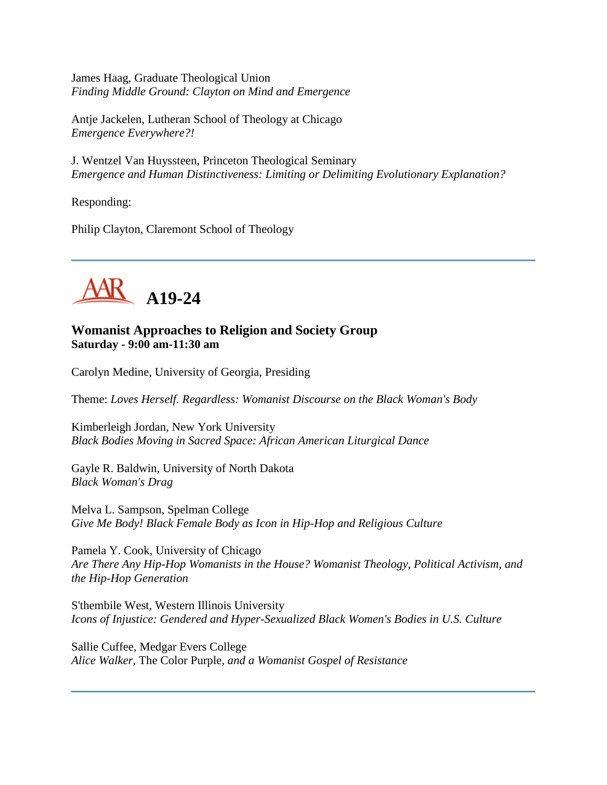James Haag, Graduate Theological Union *Finding Middle Ground: Clayton on Mind and Emergence*

Antje Jackelen, Lutheran School of Theology at Chicago *Emergence Everywhere?!*

J. Wentzel Van Huyssteen, Princeton Theological Seminary *Emergence and Human Distinctiveness: Limiting or Delimiting Evolutionary Explanation?*

Responding:

Philip Clayton, Claremont School of Theology



# **Womanist Approaches to Religion and Society Group Saturday - 9:00 am-11:30 am**

Carolyn Medine, University of Georgia, Presiding

Theme: *Loves Herself. Regardless: Womanist Discourse on the Black Woman's Body*

Kimberleigh Jordan, New York University *Black Bodies Moving in Sacred Space: African American Liturgical Dance*

Gayle R. Baldwin, University of North Dakota *Black Woman's Drag*

Melva L. Sampson, Spelman College *Give Me Body! Black Female Body as Icon in Hip-Hop and Religious Culture*

Pamela Y. Cook, University of Chicago *Are There Any Hip-Hop Womanists in the House? Womanist Theology, Political Activism, and the Hip-Hop Generation*

S'thembile West, Western Illinois University *Icons of Injustice: Gendered and Hyper-Sexualized Black Women's Bodies in U.S. Culture*

Sallie Cuffee, Medgar Evers College *Alice Walker,* The Color Purple*, and a Womanist Gospel of Resistance*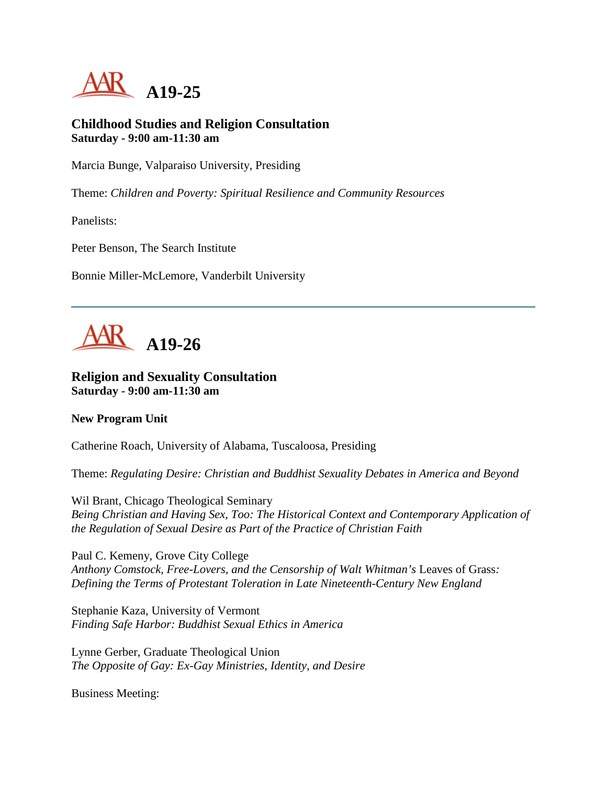

# **Childhood Studies and Religion Consultation Saturday - 9:00 am-11:30 am**

Marcia Bunge, Valparaiso University, Presiding

Theme: *Children and Poverty: Spiritual Resilience and Community Resources*

Panelists:

Peter Benson, The Search Institute

Bonnie Miller-McLemore, Vanderbilt University



#### **Religion and Sexuality Consultation Saturday - 9:00 am-11:30 am**

#### **New Program Unit**

Catherine Roach, University of Alabama, Tuscaloosa, Presiding

Theme: *Regulating Desire: Christian and Buddhist Sexuality Debates in America and Beyond*

Wil Brant, Chicago Theological Seminary *Being Christian and Having Sex, Too: The Historical Context and Contemporary Application of the Regulation of Sexual Desire as Part of the Practice of Christian Faith*

Paul C. Kemeny, Grove City College *Anthony Comstock, Free-Lovers, and the Censorship of Walt Whitman's* Leaves of Grass*: Defining the Terms of Protestant Toleration in Late Nineteenth-Century New England*

Stephanie Kaza, University of Vermont *Finding Safe Harbor: Buddhist Sexual Ethics in America*

Lynne Gerber, Graduate Theological Union *The Opposite of Gay: Ex-Gay Ministries, Identity, and Desire*

Business Meeting: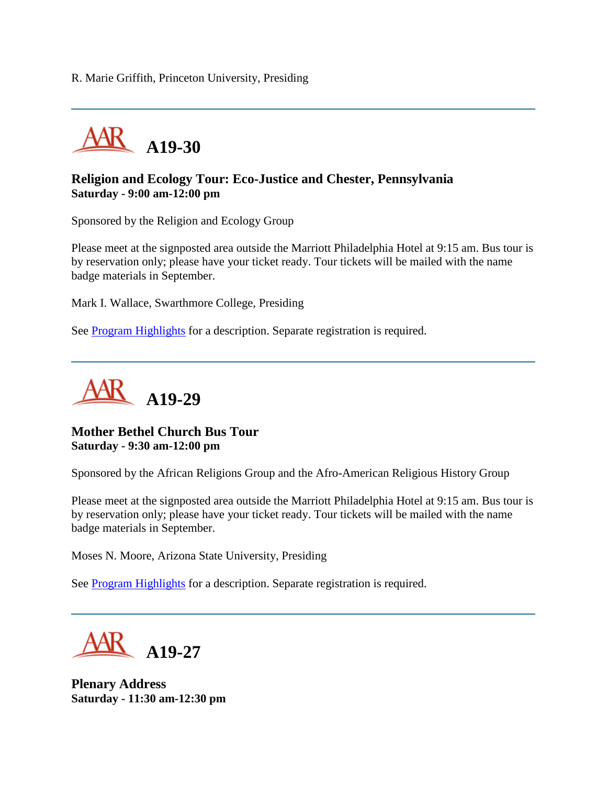R. Marie Griffith, Princeton University, Presiding



# **Religion and Ecology Tour: Eco-Justice and Chester, Pennsylvania Saturday - 9:00 am-12:00 pm**

Sponsored by the Religion and Ecology Group

Please meet at the signposted area outside the Marriott Philadelphia Hotel at 9:15 am. Bus tour is by reservation only; please have your ticket ready. Tour tickets will be mailed with the name badge materials in September.

Mark I. Wallace, Swarthmore College, Presiding

See **Program Highlights** for a description. Separate registration is required.



#### **Mother Bethel Church Bus Tour Saturday - 9:30 am-12:00 pm**

Sponsored by the African Religions Group and the Afro-American Religious History Group

Please meet at the signposted area outside the Marriott Philadelphia Hotel at 9:15 am. Bus tour is by reservation only; please have your ticket ready. Tour tickets will be mailed with the name badge materials in September.

Moses N. Moore, Arizona State University, Presiding

See **Program Highlights** for a description. Separate registration is required.

**A19-27**

**Plenary Address Saturday - 11:30 am-12:30 pm**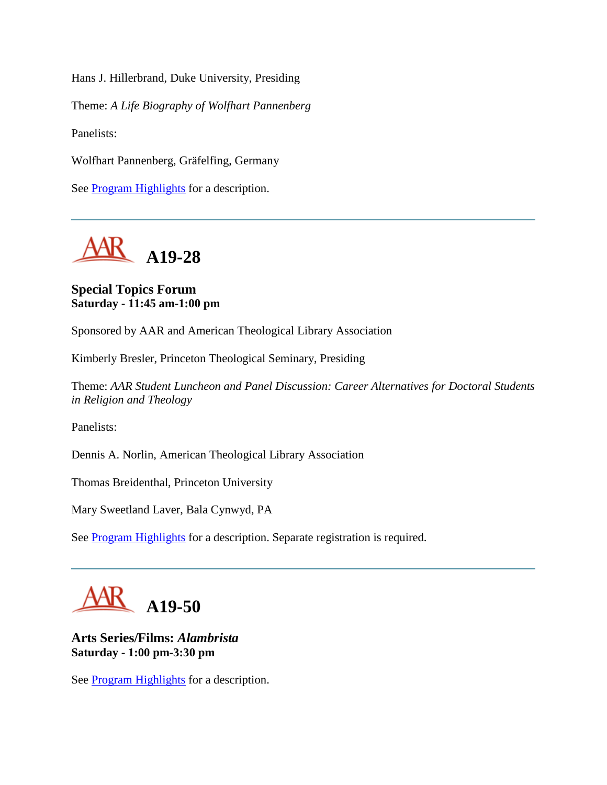Hans J. Hillerbrand, Duke University, Presiding

Theme: *A Life Biography of Wolfhart Pannenberg*

Panelists:

Wolfhart Pannenberg, Gräfelfing, Germany

See **Program Highlights** for a description.



# **Special Topics Forum Saturday - 11:45 am-1:00 pm**

Sponsored by AAR and American Theological Library Association

Kimberly Bresler, Princeton Theological Seminary, Presiding

Theme: *AAR Student Luncheon and Panel Discussion: Career Alternatives for Doctoral Students in Religion and Theology*

Panelists:

Dennis A. Norlin, American Theological Library Association

Thomas Breidenthal, Princeton University

Mary Sweetland Laver, Bala Cynwyd, PA

See [Program Highlights](http://www.aarweb.org/Meetings/Annual_Meeting/Past_and_Future_Meetings/2005/highlights.asp) for a description. Separate registration is required.



**Arts Series/Films:** *Alambrista* **Saturday - 1:00 pm-3:30 pm**

See **Program Highlights** for a description.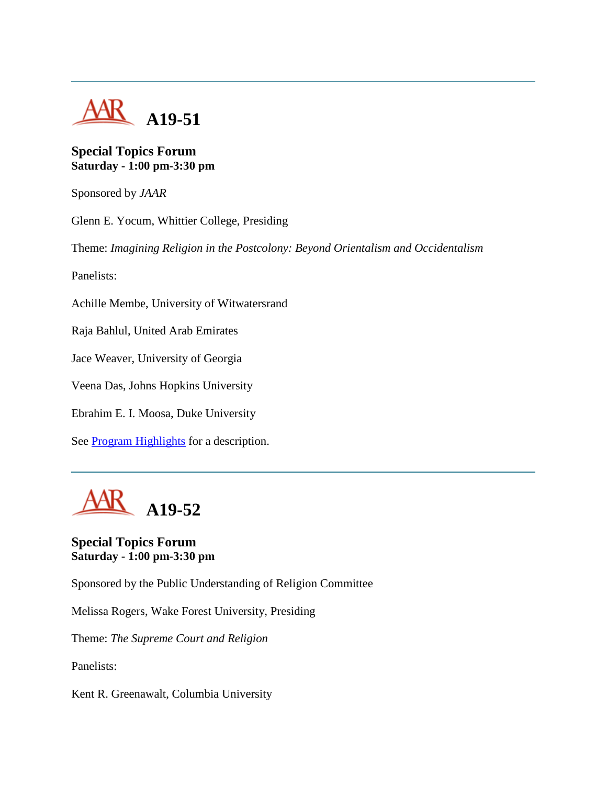

# **Special Topics Forum Saturday - 1:00 pm-3:30 pm**

Sponsored by *JAAR*

Glenn E. Yocum, Whittier College, Presiding Theme: *Imagining Religion in the Postcolony: Beyond Orientalism and Occidentalism* Panelists: Achille Membe, University of Witwatersrand Raja Bahlul, United Arab Emirates Jace Weaver, University of Georgia Veena Das, Johns Hopkins University Ebrahim E. I. Moosa, Duke University See [Program Highlights](http://www.aarweb.org/Meetings/Annual_Meeting/Past_and_Future_Meetings/2005/highlights.asp) for a description.



# **Special Topics Forum Saturday - 1:00 pm-3:30 pm**

Sponsored by the Public Understanding of Religion Committee

Melissa Rogers, Wake Forest University, Presiding

Theme: *The Supreme Court and Religion*

Panelists:

Kent R. Greenawalt, Columbia University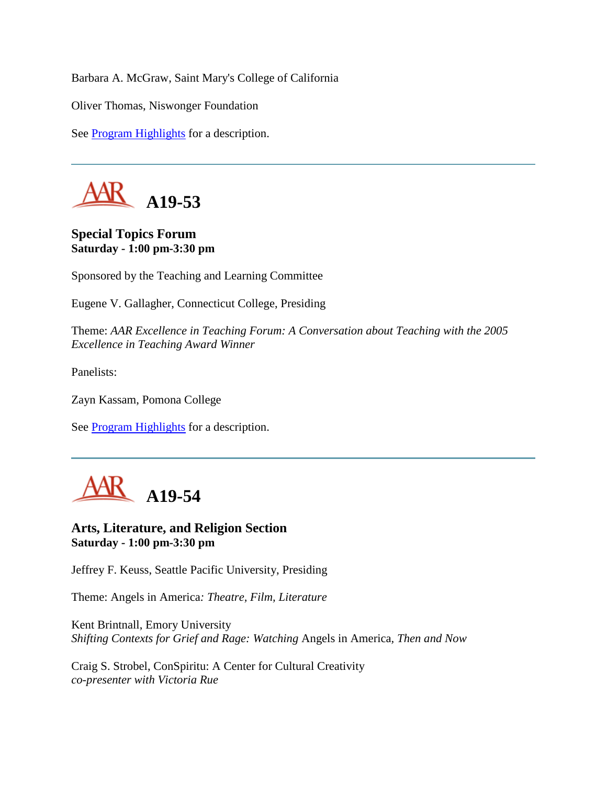Barbara A. McGraw, Saint Mary's College of California

Oliver Thomas, Niswonger Foundation

See [Program Highlights](http://www.aarweb.org/Meetings/Annual_Meeting/Past_and_Future_Meetings/2005/highlights.asp) for a description.



# **Special Topics Forum Saturday - 1:00 pm-3:30 pm**

Sponsored by the Teaching and Learning Committee

Eugene V. Gallagher, Connecticut College, Presiding

Theme: *AAR Excellence in Teaching Forum: A Conversation about Teaching with the 2005 Excellence in Teaching Award Winner*

Panelists:

Zayn Kassam, Pomona College

See **Program Highlights** for a description.



#### **Arts, Literature, and Religion Section Saturday - 1:00 pm-3:30 pm**

Jeffrey F. Keuss, Seattle Pacific University, Presiding

Theme: Angels in America*: Theatre, Film, Literature*

Kent Brintnall, Emory University *Shifting Contexts for Grief and Rage: Watching* Angels in America*, Then and Now*

Craig S. Strobel, ConSpiritu: A Center for Cultural Creativity *co-presenter with Victoria Rue*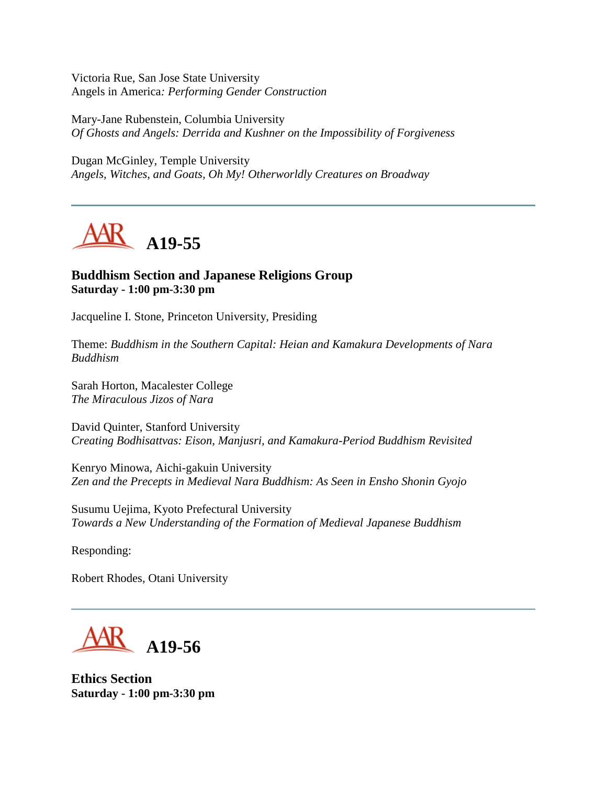Victoria Rue, San Jose State University Angels in America*: Performing Gender Construction*

Mary-Jane Rubenstein, Columbia University *Of Ghosts and Angels: Derrida and Kushner on the Impossibility of Forgiveness*

Dugan McGinley, Temple University *Angels, Witches, and Goats, Oh My! Otherworldly Creatures on Broadway*



# **Buddhism Section and Japanese Religions Group Saturday - 1:00 pm-3:30 pm**

Jacqueline I. Stone, Princeton University, Presiding

Theme: *Buddhism in the Southern Capital: Heian and Kamakura Developments of Nara Buddhism*

Sarah Horton, Macalester College *The Miraculous Jizos of Nara*

David Quinter, Stanford University *Creating Bodhisattvas: Eison, Manjusri, and Kamakura-Period Buddhism Revisited*

Kenryo Minowa, Aichi-gakuin University *Zen and the Precepts in Medieval Nara Buddhism: As Seen in Ensho Shonin Gyojo*

Susumu Uejima, Kyoto Prefectural University *Towards a New Understanding of the Formation of Medieval Japanese Buddhism*

Responding:

Robert Rhodes, Otani University



**Ethics Section Saturday - 1:00 pm-3:30 pm**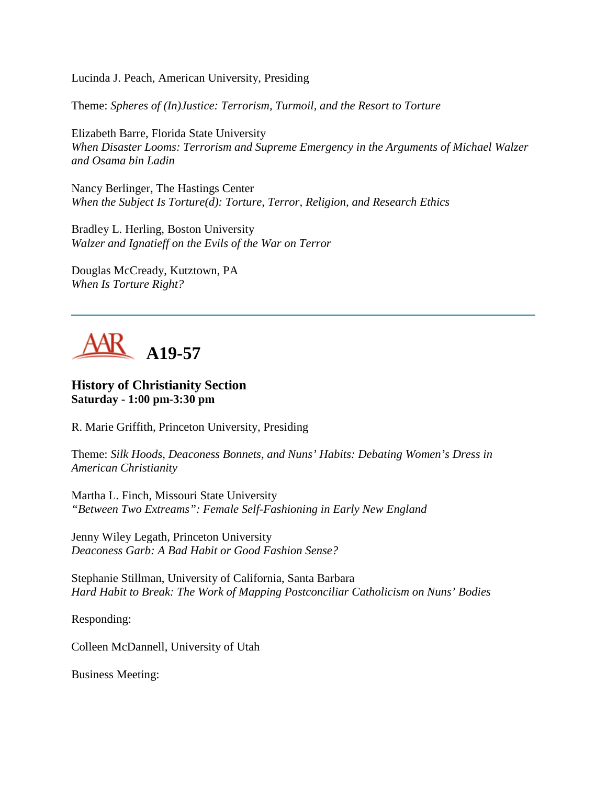Lucinda J. Peach, American University, Presiding

Theme: *Spheres of (In)Justice: Terrorism, Turmoil, and the Resort to Torture*

Elizabeth Barre, Florida State University *When Disaster Looms: Terrorism and Supreme Emergency in the Arguments of Michael Walzer and Osama bin Ladin*

Nancy Berlinger, The Hastings Center *When the Subject Is Torture(d): Torture, Terror, Religion, and Research Ethics*

Bradley L. Herling, Boston University *Walzer and Ignatieff on the Evils of the War on Terror*

Douglas McCready, Kutztown, PA *When Is Torture Right?*



# **History of Christianity Section Saturday - 1:00 pm-3:30 pm**

R. Marie Griffith, Princeton University, Presiding

Theme: *Silk Hoods, Deaconess Bonnets, and Nuns' Habits: Debating Women's Dress in American Christianity*

Martha L. Finch, Missouri State University *"Between Two Extreams": Female Self-Fashioning in Early New England*

Jenny Wiley Legath, Princeton University *Deaconess Garb: A Bad Habit or Good Fashion Sense?*

Stephanie Stillman, University of California, Santa Barbara *Hard Habit to Break: The Work of Mapping Postconciliar Catholicism on Nuns' Bodies*

Responding:

Colleen McDannell, University of Utah

Business Meeting: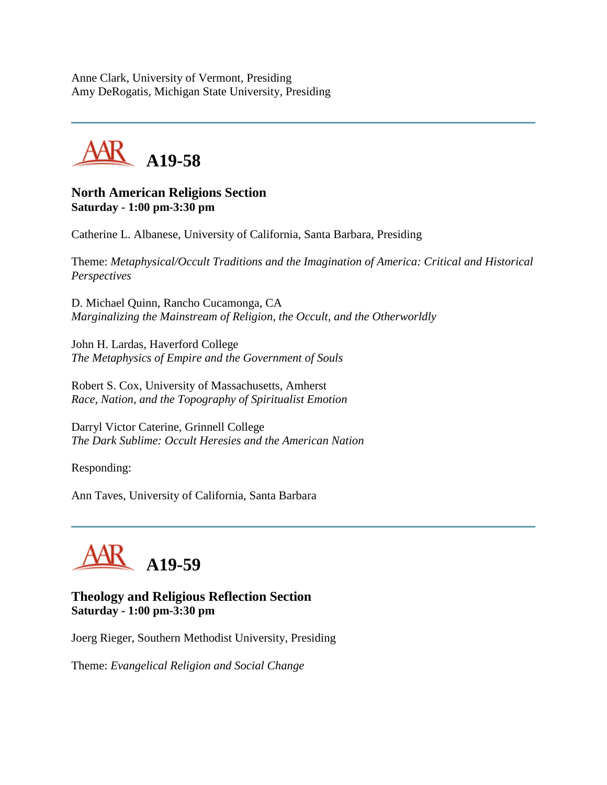Anne Clark, University of Vermont, Presiding Amy DeRogatis, Michigan State University, Presiding

**A19-58**

### **North American Religions Section Saturday - 1:00 pm-3:30 pm**

Catherine L. Albanese, University of California, Santa Barbara, Presiding

Theme: *Metaphysical/Occult Traditions and the Imagination of America: Critical and Historical Perspectives*

D. Michael Quinn, Rancho Cucamonga, CA *Marginalizing the Mainstream of Religion, the Occult, and the Otherworldly*

John H. Lardas, Haverford College *The Metaphysics of Empire and the Government of Souls*

Robert S. Cox, University of Massachusetts, Amherst *Race, Nation, and the Topography of Spiritualist Emotion*

Darryl Victor Caterine, Grinnell College *The Dark Sublime: Occult Heresies and the American Nation*

Responding:

Ann Taves, University of California, Santa Barbara



# **Theology and Religious Reflection Section Saturday - 1:00 pm-3:30 pm**

Joerg Rieger, Southern Methodist University, Presiding

Theme: *Evangelical Religion and Social Change*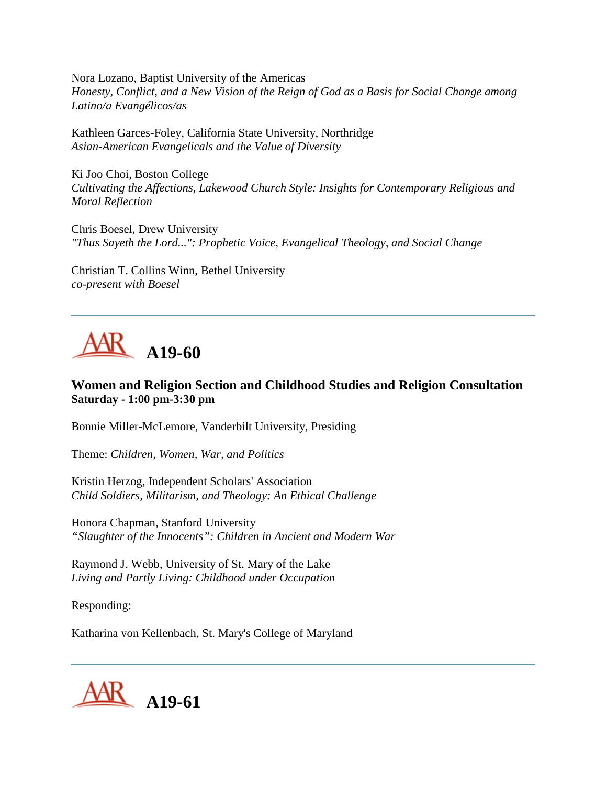Nora Lozano, Baptist University of the Americas *Honesty, Conflict, and a New Vision of the Reign of God as a Basis for Social Change among Latino/a Evangélicos/as*

Kathleen Garces-Foley, California State University, Northridge *Asian-American Evangelicals and the Value of Diversity*

Ki Joo Choi, Boston College *Cultivating the Affections, Lakewood Church Style: Insights for Contemporary Religious and Moral Reflection*

Chris Boesel, Drew University *"Thus Sayeth the Lord...": Prophetic Voice, Evangelical Theology, and Social Change*

Christian T. Collins Winn, Bethel University *co-present with Boesel*



# **Women and Religion Section and Childhood Studies and Religion Consultation Saturday - 1:00 pm-3:30 pm**

Bonnie Miller-McLemore, Vanderbilt University, Presiding

Theme: *Children, Women, War, and Politics*

Kristin Herzog, Independent Scholars' Association *Child Soldiers, Militarism, and Theology: An Ethical Challenge*

Honora Chapman, Stanford University *"Slaughter of the Innocents": Children in Ancient and Modern War*

Raymond J. Webb, University of St. Mary of the Lake *Living and Partly Living: Childhood under Occupation*

Responding:

Katharina von Kellenbach, St. Mary's College of Maryland

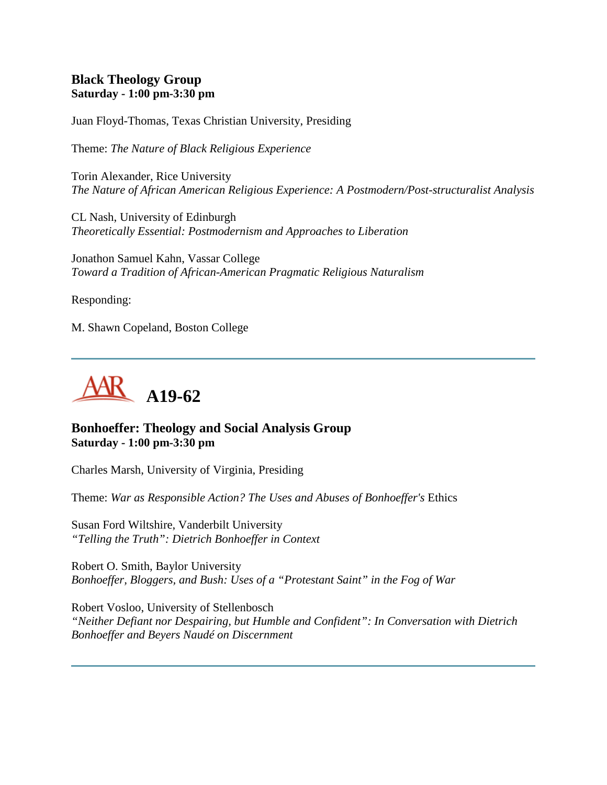# **Black Theology Group Saturday - 1:00 pm-3:30 pm**

Juan Floyd-Thomas, Texas Christian University, Presiding

Theme: *The Nature of Black Religious Experience*

Torin Alexander, Rice University *The Nature of African American Religious Experience: A Postmodern/Post-structuralist Analysis*

CL Nash, University of Edinburgh *Theoretically Essential: Postmodernism and Approaches to Liberation*

Jonathon Samuel Kahn, Vassar College *Toward a Tradition of African-American Pragmatic Religious Naturalism*

Responding:

M. Shawn Copeland, Boston College



# **Bonhoeffer: Theology and Social Analysis Group Saturday - 1:00 pm-3:30 pm**

Charles Marsh, University of Virginia, Presiding

Theme: *War as Responsible Action? The Uses and Abuses of Bonhoeffer's* Ethics

Susan Ford Wiltshire, Vanderbilt University *"Telling the Truth": Dietrich Bonhoeffer in Context*

Robert O. Smith, Baylor University *Bonhoeffer, Bloggers, and Bush: Uses of a "Protestant Saint" in the Fog of War*

Robert Vosloo, University of Stellenbosch *"Neither Defiant nor Despairing, but Humble and Confident": In Conversation with Dietrich Bonhoeffer and Beyers Naudé on Discernment*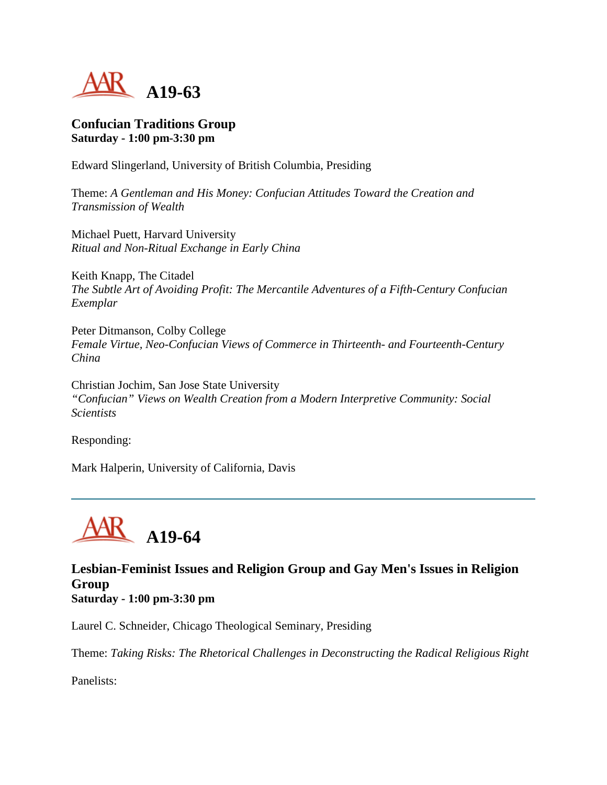

# **Confucian Traditions Group Saturday - 1:00 pm-3:30 pm**

Edward Slingerland, University of British Columbia, Presiding

Theme: *A Gentleman and His Money: Confucian Attitudes Toward the Creation and Transmission of Wealth*

Michael Puett, Harvard University *Ritual and Non-Ritual Exchange in Early China*

Keith Knapp, The Citadel *The Subtle Art of Avoiding Profit: The Mercantile Adventures of a Fifth-Century Confucian Exemplar*

Peter Ditmanson, Colby College *Female Virtue, Neo-Confucian Views of Commerce in Thirteenth- and Fourteenth-Century China*

Christian Jochim, San Jose State University *"Confucian" Views on Wealth Creation from a Modern Interpretive Community: Social Scientists*

Responding:

Mark Halperin, University of California, Davis



**Lesbian-Feminist Issues and Religion Group and Gay Men's Issues in Religion Group Saturday - 1:00 pm-3:30 pm**

Laurel C. Schneider, Chicago Theological Seminary, Presiding

Theme: *Taking Risks: The Rhetorical Challenges in Deconstructing the Radical Religious Right*

Panelists: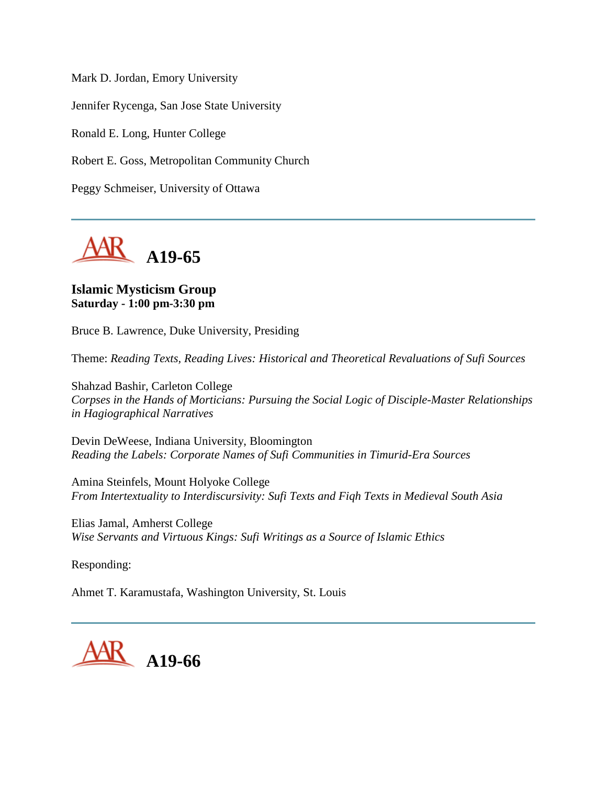Mark D. Jordan, Emory University

Jennifer Rycenga, San Jose State University

Ronald E. Long, Hunter College

Robert E. Goss, Metropolitan Community Church

Peggy Schmeiser, University of Ottawa



# **Islamic Mysticism Group Saturday - 1:00 pm-3:30 pm**

Bruce B. Lawrence, Duke University, Presiding

Theme: *Reading Texts, Reading Lives: Historical and Theoretical Revaluations of Sufi Sources*

Shahzad Bashir, Carleton College *Corpses in the Hands of Morticians: Pursuing the Social Logic of Disciple-Master Relationships in Hagiographical Narratives*

Devin DeWeese, Indiana University, Bloomington *Reading the Labels: Corporate Names of Sufi Communities in Timurid-Era Sources*

Amina Steinfels, Mount Holyoke College *From Intertextuality to Interdiscursivity: Sufi Texts and Fiqh Texts in Medieval South Asia*

Elias Jamal, Amherst College *Wise Servants and Virtuous Kings: Sufi Writings as a Source of Islamic Ethics*

Responding:

Ahmet T. Karamustafa, Washington University, St. Louis

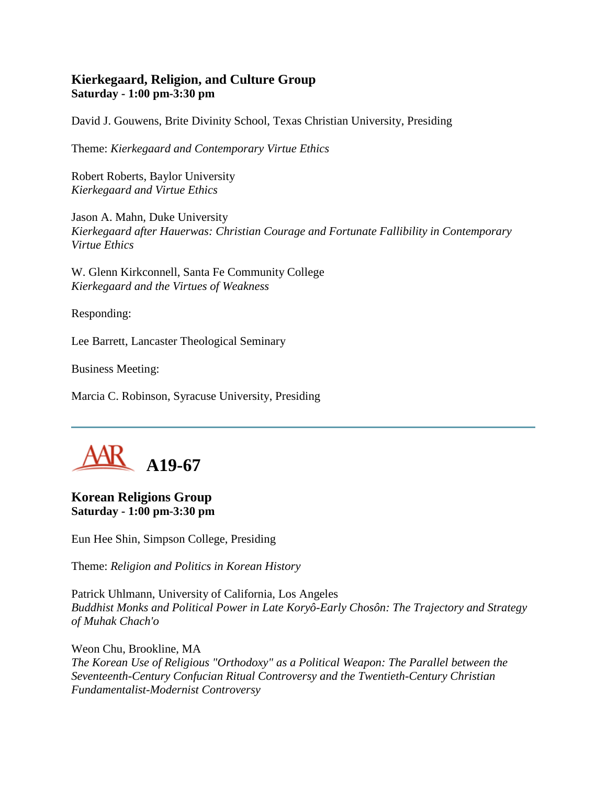# **Kierkegaard, Religion, and Culture Group Saturday - 1:00 pm-3:30 pm**

David J. Gouwens, Brite Divinity School, Texas Christian University, Presiding

Theme: *Kierkegaard and Contemporary Virtue Ethics*

Robert Roberts, Baylor University *Kierkegaard and Virtue Ethics*

Jason A. Mahn, Duke University *Kierkegaard after Hauerwas: Christian Courage and Fortunate Fallibility in Contemporary Virtue Ethics*

W. Glenn Kirkconnell, Santa Fe Community College *Kierkegaard and the Virtues of Weakness*

Responding:

Lee Barrett, Lancaster Theological Seminary

Business Meeting:

Marcia C. Robinson, Syracuse University, Presiding



#### **Korean Religions Group Saturday - 1:00 pm-3:30 pm**

Eun Hee Shin, Simpson College, Presiding

Theme: *Religion and Politics in Korean History*

Patrick Uhlmann, University of California, Los Angeles *Buddhist Monks and Political Power in Late Koryô-Early Chosôn: The Trajectory and Strategy of Muhak Chach'o*

Weon Chu, Brookline, MA *The Korean Use of Religious "Orthodoxy" as a Political Weapon: The Parallel between the Seventeenth-Century Confucian Ritual Controversy and the Twentieth-Century Christian Fundamentalist-Modernist Controversy*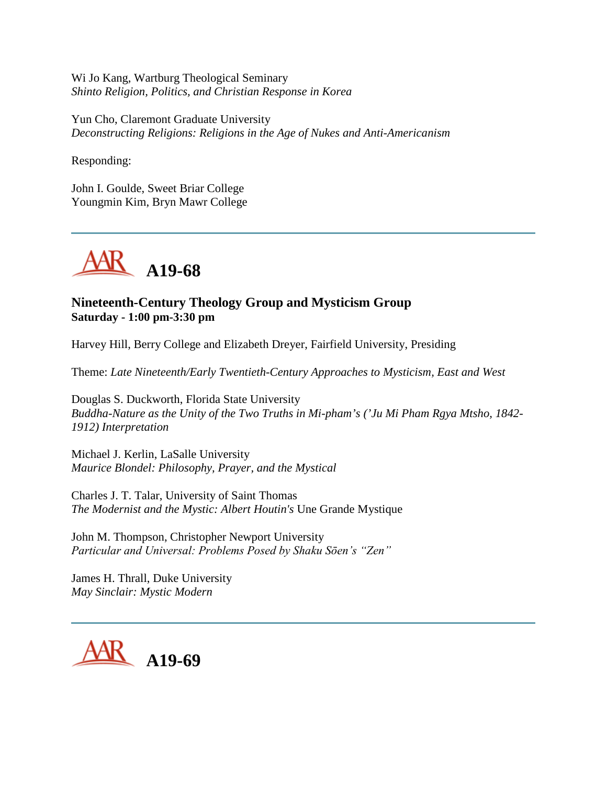Wi Jo Kang, Wartburg Theological Seminary *Shinto Religion, Politics, and Christian Response in Korea*

Yun Cho, Claremont Graduate University *Deconstructing Religions: Religions in the Age of Nukes and Anti-Americanism*

Responding:

John I. Goulde, Sweet Briar College Youngmin Kim, Bryn Mawr College



# **Nineteenth-Century Theology Group and Mysticism Group Saturday - 1:00 pm-3:30 pm**

Harvey Hill, Berry College and Elizabeth Dreyer, Fairfield University, Presiding

Theme: *Late Nineteenth/Early Twentieth-Century Approaches to Mysticism, East and West*

Douglas S. Duckworth, Florida State University *Buddha-Nature as the Unity of the Two Truths in Mi-pham's ('Ju Mi Pham Rgya Mtsho, 1842- 1912) Interpretation*

Michael J. Kerlin, LaSalle University *Maurice Blondel: Philosophy, Prayer, and the Mystical*

Charles J. T. Talar, University of Saint Thomas *The Modernist and the Mystic: Albert Houtin's* Une Grande Mystique

John M. Thompson, Christopher Newport University *Particular and Universal: Problems Posed by Shaku Sōen's "Zen"*

James H. Thrall, Duke University *May Sinclair: Mystic Modern*

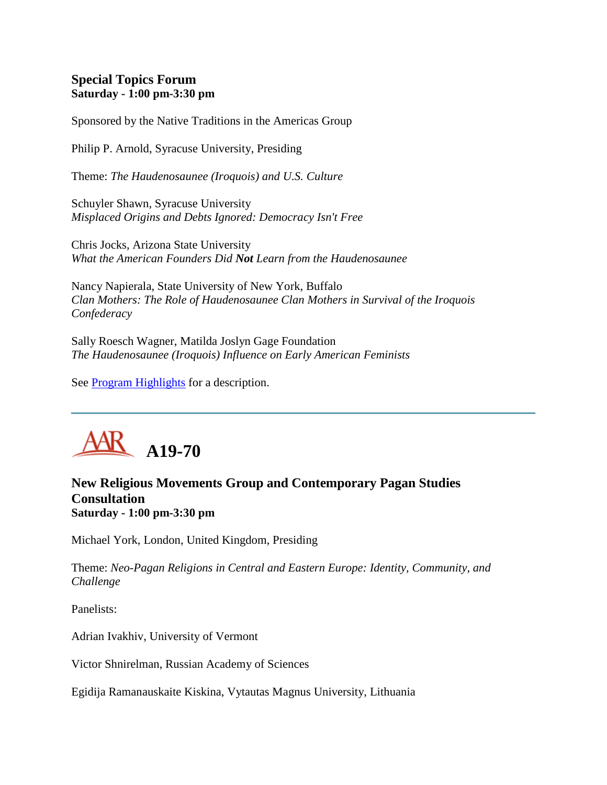# **Special Topics Forum Saturday - 1:00 pm-3:30 pm**

Sponsored by the Native Traditions in the Americas Group

Philip P. Arnold, Syracuse University, Presiding

Theme: *The Haudenosaunee (Iroquois) and U.S. Culture*

Schuyler Shawn, Syracuse University *Misplaced Origins and Debts Ignored: Democracy Isn't Free*

Chris Jocks, Arizona State University *What the American Founders Did Not Learn from the Haudenosaunee*

Nancy Napierala, State University of New York, Buffalo *Clan Mothers: The Role of Haudenosaunee Clan Mothers in Survival of the Iroquois Confederacy*

Sally Roesch Wagner, Matilda Joslyn Gage Foundation *The Haudenosaunee (Iroquois) Influence on Early American Feminists*

See **Program Highlights** for a description.



#### **New Religious Movements Group and Contemporary Pagan Studies Consultation Saturday - 1:00 pm-3:30 pm**

Michael York, London, United Kingdom, Presiding

Theme: *Neo-Pagan Religions in Central and Eastern Europe: Identity, Community, and Challenge*

Panelists:

Adrian Ivakhiv, University of Vermont

Victor Shnirelman, Russian Academy of Sciences

Egidija Ramanauskaite Kiskina, Vytautas Magnus University, Lithuania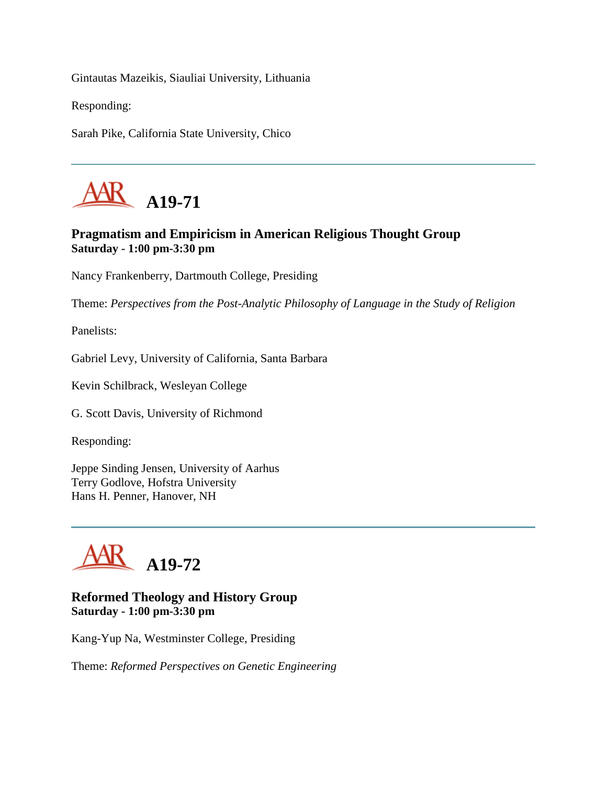Gintautas Mazeikis, Siauliai University, Lithuania

Responding:

Sarah Pike, California State University, Chico



# **Pragmatism and Empiricism in American Religious Thought Group Saturday - 1:00 pm-3:30 pm**

Nancy Frankenberry, Dartmouth College, Presiding

Theme: *Perspectives from the Post-Analytic Philosophy of Language in the Study of Religion*

Panelists:

Gabriel Levy, University of California, Santa Barbara

Kevin Schilbrack, Wesleyan College

G. Scott Davis, University of Richmond

Responding:

Jeppe Sinding Jensen, University of Aarhus Terry Godlove, Hofstra University Hans H. Penner, Hanover, NH



#### **Reformed Theology and History Group Saturday - 1:00 pm-3:30 pm**

Kang-Yup Na, Westminster College, Presiding

Theme: *Reformed Perspectives on Genetic Engineering*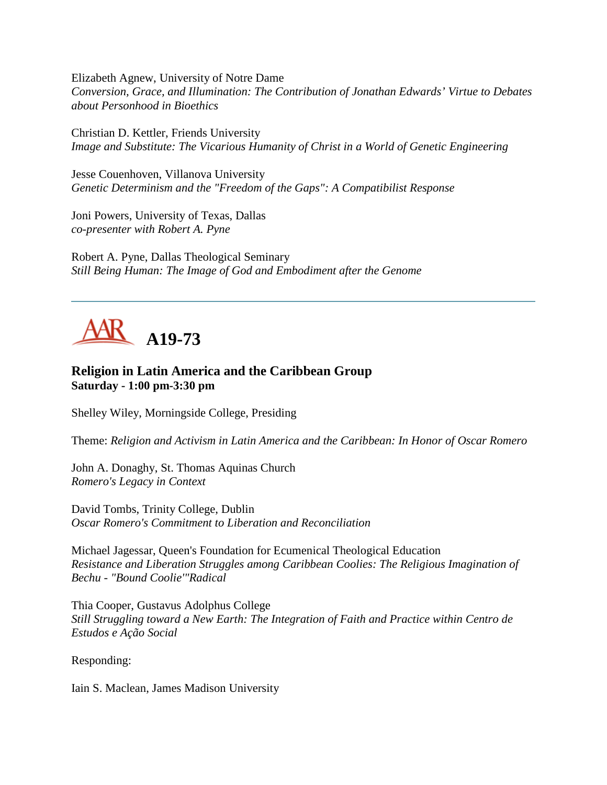Elizabeth Agnew, University of Notre Dame *Conversion, Grace, and Illumination: The Contribution of Jonathan Edwards' Virtue to Debates about Personhood in Bioethics*

Christian D. Kettler, Friends University *Image and Substitute: The Vicarious Humanity of Christ in a World of Genetic Engineering*

Jesse Couenhoven, Villanova University *Genetic Determinism and the "Freedom of the Gaps": A Compatibilist Response*

Joni Powers, University of Texas, Dallas *co-presenter with Robert A. Pyne*

Robert A. Pyne, Dallas Theological Seminary *Still Being Human: The Image of God and Embodiment after the Genome*



# **Religion in Latin America and the Caribbean Group Saturday - 1:00 pm-3:30 pm**

Shelley Wiley, Morningside College, Presiding

Theme: *Religion and Activism in Latin America and the Caribbean: In Honor of Oscar Romero*

John A. Donaghy, St. Thomas Aquinas Church *Romero's Legacy in Context*

David Tombs, Trinity College, Dublin *Oscar Romero's Commitment to Liberation and Reconciliation*

Michael Jagessar, Queen's Foundation for Ecumenical Theological Education *Resistance and Liberation Struggles among Caribbean Coolies: The Religious Imagination of Bechu - "Bound Coolie'"Radical*

Thia Cooper, Gustavus Adolphus College *Still Struggling toward a New Earth: The Integration of Faith and Practice within Centro de Estudos e Ação Social*

Responding:

Iain S. Maclean, James Madison University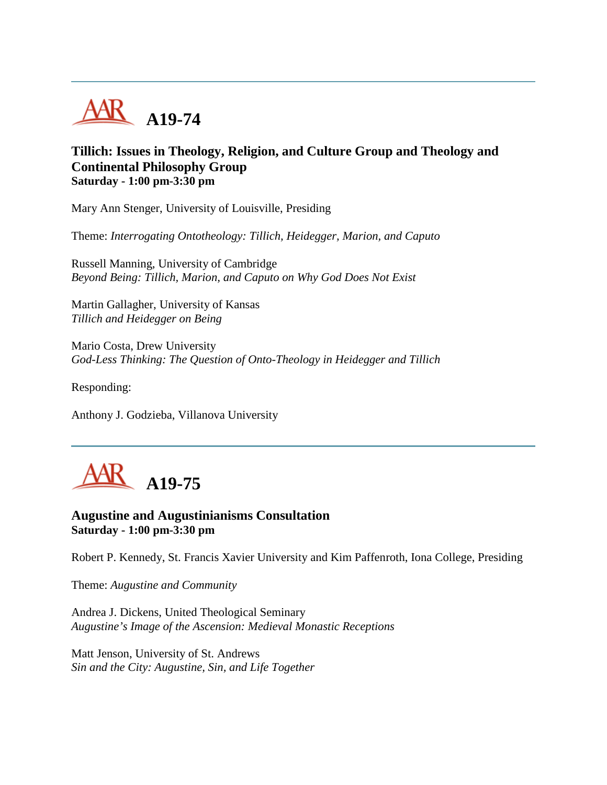

# **Tillich: Issues in Theology, Religion, and Culture Group and Theology and Continental Philosophy Group Saturday - 1:00 pm-3:30 pm**

Mary Ann Stenger, University of Louisville, Presiding

Theme: *Interrogating Ontotheology: Tillich, Heidegger, Marion, and Caputo*

Russell Manning, University of Cambridge *Beyond Being: Tillich, Marion, and Caputo on Why God Does Not Exist*

Martin Gallagher, University of Kansas *Tillich and Heidegger on Being*

Mario Costa, Drew University *God-Less Thinking: The Question of Onto-Theology in Heidegger and Tillich*

Responding:

Anthony J. Godzieba, Villanova University



**Augustine and Augustinianisms Consultation Saturday - 1:00 pm-3:30 pm**

Robert P. Kennedy, St. Francis Xavier University and Kim Paffenroth, Iona College, Presiding

Theme: *Augustine and Community*

Andrea J. Dickens, United Theological Seminary *Augustine's Image of the Ascension: Medieval Monastic Receptions*

Matt Jenson, University of St. Andrews *Sin and the City: Augustine, Sin, and Life Together*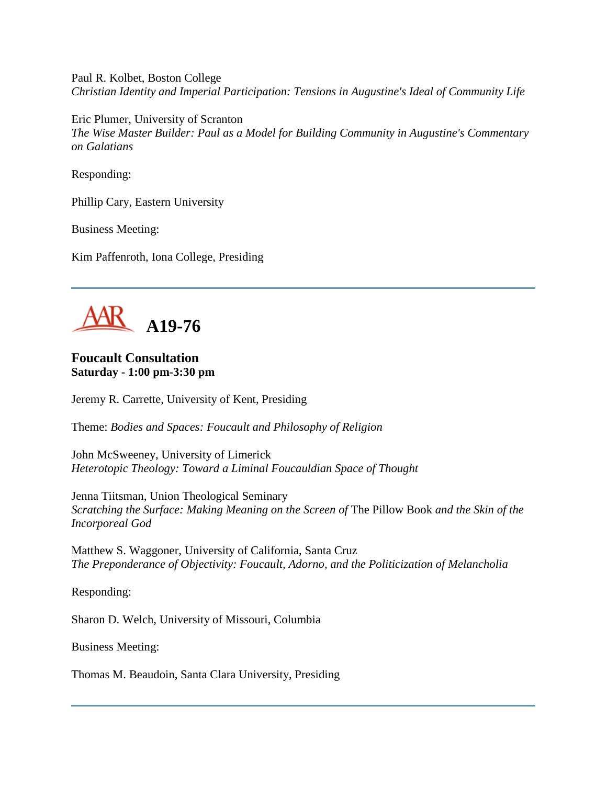Paul R. Kolbet, Boston College *Christian Identity and Imperial Participation: Tensions in Augustine's Ideal of Community Life*

Eric Plumer, University of Scranton *The Wise Master Builder: Paul as a Model for Building Community in Augustine's Commentary on Galatians*

Responding:

Phillip Cary, Eastern University

Business Meeting:

Kim Paffenroth, Iona College, Presiding



# **Foucault Consultation Saturday - 1:00 pm-3:30 pm**

Jeremy R. Carrette, University of Kent, Presiding

Theme: *Bodies and Spaces: Foucault and Philosophy of Religion*

John McSweeney, University of Limerick *Heterotopic Theology: Toward a Liminal Foucauldian Space of Thought*

Jenna Tiitsman, Union Theological Seminary *Scratching the Surface: Making Meaning on the Screen of* The Pillow Book *and the Skin of the Incorporeal God*

Matthew S. Waggoner, University of California, Santa Cruz *The Preponderance of Objectivity: Foucault, Adorno, and the Politicization of Melancholia*

Responding:

Sharon D. Welch, University of Missouri, Columbia

Business Meeting:

Thomas M. Beaudoin, Santa Clara University, Presiding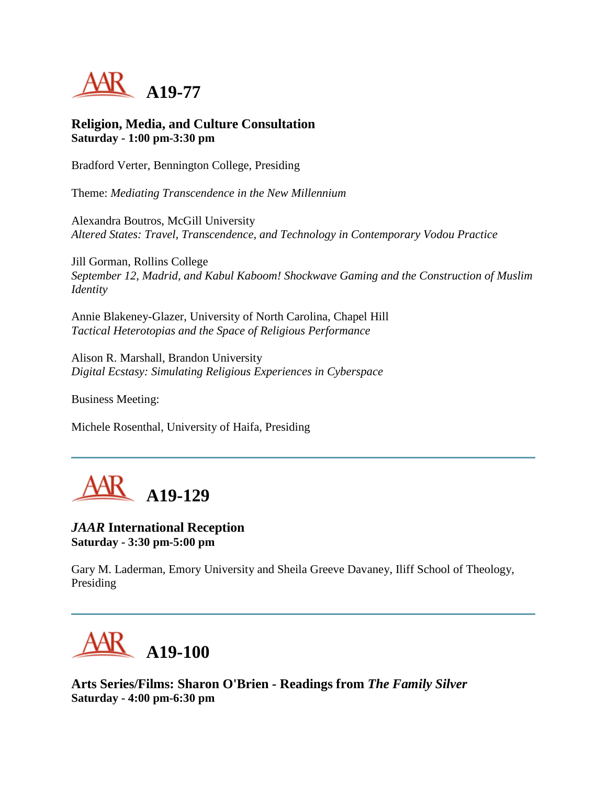

**Religion, Media, and Culture Consultation Saturday - 1:00 pm-3:30 pm**

Bradford Verter, Bennington College, Presiding

Theme: *Mediating Transcendence in the New Millennium*

Alexandra Boutros, McGill University *Altered States: Travel, Transcendence, and Technology in Contemporary Vodou Practice*

Jill Gorman, Rollins College *September 12, Madrid, and Kabul Kaboom! Shockwave Gaming and the Construction of Muslim Identity*

Annie Blakeney-Glazer, University of North Carolina, Chapel Hill *Tactical Heterotopias and the Space of Religious Performance*

Alison R. Marshall, Brandon University *Digital Ecstasy: Simulating Religious Experiences in Cyberspace*

Business Meeting:

Michele Rosenthal, University of Haifa, Presiding



#### *JAAR* **International Reception Saturday - 3:30 pm-5:00 pm**

Gary M. Laderman, Emory University and Sheila Greeve Davaney, Iliff School of Theology, Presiding

**A19-100**

**Arts Series/Films: Sharon O'Brien - Readings from** *The Family Silver* **Saturday - 4:00 pm-6:30 pm**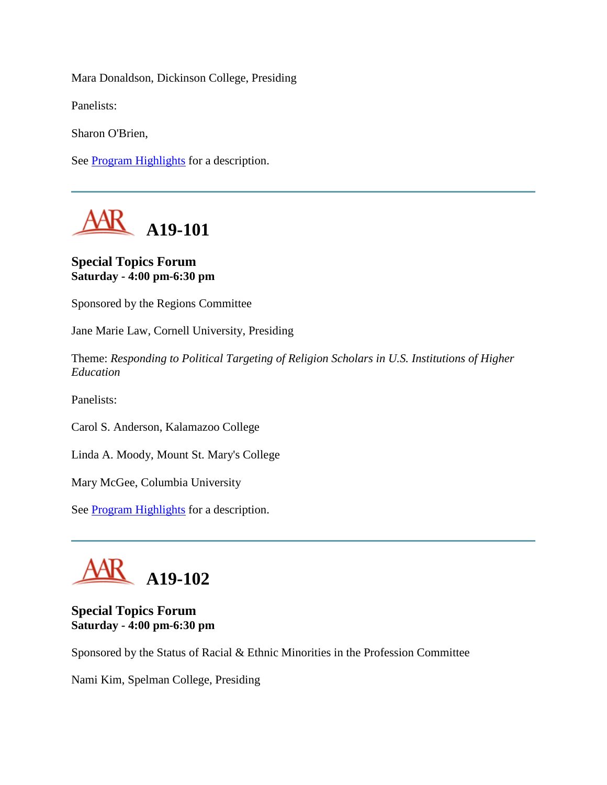Mara Donaldson, Dickinson College, Presiding

Panelists:

Sharon O'Brien,

See [Program Highlights](http://www.aarweb.org/Meetings/Annual_Meeting/Past_and_Future_Meetings/2005/highlights.asp) for a description.



#### **Special Topics Forum Saturday - 4:00 pm-6:30 pm**

Sponsored by the Regions Committee

Jane Marie Law, Cornell University, Presiding

Theme: *Responding to Political Targeting of Religion Scholars in U.S. Institutions of Higher Education*

Panelists:

Carol S. Anderson, Kalamazoo College

Linda A. Moody, Mount St. Mary's College

Mary McGee, Columbia University

See [Program Highlights](http://www.aarweb.org/Meetings/Annual_Meeting/Past_and_Future_Meetings/2005/highlights.asp) for a description.



#### **Special Topics Forum Saturday - 4:00 pm-6:30 pm**

Sponsored by the Status of Racial & Ethnic Minorities in the Profession Committee

Nami Kim, Spelman College, Presiding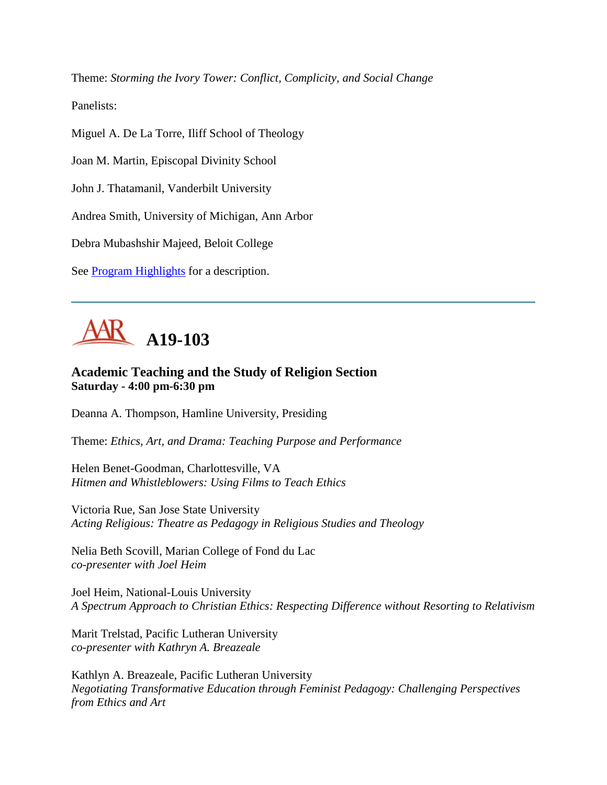Theme: *Storming the Ivory Tower: Conflict, Complicity, and Social Change*

Panelists:

Miguel A. De La Torre, Iliff School of Theology

Joan M. Martin, Episcopal Divinity School

John J. Thatamanil, Vanderbilt University

Andrea Smith, University of Michigan, Ann Arbor

Debra Mubashshir Majeed, Beloit College

See **Program Highlights** for a description.

## **A19-103**

## **Academic Teaching and the Study of Religion Section Saturday - 4:00 pm-6:30 pm**

Deanna A. Thompson, Hamline University, Presiding

Theme: *Ethics, Art, and Drama: Teaching Purpose and Performance*

Helen Benet-Goodman, Charlottesville, VA *Hitmen and Whistleblowers: Using Films to Teach Ethics*

Victoria Rue, San Jose State University *Acting Religious: Theatre as Pedagogy in Religious Studies and Theology*

Nelia Beth Scovill, Marian College of Fond du Lac *co-presenter with Joel Heim*

Joel Heim, National-Louis University *A Spectrum Approach to Christian Ethics: Respecting Difference without Resorting to Relativism*

Marit Trelstad, Pacific Lutheran University *co-presenter with Kathryn A. Breazeale*

Kathlyn A. Breazeale, Pacific Lutheran University *Negotiating Transformative Education through Feminist Pedagogy: Challenging Perspectives from Ethics and Art*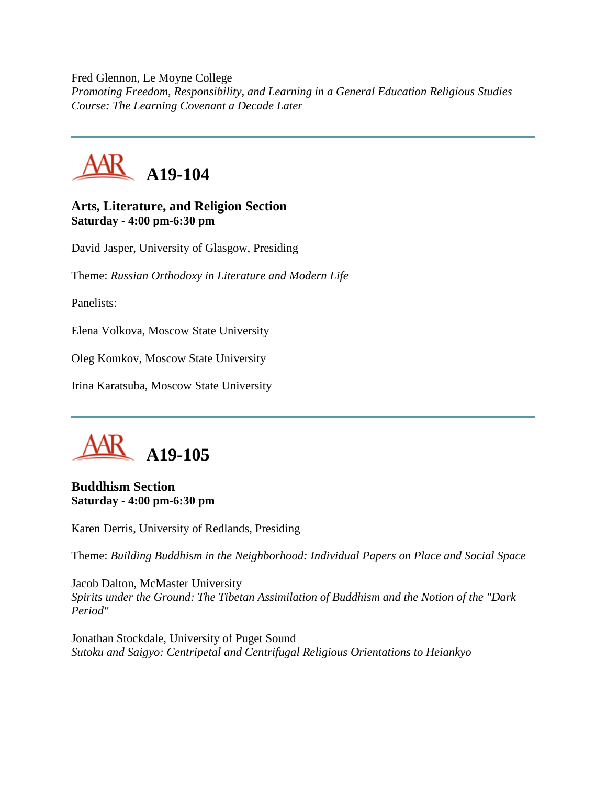Fred Glennon, Le Moyne College *Promoting Freedom, Responsibility, and Learning in a General Education Religious Studies Course: The Learning Covenant a Decade Later*



#### **Arts, Literature, and Religion Section Saturday - 4:00 pm-6:30 pm**

David Jasper, University of Glasgow, Presiding

Theme: *Russian Orthodoxy in Literature and Modern Life*

Panelists:

Elena Volkova, Moscow State University

Oleg Komkov, Moscow State University

Irina Karatsuba, Moscow State University



#### **Buddhism Section Saturday - 4:00 pm-6:30 pm**

Karen Derris, University of Redlands, Presiding

Theme: *Building Buddhism in the Neighborhood: Individual Papers on Place and Social Space*

Jacob Dalton, McMaster University *Spirits under the Ground: The Tibetan Assimilation of Buddhism and the Notion of the "Dark Period"*

Jonathan Stockdale, University of Puget Sound *Sutoku and Saigyo: Centripetal and Centrifugal Religious Orientations to Heiankyo*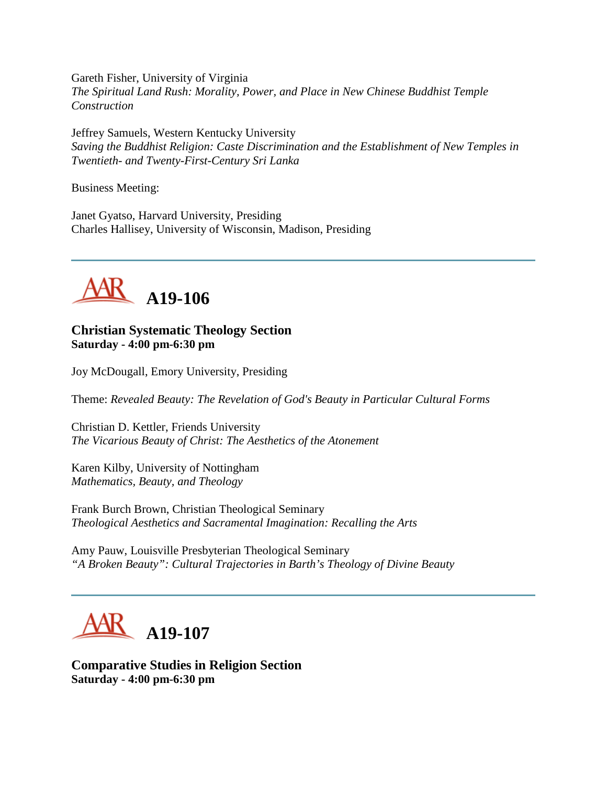Gareth Fisher, University of Virginia *The Spiritual Land Rush: Morality, Power, and Place in New Chinese Buddhist Temple Construction*

Jeffrey Samuels, Western Kentucky University *Saving the Buddhist Religion: Caste Discrimination and the Establishment of New Temples in Twentieth- and Twenty-First-Century Sri Lanka*

Business Meeting:

Janet Gyatso, Harvard University, Presiding Charles Hallisey, University of Wisconsin, Madison, Presiding



#### **Christian Systematic Theology Section Saturday - 4:00 pm-6:30 pm**

Joy McDougall, Emory University, Presiding

Theme: *Revealed Beauty: The Revelation of God's Beauty in Particular Cultural Forms*

Christian D. Kettler, Friends University *The Vicarious Beauty of Christ: The Aesthetics of the Atonement*

Karen Kilby, University of Nottingham *Mathematics, Beauty, and Theology*

Frank Burch Brown, Christian Theological Seminary *Theological Aesthetics and Sacramental Imagination: Recalling the Arts*

Amy Pauw, Louisville Presbyterian Theological Seminary *"A Broken Beauty": Cultural Trajectories in Barth's Theology of Divine Beauty*



**Comparative Studies in Religion Section Saturday - 4:00 pm-6:30 pm**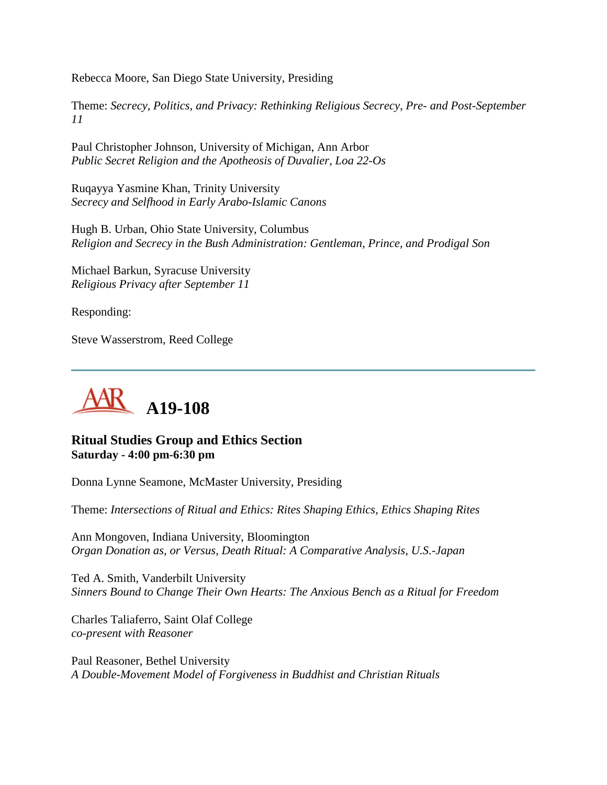Rebecca Moore, San Diego State University, Presiding

Theme: *Secrecy, Politics, and Privacy: Rethinking Religious Secrecy, Pre- and Post-September 11*

Paul Christopher Johnson, University of Michigan, Ann Arbor *Public Secret Religion and the Apotheosis of Duvalier, Loa 22-Os*

Ruqayya Yasmine Khan, Trinity University *Secrecy and Selfhood in Early Arabo-Islamic Canons*

Hugh B. Urban, Ohio State University, Columbus *Religion and Secrecy in the Bush Administration: Gentleman, Prince, and Prodigal Son*

Michael Barkun, Syracuse University *Religious Privacy after September 11*

Responding:

Steve Wasserstrom, Reed College



## **Ritual Studies Group and Ethics Section Saturday - 4:00 pm-6:30 pm**

Donna Lynne Seamone, McMaster University, Presiding

Theme: *Intersections of Ritual and Ethics: Rites Shaping Ethics, Ethics Shaping Rites*

Ann Mongoven, Indiana University, Bloomington *Organ Donation as, or Versus, Death Ritual: A Comparative Analysis, U.S.-Japan*

Ted A. Smith, Vanderbilt University *Sinners Bound to Change Their Own Hearts: The Anxious Bench as a Ritual for Freedom*

Charles Taliaferro, Saint Olaf College *co-present with Reasoner*

Paul Reasoner, Bethel University *A Double-Movement Model of Forgiveness in Buddhist and Christian Rituals*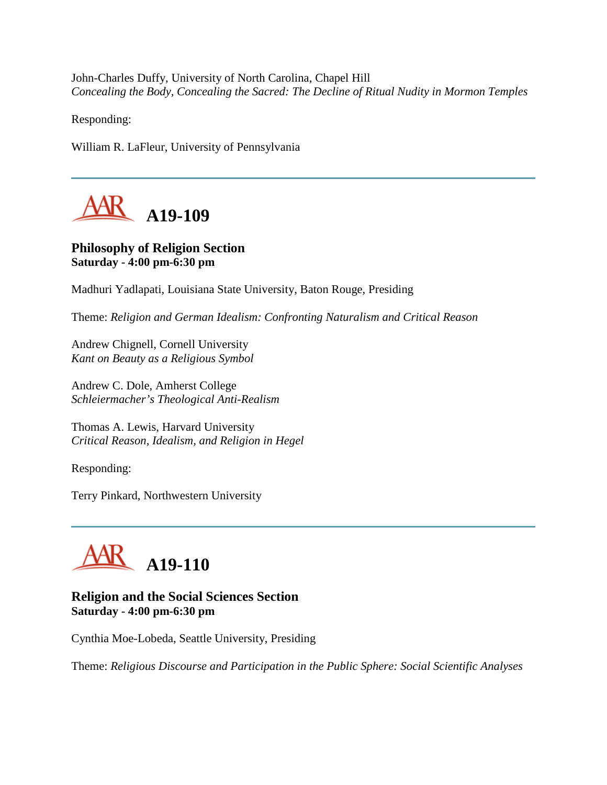John-Charles Duffy, University of North Carolina, Chapel Hill *Concealing the Body, Concealing the Sacred: The Decline of Ritual Nudity in Mormon Temples*

Responding:

William R. LaFleur, University of Pennsylvania



## **Philosophy of Religion Section Saturday - 4:00 pm-6:30 pm**

Madhuri Yadlapati, Louisiana State University, Baton Rouge, Presiding

Theme: *Religion and German Idealism: Confronting Naturalism and Critical Reason*

Andrew Chignell, Cornell University *Kant on Beauty as a Religious Symbol*

Andrew C. Dole, Amherst College *Schleiermacher's Theological Anti-Realism*

Thomas A. Lewis, Harvard University *Critical Reason, Idealism, and Religion in Hegel*

Responding:

Terry Pinkard, Northwestern University



## **Religion and the Social Sciences Section Saturday - 4:00 pm-6:30 pm**

Cynthia Moe-Lobeda, Seattle University, Presiding

Theme: *Religious Discourse and Participation in the Public Sphere: Social Scientific Analyses*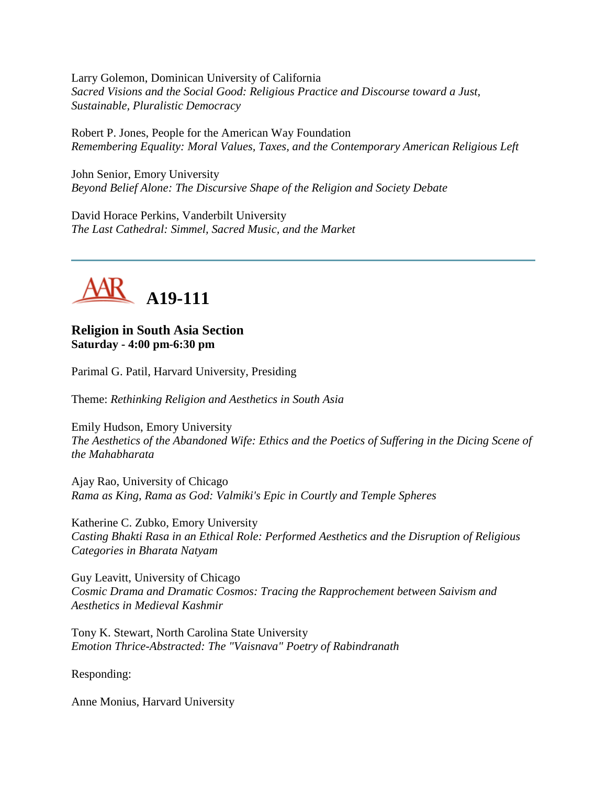Larry Golemon, Dominican University of California *Sacred Visions and the Social Good: Religious Practice and Discourse toward a Just, Sustainable, Pluralistic Democracy*

Robert P. Jones, People for the American Way Foundation *Remembering Equality: Moral Values, Taxes, and the Contemporary American Religious Left*

John Senior, Emory University *Beyond Belief Alone: The Discursive Shape of the Religion and Society Debate*

David Horace Perkins, Vanderbilt University *The Last Cathedral: Simmel, Sacred Music, and the Market*



#### **Religion in South Asia Section Saturday - 4:00 pm-6:30 pm**

Parimal G. Patil, Harvard University, Presiding

Theme: *Rethinking Religion and Aesthetics in South Asia*

Emily Hudson, Emory University *The Aesthetics of the Abandoned Wife: Ethics and the Poetics of Suffering in the Dicing Scene of the Mahabharata*

Ajay Rao, University of Chicago *Rama as King, Rama as God: Valmiki's Epic in Courtly and Temple Spheres*

Katherine C. Zubko, Emory University *Casting Bhakti Rasa in an Ethical Role: Performed Aesthetics and the Disruption of Religious Categories in Bharata Natyam*

Guy Leavitt, University of Chicago *Cosmic Drama and Dramatic Cosmos: Tracing the Rapprochement between Saivism and Aesthetics in Medieval Kashmir*

Tony K. Stewart, North Carolina State University *Emotion Thrice-Abstracted: The "Vaisnava" Poetry of Rabindranath*

Responding:

Anne Monius, Harvard University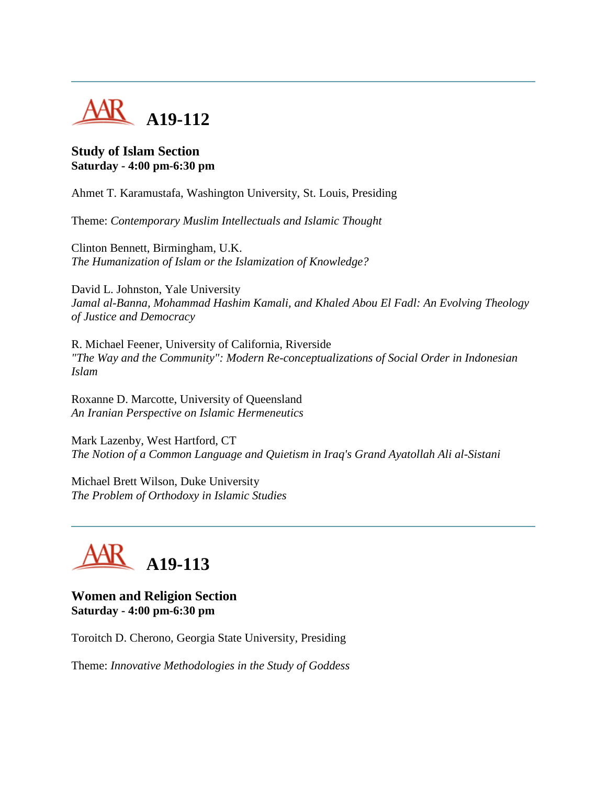

#### **Study of Islam Section Saturday - 4:00 pm-6:30 pm**

Ahmet T. Karamustafa, Washington University, St. Louis, Presiding

Theme: *Contemporary Muslim Intellectuals and Islamic Thought*

Clinton Bennett, Birmingham, U.K. *The Humanization of Islam or the Islamization of Knowledge?*

David L. Johnston, Yale University *Jamal al-Banna, Mohammad Hashim Kamali, and Khaled Abou El Fadl: An Evolving Theology of Justice and Democracy*

R. Michael Feener, University of California, Riverside *"The Way and the Community": Modern Re-conceptualizations of Social Order in Indonesian Islam*

Roxanne D. Marcotte, University of Queensland *An Iranian Perspective on Islamic Hermeneutics*

Mark Lazenby, West Hartford, CT *The Notion of a Common Language and Quietism in Iraq's Grand Ayatollah Ali al-Sistani*

Michael Brett Wilson, Duke University *The Problem of Orthodoxy in Islamic Studies*



## **Women and Religion Section Saturday - 4:00 pm-6:30 pm**

Toroitch D. Cherono, Georgia State University, Presiding

Theme: *Innovative Methodologies in the Study of Goddess*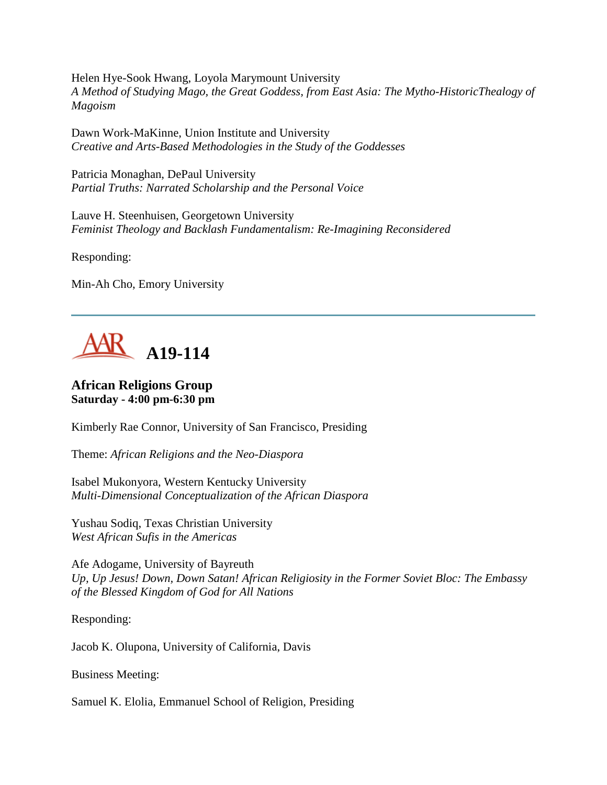Helen Hye-Sook Hwang, Loyola Marymount University *A Method of Studying Mago, the Great Goddess, from East Asia: The Mytho-HistoricThealogy of Magoism*

Dawn Work-MaKinne, Union Institute and University *Creative and Arts-Based Methodologies in the Study of the Goddesses*

Patricia Monaghan, DePaul University *Partial Truths: Narrated Scholarship and the Personal Voice*

Lauve H. Steenhuisen, Georgetown University *Feminist Theology and Backlash Fundamentalism: Re-Imagining Reconsidered*

Responding:

Min-Ah Cho, Emory University



## **African Religions Group Saturday - 4:00 pm-6:30 pm**

Kimberly Rae Connor, University of San Francisco, Presiding

Theme: *African Religions and the Neo-Diaspora*

Isabel Mukonyora, Western Kentucky University *Multi-Dimensional Conceptualization of the African Diaspora*

Yushau Sodiq, Texas Christian University *West African Sufis in the Americas*

Afe Adogame, University of Bayreuth *Up, Up Jesus! Down, Down Satan! African Religiosity in the Former Soviet Bloc: The Embassy of the Blessed Kingdom of God for All Nations*

Responding:

Jacob K. Olupona, University of California, Davis

Business Meeting:

Samuel K. Elolia, Emmanuel School of Religion, Presiding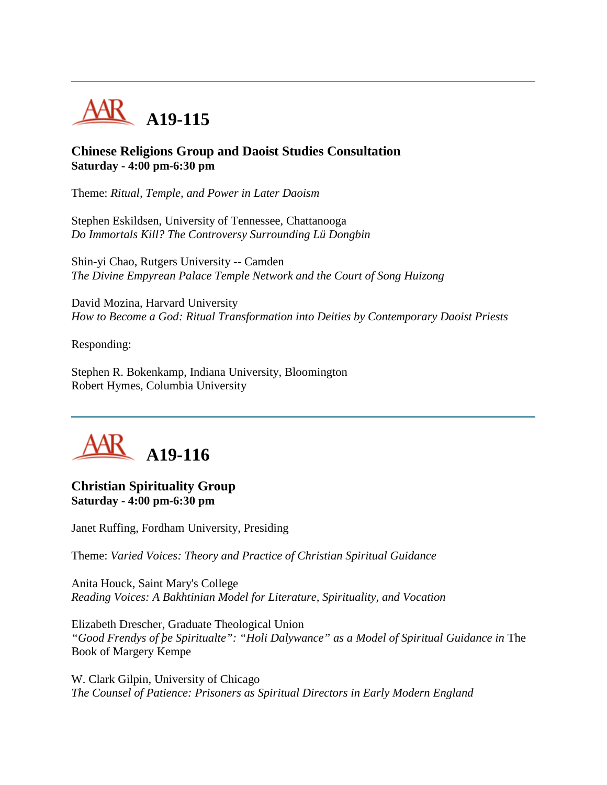

#### **Chinese Religions Group and Daoist Studies Consultation Saturday - 4:00 pm-6:30 pm**

Theme: *Ritual, Temple, and Power in Later Daoism*

Stephen Eskildsen, University of Tennessee, Chattanooga *Do Immortals Kill? The Controversy Surrounding Lü Dongbin*

Shin-yi Chao, Rutgers University -- Camden *The Divine Empyrean Palace Temple Network and the Court of Song Huizong*

David Mozina, Harvard University *How to Become a God: Ritual Transformation into Deities by Contemporary Daoist Priests*

Responding:

Stephen R. Bokenkamp, Indiana University, Bloomington Robert Hymes, Columbia University



## **Christian Spirituality Group Saturday - 4:00 pm-6:30 pm**

Janet Ruffing, Fordham University, Presiding

Theme: *Varied Voices: Theory and Practice of Christian Spiritual Guidance*

Anita Houck, Saint Mary's College *Reading Voices: A Bakhtinian Model for Literature, Spirituality, and Vocation*

Elizabeth Drescher, Graduate Theological Union "Good Frendys of *be Spiritualte": "Holi Dalywance" as a Model of Spiritual Guidance in* The Book of Margery Kempe

W. Clark Gilpin, University of Chicago *The Counsel of Patience: Prisoners as Spiritual Directors in Early Modern England*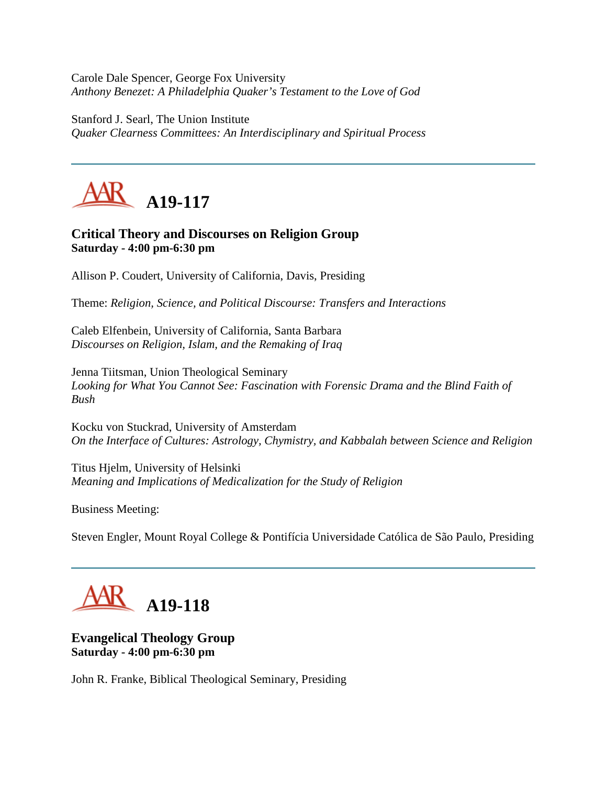Carole Dale Spencer, George Fox University *Anthony Benezet: A Philadelphia Quaker's Testament to the Love of God*

Stanford J. Searl, The Union Institute *Quaker Clearness Committees: An Interdisciplinary and Spiritual Process*



## **Critical Theory and Discourses on Religion Group Saturday - 4:00 pm-6:30 pm**

Allison P. Coudert, University of California, Davis, Presiding

Theme: *Religion, Science, and Political Discourse: Transfers and Interactions*

Caleb Elfenbein, University of California, Santa Barbara *Discourses on Religion, Islam, and the Remaking of Iraq*

Jenna Tiitsman, Union Theological Seminary *Looking for What You Cannot See: Fascination with Forensic Drama and the Blind Faith of Bush*

Kocku von Stuckrad, University of Amsterdam *On the Interface of Cultures: Astrology, Chymistry, and Kabbalah between Science and Religion*

Titus Hjelm, University of Helsinki *Meaning and Implications of Medicalization for the Study of Religion*

Business Meeting:

Steven Engler, Mount Royal College & Pontifícia Universidade Católica de São Paulo, Presiding

# **A19-118**

## **Evangelical Theology Group Saturday - 4:00 pm-6:30 pm**

John R. Franke, Biblical Theological Seminary, Presiding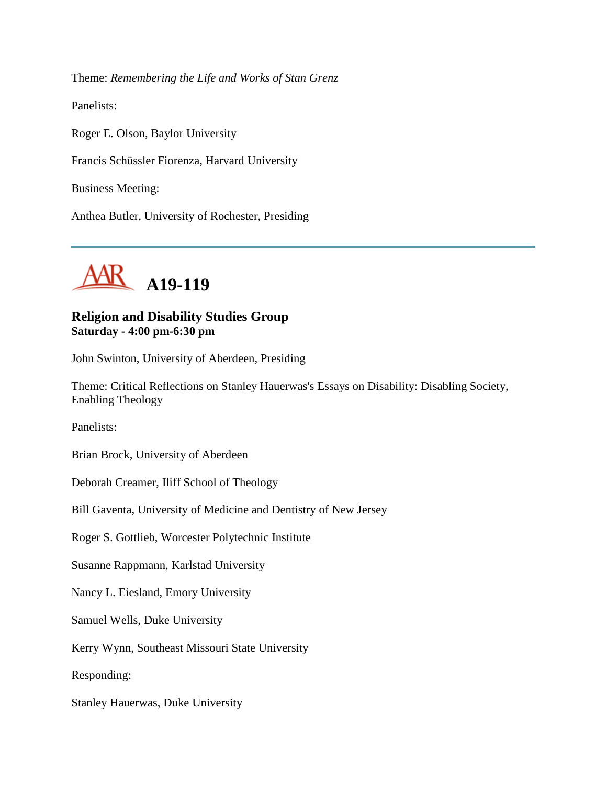Theme: *Remembering the Life and Works of Stan Grenz*

Panelists:

Roger E. Olson, Baylor University Francis Schüssler Fiorenza, Harvard University Business Meeting:

Anthea Butler, University of Rochester, Presiding



## **Religion and Disability Studies Group Saturday - 4:00 pm-6:30 pm**

John Swinton, University of Aberdeen, Presiding

Theme: Critical Reflections on Stanley Hauerwas's Essays on Disability: Disabling Society, Enabling Theology

Panelists:

Brian Brock, University of Aberdeen

Deborah Creamer, Iliff School of Theology

Bill Gaventa, University of Medicine and Dentistry of New Jersey

Roger S. Gottlieb, Worcester Polytechnic Institute

Susanne Rappmann, Karlstad University

Nancy L. Eiesland, Emory University

Samuel Wells, Duke University

Kerry Wynn, Southeast Missouri State University

Responding:

Stanley Hauerwas, Duke University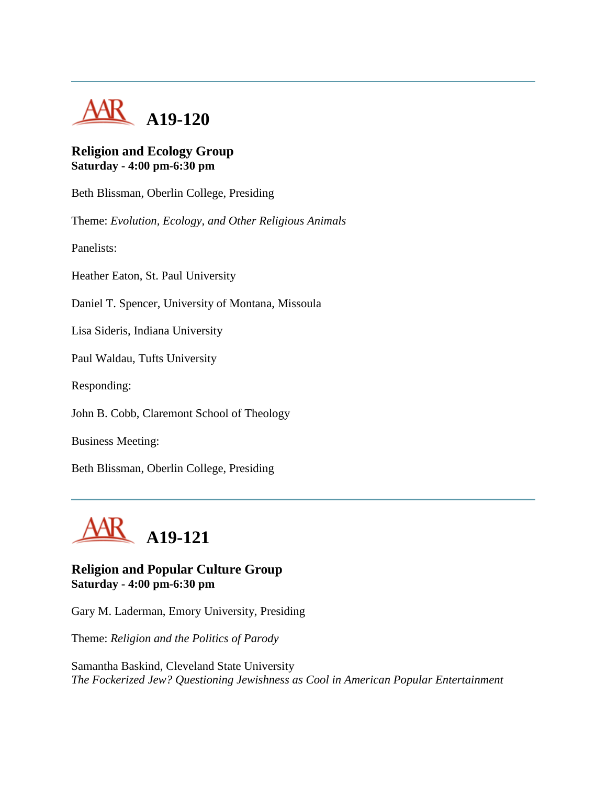

## **Religion and Ecology Group Saturday - 4:00 pm-6:30 pm**

Beth Blissman, Oberlin College, Presiding

Theme: *Evolution, Ecology, and Other Religious Animals*

Panelists:

Heather Eaton, St. Paul University

Daniel T. Spencer, University of Montana, Missoula

Lisa Sideris, Indiana University

Paul Waldau, Tufts University

Responding:

John B. Cobb, Claremont School of Theology

Business Meeting:

Beth Blissman, Oberlin College, Presiding



## **Religion and Popular Culture Group Saturday - 4:00 pm-6:30 pm**

Gary M. Laderman, Emory University, Presiding

Theme: *Religion and the Politics of Parody*

Samantha Baskind, Cleveland State University *The Fockerized Jew? Questioning Jewishness as Cool in American Popular Entertainment*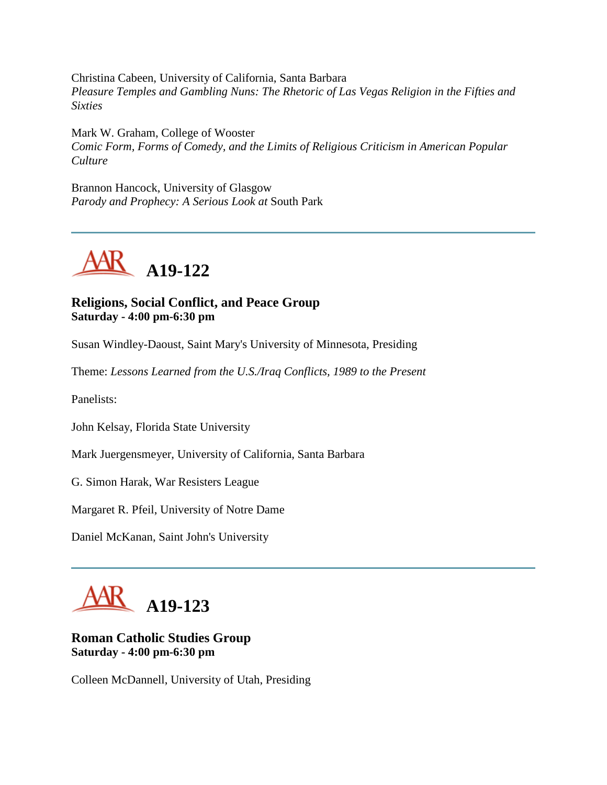Christina Cabeen, University of California, Santa Barbara *Pleasure Temples and Gambling Nuns: The Rhetoric of Las Vegas Religion in the Fifties and Sixties*

Mark W. Graham, College of Wooster *Comic Form, Forms of Comedy, and the Limits of Religious Criticism in American Popular Culture*

Brannon Hancock, University of Glasgow *Parody and Prophecy: A Serious Look at* South Park



## **Religions, Social Conflict, and Peace Group Saturday - 4:00 pm-6:30 pm**

Susan Windley-Daoust, Saint Mary's University of Minnesota, Presiding

Theme: *Lessons Learned from the U.S./Iraq Conflicts, 1989 to the Present*

Panelists:

John Kelsay, Florida State University

Mark Juergensmeyer, University of California, Santa Barbara

G. Simon Harak, War Resisters League

Margaret R. Pfeil, University of Notre Dame

Daniel McKanan, Saint John's University



## **Roman Catholic Studies Group Saturday - 4:00 pm-6:30 pm**

Colleen McDannell, University of Utah, Presiding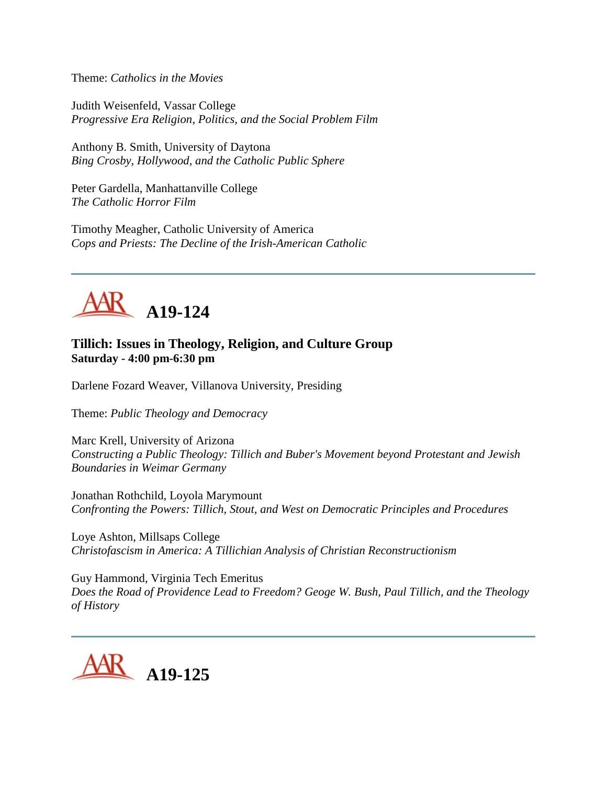Theme: *Catholics in the Movies*

Judith Weisenfeld, Vassar College *Progressive Era Religion, Politics, and the Social Problem Film*

Anthony B. Smith, University of Daytona *Bing Crosby, Hollywood, and the Catholic Public Sphere*

Peter Gardella, Manhattanville College *The Catholic Horror Film*

Timothy Meagher, Catholic University of America *Cops and Priests: The Decline of the Irish-American Catholic*



#### **Tillich: Issues in Theology, Religion, and Culture Group Saturday - 4:00 pm-6:30 pm**

Darlene Fozard Weaver, Villanova University, Presiding

Theme: *Public Theology and Democracy*

Marc Krell, University of Arizona *Constructing a Public Theology: Tillich and Buber's Movement beyond Protestant and Jewish Boundaries in Weimar Germany*

Jonathan Rothchild, Loyola Marymount *Confronting the Powers: Tillich, Stout, and West on Democratic Principles and Procedures*

Loye Ashton, Millsaps College *Christofascism in America: A Tillichian Analysis of Christian Reconstructionism*

Guy Hammond, Virginia Tech Emeritus *Does the Road of Providence Lead to Freedom? Geoge W. Bush, Paul Tillich, and the Theology of History*

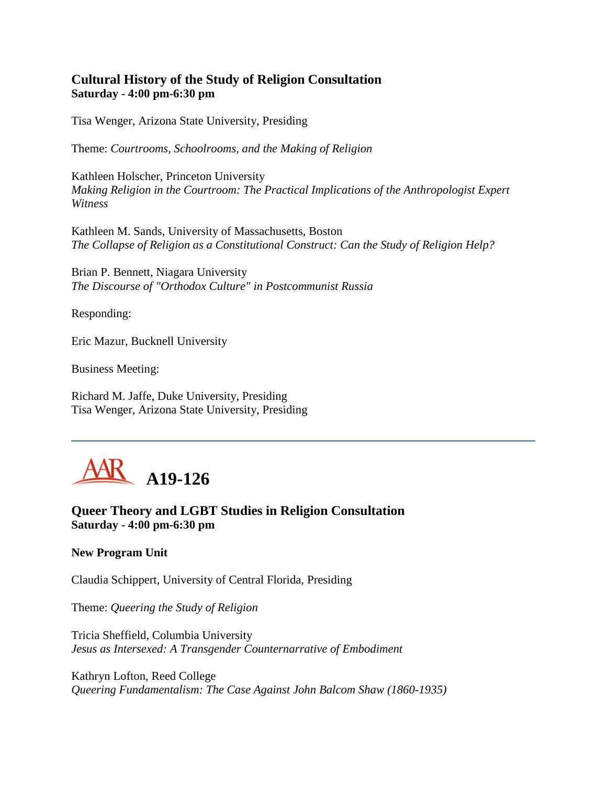## **Cultural History of the Study of Religion Consultation Saturday - 4:00 pm-6:30 pm**

Tisa Wenger, Arizona State University, Presiding

Theme: *Courtrooms, Schoolrooms, and the Making of Religion*

Kathleen Holscher, Princeton University *Making Religion in the Courtroom: The Practical Implications of the Anthropologist Expert Witness*

Kathleen M. Sands, University of Massachusetts, Boston *The Collapse of Religion as a Constitutional Construct: Can the Study of Religion Help?*

Brian P. Bennett, Niagara University *The Discourse of "Orthodox Culture" in Postcommunist Russia*

Responding:

Eric Mazur, Bucknell University

Business Meeting:

Richard M. Jaffe, Duke University, Presiding Tisa Wenger, Arizona State University, Presiding



**Queer Theory and LGBT Studies in Religion Consultation Saturday - 4:00 pm-6:30 pm**

#### **New Program Unit**

Claudia Schippert, University of Central Florida, Presiding

Theme: *Queering the Study of Religion*

Tricia Sheffield, Columbia University *Jesus as Intersexed: A Transgender Counternarrative of Embodiment*

Kathryn Lofton, Reed College *Queering Fundamentalism: The Case Against John Balcom Shaw (1860-1935)*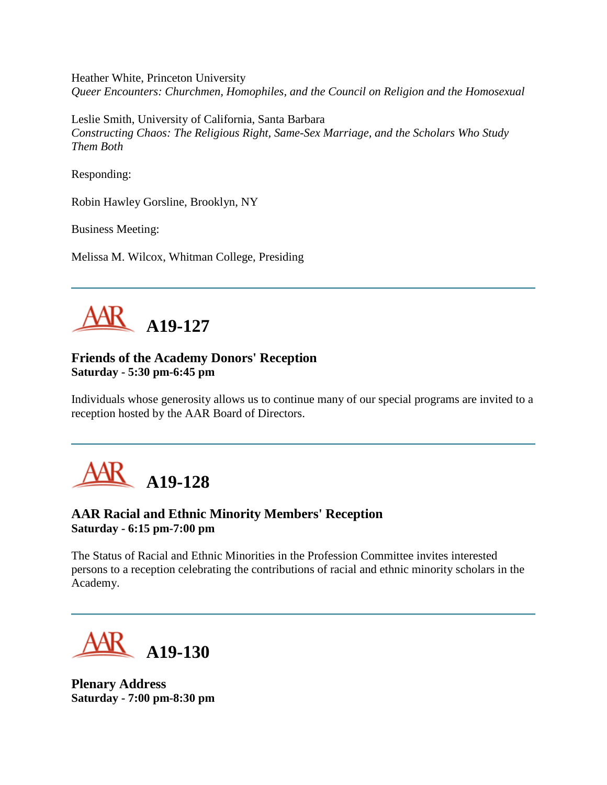Heather White, Princeton University *Queer Encounters: Churchmen, Homophiles, and the Council on Religion and the Homosexual*

Leslie Smith, University of California, Santa Barbara *Constructing Chaos: The Religious Right, Same-Sex Marriage, and the Scholars Who Study Them Both*

Responding:

Robin Hawley Gorsline, Brooklyn, NY

Business Meeting:

Melissa M. Wilcox, Whitman College, Presiding



## **Friends of the Academy Donors' Reception Saturday - 5:30 pm-6:45 pm**

Individuals whose generosity allows us to continue many of our special programs are invited to a reception hosted by the AAR Board of Directors.



## **AAR Racial and Ethnic Minority Members' Reception Saturday - 6:15 pm-7:00 pm**

The Status of Racial and Ethnic Minorities in the Profession Committee invites interested persons to a reception celebrating the contributions of racial and ethnic minority scholars in the Academy.

**A19-130**

**Plenary Address Saturday - 7:00 pm-8:30 pm**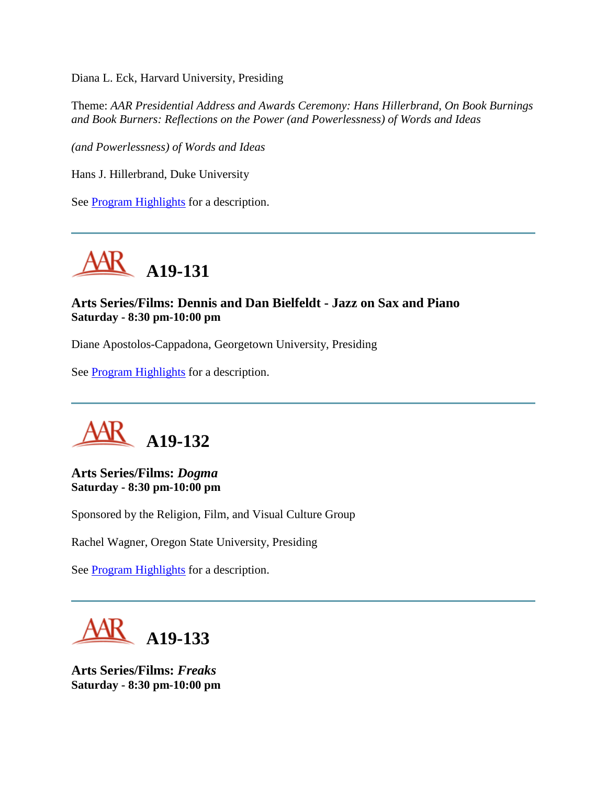Diana L. Eck, Harvard University, Presiding

Theme: *AAR Presidential Address and Awards Ceremony: Hans Hillerbrand, On Book Burnings and Book Burners: Reflections on the Power (and Powerlessness) of Words and Ideas*

*(and Powerlessness) of Words and Ideas*

Hans J. Hillerbrand, Duke University

See [Program Highlights](http://www.aarweb.org/Meetings/Annual_Meeting/Past_and_Future_Meetings/2005/highlights.asp) for a description.



## **Arts Series/Films: Dennis and Dan Bielfeldt - Jazz on Sax and Piano Saturday - 8:30 pm-10:00 pm**

Diane Apostolos-Cappadona, Georgetown University, Presiding

See **Program Highlights** for a description.



#### **Arts Series/Films:** *Dogma* **Saturday - 8:30 pm-10:00 pm**

Sponsored by the Religion, Film, and Visual Culture Group

Rachel Wagner, Oregon State University, Presiding

See **Program Highlights** for a description.



**Arts Series/Films:** *Freaks* **Saturday - 8:30 pm-10:00 pm**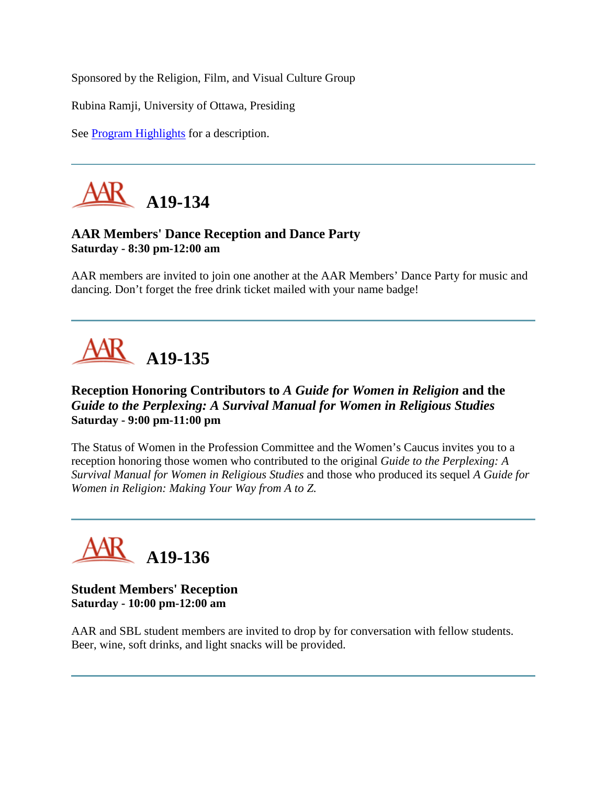Sponsored by the Religion, Film, and Visual Culture Group

Rubina Ramji, University of Ottawa, Presiding

See [Program Highlights](http://www.aarweb.org/Meetings/Annual_Meeting/Past_and_Future_Meetings/2005/highlights.asp) for a description.



## **AAR Members' Dance Reception and Dance Party Saturday - 8:30 pm-12:00 am**

AAR members are invited to join one another at the AAR Members' Dance Party for music and dancing. Don't forget the free drink ticket mailed with your name badge!



## **Reception Honoring Contributors to** *A Guide for Women in Religion* **and the**  *Guide to the Perplexing: A Survival Manual for Women in Religious Studies* **Saturday - 9:00 pm-11:00 pm**

The Status of Women in the Profession Committee and the Women's Caucus invites you to a reception honoring those women who contributed to the original *Guide to the Perplexing: A Survival Manual for Women in Religious Studies* and those who produced its sequel *A Guide for Women in Religion: Making Your Way from A to Z.*



**Student Members' Reception Saturday - 10:00 pm-12:00 am**

AAR and SBL student members are invited to drop by for conversation with fellow students. Beer, wine, soft drinks, and light snacks will be provided.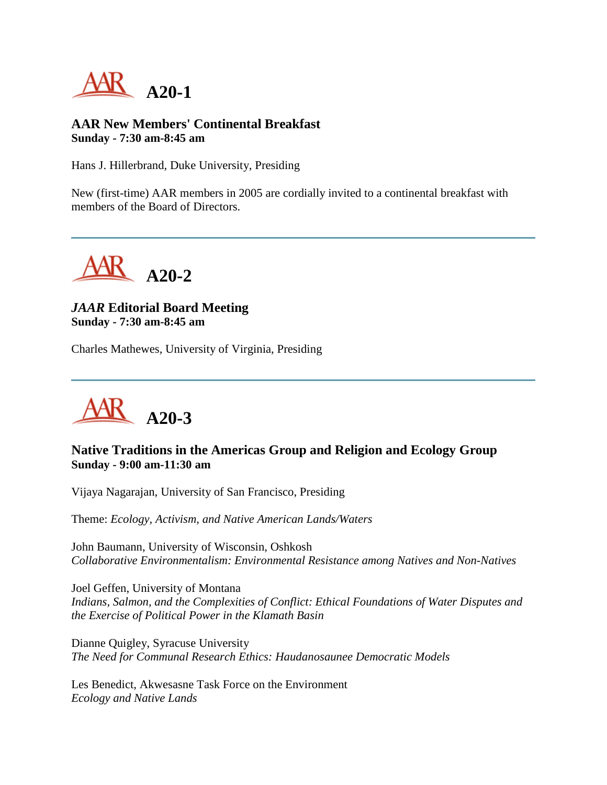

#### **AAR New Members' Continental Breakfast Sunday - 7:30 am-8:45 am**

Hans J. Hillerbrand, Duke University, Presiding

New (first-time) AAR members in 2005 are cordially invited to a continental breakfast with members of the Board of Directors.



## *JAAR* **Editorial Board Meeting Sunday - 7:30 am-8:45 am**

Charles Mathewes, University of Virginia, Presiding



## **Native Traditions in the Americas Group and Religion and Ecology Group Sunday - 9:00 am-11:30 am**

Vijaya Nagarajan, University of San Francisco, Presiding

Theme: *Ecology, Activism, and Native American Lands/Waters*

John Baumann, University of Wisconsin, Oshkosh *Collaborative Environmentalism: Environmental Resistance among Natives and Non-Natives*

Joel Geffen, University of Montana *Indians, Salmon, and the Complexities of Conflict: Ethical Foundations of Water Disputes and the Exercise of Political Power in the Klamath Basin*

Dianne Quigley, Syracuse University *The Need for Communal Research Ethics: Haudanosaunee Democratic Models*

Les Benedict, Akwesasne Task Force on the Environment *Ecology and Native Lands*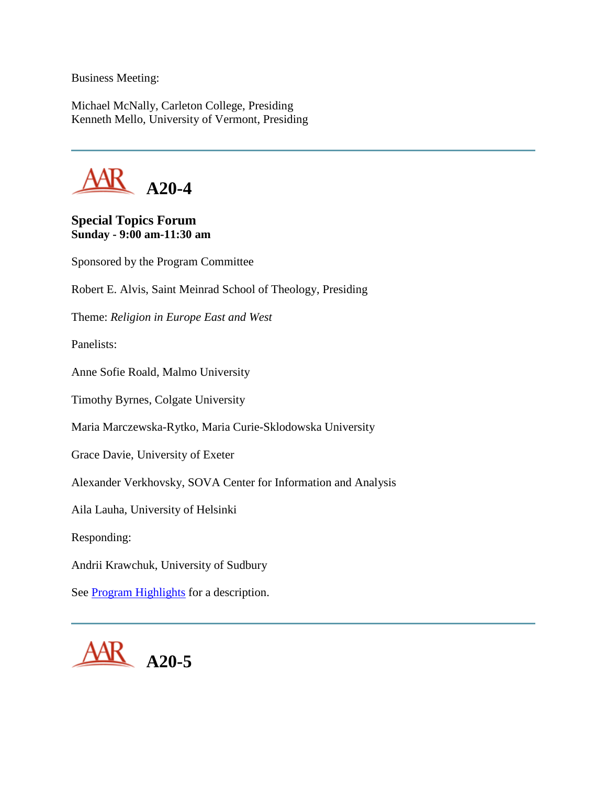Business Meeting:

Michael McNally, Carleton College, Presiding Kenneth Mello, University of Vermont, Presiding



#### **Special Topics Forum Sunday - 9:00 am-11:30 am**

Sponsored by the Program Committee Robert E. Alvis, Saint Meinrad School of Theology, Presiding Theme: *Religion in Europe East and West* Panelists: Anne Sofie Roald, Malmo University Timothy Byrnes, Colgate University Maria Marczewska-Rytko, Maria Curie-Sklodowska University Grace Davie, University of Exeter Alexander Verkhovsky, SOVA Center for Information and Analysis Aila Lauha, University of Helsinki Responding: Andrii Krawchuk, University of Sudbury See [Program Highlights](http://www.aarweb.org/Meetings/Annual_Meeting/Past_and_Future_Meetings/2005/highlights.asp) for a description.

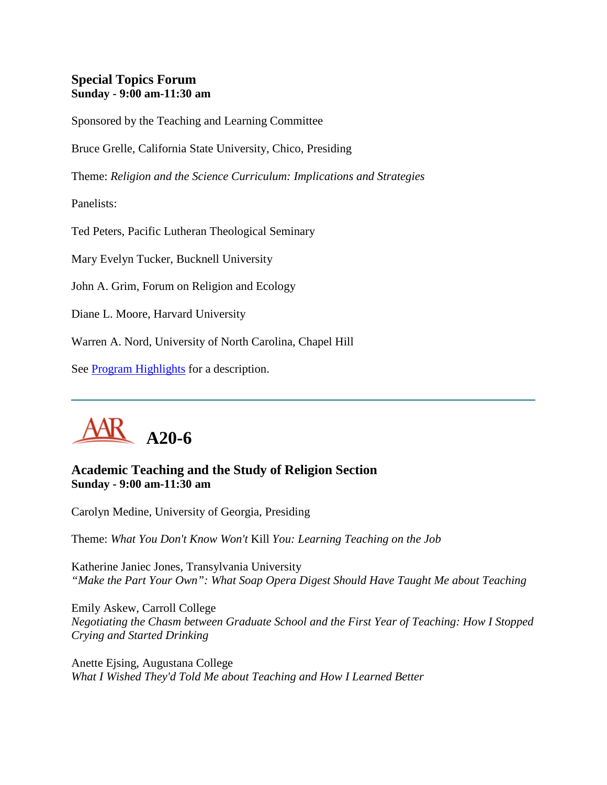## **Special Topics Forum Sunday - 9:00 am-11:30 am**

Sponsored by the Teaching and Learning Committee

Bruce Grelle, California State University, Chico, Presiding

Theme: *Religion and the Science Curriculum: Implications and Strategies*

Panelists:

Ted Peters, Pacific Lutheran Theological Seminary

Mary Evelyn Tucker, Bucknell University

John A. Grim, Forum on Religion and Ecology

Diane L. Moore, Harvard University

Warren A. Nord, University of North Carolina, Chapel Hill

See **Program Highlights** for a description.



## **Academic Teaching and the Study of Religion Section Sunday - 9:00 am-11:30 am**

Carolyn Medine, University of Georgia, Presiding

Theme: *What You Don't Know Won't* Kill *You: Learning Teaching on the Job*

Katherine Janiec Jones, Transylvania University *"Make the Part Your Own": What Soap Opera Digest Should Have Taught Me about Teaching*

Emily Askew, Carroll College *Negotiating the Chasm between Graduate School and the First Year of Teaching: How I Stopped Crying and Started Drinking*

Anette Ejsing, Augustana College *What I Wished They'd Told Me about Teaching and How I Learned Better*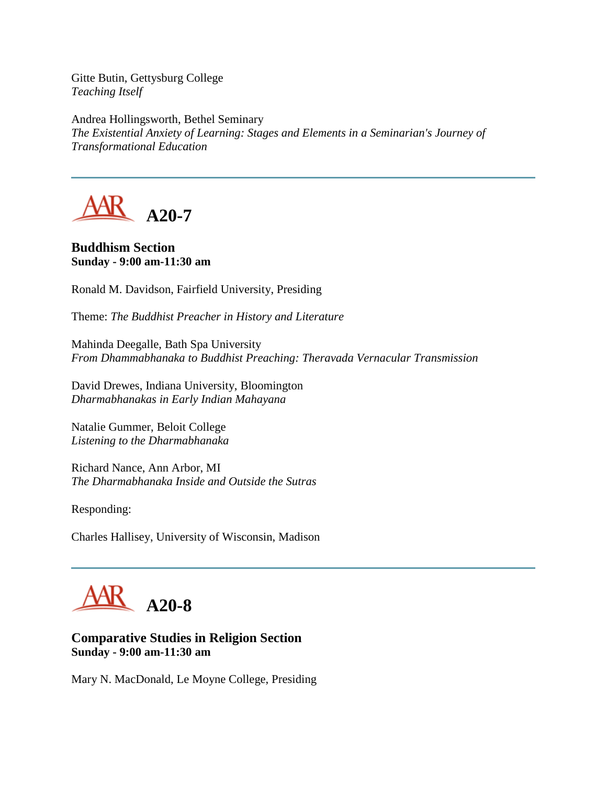Gitte Butin, Gettysburg College *Teaching Itself*

Andrea Hollingsworth, Bethel Seminary *The Existential Anxiety of Learning: Stages and Elements in a Seminarian's Journey of Transformational Education*



**Buddhism Section Sunday - 9:00 am-11:30 am**

Ronald M. Davidson, Fairfield University, Presiding

Theme: *The Buddhist Preacher in History and Literature*

Mahinda Deegalle, Bath Spa University *From Dhammabhanaka to Buddhist Preaching: Theravada Vernacular Transmission*

David Drewes, Indiana University, Bloomington *Dharmabhanakas in Early Indian Mahayana*

Natalie Gummer, Beloit College *Listening to the Dharmabhanaka*

Richard Nance, Ann Arbor, MI *The Dharmabhanaka Inside and Outside the Sutras* 

Responding:

Charles Hallisey, University of Wisconsin, Madison



## **Comparative Studies in Religion Section Sunday - 9:00 am-11:30 am**

Mary N. MacDonald, Le Moyne College, Presiding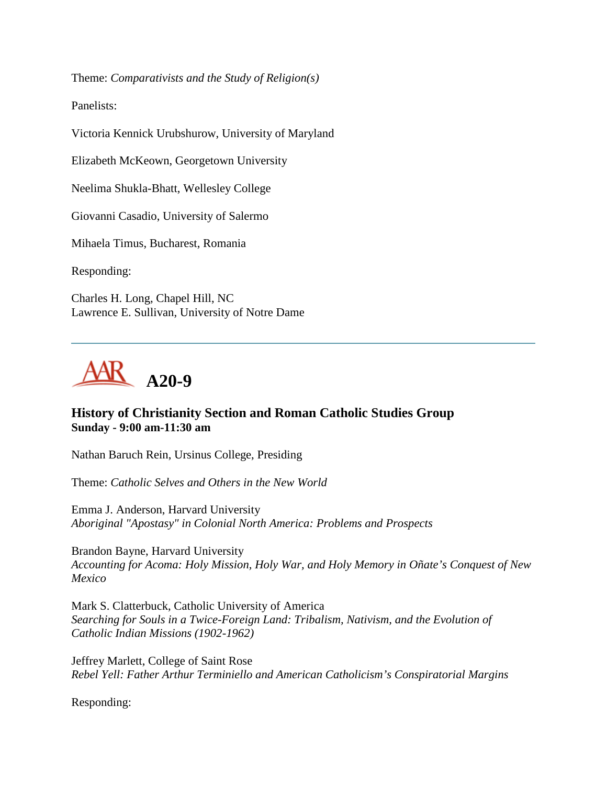Theme: *Comparativists and the Study of Religion(s)*

Panelists:

Victoria Kennick Urubshurow, University of Maryland

Elizabeth McKeown, Georgetown University

Neelima Shukla-Bhatt, Wellesley College

Giovanni Casadio, University of Salermo

Mihaela Timus, Bucharest, Romania

Responding:

Charles H. Long, Chapel Hill, NC Lawrence E. Sullivan, University of Notre Dame



#### **History of Christianity Section and Roman Catholic Studies Group Sunday - 9:00 am-11:30 am**

Nathan Baruch Rein, Ursinus College, Presiding

Theme: *Catholic Selves and Others in the New World*

Emma J. Anderson, Harvard University *Aboriginal "Apostasy" in Colonial North America: Problems and Prospects*

Brandon Bayne, Harvard University *Accounting for Acoma: Holy Mission, Holy War, and Holy Memory in Oñate's Conquest of New Mexico*

Mark S. Clatterbuck, Catholic University of America *Searching for Souls in a Twice-Foreign Land: Tribalism, Nativism, and the Evolution of Catholic Indian Missions (1902-1962)*

Jeffrey Marlett, College of Saint Rose *Rebel Yell: Father Arthur Terminiello and American Catholicism's Conspiratorial Margins*

Responding: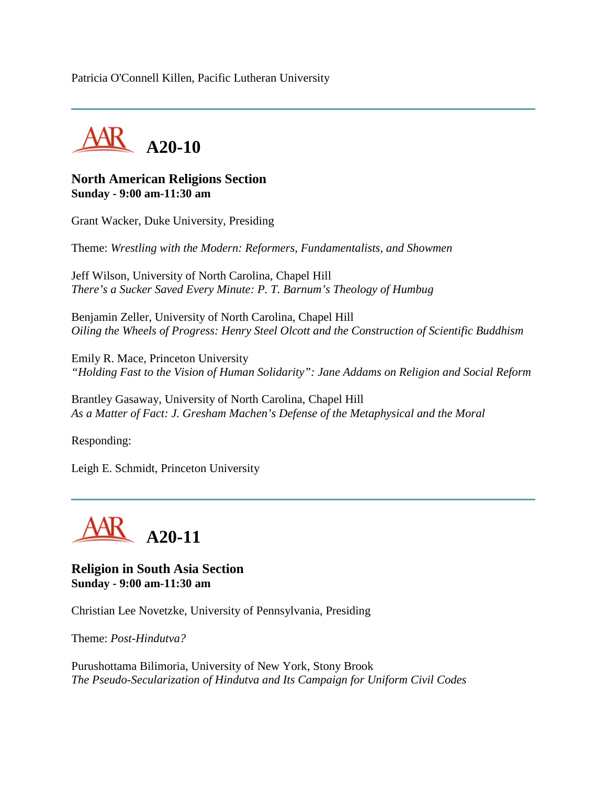Patricia O'Connell Killen, Pacific Lutheran University



#### **North American Religions Section Sunday - 9:00 am-11:30 am**

Grant Wacker, Duke University, Presiding

Theme: *Wrestling with the Modern: Reformers, Fundamentalists, and Showmen*

Jeff Wilson, University of North Carolina, Chapel Hill *There's a Sucker Saved Every Minute: P. T. Barnum's Theology of Humbug*

Benjamin Zeller, University of North Carolina, Chapel Hill *Oiling the Wheels of Progress: Henry Steel Olcott and the Construction of Scientific Buddhism*

Emily R. Mace, Princeton University *"Holding Fast to the Vision of Human Solidarity": Jane Addams on Religion and Social Reform*

Brantley Gasaway, University of North Carolina, Chapel Hill *As a Matter of Fact: J. Gresham Machen's Defense of the Metaphysical and the Moral*

Responding:

Leigh E. Schmidt, Princeton University



#### **Religion in South Asia Section Sunday - 9:00 am-11:30 am**

Christian Lee Novetzke, University of Pennsylvania, Presiding

Theme: *Post-Hindutva?*

Purushottama Bilimoria, University of New York, Stony Brook *The Pseudo-Secularization of Hindutva and Its Campaign for Uniform Civil Codes*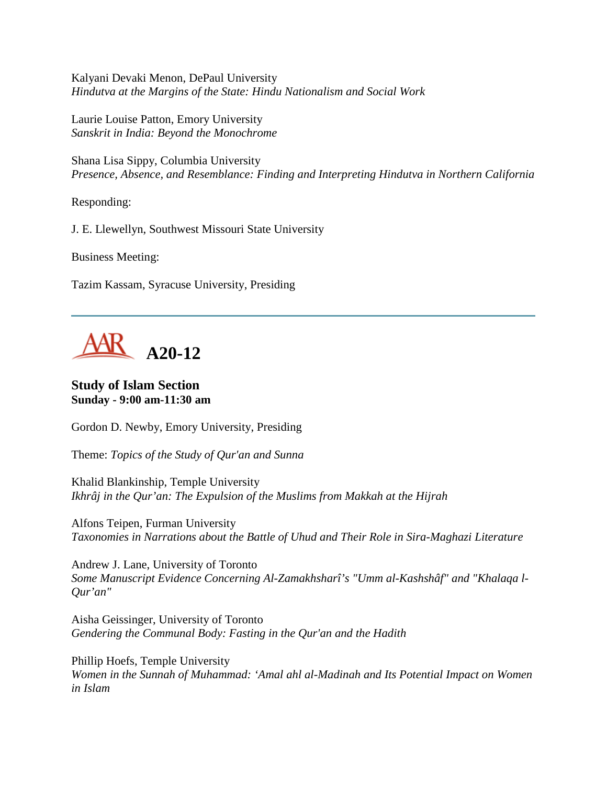Kalyani Devaki Menon, DePaul University *Hindutva at the Margins of the State: Hindu Nationalism and Social Work*

Laurie Louise Patton, Emory University *Sanskrit in India: Beyond the Monochrome*

Shana Lisa Sippy, Columbia University *Presence, Absence, and Resemblance: Finding and Interpreting Hindutva in Northern California*

Responding:

J. E. Llewellyn, Southwest Missouri State University

Business Meeting:

Tazim Kassam, Syracuse University, Presiding

AK A20-12

**Study of Islam Section Sunday - 9:00 am-11:30 am**

Gordon D. Newby, Emory University, Presiding

Theme: *Topics of the Study of Qur'an and Sunna*

Khalid Blankinship, Temple University *Ikhrâj in the Qur'an: The Expulsion of the Muslims from Makkah at the Hijrah*

Alfons Teipen, Furman University *Taxonomies in Narrations about the Battle of Uhud and Their Role in Sira-Maghazi Literature*

Andrew J. Lane, University of Toronto *Some Manuscript Evidence Concerning Al-Zamakhsharî's "Umm al-Kashshâf" and "Khalaqa l-Qur'an"*

Aisha Geissinger, University of Toronto *Gendering the Communal Body: Fasting in the Qur'an and the Hadith*

Phillip Hoefs, Temple University *Women in the Sunnah of Muhammad: 'Amal ahl al-Madinah and Its Potential Impact on Women in Islam*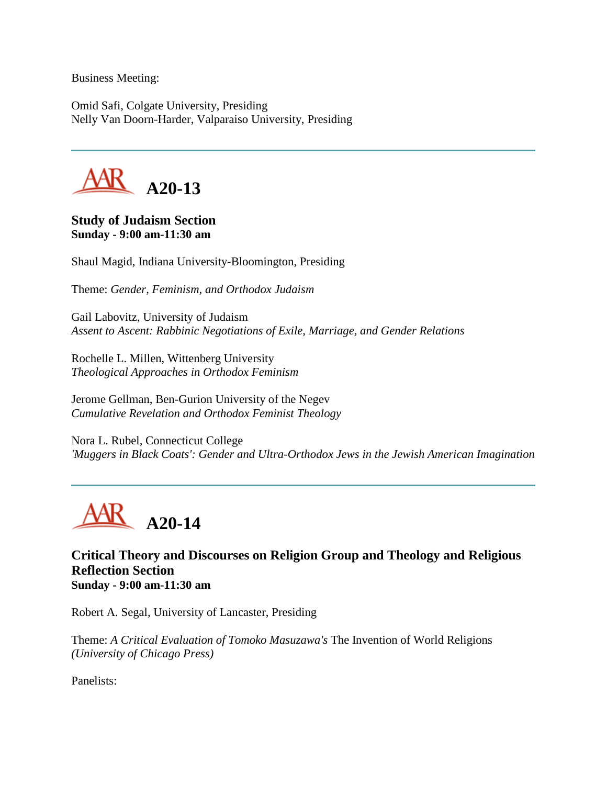Business Meeting:

Omid Safi, Colgate University, Presiding Nelly Van Doorn-Harder, Valparaiso University, Presiding



#### **Study of Judaism Section Sunday - 9:00 am-11:30 am**

Shaul Magid, Indiana University-Bloomington, Presiding

Theme: *Gender, Feminism, and Orthodox Judaism*

Gail Labovitz, University of Judaism *Assent to Ascent: Rabbinic Negotiations of Exile, Marriage, and Gender Relations*

Rochelle L. Millen, Wittenberg University *Theological Approaches in Orthodox Feminism*

Jerome Gellman, Ben-Gurion University of the Negev *Cumulative Revelation and Orthodox Feminist Theology*

Nora L. Rubel, Connecticut College *'Muggers in Black Coats': Gender and Ultra-Orthodox Jews in the Jewish American Imagination*



**Critical Theory and Discourses on Religion Group and Theology and Religious Reflection Section Sunday - 9:00 am-11:30 am**

Robert A. Segal, University of Lancaster, Presiding

Theme: *A Critical Evaluation of Tomoko Masuzawa's* The Invention of World Religions *(University of Chicago Press)*

Panelists: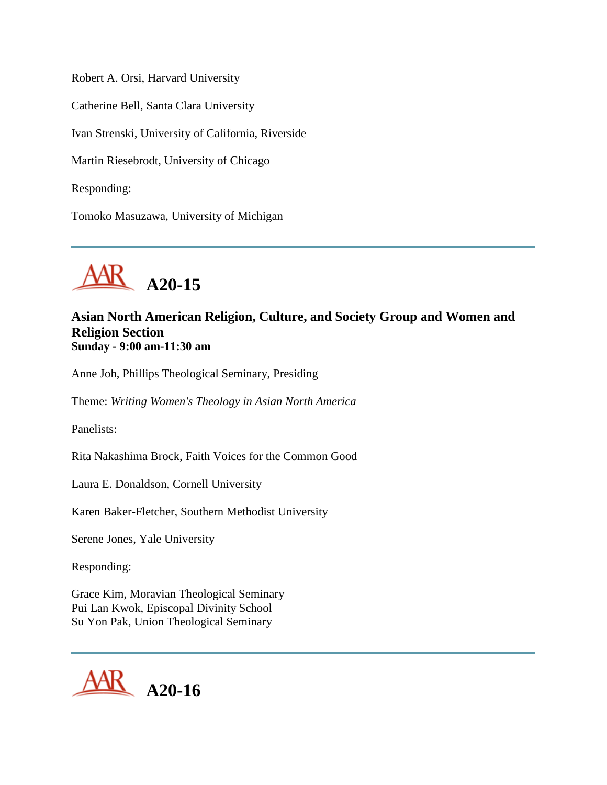Robert A. Orsi, Harvard University Catherine Bell, Santa Clara University Ivan Strenski, University of California, Riverside Martin Riesebrodt, University of Chicago Responding:

Tomoko Masuzawa, University of Michigan



## **Asian North American Religion, Culture, and Society Group and Women and Religion Section Sunday - 9:00 am-11:30 am**

Anne Joh, Phillips Theological Seminary, Presiding

Theme: *Writing Women's Theology in Asian North America*

Panelists:

Rita Nakashima Brock, Faith Voices for the Common Good

Laura E. Donaldson, Cornell University

Karen Baker-Fletcher, Southern Methodist University

Serene Jones, Yale University

Responding:

Grace Kim, Moravian Theological Seminary Pui Lan Kwok, Episcopal Divinity School Su Yon Pak, Union Theological Seminary

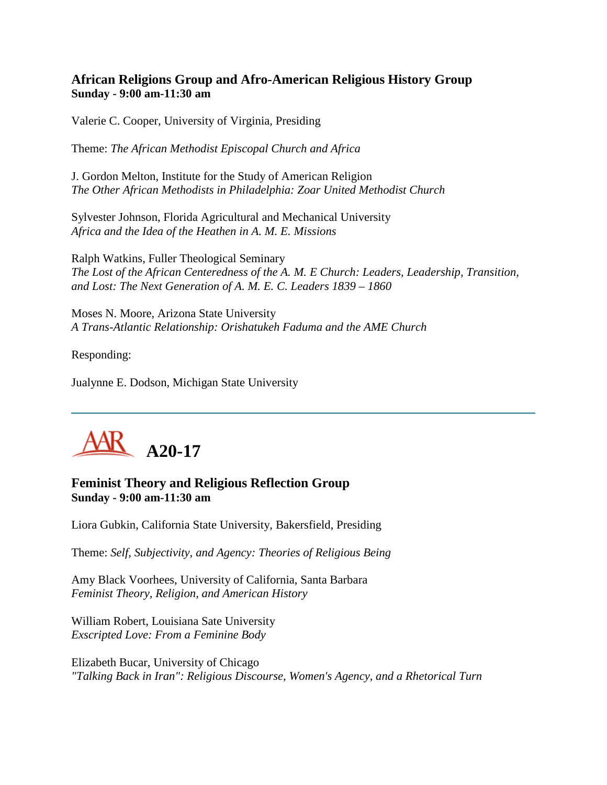## **African Religions Group and Afro-American Religious History Group Sunday - 9:00 am-11:30 am**

Valerie C. Cooper, University of Virginia, Presiding

Theme: *The African Methodist Episcopal Church and Africa*

J. Gordon Melton, Institute for the Study of American Religion *The Other African Methodists in Philadelphia: Zoar United Methodist Church*

Sylvester Johnson, Florida Agricultural and Mechanical University *Africa and the Idea of the Heathen in A. M. E. Missions*

Ralph Watkins, Fuller Theological Seminary *The Lost of the African Centeredness of the A. M. E Church: Leaders, Leadership, Transition, and Lost: The Next Generation of A. M. E. C. Leaders 1839 – 1860*

Moses N. Moore, Arizona State University *A Trans-Atlantic Relationship: Orishatukeh Faduma and the AME Church*

Responding:

Jualynne E. Dodson, Michigan State University



## **Feminist Theory and Religious Reflection Group Sunday - 9:00 am-11:30 am**

Liora Gubkin, California State University, Bakersfield, Presiding

Theme: *Self, Subjectivity, and Agency: Theories of Religious Being*

Amy Black Voorhees, University of California, Santa Barbara *Feminist Theory, Religion, and American History*

William Robert, Louisiana Sate University *Exscripted Love: From a Feminine Body*

Elizabeth Bucar, University of Chicago *"Talking Back in Iran": Religious Discourse, Women's Agency, and a Rhetorical Turn*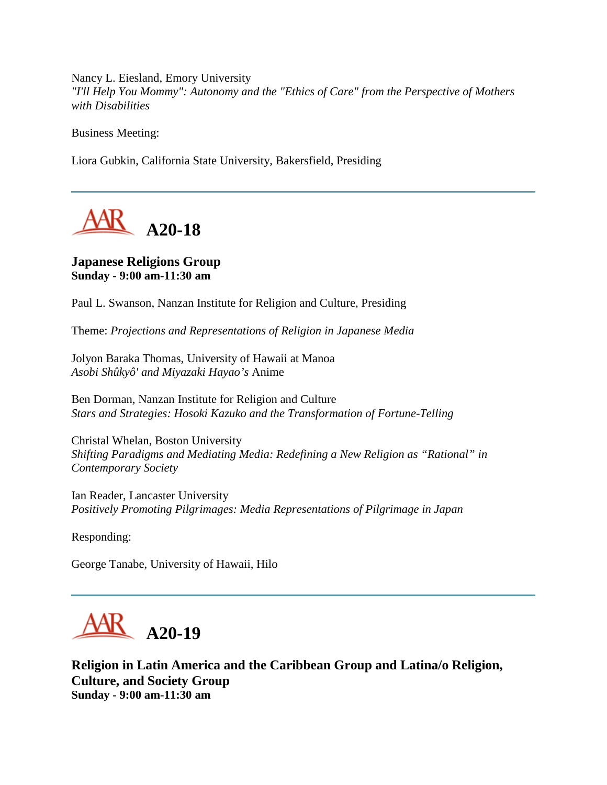Nancy L. Eiesland, Emory University *"I'll Help You Mommy": Autonomy and the "Ethics of Care" from the Perspective of Mothers with Disabilities*

Business Meeting:

Liora Gubkin, California State University, Bakersfield, Presiding



#### **Japanese Religions Group Sunday - 9:00 am-11:30 am**

Paul L. Swanson, Nanzan Institute for Religion and Culture, Presiding

Theme: *Projections and Representations of Religion in Japanese Media*

Jolyon Baraka Thomas, University of Hawaii at Manoa *Asobi Shûkyô' and Miyazaki Hayao's* Anime

Ben Dorman, Nanzan Institute for Religion and Culture *Stars and Strategies: Hosoki Kazuko and the Transformation of Fortune-Telling*

Christal Whelan, Boston University *Shifting Paradigms and Mediating Media: Redefining a New Religion as "Rational" in Contemporary Society*

Ian Reader, Lancaster University *Positively Promoting Pilgrimages: Media Representations of Pilgrimage in Japan*

Responding:

George Tanabe, University of Hawaii, Hilo



**Religion in Latin America and the Caribbean Group and Latina/o Religion, Culture, and Society Group Sunday - 9:00 am-11:30 am**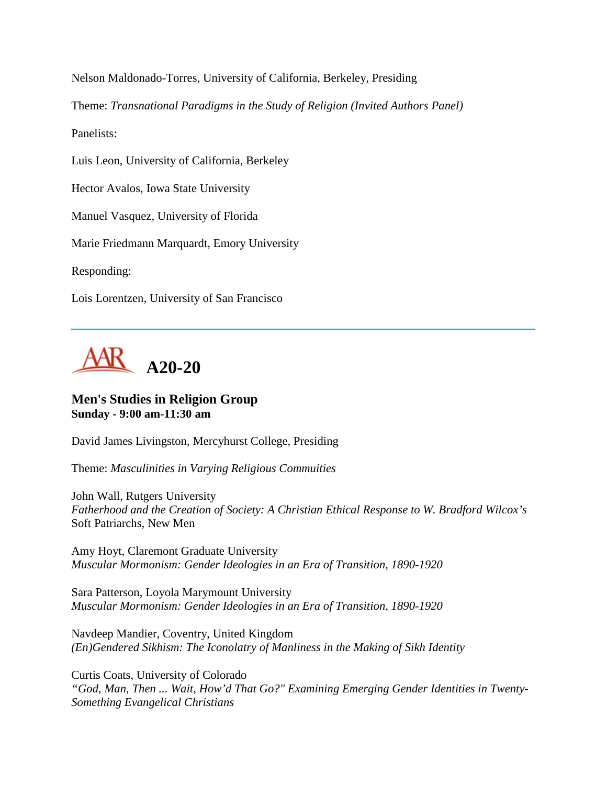Nelson Maldonado-Torres, University of California, Berkeley, Presiding

Theme: *Transnational Paradigms in the Study of Religion (Invited Authors Panel)*

Panelists:

Luis Leon, University of California, Berkeley

Hector Avalos, Iowa State University

Manuel Vasquez, University of Florida

Marie Friedmann Marquardt, Emory University

Responding:

Lois Lorentzen, University of San Francisco



## **Men's Studies in Religion Group Sunday - 9:00 am-11:30 am**

David James Livingston, Mercyhurst College, Presiding

Theme: *Masculinities in Varying Religious Commuities*

John Wall, Rutgers University *Fatherhood and the Creation of Society: A Christian Ethical Response to W. Bradford Wilcox's*  Soft Patriarchs, New Men

Amy Hoyt, Claremont Graduate University *Muscular Mormonism: Gender Ideologies in an Era of Transition, 1890-1920*

Sara Patterson, Loyola Marymount University *Muscular Mormonism: Gender Ideologies in an Era of Transition, 1890-1920*

Navdeep Mandier, Coventry, United Kingdom *(En)Gendered Sikhism: The Iconolatry of Manliness in the Making of Sikh Identity*

Curtis Coats, University of Colorado *"God, Man, Then ... Wait, How'd That Go?" Examining Emerging Gender Identities in Twenty-Something Evangelical Christians*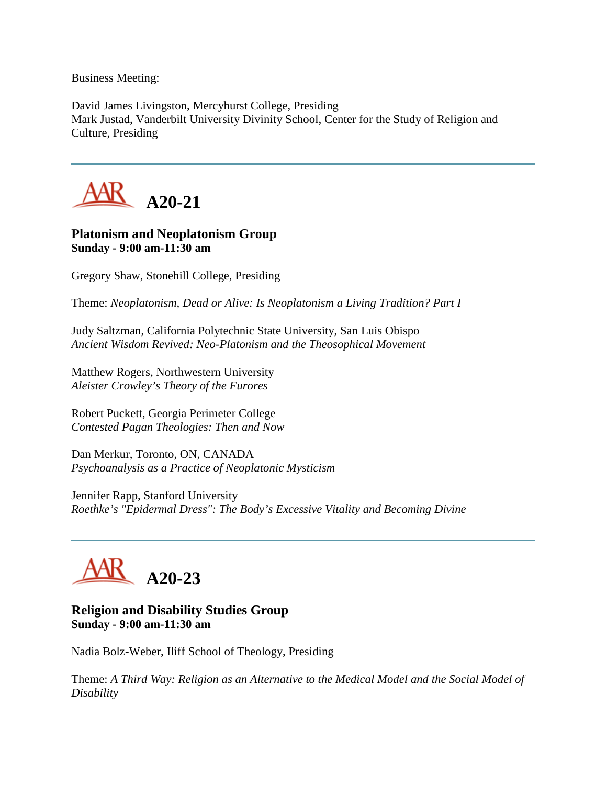Business Meeting:

David James Livingston, Mercyhurst College, Presiding Mark Justad, Vanderbilt University Divinity School, Center for the Study of Religion and Culture, Presiding



#### **Platonism and Neoplatonism Group Sunday - 9:00 am-11:30 am**

Gregory Shaw, Stonehill College, Presiding

Theme: *Neoplatonism, Dead or Alive: Is Neoplatonism a Living Tradition? Part I*

Judy Saltzman, California Polytechnic State University, San Luis Obispo *Ancient Wisdom Revived: Neo-Platonism and the Theosophical Movement*

Matthew Rogers, Northwestern University *Aleister Crowley's Theory of the Furores*

Robert Puckett, Georgia Perimeter College *Contested Pagan Theologies: Then and Now*

Dan Merkur, Toronto, ON, CANADA *Psychoanalysis as a Practice of Neoplatonic Mysticism*

Jennifer Rapp, Stanford University *Roethke's "Epidermal Dress": The Body's Excessive Vitality and Becoming Divine*



## **Religion and Disability Studies Group Sunday - 9:00 am-11:30 am**

Nadia Bolz-Weber, Iliff School of Theology, Presiding

Theme: *A Third Way: Religion as an Alternative to the Medical Model and the Social Model of Disability*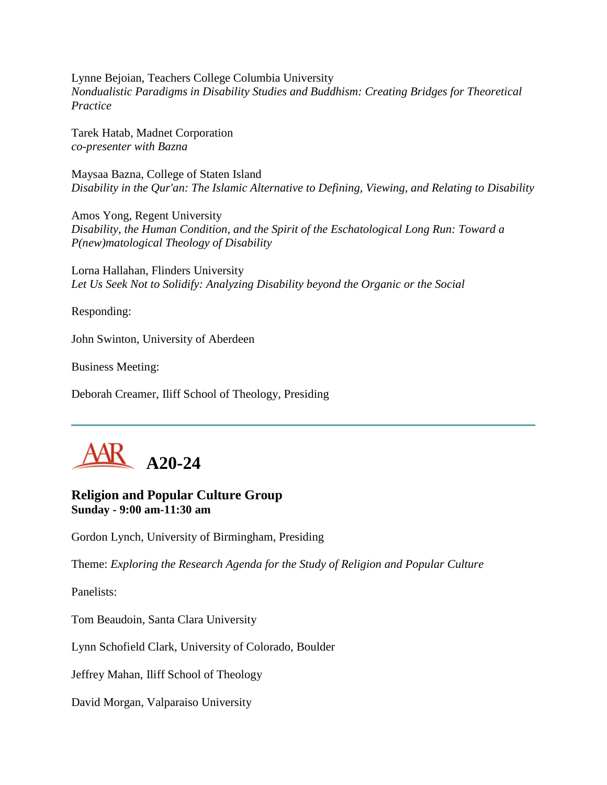Lynne Bejoian, Teachers College Columbia University *Nondualistic Paradigms in Disability Studies and Buddhism: Creating Bridges for Theoretical Practice*

Tarek Hatab, Madnet Corporation *co-presenter with Bazna*

Maysaa Bazna, College of Staten Island *Disability in the Qur'an: The Islamic Alternative to Defining, Viewing, and Relating to Disability*

Amos Yong, Regent University *Disability, the Human Condition, and the Spirit of the Eschatological Long Run: Toward a P(new)matological Theology of Disability*

Lorna Hallahan, Flinders University *Let Us Seek Not to Solidify: Analyzing Disability beyond the Organic or the Social*

Responding:

John Swinton, University of Aberdeen

Business Meeting:

Deborah Creamer, Iliff School of Theology, Presiding



## **Religion and Popular Culture Group Sunday - 9:00 am-11:30 am**

Gordon Lynch, University of Birmingham, Presiding

Theme: *Exploring the Research Agenda for the Study of Religion and Popular Culture*

Panelists:

Tom Beaudoin, Santa Clara University

Lynn Schofield Clark, University of Colorado, Boulder

Jeffrey Mahan, Iliff School of Theology

David Morgan, Valparaiso University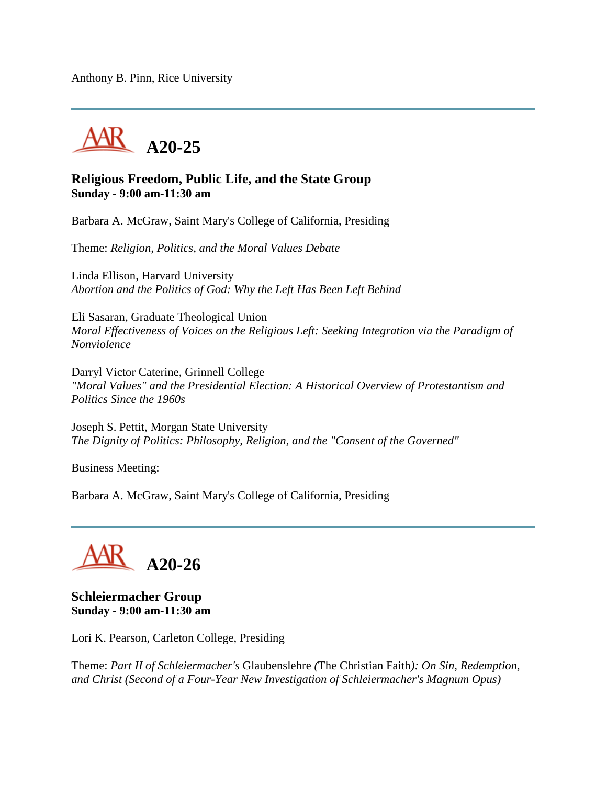Anthony B. Pinn, Rice University



#### **Religious Freedom, Public Life, and the State Group Sunday - 9:00 am-11:30 am**

Barbara A. McGraw, Saint Mary's College of California, Presiding

Theme: *Religion, Politics, and the Moral Values Debate*

Linda Ellison, Harvard University *Abortion and the Politics of God: Why the Left Has Been Left Behind*

Eli Sasaran, Graduate Theological Union *Moral Effectiveness of Voices on the Religious Left: Seeking Integration via the Paradigm of Nonviolence*

Darryl Victor Caterine, Grinnell College *"Moral Values" and the Presidential Election: A Historical Overview of Protestantism and Politics Since the 1960s*

Joseph S. Pettit, Morgan State University *The Dignity of Politics: Philosophy, Religion, and the "Consent of the Governed"*

Business Meeting:

Barbara A. McGraw, Saint Mary's College of California, Presiding



**Schleiermacher Group Sunday - 9:00 am-11:30 am**

Lori K. Pearson, Carleton College, Presiding

Theme: *Part II of Schleiermacher's* Glaubenslehre *(*The Christian Faith*): On Sin, Redemption, and Christ (Second of a Four-Year New Investigation of Schleiermacher's Magnum Opus)*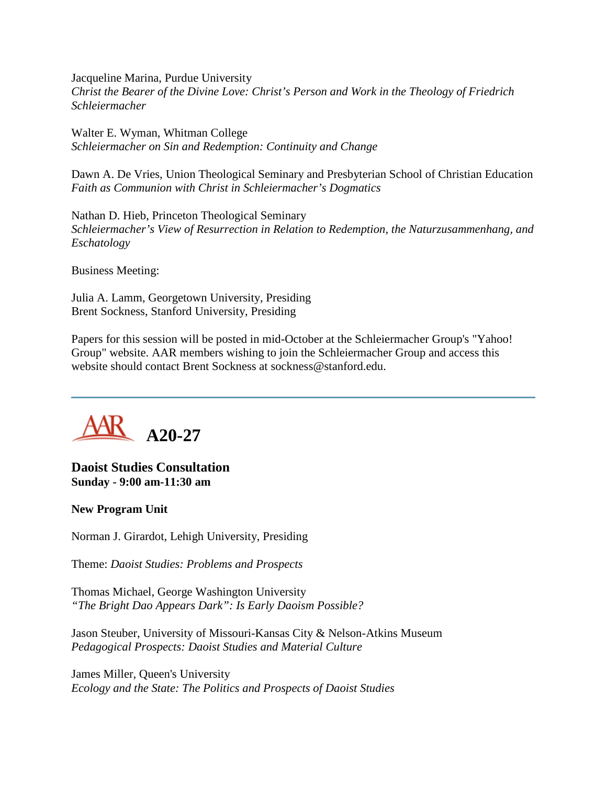Jacqueline Marina, Purdue University *Christ the Bearer of the Divine Love: Christ's Person and Work in the Theology of Friedrich Schleiermacher*

Walter E. Wyman, Whitman College *Schleiermacher on Sin and Redemption: Continuity and Change*

Dawn A. De Vries, Union Theological Seminary and Presbyterian School of Christian Education *Faith as Communion with Christ in Schleiermacher's Dogmatics*

Nathan D. Hieb, Princeton Theological Seminary *Schleiermacher's View of Resurrection in Relation to Redemption, the Naturzusammenhang, and Eschatology*

Business Meeting:

Julia A. Lamm, Georgetown University, Presiding Brent Sockness, Stanford University, Presiding

Papers for this session will be posted in mid-October at the Schleiermacher Group's "Yahoo! Group" website. AAR members wishing to join the Schleiermacher Group and access this website should contact Brent Sockness at sockness@stanford.edu.



**Daoist Studies Consultation Sunday - 9:00 am-11:30 am**

#### **New Program Unit**

Norman J. Girardot, Lehigh University, Presiding

Theme: *Daoist Studies: Problems and Prospects*

Thomas Michael, George Washington University *"The Bright Dao Appears Dark": Is Early Daoism Possible?*

Jason Steuber, University of Missouri-Kansas City & Nelson-Atkins Museum *Pedagogical Prospects: Daoist Studies and Material Culture*

James Miller, Queen's University *Ecology and the State: The Politics and Prospects of Daoist Studies*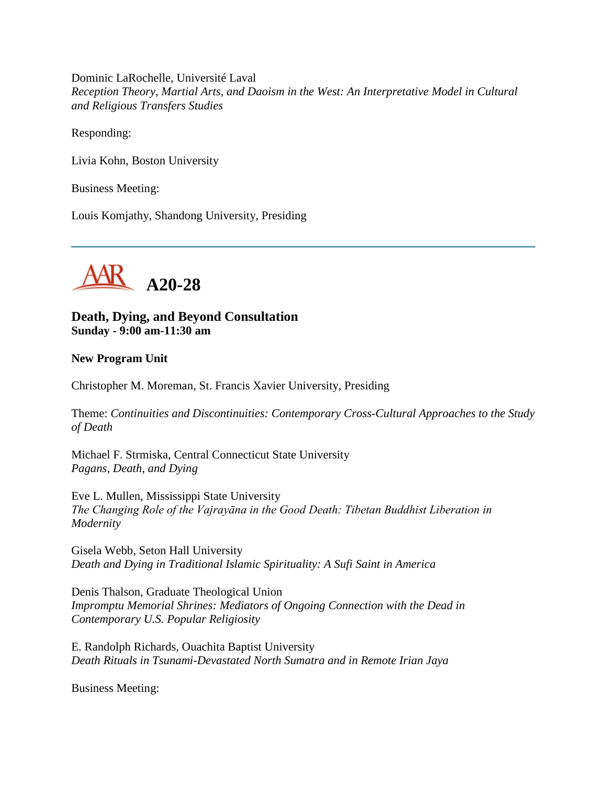Dominic LaRochelle, Université Laval *Reception Theory, Martial Arts, and Daoism in the West: An Interpretative Model in Cultural and Religious Transfers Studies*

Responding:

Livia Kohn, Boston University

Business Meeting:

Louis Komjathy, Shandong University, Presiding



**Death, Dying, and Beyond Consultation Sunday - 9:00 am-11:30 am**

#### **New Program Unit**

Christopher M. Moreman, St. Francis Xavier University, Presiding

Theme: *Continuities and Discontinuities: Contemporary Cross-Cultural Approaches to the Study of Death*

Michael F. Strmiska, Central Connecticut State University *Pagans, Death, and Dying*

Eve L. Mullen, Mississippi State University *The Changing Role of the Vajrayāna in the Good Death: Tibetan Buddhist Liberation in Modernity*

Gisela Webb, Seton Hall University *Death and Dying in Traditional Islamic Spirituality: A Sufi Saint in America*

Denis Thalson, Graduate Theological Union *Impromptu Memorial Shrines: Mediators of Ongoing Connection with the Dead in Contemporary U.S. Popular Religiosity*

E. Randolph Richards, Ouachita Baptist University *Death Rituals in Tsunami-Devastated North Sumatra and in Remote Irian Jaya*

Business Meeting: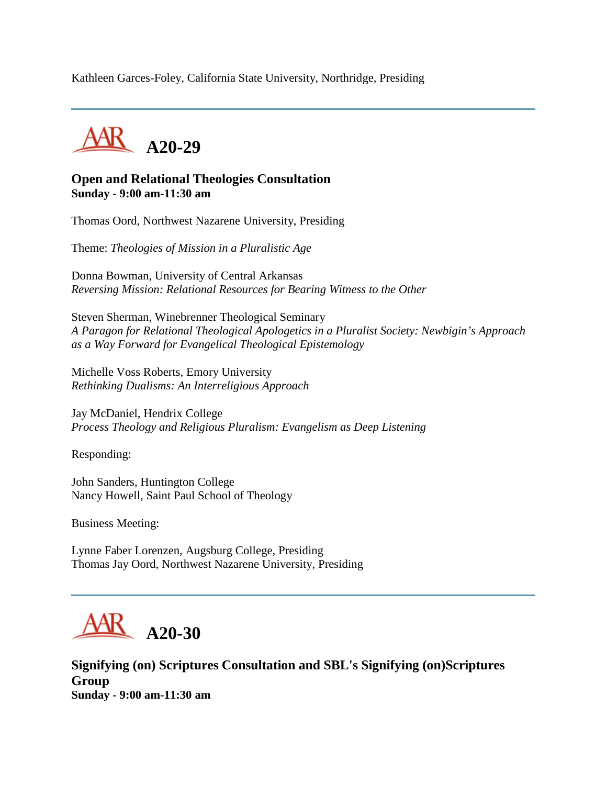Kathleen Garces-Foley, California State University, Northridge, Presiding



#### **Open and Relational Theologies Consultation Sunday - 9:00 am-11:30 am**

Thomas Oord, Northwest Nazarene University, Presiding

Theme: *Theologies of Mission in a Pluralistic Age*

Donna Bowman, University of Central Arkansas *Reversing Mission: Relational Resources for Bearing Witness to the Other*

Steven Sherman, Winebrenner Theological Seminary *A Paragon for Relational Theological Apologetics in a Pluralist Society: Newbigin's Approach as a Way Forward for Evangelical Theological Epistemology*

Michelle Voss Roberts, Emory University *Rethinking Dualisms: An Interreligious Approach*

Jay McDaniel, Hendrix College *Process Theology and Religious Pluralism: Evangelism as Deep Listening*

Responding:

John Sanders, Huntington College Nancy Howell, Saint Paul School of Theology

Business Meeting:

Lynne Faber Lorenzen, Augsburg College, Presiding Thomas Jay Oord, Northwest Nazarene University, Presiding



**Signifying (on) Scriptures Consultation and SBL's Signifying (on)Scriptures Group Sunday - 9:00 am-11:30 am**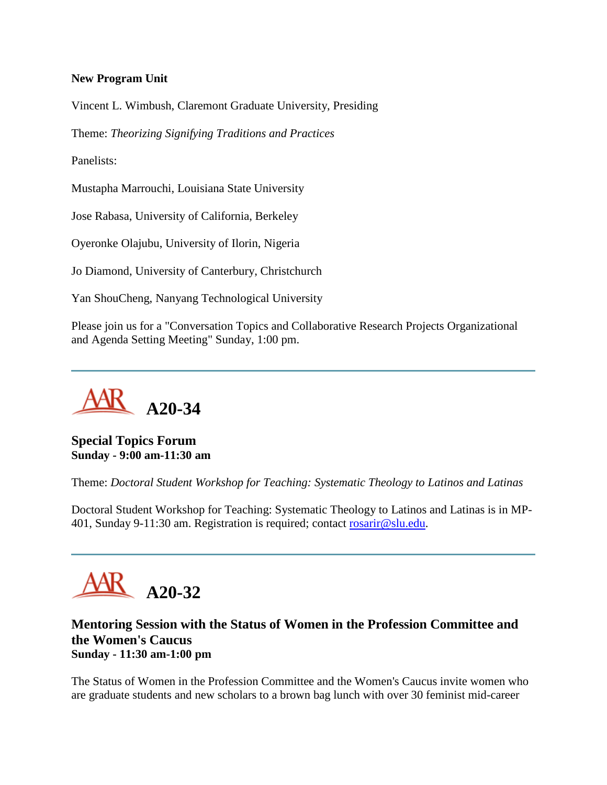#### **New Program Unit**

Vincent L. Wimbush, Claremont Graduate University, Presiding

Theme: *Theorizing Signifying Traditions and Practices*

Panelists:

Mustapha Marrouchi, Louisiana State University

Jose Rabasa, University of California, Berkeley

Oyeronke Olajubu, University of Ilorin, Nigeria

Jo Diamond, University of Canterbury, Christchurch

Yan ShouCheng, Nanyang Technological University

Please join us for a "Conversation Topics and Collaborative Research Projects Organizational and Agenda Setting Meeting" Sunday, 1:00 pm.



**Special Topics Forum Sunday - 9:00 am-11:30 am**

Theme: *Doctoral Student Workshop for Teaching: Systematic Theology to Latinos and Latinas*

Doctoral Student Workshop for Teaching: Systematic Theology to Latinos and Latinas is in MP-401, Sunday 9-11:30 am. Registration is required; contact [rosarir@slu.edu.](mailto:rosarir@slu.edu)



#### **Mentoring Session with the Status of Women in the Profession Committee and the Women's Caucus Sunday - 11:30 am-1:00 pm**

The Status of Women in the Profession Committee and the Women's Caucus invite women who are graduate students and new scholars to a brown bag lunch with over 30 feminist mid-career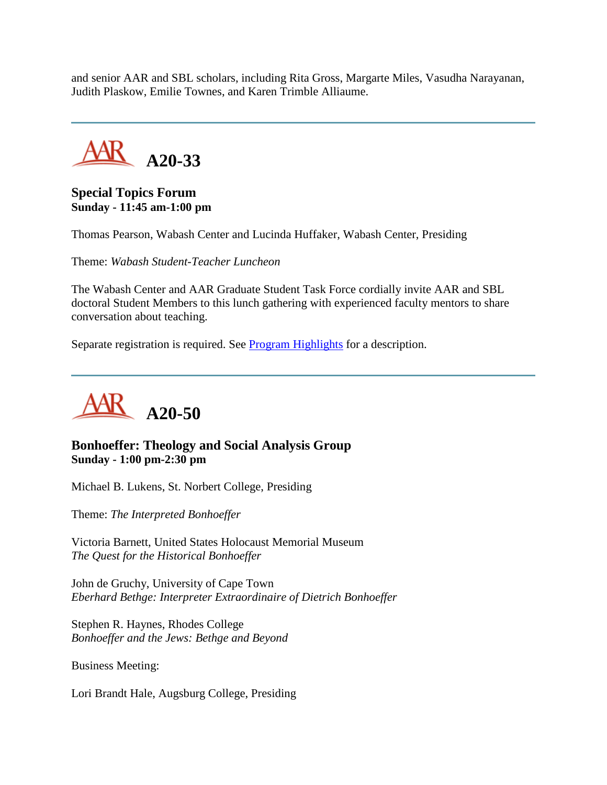and senior AAR and SBL scholars, including Rita Gross, Margarte Miles, Vasudha Narayanan, Judith Plaskow, Emilie Townes, and Karen Trimble Alliaume.



## **Special Topics Forum Sunday - 11:45 am-1:00 pm**

Thomas Pearson, Wabash Center and Lucinda Huffaker, Wabash Center, Presiding

Theme: *Wabash Student-Teacher Luncheon*

The Wabash Center and AAR Graduate Student Task Force cordially invite AAR and SBL doctoral Student Members to this lunch gathering with experienced faculty mentors to share conversation about teaching.

Separate registration is required. See [Program Highlights](http://www.aarweb.org/Meetings/Annual_Meeting/Past_and_Future_Meetings/2005/highlights.asp) for a description.



## **Bonhoeffer: Theology and Social Analysis Group Sunday - 1:00 pm-2:30 pm**

Michael B. Lukens, St. Norbert College, Presiding

Theme: *The Interpreted Bonhoeffer*

Victoria Barnett, United States Holocaust Memorial Museum *The Quest for the Historical Bonhoeffer*

John de Gruchy, University of Cape Town *Eberhard Bethge: Interpreter Extraordinaire of Dietrich Bonhoeffer*

Stephen R. Haynes, Rhodes College *Bonhoeffer and the Jews: Bethge and Beyond*

Business Meeting:

Lori Brandt Hale, Augsburg College, Presiding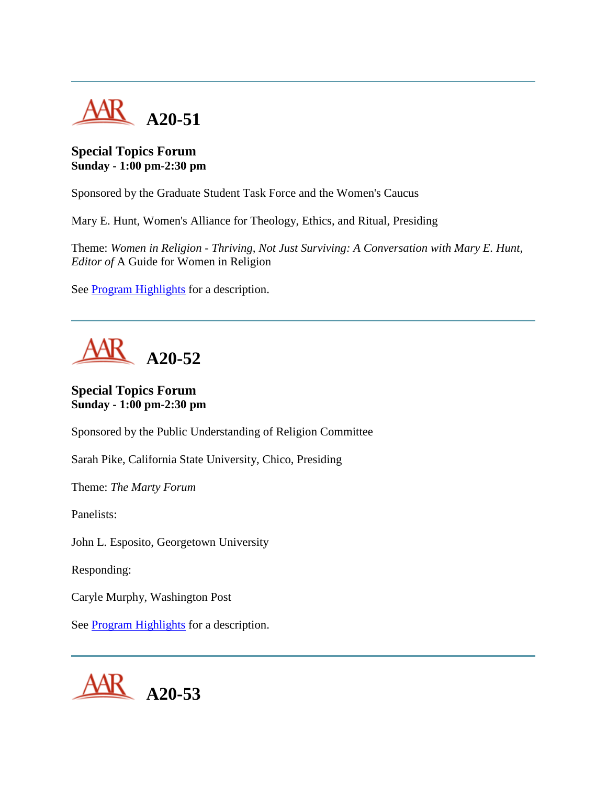

# **Special Topics Forum Sunday - 1:00 pm-2:30 pm**

Sponsored by the Graduate Student Task Force and the Women's Caucus

Mary E. Hunt, Women's Alliance for Theology, Ethics, and Ritual, Presiding

Theme: *Women in Religion - Thriving, Not Just Surviving: A Conversation with Mary E. Hunt, Editor of* A Guide for Women in Religion

See [Program Highlights](http://www.aarweb.org/Meetings/Annual_Meeting/Past_and_Future_Meetings/2005/highlights.asp) for a description.

**A20-52**

**Special Topics Forum Sunday - 1:00 pm-2:30 pm**

Sponsored by the Public Understanding of Religion Committee

Sarah Pike, California State University, Chico, Presiding

Theme: *The Marty Forum*

Panelists:

John L. Esposito, Georgetown University

Responding:

Caryle Murphy, Washington Post

See **Program Highlights** for a description.

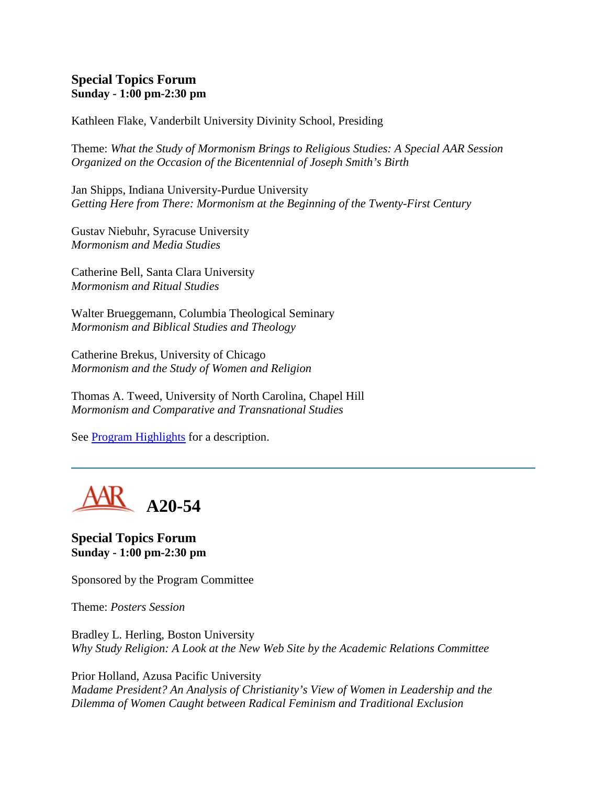#### **Special Topics Forum Sunday - 1:00 pm-2:30 pm**

Kathleen Flake, Vanderbilt University Divinity School, Presiding

Theme: *What the Study of Mormonism Brings to Religious Studies: A Special AAR Session Organized on the Occasion of the Bicentennial of Joseph Smith's Birth*

Jan Shipps, Indiana University-Purdue University *Getting Here from There: Mormonism at the Beginning of the Twenty-First Century*

Gustav Niebuhr, Syracuse University *Mormonism and Media Studies*

Catherine Bell, Santa Clara University *Mormonism and Ritual Studies*

Walter Brueggemann, Columbia Theological Seminary *Mormonism and Biblical Studies and Theology*

Catherine Brekus, University of Chicago *Mormonism and the Study of Women and Religion*

Thomas A. Tweed, University of North Carolina, Chapel Hill *Mormonism and Comparative and Transnational Studies*

See [Program Highlights](http://www.aarweb.org/Meetings/Annual_Meeting/Past_and_Future_Meetings/2005/highlights.asp) for a description.



**Special Topics Forum Sunday - 1:00 pm-2:30 pm**

Sponsored by the Program Committee

Theme: *Posters Session*

Bradley L. Herling, Boston University *Why Study Religion: A Look at the New Web Site by the Academic Relations Committee*

Prior Holland, Azusa Pacific University *Madame President? An Analysis of Christianity's View of Women in Leadership and the Dilemma of Women Caught between Radical Feminism and Traditional Exclusion*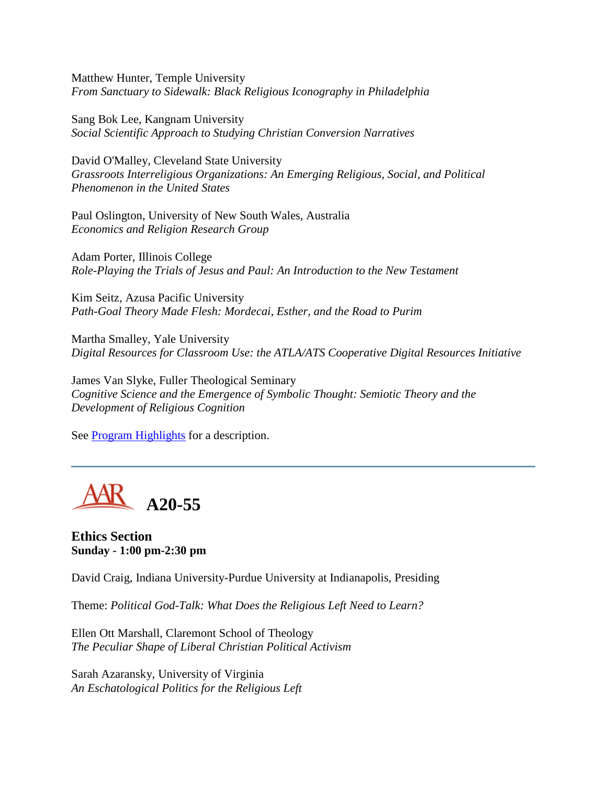Matthew Hunter, Temple University *From Sanctuary to Sidewalk: Black Religious Iconography in Philadelphia*

Sang Bok Lee, Kangnam University *Social Scientific Approach to Studying Christian Conversion Narratives*

David O'Malley, Cleveland State University *Grassroots Interreligious Organizations: An Emerging Religious, Social, and Political Phenomenon in the United States*

Paul Oslington, University of New South Wales, Australia *Economics and Religion Research Group*

Adam Porter, Illinois College *Role-Playing the Trials of Jesus and Paul: An Introduction to the New Testament*

Kim Seitz, Azusa Pacific University *Path-Goal Theory Made Flesh: Mordecai, Esther, and the Road to Purim*

Martha Smalley, Yale University *Digital Resources for Classroom Use: the ATLA/ATS Cooperative Digital Resources Initiative*

James Van Slyke, Fuller Theological Seminary *Cognitive Science and the Emergence of Symbolic Thought: Semiotic Theory and the Development of Religious Cognition*

See **Program Highlights** for a description.



**Ethics Section Sunday - 1:00 pm-2:30 pm**

David Craig, Indiana University-Purdue University at Indianapolis, Presiding

Theme: *Political God-Talk: What Does the Religious Left Need to Learn?*

Ellen Ott Marshall, Claremont School of Theology *The Peculiar Shape of Liberal Christian Political Activism*

Sarah Azaransky, University of Virginia *An Eschatological Politics for the Religious Left*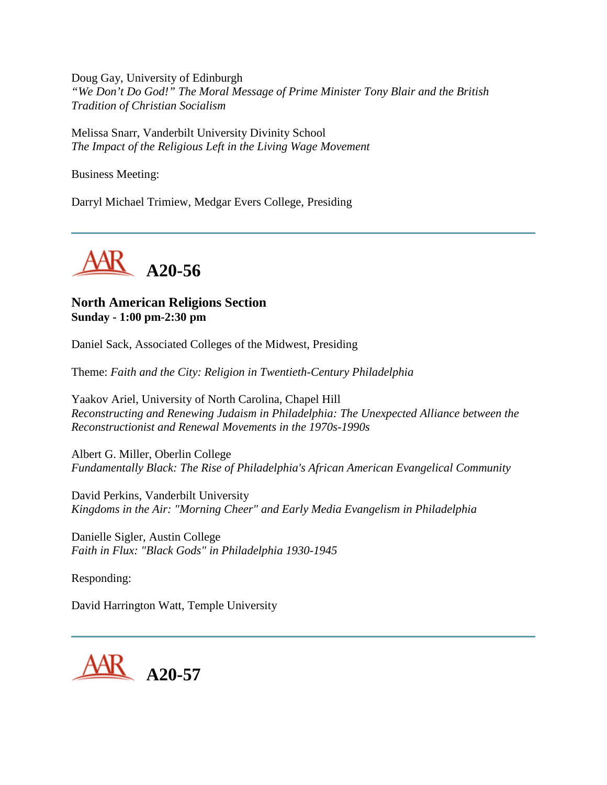Doug Gay, University of Edinburgh *"We Don't Do God!" The Moral Message of Prime Minister Tony Blair and the British Tradition of Christian Socialism*

Melissa Snarr, Vanderbilt University Divinity School *The Impact of the Religious Left in the Living Wage Movement*

Business Meeting:

Darryl Michael Trimiew, Medgar Evers College, Presiding



# **North American Religions Section Sunday - 1:00 pm-2:30 pm**

Daniel Sack, Associated Colleges of the Midwest, Presiding

Theme: *Faith and the City: Religion in Twentieth-Century Philadelphia*

Yaakov Ariel, University of North Carolina, Chapel Hill *Reconstructing and Renewing Judaism in Philadelphia: The Unexpected Alliance between the Reconstructionist and Renewal Movements in the 1970s-1990s*

Albert G. Miller, Oberlin College *Fundamentally Black: The Rise of Philadelphia's African American Evangelical Community*

David Perkins, Vanderbilt University *Kingdoms in the Air: "Morning Cheer" and Early Media Evangelism in Philadelphia*

Danielle Sigler, Austin College *Faith in Flux: "Black Gods" in Philadelphia 1930-1945*

Responding:

David Harrington Watt, Temple University

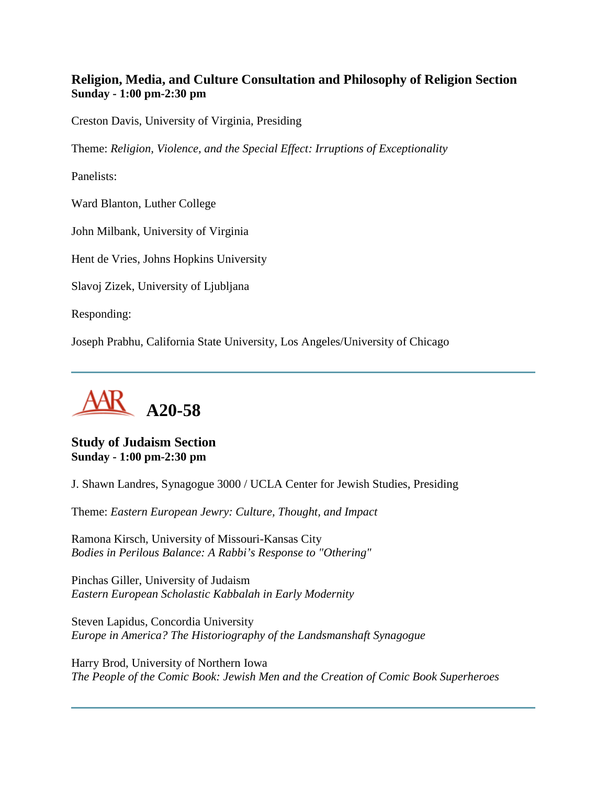# **Religion, Media, and Culture Consultation and Philosophy of Religion Section Sunday - 1:00 pm-2:30 pm**

Creston Davis, University of Virginia, Presiding

Theme: *Religion, Violence, and the Special Effect: Irruptions of Exceptionality*

Panelists:

Ward Blanton, Luther College

John Milbank, University of Virginia

Hent de Vries, Johns Hopkins University

Slavoj Zizek, University of Ljubljana

Responding:

Joseph Prabhu, California State University, Los Angeles/University of Chicago



**Study of Judaism Section Sunday - 1:00 pm-2:30 pm**

J. Shawn Landres, Synagogue 3000 / UCLA Center for Jewish Studies, Presiding

Theme: *Eastern European Jewry: Culture, Thought, and Impact*

Ramona Kirsch, University of Missouri-Kansas City *Bodies in Perilous Balance: A Rabbi's Response to "Othering"*

Pinchas Giller, University of Judaism *Eastern European Scholastic Kabbalah in Early Modernity*

Steven Lapidus, Concordia University *Europe in America? The Historiography of the Landsmanshaft Synagogue*

Harry Brod, University of Northern Iowa *The People of the Comic Book: Jewish Men and the Creation of Comic Book Superheroes*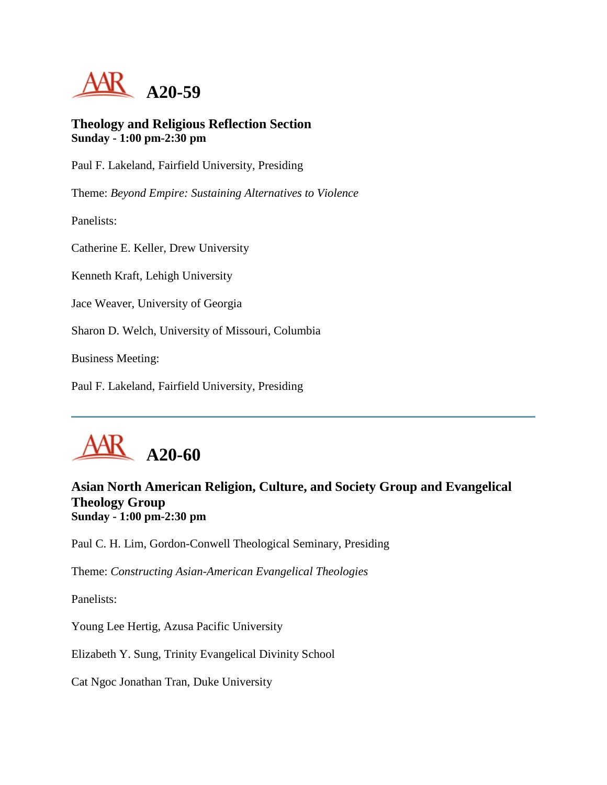

#### **Theology and Religious Reflection Section Sunday - 1:00 pm-2:30 pm**

Paul F. Lakeland, Fairfield University, Presiding

Theme: *Beyond Empire: Sustaining Alternatives to Violence*

Panelists:

Catherine E. Keller, Drew University

Kenneth Kraft, Lehigh University

Jace Weaver, University of Georgia

Sharon D. Welch, University of Missouri, Columbia

Business Meeting:

Paul F. Lakeland, Fairfield University, Presiding

# **A20-60**

## **Asian North American Religion, Culture, and Society Group and Evangelical Theology Group Sunday - 1:00 pm-2:30 pm**

Paul C. H. Lim, Gordon-Conwell Theological Seminary, Presiding

Theme: *Constructing Asian-American Evangelical Theologies*

Panelists:

Young Lee Hertig, Azusa Pacific University

Elizabeth Y. Sung, Trinity Evangelical Divinity School

Cat Ngoc Jonathan Tran, Duke University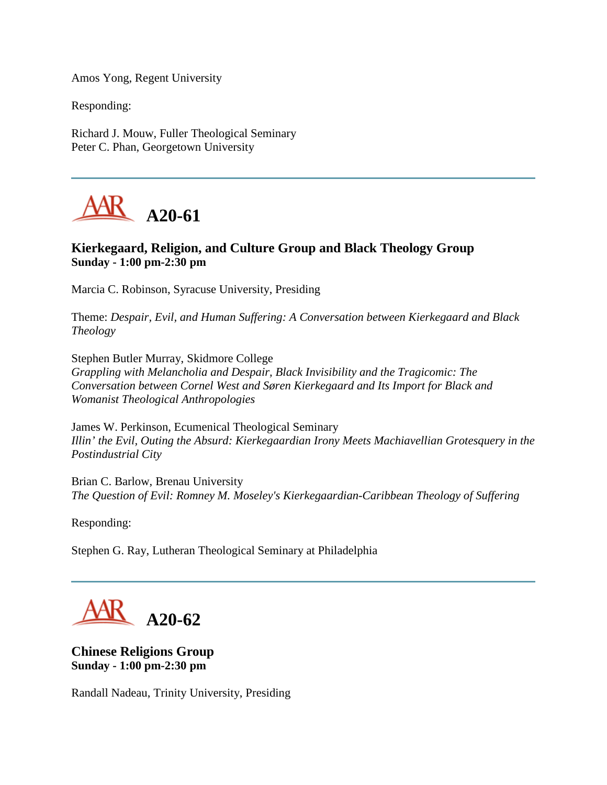Amos Yong, Regent University

Responding:

Richard J. Mouw, Fuller Theological Seminary Peter C. Phan, Georgetown University



# **Kierkegaard, Religion, and Culture Group and Black Theology Group Sunday - 1:00 pm-2:30 pm**

Marcia C. Robinson, Syracuse University, Presiding

Theme: *Despair, Evil, and Human Suffering: A Conversation between Kierkegaard and Black Theology*

Stephen Butler Murray, Skidmore College *Grappling with Melancholia and Despair, Black Invisibility and the Tragicomic: The Conversation between Cornel West and Søren Kierkegaard and Its Import for Black and Womanist Theological Anthropologies*

James W. Perkinson, Ecumenical Theological Seminary *Illin' the Evil, Outing the Absurd: Kierkegaardian Irony Meets Machiavellian Grotesquery in the Postindustrial City*

Brian C. Barlow, Brenau University *The Question of Evil: Romney M. Moseley's Kierkegaardian-Caribbean Theology of Suffering*

Responding:

Stephen G. Ray, Lutheran Theological Seminary at Philadelphia

**A20-62**

**Chinese Religions Group Sunday - 1:00 pm-2:30 pm**

Randall Nadeau, Trinity University, Presiding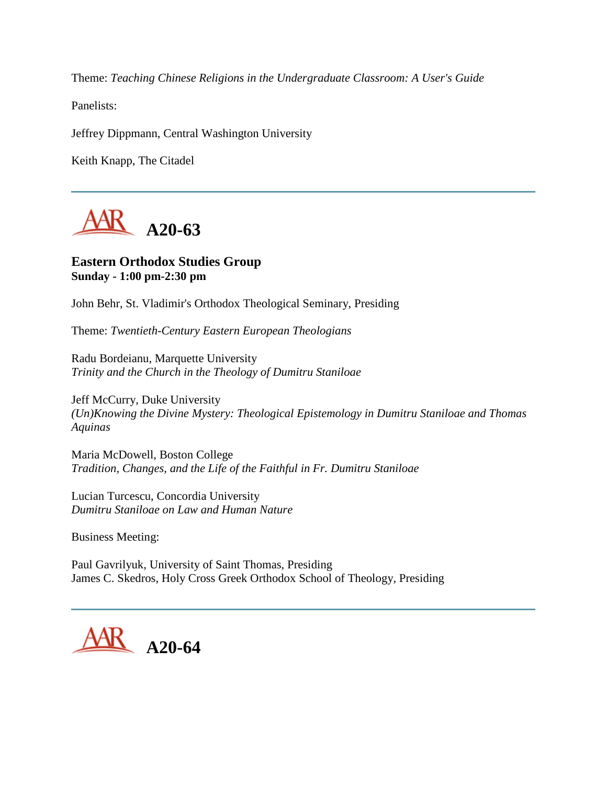Theme: *Teaching Chinese Religions in the Undergraduate Classroom: A User's Guide*

Panelists:

Jeffrey Dippmann, Central Washington University

Keith Knapp, The Citadel



#### **Eastern Orthodox Studies Group Sunday - 1:00 pm-2:30 pm**

John Behr, St. Vladimir's Orthodox Theological Seminary, Presiding

Theme: *Twentieth-Century Eastern European Theologians*

Radu Bordeianu, Marquette University *Trinity and the Church in the Theology of Dumitru Staniloae*

Jeff McCurry, Duke University *(Un)Knowing the Divine Mystery: Theological Epistemology in Dumitru Staniloae and Thomas Aquinas*

Maria McDowell, Boston College *Tradition, Changes, and the Life of the Faithful in Fr. Dumitru Staniloae*

Lucian Turcescu, Concordia University *Dumitru Staniloae on Law and Human Nature*

Business Meeting:

Paul Gavrilyuk, University of Saint Thomas, Presiding James C. Skedros, Holy Cross Greek Orthodox School of Theology, Presiding

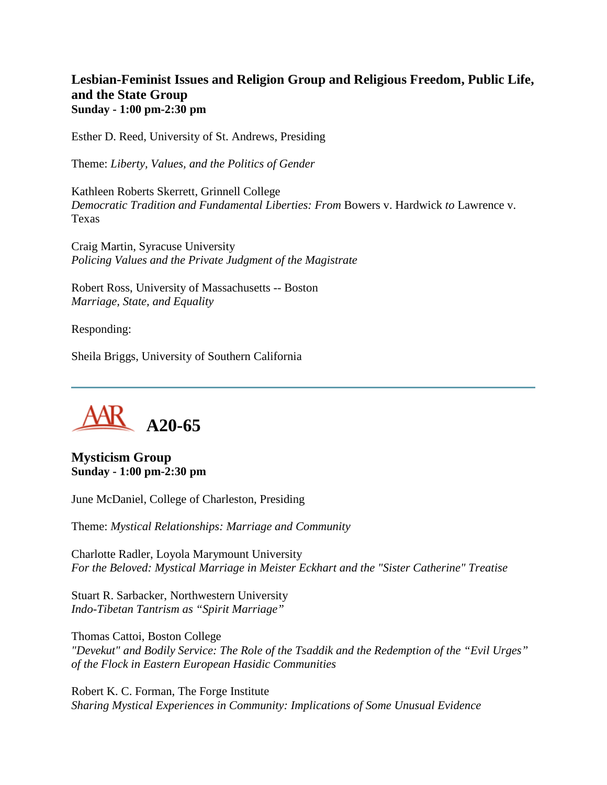## **Lesbian-Feminist Issues and Religion Group and Religious Freedom, Public Life, and the State Group Sunday - 1:00 pm-2:30 pm**

Esther D. Reed, University of St. Andrews, Presiding

Theme: *Liberty, Values, and the Politics of Gender*

Kathleen Roberts Skerrett, Grinnell College *Democratic Tradition and Fundamental Liberties: From* Bowers v. Hardwick *to* Lawrence v. Texas

Craig Martin, Syracuse University *Policing Values and the Private Judgment of the Magistrate*

Robert Ross, University of Massachusetts -- Boston *Marriage, State, and Equality*

Responding:

Sheila Briggs, University of Southern California



**Mysticism Group Sunday - 1:00 pm-2:30 pm**

June McDaniel, College of Charleston, Presiding

Theme: *Mystical Relationships: Marriage and Community*

Charlotte Radler, Loyola Marymount University *For the Beloved: Mystical Marriage in Meister Eckhart and the "Sister Catherine" Treatise*

Stuart R. Sarbacker, Northwestern University *Indo-Tibetan Tantrism as "Spirit Marriage"*

Thomas Cattoi, Boston College *"Devekut" and Bodily Service: The Role of the Tsaddik and the Redemption of the "Evil Urges" of the Flock in Eastern European Hasidic Communities*

Robert K. C. Forman, The Forge Institute *Sharing Mystical Experiences in Community: Implications of Some Unusual Evidence*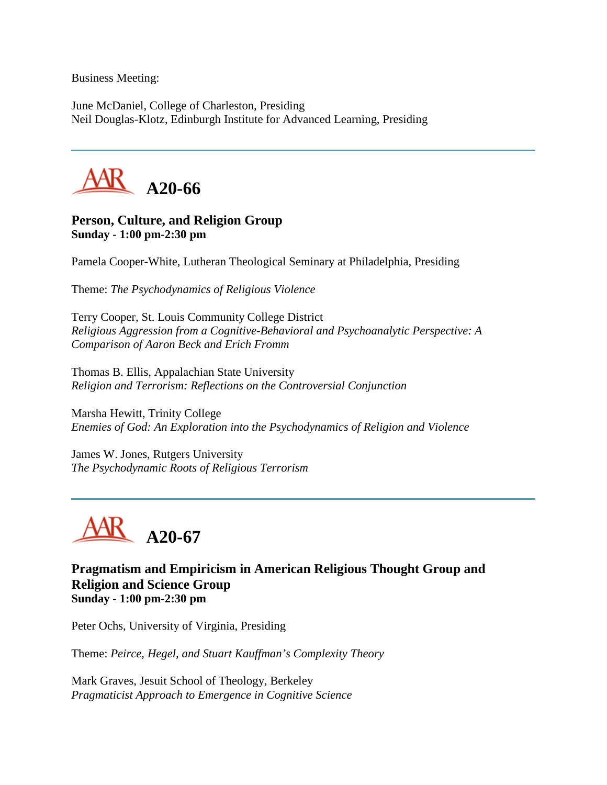Business Meeting:

June McDaniel, College of Charleston, Presiding Neil Douglas-Klotz, Edinburgh Institute for Advanced Learning, Presiding



## **Person, Culture, and Religion Group Sunday - 1:00 pm-2:30 pm**

Pamela Cooper-White, Lutheran Theological Seminary at Philadelphia, Presiding

Theme: *The Psychodynamics of Religious Violence*

Terry Cooper, St. Louis Community College District *Religious Aggression from a Cognitive-Behavioral and Psychoanalytic Perspective: A Comparison of Aaron Beck and Erich Fromm*

Thomas B. Ellis, Appalachian State University *Religion and Terrorism: Reflections on the Controversial Conjunction*

Marsha Hewitt, Trinity College *Enemies of God: An Exploration into the Psychodynamics of Religion and Violence*

James W. Jones, Rutgers University *The Psychodynamic Roots of Religious Terrorism*



**Pragmatism and Empiricism in American Religious Thought Group and Religion and Science Group Sunday - 1:00 pm-2:30 pm**

Peter Ochs, University of Virginia, Presiding

Theme: *Peirce, Hegel, and Stuart Kauffman's Complexity Theory*

Mark Graves, Jesuit School of Theology, Berkeley *Pragmaticist Approach to Emergence in Cognitive Science*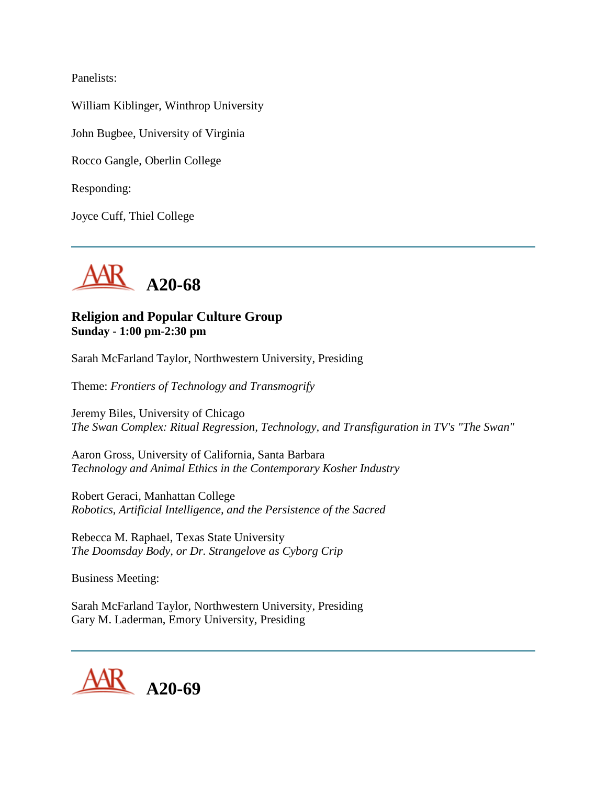Panelists:

William Kiblinger, Winthrop University

John Bugbee, University of Virginia

Rocco Gangle, Oberlin College

Responding:

Joyce Cuff, Thiel College



#### **Religion and Popular Culture Group Sunday - 1:00 pm-2:30 pm**

Sarah McFarland Taylor, Northwestern University, Presiding

Theme: *Frontiers of Technology and Transmogrify*

Jeremy Biles, University of Chicago *The Swan Complex: Ritual Regression, Technology, and Transfiguration in TV's "The Swan"*

Aaron Gross, University of California, Santa Barbara *Technology and Animal Ethics in the Contemporary Kosher Industry*

Robert Geraci, Manhattan College *Robotics, Artificial Intelligence, and the Persistence of the Sacred*

Rebecca M. Raphael, Texas State University *The Doomsday Body, or Dr. Strangelove as Cyborg Crip*

Business Meeting:

Sarah McFarland Taylor, Northwestern University, Presiding Gary M. Laderman, Emory University, Presiding

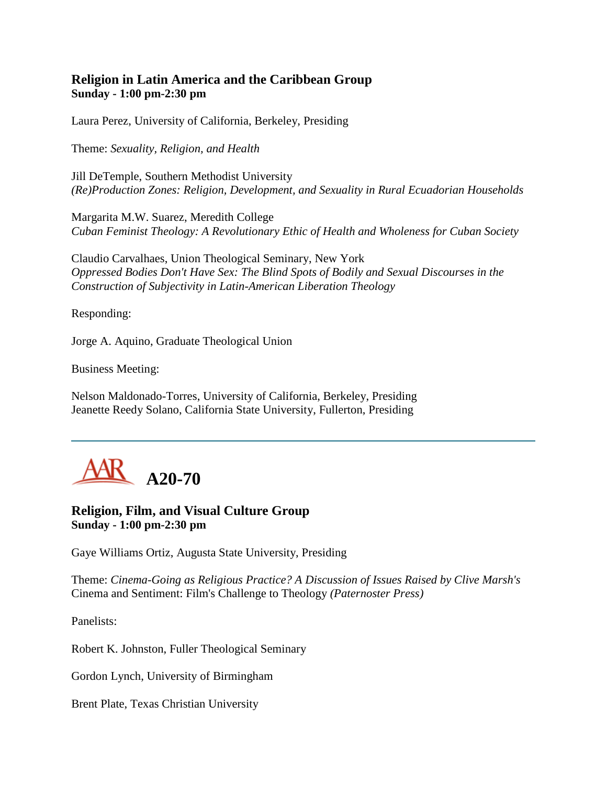## **Religion in Latin America and the Caribbean Group Sunday - 1:00 pm-2:30 pm**

Laura Perez, University of California, Berkeley, Presiding

Theme: *Sexuality, Religion, and Health*

Jill DeTemple, Southern Methodist University *(Re)Production Zones: Religion, Development, and Sexuality in Rural Ecuadorian Households*

Margarita M.W. Suarez, Meredith College *Cuban Feminist Theology: A Revolutionary Ethic of Health and Wholeness for Cuban Society*

Claudio Carvalhaes, Union Theological Seminary, New York *Oppressed Bodies Don't Have Sex: The Blind Spots of Bodily and Sexual Discourses in the Construction of Subjectivity in Latin-American Liberation Theology*

Responding:

Jorge A. Aquino, Graduate Theological Union

Business Meeting:

Nelson Maldonado-Torres, University of California, Berkeley, Presiding Jeanette Reedy Solano, California State University, Fullerton, Presiding



**Religion, Film, and Visual Culture Group Sunday - 1:00 pm-2:30 pm**

Gaye Williams Ortiz, Augusta State University, Presiding

Theme: *Cinema-Going as Religious Practice? A Discussion of Issues Raised by Clive Marsh's*  Cinema and Sentiment: Film's Challenge to Theology *(Paternoster Press)*

Panelists:

Robert K. Johnston, Fuller Theological Seminary

Gordon Lynch, University of Birmingham

Brent Plate, Texas Christian University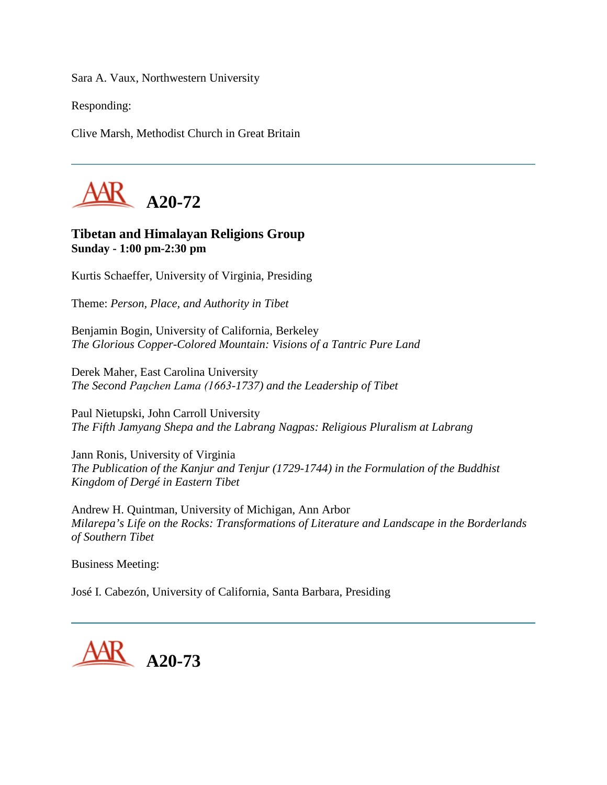Sara A. Vaux, Northwestern University

Responding:

Clive Marsh, Methodist Church in Great Britain



## **Tibetan and Himalayan Religions Group Sunday - 1:00 pm-2:30 pm**

Kurtis Schaeffer, University of Virginia, Presiding

Theme: *Person, Place, and Authority in Tibet*

Benjamin Bogin, University of California, Berkeley *The Glorious Copper-Colored Mountain: Visions of a Tantric Pure Land*

Derek Maher, East Carolina University *The Second Paņchen Lama (1663-1737) and the Leadership of Tibet*

Paul Nietupski, John Carroll University *The Fifth Jamyang Shepa and the Labrang Nagpas: Religious Pluralism at Labrang*

Jann Ronis, University of Virginia *The Publication of the Kanjur and Tenjur (1729-1744) in the Formulation of the Buddhist Kingdom of Dergé in Eastern Tibet*

Andrew H. Quintman, University of Michigan, Ann Arbor *Milarepa's Life on the Rocks: Transformations of Literature and Landscape in the Borderlands of Southern Tibet*

Business Meeting:

José I. Cabezón, University of California, Santa Barbara, Presiding

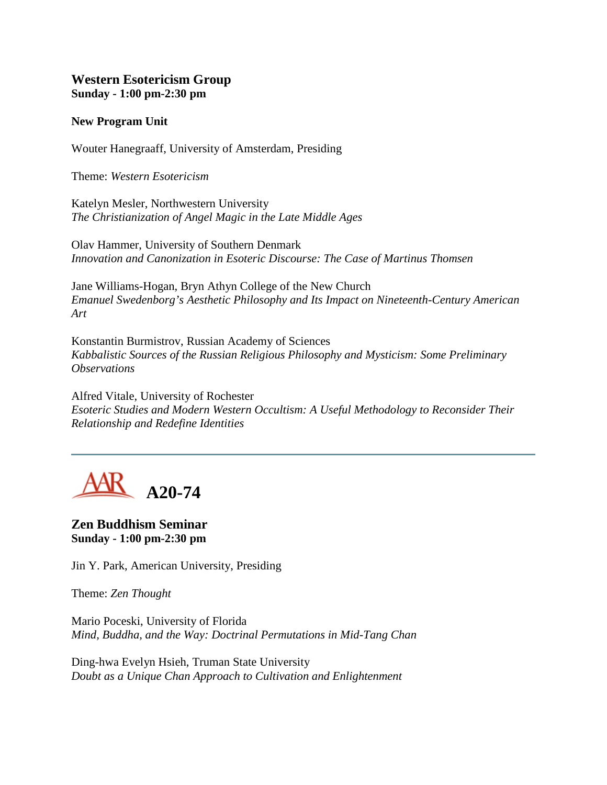#### **Western Esotericism Group Sunday - 1:00 pm-2:30 pm**

#### **New Program Unit**

Wouter Hanegraaff, University of Amsterdam, Presiding

Theme: *Western Esotericism*

Katelyn Mesler, Northwestern University *The Christianization of Angel Magic in the Late Middle Ages*

Olav Hammer, University of Southern Denmark *Innovation and Canonization in Esoteric Discourse: The Case of Martinus Thomsen*

Jane Williams-Hogan, Bryn Athyn College of the New Church *Emanuel Swedenborg's Aesthetic Philosophy and Its Impact on Nineteenth-Century American Art*

Konstantin Burmistrov, Russian Academy of Sciences *Kabbalistic Sources of the Russian Religious Philosophy and Mysticism: Some Preliminary Observations*

Alfred Vitale, University of Rochester *Esoteric Studies and Modern Western Occultism: A Useful Methodology to Reconsider Their Relationship and Redefine Identities*

**A20-74**

**Zen Buddhism Seminar Sunday - 1:00 pm-2:30 pm**

Jin Y. Park, American University, Presiding

Theme: *Zen Thought*

Mario Poceski, University of Florida *Mind, Buddha, and the Way: Doctrinal Permutations in Mid-Tang Chan*

Ding-hwa Evelyn Hsieh, Truman State University *Doubt as a Unique Chan Approach to Cultivation and Enlightenment*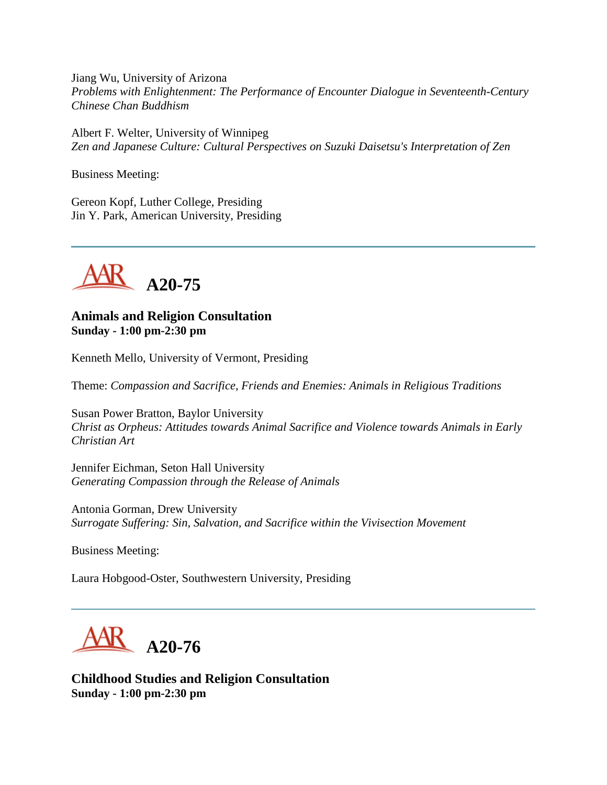Jiang Wu, University of Arizona *Problems with Enlightenment: The Performance of Encounter Dialogue in Seventeenth-Century Chinese Chan Buddhism*

Albert F. Welter, University of Winnipeg *Zen and Japanese Culture: Cultural Perspectives on Suzuki Daisetsu's Interpretation of Zen*

Business Meeting:

Gereon Kopf, Luther College, Presiding Jin Y. Park, American University, Presiding



#### **Animals and Religion Consultation Sunday - 1:00 pm-2:30 pm**

Kenneth Mello, University of Vermont, Presiding

Theme: *Compassion and Sacrifice, Friends and Enemies: Animals in Religious Traditions*

Susan Power Bratton, Baylor University *Christ as Orpheus: Attitudes towards Animal Sacrifice and Violence towards Animals in Early Christian Art*

Jennifer Eichman, Seton Hall University *Generating Compassion through the Release of Animals*

Antonia Gorman, Drew University *Surrogate Suffering: Sin, Salvation, and Sacrifice within the Vivisection Movement*

Business Meeting:

Laura Hobgood-Oster, Southwestern University, Presiding



**Childhood Studies and Religion Consultation Sunday - 1:00 pm-2:30 pm**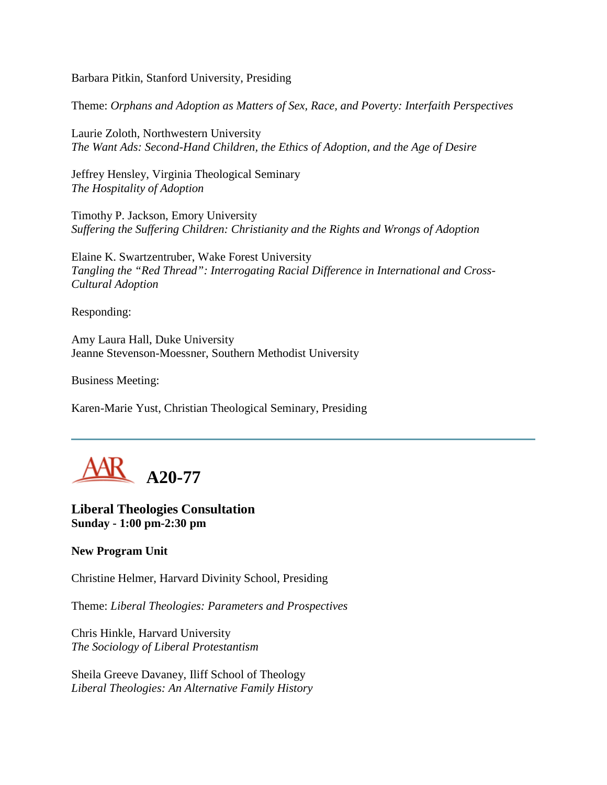Barbara Pitkin, Stanford University, Presiding

Theme: *Orphans and Adoption as Matters of Sex, Race, and Poverty: Interfaith Perspectives*

Laurie Zoloth, Northwestern University *The Want Ads: Second-Hand Children, the Ethics of Adoption, and the Age of Desire*

Jeffrey Hensley, Virginia Theological Seminary *The Hospitality of Adoption*

Timothy P. Jackson, Emory University *Suffering the Suffering Children: Christianity and the Rights and Wrongs of Adoption*

Elaine K. Swartzentruber, Wake Forest University *Tangling the "Red Thread": Interrogating Racial Difference in International and Cross-Cultural Adoption*

Responding:

Amy Laura Hall, Duke University Jeanne Stevenson-Moessner, Southern Methodist University

Business Meeting:

Karen-Marie Yust, Christian Theological Seminary, Presiding



**Liberal Theologies Consultation Sunday - 1:00 pm-2:30 pm**

**New Program Unit**

Christine Helmer, Harvard Divinity School, Presiding

Theme: *Liberal Theologies: Parameters and Prospectives*

Chris Hinkle, Harvard University *The Sociology of Liberal Protestantism*

Sheila Greeve Davaney, Iliff School of Theology *Liberal Theologies: An Alternative Family History*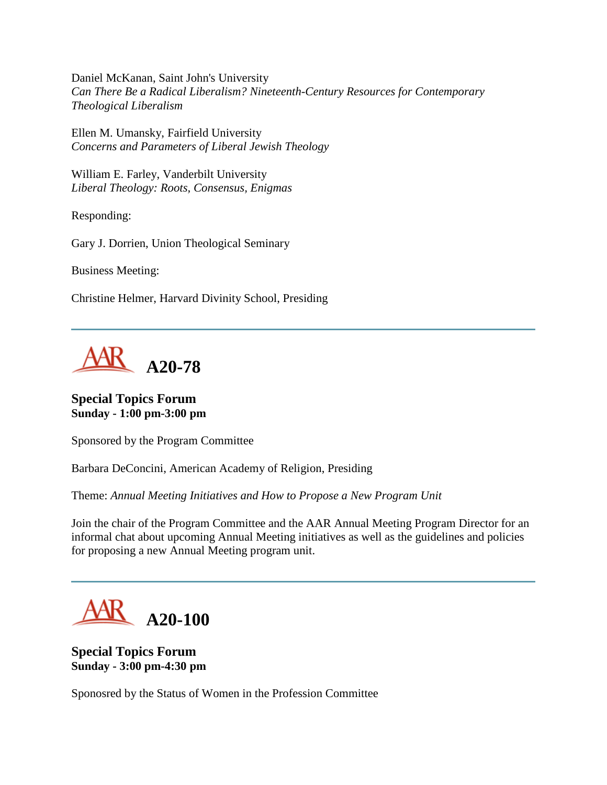Daniel McKanan, Saint John's University *Can There Be a Radical Liberalism? Nineteenth-Century Resources for Contemporary Theological Liberalism*

Ellen M. Umansky, Fairfield University *Concerns and Parameters of Liberal Jewish Theology*

William E. Farley, Vanderbilt University *Liberal Theology: Roots, Consensus, Enigmas*

Responding:

Gary J. Dorrien, Union Theological Seminary

Business Meeting:

Christine Helmer, Harvard Divinity School, Presiding



**Special Topics Forum Sunday - 1:00 pm-3:00 pm**

Sponsored by the Program Committee

Barbara DeConcini, American Academy of Religion, Presiding

Theme: *Annual Meeting Initiatives and How to Propose a New Program Unit*

Join the chair of the Program Committee and the AAR Annual Meeting Program Director for an informal chat about upcoming Annual Meeting initiatives as well as the guidelines and policies for proposing a new Annual Meeting program unit.



**Special Topics Forum Sunday - 3:00 pm-4:30 pm**

Sponosred by the Status of Women in the Profession Committee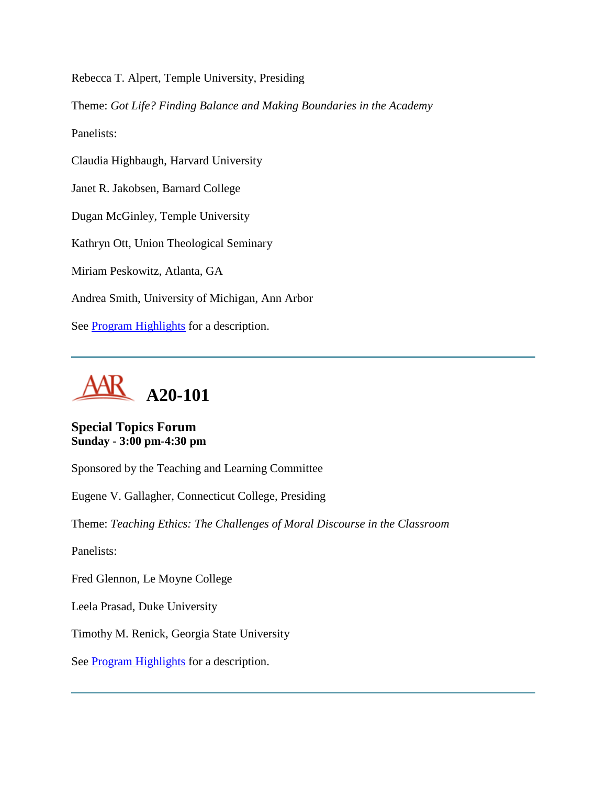Rebecca T. Alpert, Temple University, Presiding

Theme: *Got Life? Finding Balance and Making Boundaries in the Academy*

Panelists:

Claudia Highbaugh, Harvard University

Janet R. Jakobsen, Barnard College

Dugan McGinley, Temple University

Kathryn Ott, Union Theological Seminary

Miriam Peskowitz, Atlanta, GA

Andrea Smith, University of Michigan, Ann Arbor

See **Program Highlights** for a description.



**Special Topics Forum Sunday - 3:00 pm-4:30 pm**

Sponsored by the Teaching and Learning Committee

Eugene V. Gallagher, Connecticut College, Presiding

Theme: *Teaching Ethics: The Challenges of Moral Discourse in the Classroom*

Panelists:

Fred Glennon, Le Moyne College

Leela Prasad, Duke University

Timothy M. Renick, Georgia State University

See [Program Highlights](http://www.aarweb.org/Meetings/Annual_Meeting/Past_and_Future_Meetings/2005/highlights.asp) for a description.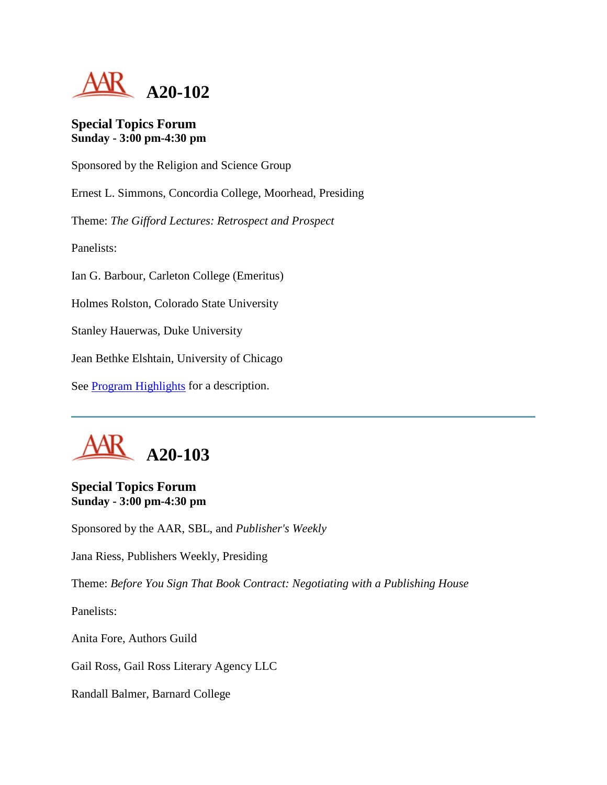

#### **Special Topics Forum Sunday - 3:00 pm-4:30 pm**

Sponsored by the Religion and Science Group

Ernest L. Simmons, Concordia College, Moorhead, Presiding

Theme: *The Gifford Lectures: Retrospect and Prospect*

Panelists:

Ian G. Barbour, Carleton College (Emeritus)

Holmes Rolston, Colorado State University

Stanley Hauerwas, Duke University

Jean Bethke Elshtain, University of Chicago

See [Program Highlights](http://www.aarweb.org/Meetings/Annual_Meeting/Past_and_Future_Meetings/2005/highlights.asp) for a description.



## **Special Topics Forum Sunday - 3:00 pm-4:30 pm**

Sponsored by the AAR, SBL, and *Publisher's Weekly*

Jana Riess, Publishers Weekly, Presiding

Theme: *Before You Sign That Book Contract: Negotiating with a Publishing House*

Panelists:

Anita Fore, Authors Guild

Gail Ross, Gail Ross Literary Agency LLC

Randall Balmer, Barnard College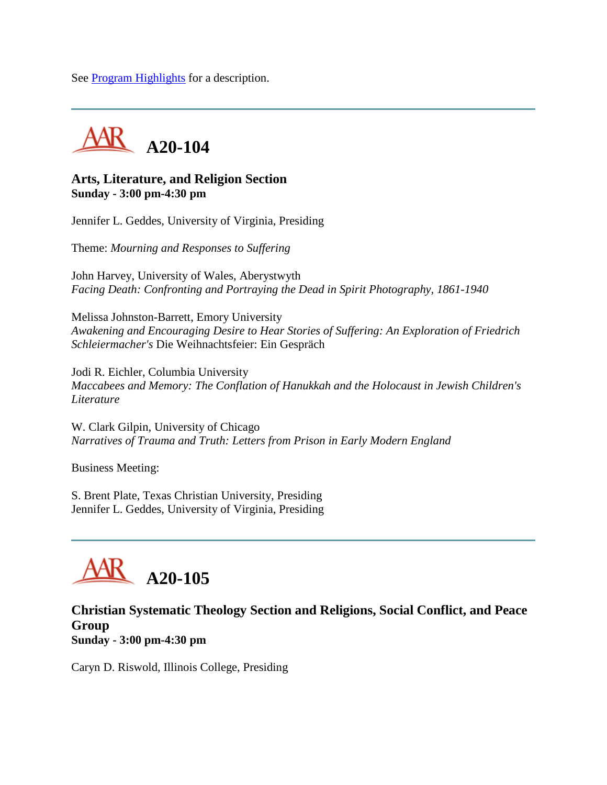See [Program Highlights](http://www.aarweb.org/Meetings/Annual_Meeting/Past_and_Future_Meetings/2005/highlights.asp) for a description.



#### **Arts, Literature, and Religion Section Sunday - 3:00 pm-4:30 pm**

Jennifer L. Geddes, University of Virginia, Presiding

Theme: *Mourning and Responses to Suffering*

John Harvey, University of Wales, Aberystwyth *Facing Death: Confronting and Portraying the Dead in Spirit Photography, 1861-1940*

Melissa Johnston-Barrett, Emory University *Awakening and Encouraging Desire to Hear Stories of Suffering: An Exploration of Friedrich Schleiermacher's* Die Weihnachtsfeier: Ein Gespräch

Jodi R. Eichler, Columbia University *Maccabees and Memory: The Conflation of Hanukkah and the Holocaust in Jewish Children's Literature*

W. Clark Gilpin, University of Chicago *Narratives of Trauma and Truth: Letters from Prison in Early Modern England*

Business Meeting:

S. Brent Plate, Texas Christian University, Presiding Jennifer L. Geddes, University of Virginia, Presiding



#### **Christian Systematic Theology Section and Religions, Social Conflict, and Peace Group Sunday - 3:00 pm-4:30 pm**

Caryn D. Riswold, Illinois College, Presiding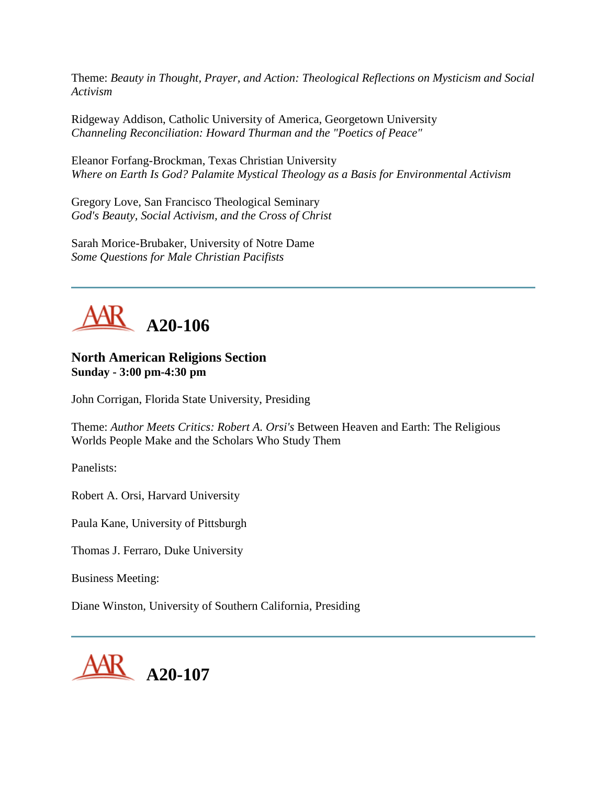Theme: *Beauty in Thought, Prayer, and Action: Theological Reflections on Mysticism and Social Activism*

Ridgeway Addison, Catholic University of America, Georgetown University *Channeling Reconciliation: Howard Thurman and the "Poetics of Peace"*

Eleanor Forfang-Brockman, Texas Christian University *Where on Earth Is God? Palamite Mystical Theology as a Basis for Environmental Activism*

Gregory Love, San Francisco Theological Seminary *God's Beauty, Social Activism, and the Cross of Christ*

Sarah Morice-Brubaker, University of Notre Dame *Some Questions for Male Christian Pacifists*



#### **North American Religions Section Sunday - 3:00 pm-4:30 pm**

John Corrigan, Florida State University, Presiding

Theme: *Author Meets Critics: Robert A. Orsi's* Between Heaven and Earth: The Religious Worlds People Make and the Scholars Who Study Them

Panelists:

Robert A. Orsi, Harvard University

Paula Kane, University of Pittsburgh

Thomas J. Ferraro, Duke University

Business Meeting:

Diane Winston, University of Southern California, Presiding

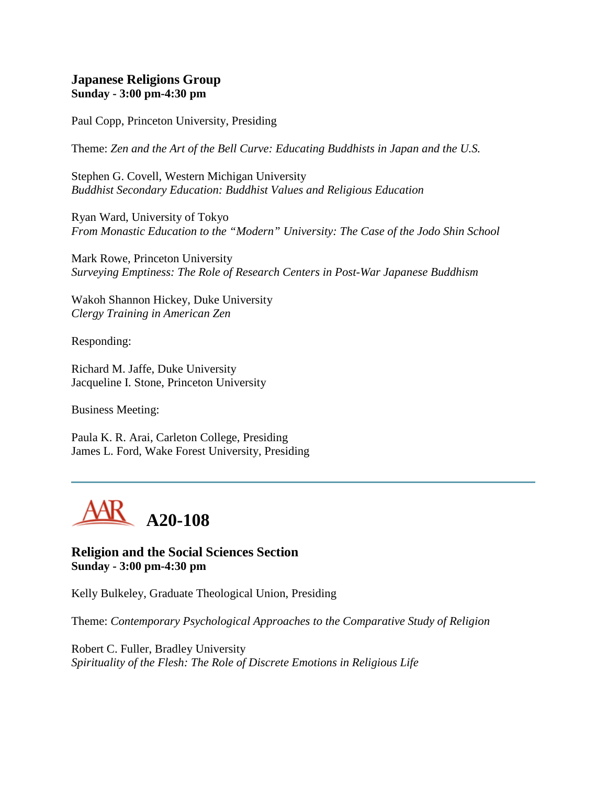#### **Japanese Religions Group Sunday - 3:00 pm-4:30 pm**

Paul Copp, Princeton University, Presiding

Theme: *Zen and the Art of the Bell Curve: Educating Buddhists in Japan and the U.S.*

Stephen G. Covell, Western Michigan University *Buddhist Secondary Education: Buddhist Values and Religious Education*

Ryan Ward, University of Tokyo *From Monastic Education to the "Modern" University: The Case of the Jodo Shin School*

Mark Rowe, Princeton University *Surveying Emptiness: The Role of Research Centers in Post-War Japanese Buddhism*

Wakoh Shannon Hickey, Duke University *Clergy Training in American Zen*

Responding:

Richard M. Jaffe, Duke University Jacqueline I. Stone, Princeton University

Business Meeting:

Paula K. R. Arai, Carleton College, Presiding James L. Ford, Wake Forest University, Presiding



**Religion and the Social Sciences Section Sunday - 3:00 pm-4:30 pm**

Kelly Bulkeley, Graduate Theological Union, Presiding

Theme: *Contemporary Psychological Approaches to the Comparative Study of Religion*

Robert C. Fuller, Bradley University *Spirituality of the Flesh: The Role of Discrete Emotions in Religious Life*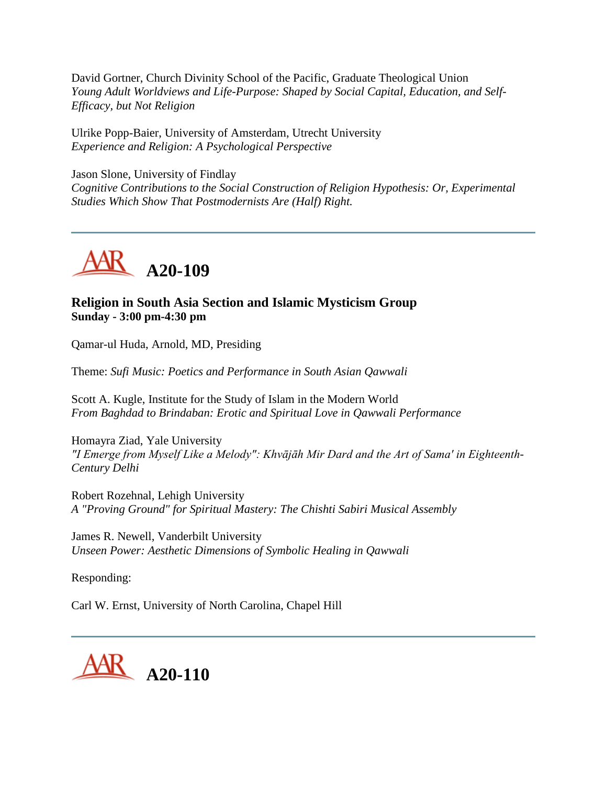David Gortner, Church Divinity School of the Pacific, Graduate Theological Union *Young Adult Worldviews and Life-Purpose: Shaped by Social Capital, Education, and Self-Efficacy, but Not Religion*

Ulrike Popp-Baier, University of Amsterdam, Utrecht University *Experience and Religion: A Psychological Perspective*

Jason Slone, University of Findlay *Cognitive Contributions to the Social Construction of Religion Hypothesis: Or, Experimental Studies Which Show That Postmodernists Are (Half) Right.*



# **Religion in South Asia Section and Islamic Mysticism Group Sunday - 3:00 pm-4:30 pm**

Qamar-ul Huda, Arnold, MD, Presiding

Theme: *Sufi Music: Poetics and Performance in South Asian Qawwali*

Scott A. Kugle, Institute for the Study of Islam in the Modern World *From Baghdad to Brindaban: Erotic and Spiritual Love in Qawwali Performance*

Homayra Ziad, Yale University *"I Emerge from Myself Like a Melody": Khvājāh Mir Dard and the Art of Sama' in Eighteenth-Century Delhi*

Robert Rozehnal, Lehigh University *A "Proving Ground" for Spiritual Mastery: The Chishti Sabiri Musical Assembly*

James R. Newell, Vanderbilt University *Unseen Power: Aesthetic Dimensions of Symbolic Healing in Qawwali*

Responding:

Carl W. Ernst, University of North Carolina, Chapel Hill

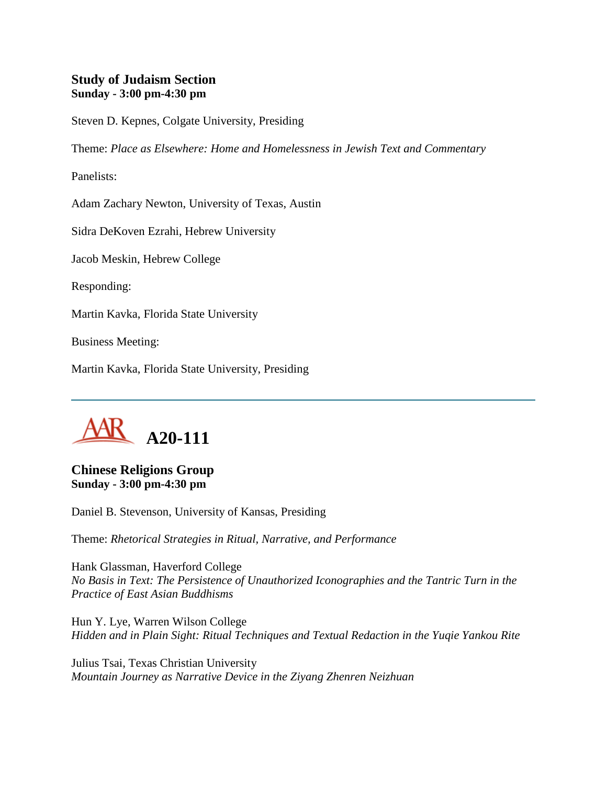#### **Study of Judaism Section Sunday - 3:00 pm-4:30 pm**

Steven D. Kepnes, Colgate University, Presiding

Theme: *Place as Elsewhere: Home and Homelessness in Jewish Text and Commentary*

Panelists:

Adam Zachary Newton, University of Texas, Austin

Sidra DeKoven Ezrahi, Hebrew University

Jacob Meskin, Hebrew College

Responding:

Martin Kavka, Florida State University

Business Meeting:

Martin Kavka, Florida State University, Presiding



## **Chinese Religions Group Sunday - 3:00 pm-4:30 pm**

Daniel B. Stevenson, University of Kansas, Presiding

Theme: *Rhetorical Strategies in Ritual, Narrative, and Performance*

Hank Glassman, Haverford College *No Basis in Text: The Persistence of Unauthorized Iconographies and the Tantric Turn in the Practice of East Asian Buddhisms*

Hun Y. Lye, Warren Wilson College *Hidden and in Plain Sight: Ritual Techniques and Textual Redaction in the Yuqie Yankou Rite*

Julius Tsai, Texas Christian University *Mountain Journey as Narrative Device in the Ziyang Zhenren Neizhuan*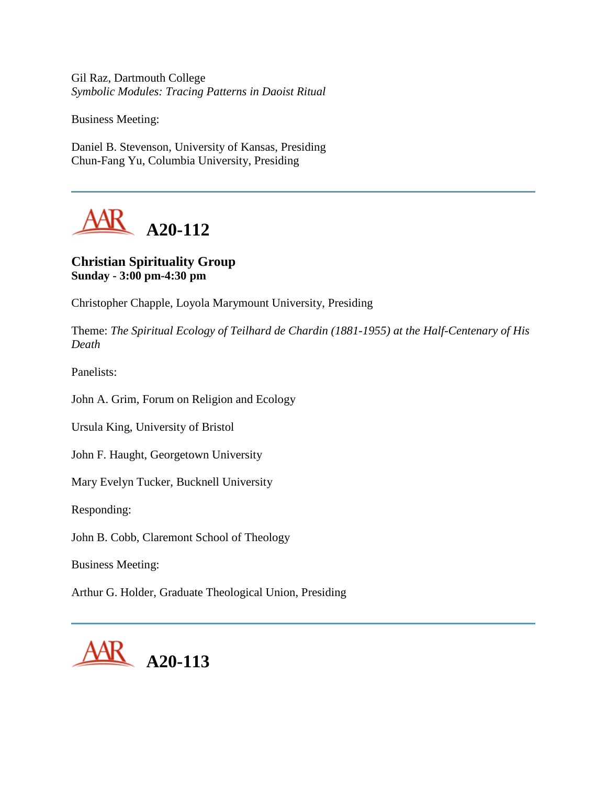Gil Raz, Dartmouth College *Symbolic Modules: Tracing Patterns in Daoist Ritual* 

Business Meeting:

Daniel B. Stevenson, University of Kansas, Presiding Chun-Fang Yu, Columbia University, Presiding



## **Christian Spirituality Group Sunday - 3:00 pm-4:30 pm**

Christopher Chapple, Loyola Marymount University, Presiding

Theme: *The Spiritual Ecology of Teilhard de Chardin (1881-1955) at the Half-Centenary of His Death*

Panelists:

John A. Grim, Forum on Religion and Ecology

Ursula King, University of Bristol

John F. Haught, Georgetown University

Mary Evelyn Tucker, Bucknell University

Responding:

John B. Cobb, Claremont School of Theology

Business Meeting:

Arthur G. Holder, Graduate Theological Union, Presiding

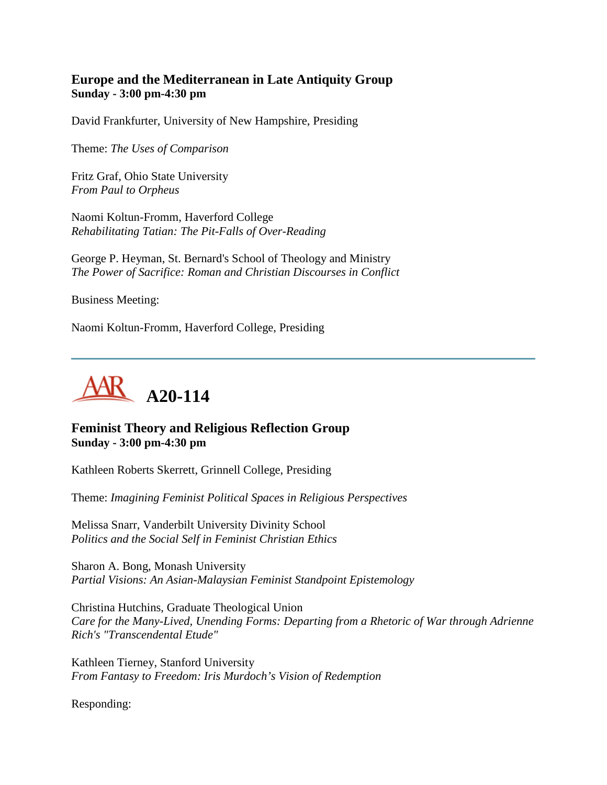#### **Europe and the Mediterranean in Late Antiquity Group Sunday - 3:00 pm-4:30 pm**

David Frankfurter, University of New Hampshire, Presiding

Theme: *The Uses of Comparison*

Fritz Graf, Ohio State University *From Paul to Orpheus*

Naomi Koltun-Fromm, Haverford College *Rehabilitating Tatian: The Pit-Falls of Over-Reading*

George P. Heyman, St. Bernard's School of Theology and Ministry *The Power of Sacrifice: Roman and Christian Discourses in Conflict*

Business Meeting:

Naomi Koltun-Fromm, Haverford College, Presiding



## **Feminist Theory and Religious Reflection Group Sunday - 3:00 pm-4:30 pm**

Kathleen Roberts Skerrett, Grinnell College, Presiding

Theme: *Imagining Feminist Political Spaces in Religious Perspectives*

Melissa Snarr, Vanderbilt University Divinity School *Politics and the Social Self in Feminist Christian Ethics*

Sharon A. Bong, Monash University *Partial Visions: An Asian-Malaysian Feminist Standpoint Epistemology*

Christina Hutchins, Graduate Theological Union *Care for the Many-Lived, Unending Forms: Departing from a Rhetoric of War through Adrienne Rich's "Transcendental Etude"*

Kathleen Tierney, Stanford University *From Fantasy to Freedom: Iris Murdoch's Vision of Redemption*

Responding: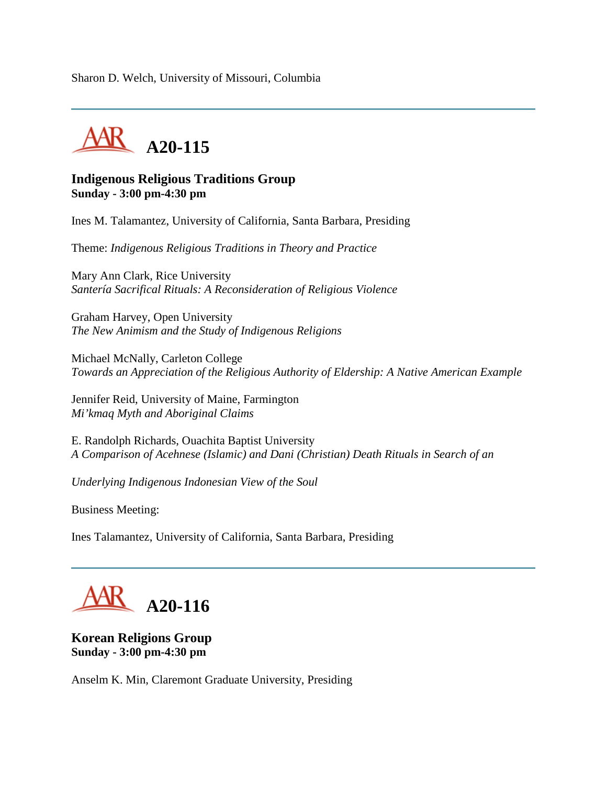Sharon D. Welch, University of Missouri, Columbia



#### **Indigenous Religious Traditions Group Sunday - 3:00 pm-4:30 pm**

Ines M. Talamantez, University of California, Santa Barbara, Presiding

Theme: *Indigenous Religious Traditions in Theory and Practice*

Mary Ann Clark, Rice University *Santería Sacrifical Rituals: A Reconsideration of Religious Violence*

Graham Harvey, Open University *The New Animism and the Study of Indigenous Religions*

Michael McNally, Carleton College *Towards an Appreciation of the Religious Authority of Eldership: A Native American Example*

Jennifer Reid, University of Maine, Farmington *Mi'kmaq Myth and Aboriginal Claims*

E. Randolph Richards, Ouachita Baptist University *A Comparison of Acehnese (Islamic) and Dani (Christian) Death Rituals in Search of an*

*Underlying Indigenous Indonesian View of the Soul*

Business Meeting:

Ines Talamantez, University of California, Santa Barbara, Presiding

# **A20-116**

**Korean Religions Group Sunday - 3:00 pm-4:30 pm**

Anselm K. Min, Claremont Graduate University, Presiding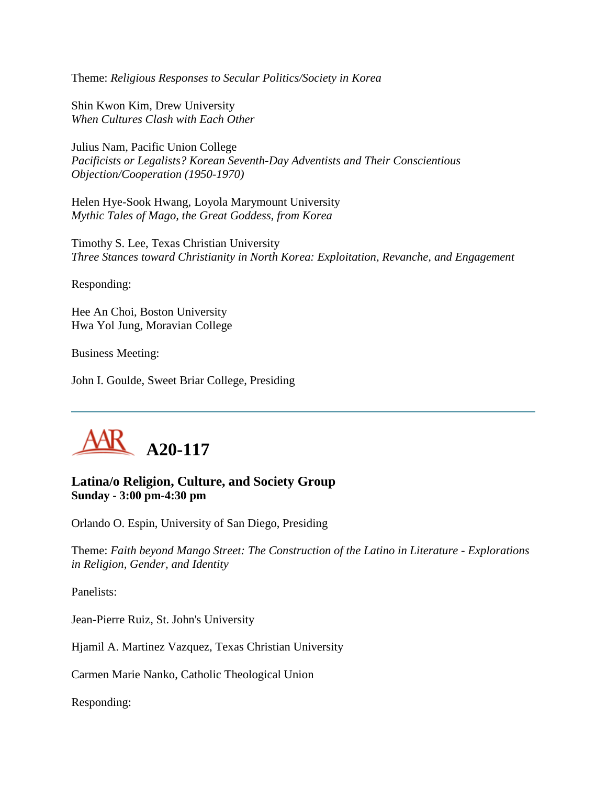Theme: *Religious Responses to Secular Politics/Society in Korea*

Shin Kwon Kim, Drew University *When Cultures Clash with Each Other*

Julius Nam, Pacific Union College *Pacificists or Legalists? Korean Seventh-Day Adventists and Their Conscientious Objection/Cooperation (1950-1970)*

Helen Hye-Sook Hwang, Loyola Marymount University *Mythic Tales of Mago, the Great Goddess, from Korea*

Timothy S. Lee, Texas Christian University *Three Stances toward Christianity in North Korea: Exploitation, Revanche, and Engagement*

Responding:

Hee An Choi, Boston University Hwa Yol Jung, Moravian College

Business Meeting:

John I. Goulde, Sweet Briar College, Presiding



#### **Latina/o Religion, Culture, and Society Group Sunday - 3:00 pm-4:30 pm**

Orlando O. Espin, University of San Diego, Presiding

Theme: *Faith beyond Mango Street: The Construction of the Latino in Literature - Explorations in Religion, Gender, and Identity*

Panelists:

Jean-Pierre Ruiz, St. John's University

Hjamil A. Martinez Vazquez, Texas Christian University

Carmen Marie Nanko, Catholic Theological Union

Responding: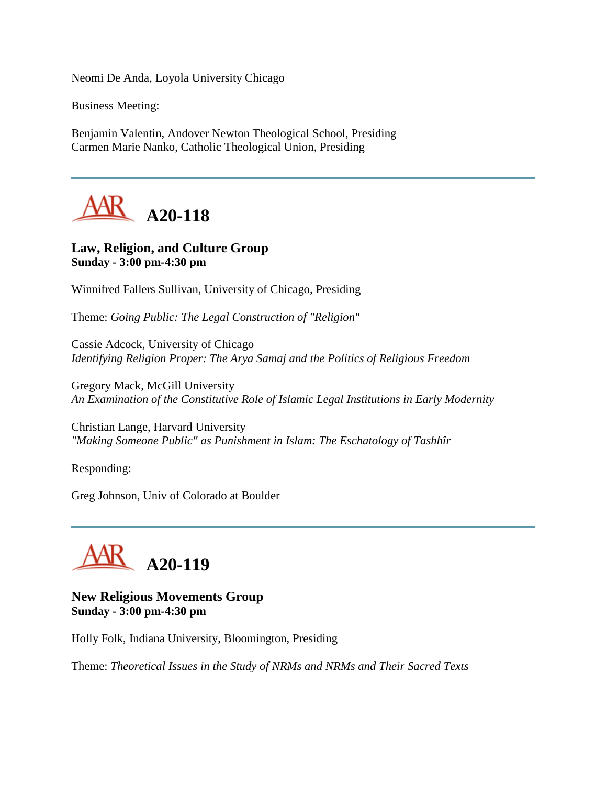Neomi De Anda, Loyola University Chicago

Business Meeting:

Benjamin Valentin, Andover Newton Theological School, Presiding Carmen Marie Nanko, Catholic Theological Union, Presiding



#### **Law, Religion, and Culture Group Sunday - 3:00 pm-4:30 pm**

Winnifred Fallers Sullivan, University of Chicago, Presiding

Theme: *Going Public: The Legal Construction of "Religion"*

Cassie Adcock, University of Chicago *Identifying Religion Proper: The Arya Samaj and the Politics of Religious Freedom*

Gregory Mack, McGill University *An Examination of the Constitutive Role of Islamic Legal Institutions in Early Modernity*

Christian Lange, Harvard University *"Making Someone Public" as Punishment in Islam: The Eschatology of Tashhîr*

Responding:

Greg Johnson, Univ of Colorado at Boulder



**New Religious Movements Group Sunday - 3:00 pm-4:30 pm**

Holly Folk, Indiana University, Bloomington, Presiding

Theme: *Theoretical Issues in the Study of NRMs and NRMs and Their Sacred Texts*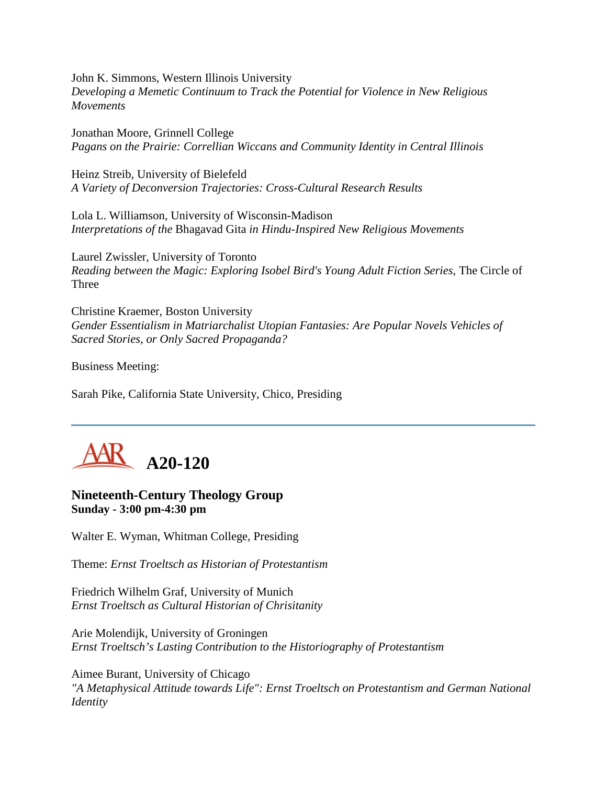John K. Simmons, Western Illinois University *Developing a Memetic Continuum to Track the Potential for Violence in New Religious Movements*

Jonathan Moore, Grinnell College *Pagans on the Prairie: Correllian Wiccans and Community Identity in Central Illinois*

Heinz Streib, University of Bielefeld *A Variety of Deconversion Trajectories: Cross-Cultural Research Results*

Lola L. Williamson, University of Wisconsin-Madison *Interpretations of the* Bhagavad Gita *in Hindu-Inspired New Religious Movements*

Laurel Zwissler, University of Toronto *Reading between the Magic: Exploring Isobel Bird's Young Adult Fiction Series, The Circle of* Three

Christine Kraemer, Boston University *Gender Essentialism in Matriarchalist Utopian Fantasies: Are Popular Novels Vehicles of Sacred Stories, or Only Sacred Propaganda?*

Business Meeting:

Sarah Pike, California State University, Chico, Presiding



#### **Nineteenth-Century Theology Group Sunday - 3:00 pm-4:30 pm**

Walter E. Wyman, Whitman College, Presiding

Theme: *Ernst Troeltsch as Historian of Protestantism*

Friedrich Wilhelm Graf, University of Munich *Ernst Troeltsch as Cultural Historian of Chrisitanity*

Arie Molendijk, University of Groningen *Ernst Troeltsch's Lasting Contribution to the Historiography of Protestantism*

Aimee Burant, University of Chicago *"A Metaphysical Attitude towards Life": Ernst Troeltsch on Protestantism and German National Identity*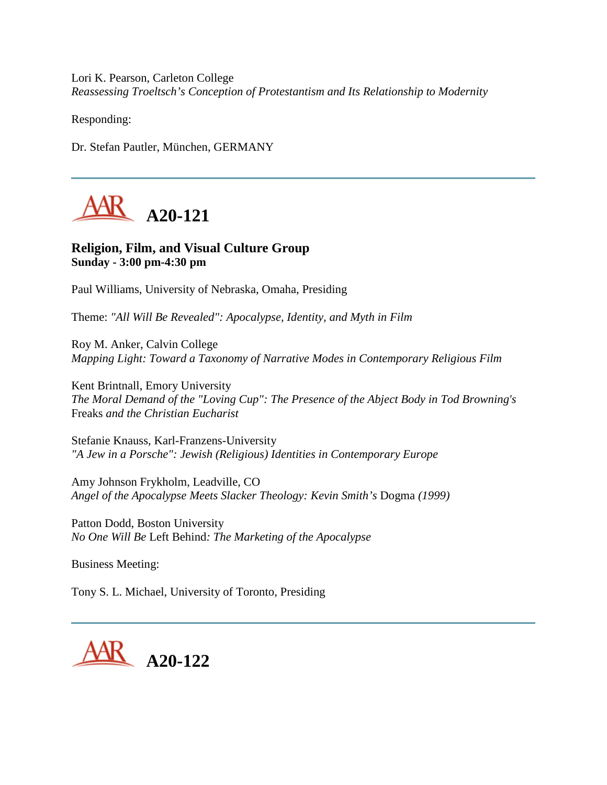Lori K. Pearson, Carleton College *Reassessing Troeltsch's Conception of Protestantism and Its Relationship to Modernity*

Responding:

Dr. Stefan Pautler, München, GERMANY



#### **Religion, Film, and Visual Culture Group Sunday - 3:00 pm-4:30 pm**

Paul Williams, University of Nebraska, Omaha, Presiding

Theme: *"All Will Be Revealed": Apocalypse, Identity, and Myth in Film*

Roy M. Anker, Calvin College *Mapping Light: Toward a Taxonomy of Narrative Modes in Contemporary Religious Film*

Kent Brintnall, Emory University *The Moral Demand of the "Loving Cup": The Presence of the Abject Body in Tod Browning's*  Freaks *and the Christian Eucharist*

Stefanie Knauss, Karl-Franzens-University *"A Jew in a Porsche": Jewish (Religious) Identities in Contemporary Europe*

Amy Johnson Frykholm, Leadville, CO *Angel of the Apocalypse Meets Slacker Theology: Kevin Smith's* Dogma *(1999)*

Patton Dodd, Boston University *No One Will Be* Left Behind*: The Marketing of the Apocalypse*

Business Meeting:

Tony S. L. Michael, University of Toronto, Presiding

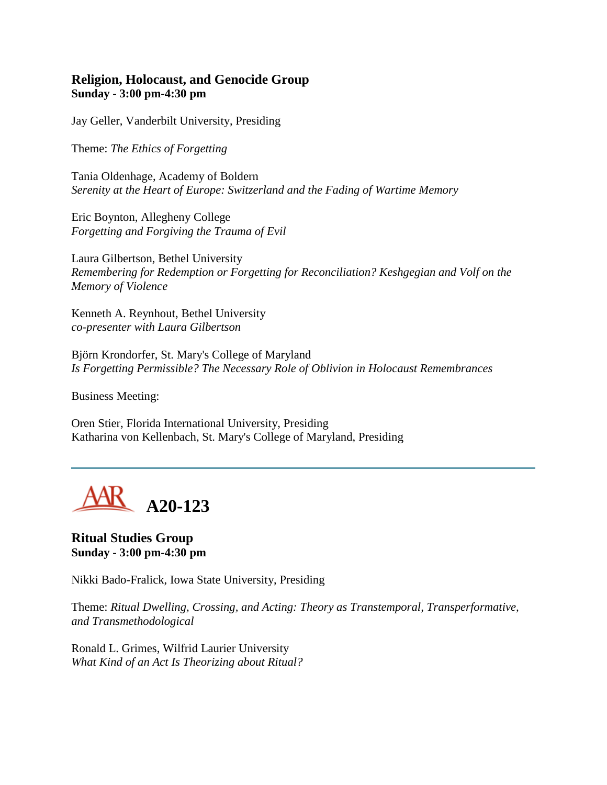#### **Religion, Holocaust, and Genocide Group Sunday - 3:00 pm-4:30 pm**

Jay Geller, Vanderbilt University, Presiding

Theme: *The Ethics of Forgetting*

Tania Oldenhage, Academy of Boldern *Serenity at the Heart of Europe: Switzerland and the Fading of Wartime Memory*

Eric Boynton, Allegheny College *Forgetting and Forgiving the Trauma of Evil*

Laura Gilbertson, Bethel University *Remembering for Redemption or Forgetting for Reconciliation? Keshgegian and Volf on the Memory of Violence*

Kenneth A. Reynhout, Bethel University *co-presenter with Laura Gilbertson*

Björn Krondorfer, St. Mary's College of Maryland *Is Forgetting Permissible? The Necessary Role of Oblivion in Holocaust Remembrances*

Business Meeting:

Oren Stier, Florida International University, Presiding Katharina von Kellenbach, St. Mary's College of Maryland, Presiding



**Ritual Studies Group Sunday - 3:00 pm-4:30 pm**

Nikki Bado-Fralick, Iowa State University, Presiding

Theme: *Ritual Dwelling, Crossing, and Acting: Theory as Transtemporal, Transperformative, and Transmethodological*

Ronald L. Grimes, Wilfrid Laurier University *What Kind of an Act Is Theorizing about Ritual?*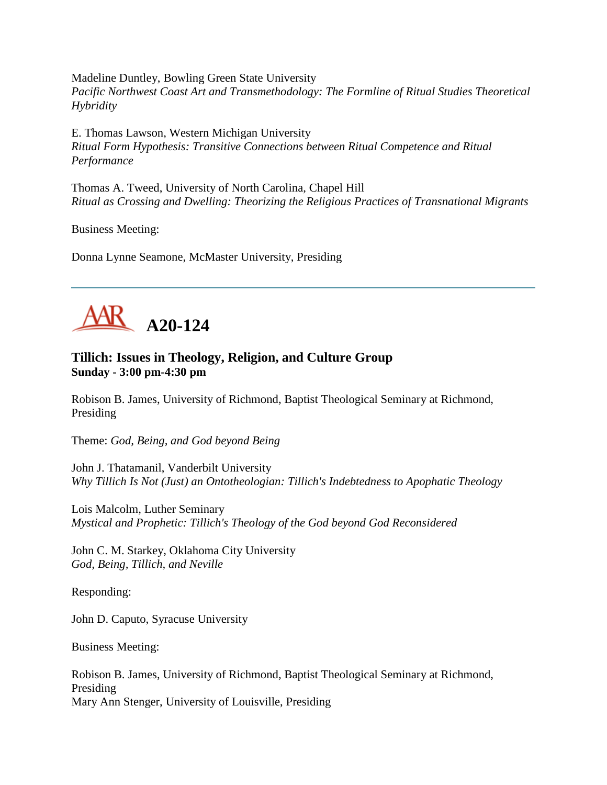Madeline Duntley, Bowling Green State University *Pacific Northwest Coast Art and Transmethodology: The Formline of Ritual Studies Theoretical Hybridity*

E. Thomas Lawson, Western Michigan University *Ritual Form Hypothesis: Transitive Connections between Ritual Competence and Ritual Performance*

Thomas A. Tweed, University of North Carolina, Chapel Hill *Ritual as Crossing and Dwelling: Theorizing the Religious Practices of Transnational Migrants*

Business Meeting:

Donna Lynne Seamone, McMaster University, Presiding



# **Tillich: Issues in Theology, Religion, and Culture Group Sunday - 3:00 pm-4:30 pm**

Robison B. James, University of Richmond, Baptist Theological Seminary at Richmond, Presiding

Theme: *God, Being, and God beyond Being*

John J. Thatamanil, Vanderbilt University *Why Tillich Is Not (Just) an Ontotheologian: Tillich's Indebtedness to Apophatic Theology*

Lois Malcolm, Luther Seminary *Mystical and Prophetic: Tillich's Theology of the God beyond God Reconsidered*

John C. M. Starkey, Oklahoma City University *God, Being, Tillich, and Neville*

Responding:

John D. Caputo, Syracuse University

Business Meeting:

Robison B. James, University of Richmond, Baptist Theological Seminary at Richmond, Presiding Mary Ann Stenger, University of Louisville, Presiding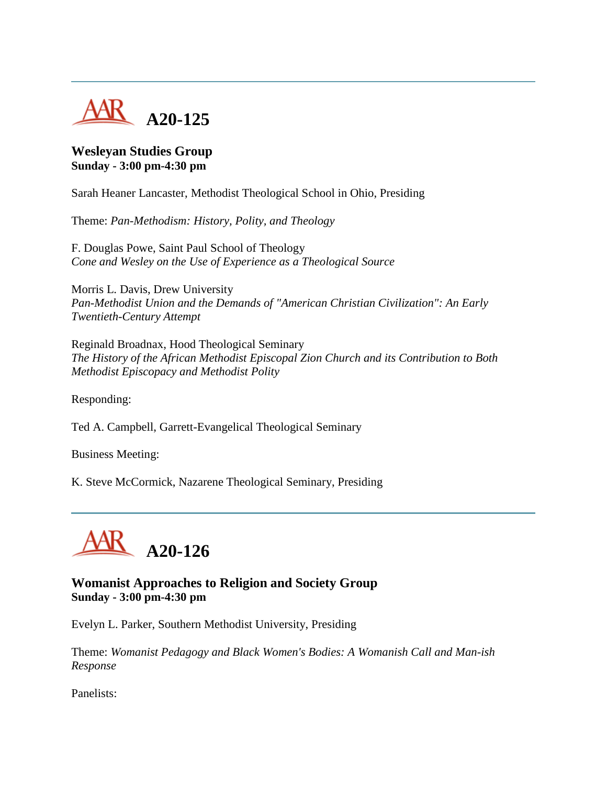

## **Wesleyan Studies Group Sunday - 3:00 pm-4:30 pm**

Sarah Heaner Lancaster, Methodist Theological School in Ohio, Presiding

Theme: *Pan-Methodism: History, Polity, and Theology*

F. Douglas Powe, Saint Paul School of Theology *Cone and Wesley on the Use of Experience as a Theological Source*

Morris L. Davis, Drew University *Pan-Methodist Union and the Demands of "American Christian Civilization": An Early Twentieth-Century Attempt*

Reginald Broadnax, Hood Theological Seminary *The History of the African Methodist Episcopal Zion Church and its Contribution to Both Methodist Episcopacy and Methodist Polity*

Responding:

Ted A. Campbell, Garrett-Evangelical Theological Seminary

Business Meeting:

K. Steve McCormick, Nazarene Theological Seminary, Presiding



### **Womanist Approaches to Religion and Society Group Sunday - 3:00 pm-4:30 pm**

Evelyn L. Parker, Southern Methodist University, Presiding

Theme: *Womanist Pedagogy and Black Women's Bodies: A Womanish Call and Man-ish Response*

Panelists: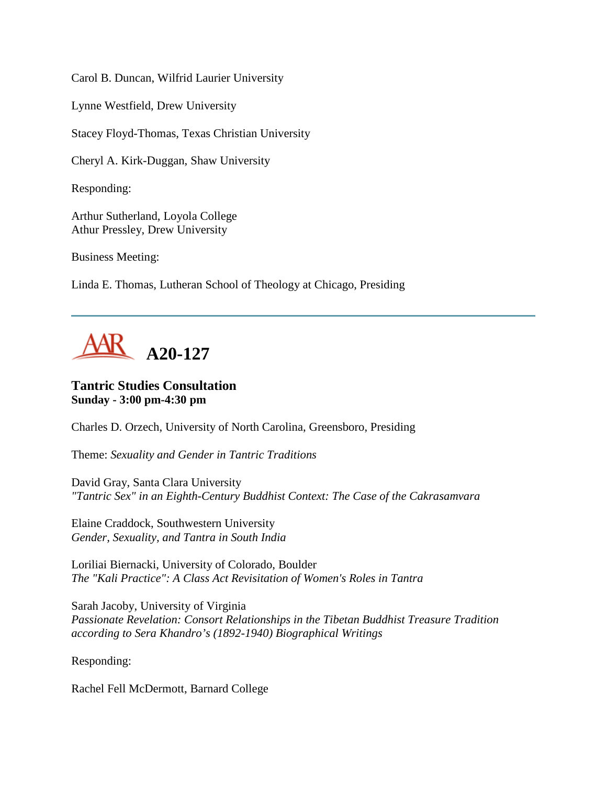Carol B. Duncan, Wilfrid Laurier University

Lynne Westfield, Drew University

Stacey Floyd-Thomas, Texas Christian University

Cheryl A. Kirk-Duggan, Shaw University

Responding:

Arthur Sutherland, Loyola College Athur Pressley, Drew University

Business Meeting:

Linda E. Thomas, Lutheran School of Theology at Chicago, Presiding



### **Tantric Studies Consultation Sunday - 3:00 pm-4:30 pm**

Charles D. Orzech, University of North Carolina, Greensboro, Presiding

Theme: *Sexuality and Gender in Tantric Traditions*

David Gray, Santa Clara University *"Tantric Sex" in an Eighth-Century Buddhist Context: The Case of the Cakrasamvara*

Elaine Craddock, Southwestern University *Gender, Sexuality, and Tantra in South India*

Loriliai Biernacki, University of Colorado, Boulder *The "Kali Practice": A Class Act Revisitation of Women's Roles in Tantra*

Sarah Jacoby, University of Virginia *Passionate Revelation: Consort Relationships in the Tibetan Buddhist Treasure Tradition according to Sera Khandro's (1892-1940) Biographical Writings*

Responding:

Rachel Fell McDermott, Barnard College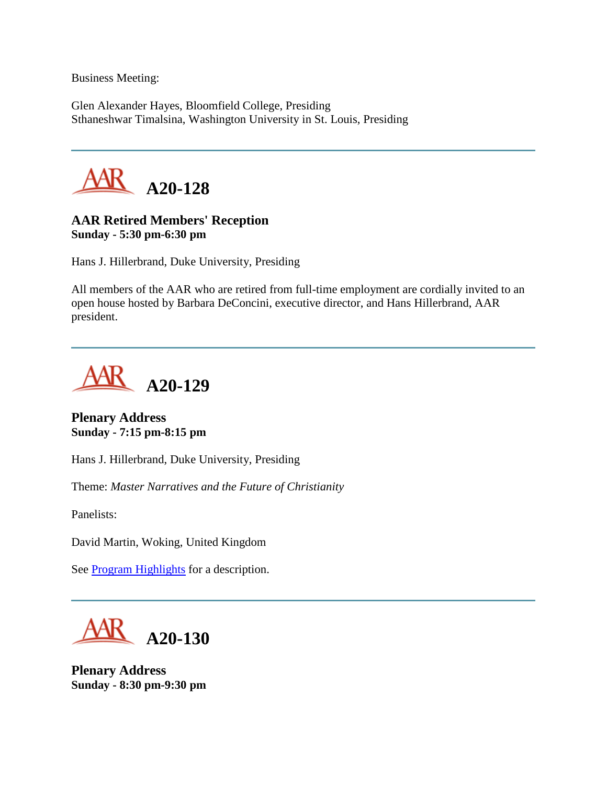Business Meeting:

Glen Alexander Hayes, Bloomfield College, Presiding Sthaneshwar Timalsina, Washington University in St. Louis, Presiding



# **AAR Retired Members' Reception Sunday - 5:30 pm-6:30 pm**

Hans J. Hillerbrand, Duke University, Presiding

All members of the AAR who are retired from full-time employment are cordially invited to an open house hosted by Barbara DeConcini, executive director, and Hans Hillerbrand, AAR president.



**Plenary Address Sunday - 7:15 pm-8:15 pm**

Hans J. Hillerbrand, Duke University, Presiding

Theme: *Master Narratives and the Future of Christianity*

Panelists:

David Martin, Woking, United Kingdom

See **Program Highlights** for a description.



**Plenary Address Sunday - 8:30 pm-9:30 pm**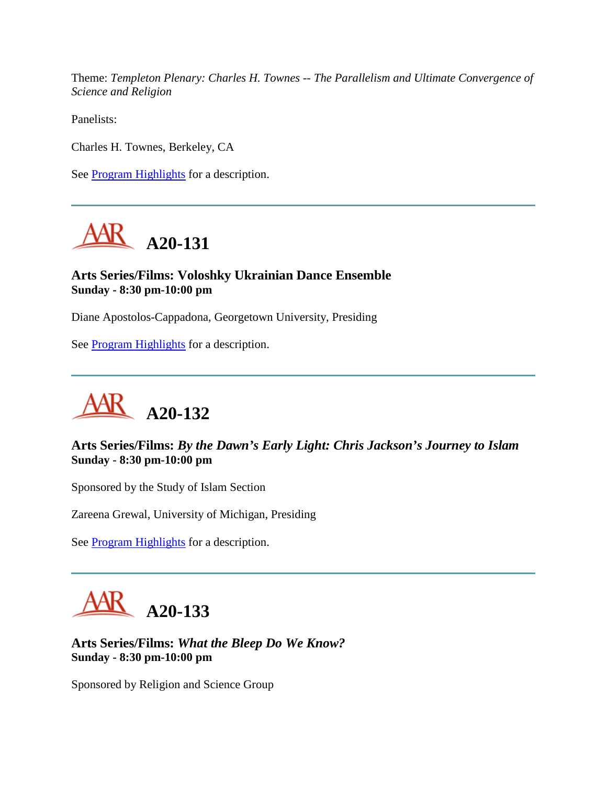Theme: *Templeton Plenary: Charles H. Townes -- The Parallelism and Ultimate Convergence of Science and Religion*

Panelists:

Charles H. Townes, Berkeley, CA

See [Program Highlights](http://www.aarweb.org/Meetings/Annual_Meeting/Past_and_Future_Meetings/2005/highlights.asp) for a description.



# **Arts Series/Films: Voloshky Ukrainian Dance Ensemble Sunday - 8:30 pm-10:00 pm**

Diane Apostolos-Cappadona, Georgetown University, Presiding

See [Program Highlights](http://www.aarweb.org/Meetings/Annual_Meeting/Past_and_Future_Meetings/2005/highlights.asp) for a description.



# **Arts Series/Films:** *By the Dawn's Early Light: Chris Jackson's Journey to Islam* **Sunday - 8:30 pm-10:00 pm**

Sponsored by the Study of Islam Section

Zareena Grewal, University of Michigan, Presiding

See **Program Highlights** for a description.



**Arts Series/Films:** *What the Bleep Do We Know?* **Sunday - 8:30 pm-10:00 pm**

Sponsored by Religion and Science Group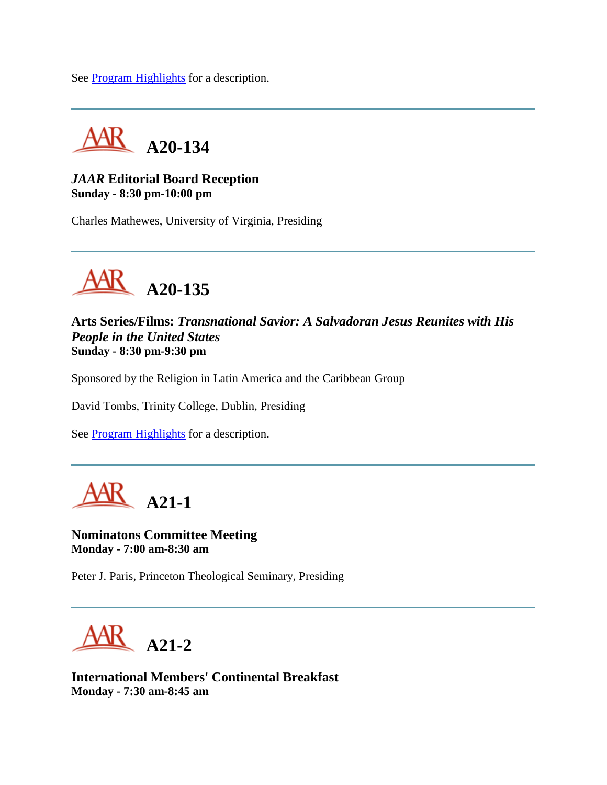See [Program Highlights](http://www.aarweb.org/Meetings/Annual_Meeting/Past_and_Future_Meetings/2005/highlights.asp) for a description.



### *JAAR* **Editorial Board Reception Sunday - 8:30 pm-10:00 pm**

Charles Mathewes, University of Virginia, Presiding



**Arts Series/Films:** *Transnational Savior: A Salvadoran Jesus Reunites with His People in the United States* **Sunday - 8:30 pm-9:30 pm**

Sponsored by the Religion in Latin America and the Caribbean Group

David Tombs, Trinity College, Dublin, Presiding

See **Program Highlights** for a description.



**Nominatons Committee Meeting Monday - 7:00 am-8:30 am**

Peter J. Paris, Princeton Theological Seminary, Presiding

**A21-2**

**International Members' Continental Breakfast Monday - 7:30 am-8:45 am**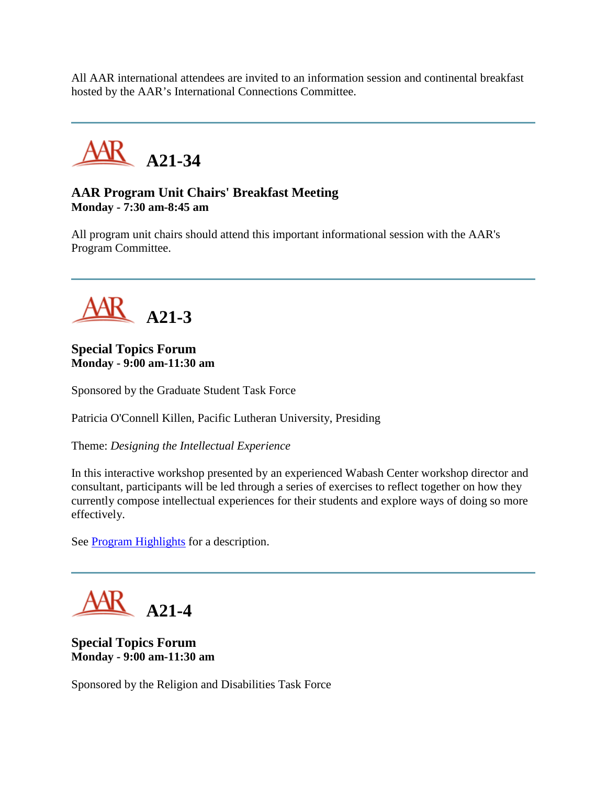All AAR international attendees are invited to an information session and continental breakfast hosted by the AAR's International Connections Committee.



# **AAR Program Unit Chairs' Breakfast Meeting Monday - 7:30 am-8:45 am**

All program unit chairs should attend this important informational session with the AAR's Program Committee.



# **Special Topics Forum Monday - 9:00 am-11:30 am**

Sponsored by the Graduate Student Task Force

Patricia O'Connell Killen, Pacific Lutheran University, Presiding

Theme: *Designing the Intellectual Experience*

In this interactive workshop presented by an experienced Wabash Center workshop director and consultant, participants will be led through a series of exercises to reflect together on how they currently compose intellectual experiences for their students and explore ways of doing so more effectively.

See **Program Highlights** for a description.

**A21-4**

**Special Topics Forum Monday - 9:00 am-11:30 am**

Sponsored by the Religion and Disabilities Task Force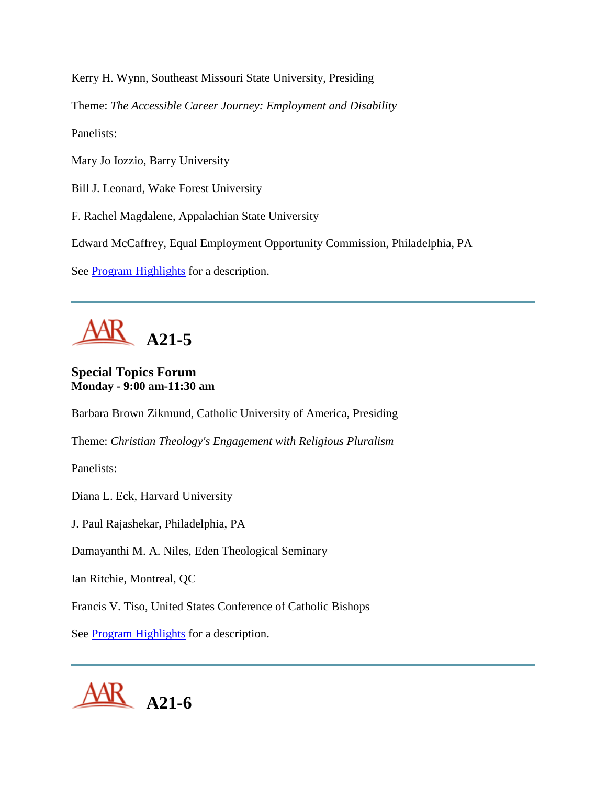Kerry H. Wynn, Southeast Missouri State University, Presiding

Theme: *The Accessible Career Journey: Employment and Disability*

Panelists:

Mary Jo Iozzio, Barry University

Bill J. Leonard, Wake Forest University

F. Rachel Magdalene, Appalachian State University

Edward McCaffrey, Equal Employment Opportunity Commission, Philadelphia, PA

See **Program Highlights** for a description.

**A21-5**

**Special Topics Forum Monday - 9:00 am-11:30 am**

Barbara Brown Zikmund, Catholic University of America, Presiding

Theme: *Christian Theology's Engagement with Religious Pluralism*

Panelists:

Diana L. Eck, Harvard University

J. Paul Rajashekar, Philadelphia, PA

Damayanthi M. A. Niles, Eden Theological Seminary

Ian Ritchie, Montreal, QC

Francis V. Tiso, United States Conference of Catholic Bishops

See **Program Highlights** for a description.

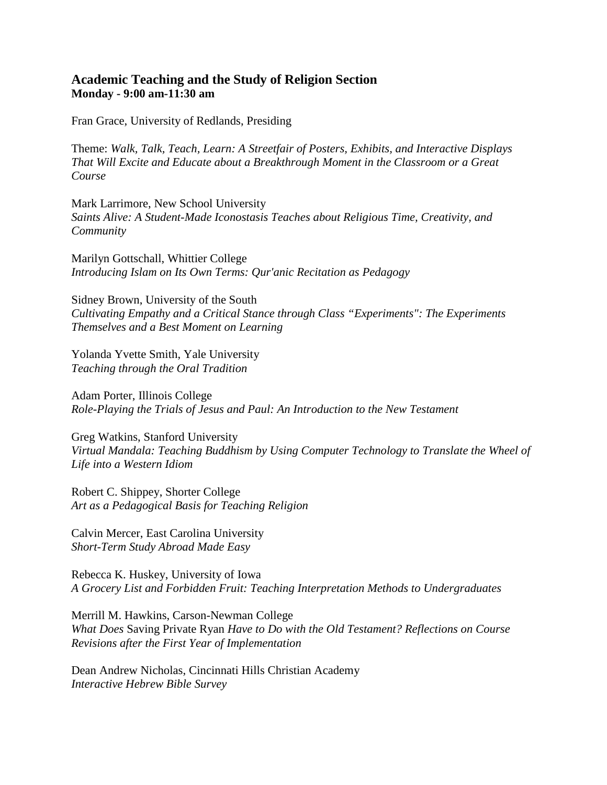#### **Academic Teaching and the Study of Religion Section Monday - 9:00 am-11:30 am**

Fran Grace, University of Redlands, Presiding

Theme: *Walk, Talk, Teach, Learn: A Streetfair of Posters, Exhibits, and Interactive Displays That Will Excite and Educate about a Breakthrough Moment in the Classroom or a Great Course*

Mark Larrimore, New School University *Saints Alive: A Student-Made Iconostasis Teaches about Religious Time, Creativity, and Community*

Marilyn Gottschall, Whittier College *Introducing Islam on Its Own Terms: Qur'anic Recitation as Pedagogy*

Sidney Brown, University of the South *Cultivating Empathy and a Critical Stance through Class "Experiments": The Experiments Themselves and a Best Moment on Learning*

Yolanda Yvette Smith, Yale University *Teaching through the Oral Tradition*

Adam Porter, Illinois College *Role-Playing the Trials of Jesus and Paul: An Introduction to the New Testament*

Greg Watkins, Stanford University *Virtual Mandala: Teaching Buddhism by Using Computer Technology to Translate the Wheel of Life into a Western Idiom*

Robert C. Shippey, Shorter College *Art as a Pedagogical Basis for Teaching Religion*

Calvin Mercer, East Carolina University *Short-Term Study Abroad Made Easy*

Rebecca K. Huskey, University of Iowa *A Grocery List and Forbidden Fruit: Teaching Interpretation Methods to Undergraduates*

Merrill M. Hawkins, Carson-Newman College *What Does* Saving Private Ryan *Have to Do with the Old Testament? Reflections on Course Revisions after the First Year of Implementation*

Dean Andrew Nicholas, Cincinnati Hills Christian Academy *Interactive Hebrew Bible Survey*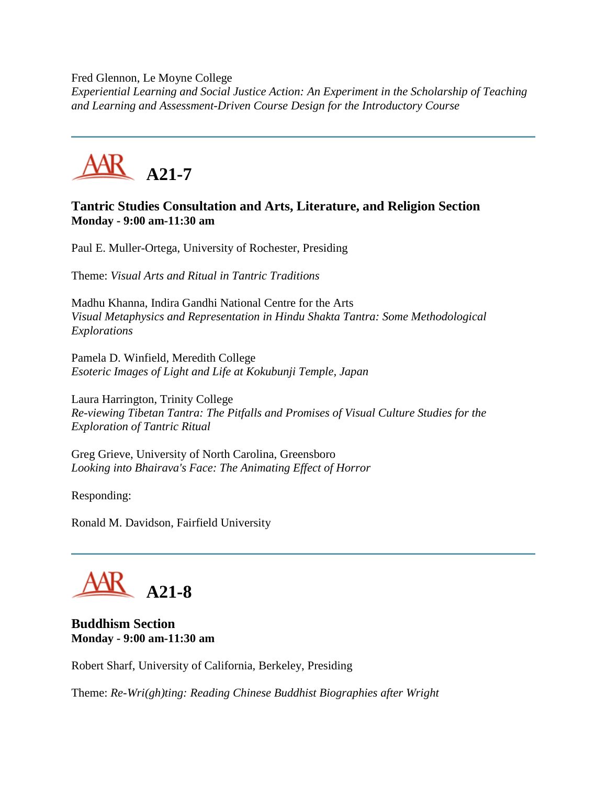Fred Glennon, Le Moyne College

*Experiential Learning and Social Justice Action: An Experiment in the Scholarship of Teaching and Learning and Assessment-Driven Course Design for the Introductory Course*



## **Tantric Studies Consultation and Arts, Literature, and Religion Section Monday - 9:00 am-11:30 am**

Paul E. Muller-Ortega, University of Rochester, Presiding

Theme: *Visual Arts and Ritual in Tantric Traditions*

Madhu Khanna, Indira Gandhi National Centre for the Arts *Visual Metaphysics and Representation in Hindu Shakta Tantra: Some Methodological Explorations*

Pamela D. Winfield, Meredith College *Esoteric Images of Light and Life at Kokubunji Temple, Japan*

Laura Harrington, Trinity College *Re-viewing Tibetan Tantra: The Pitfalls and Promises of Visual Culture Studies for the Exploration of Tantric Ritual*

Greg Grieve, University of North Carolina, Greensboro *Looking into Bhairava's Face: The Animating Effect of Horror*

Responding:

Ronald M. Davidson, Fairfield University

**A21-8**

**Buddhism Section Monday - 9:00 am-11:30 am**

Robert Sharf, University of California, Berkeley, Presiding

Theme: *Re-Wri(gh)ting: Reading Chinese Buddhist Biographies after Wright*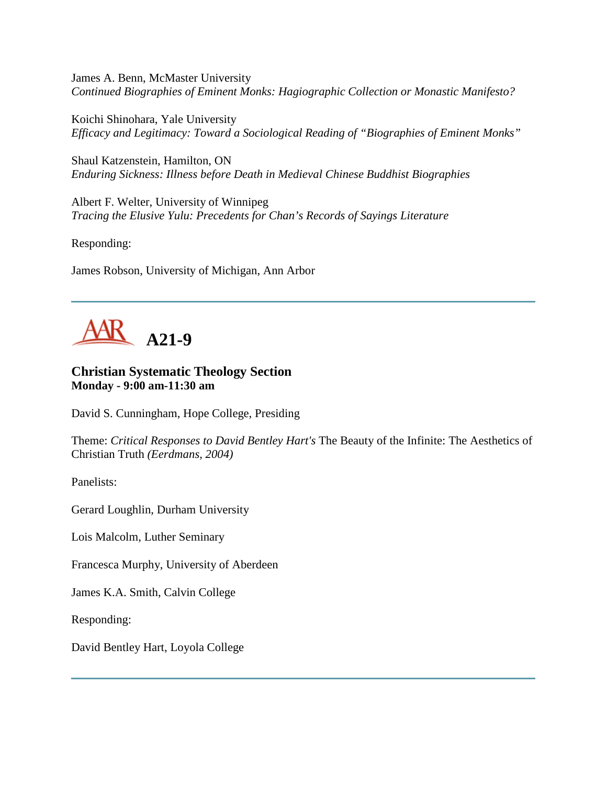James A. Benn, McMaster University *Continued Biographies of Eminent Monks: Hagiographic Collection or Monastic Manifesto?*

Koichi Shinohara, Yale University *Efficacy and Legitimacy: Toward a Sociological Reading of "Biographies of Eminent Monks"*

Shaul Katzenstein, Hamilton, ON *Enduring Sickness: Illness before Death in Medieval Chinese Buddhist Biographies*

Albert F. Welter, University of Winnipeg *Tracing the Elusive Yulu: Precedents for Chan's Records of Sayings Literature*

Responding:

James Robson, University of Michigan, Ann Arbor



### **Christian Systematic Theology Section Monday - 9:00 am-11:30 am**

David S. Cunningham, Hope College, Presiding

Theme: *Critical Responses to David Bentley Hart's* The Beauty of the Infinite: The Aesthetics of Christian Truth *(Eerdmans, 2004)*

Panelists:

Gerard Loughlin, Durham University

Lois Malcolm, Luther Seminary

Francesca Murphy, University of Aberdeen

James K.A. Smith, Calvin College

Responding:

David Bentley Hart, Loyola College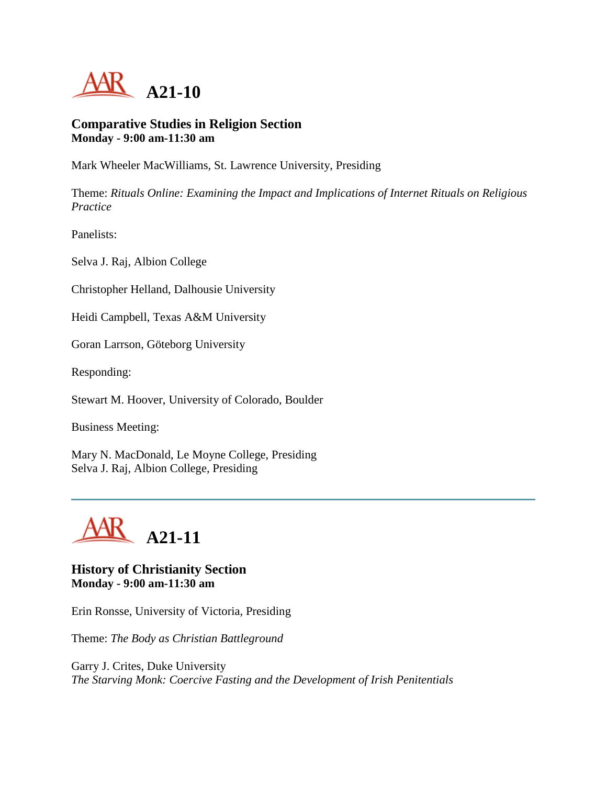

#### **Comparative Studies in Religion Section Monday - 9:00 am-11:30 am**

Mark Wheeler MacWilliams, St. Lawrence University, Presiding

Theme: *Rituals Online: Examining the Impact and Implications of Internet Rituals on Religious Practice*

Panelists:

Selva J. Raj, Albion College

Christopher Helland, Dalhousie University

Heidi Campbell, Texas A&M University

Goran Larrson, Göteborg University

Responding:

Stewart M. Hoover, University of Colorado, Boulder

Business Meeting:

Mary N. MacDonald, Le Moyne College, Presiding Selva J. Raj, Albion College, Presiding



#### **History of Christianity Section Monday - 9:00 am-11:30 am**

Erin Ronsse, University of Victoria, Presiding

Theme: *The Body as Christian Battleground*

Garry J. Crites, Duke University *The Starving Monk: Coercive Fasting and the Development of Irish Penitentials*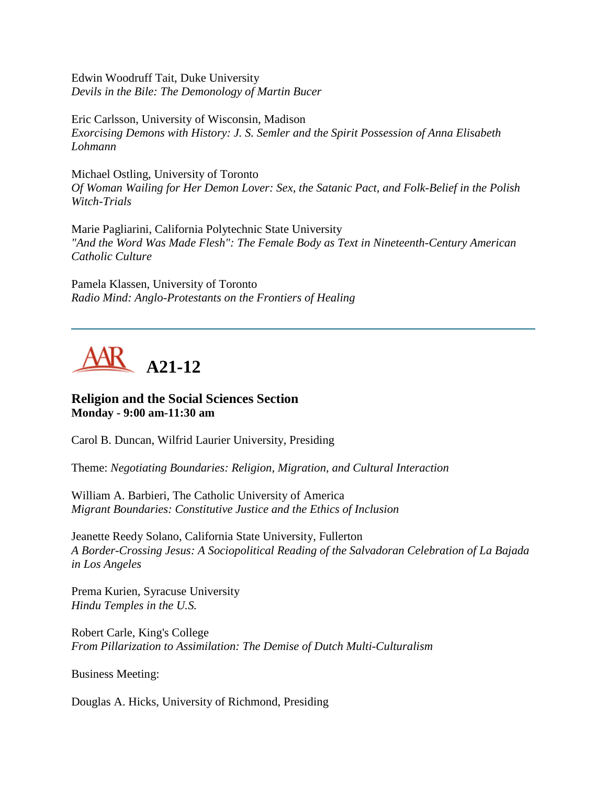Edwin Woodruff Tait, Duke University *Devils in the Bile: The Demonology of Martin Bucer*

Eric Carlsson, University of Wisconsin, Madison *Exorcising Demons with History: J. S. Semler and the Spirit Possession of Anna Elisabeth Lohmann*

Michael Ostling, University of Toronto *Of Woman Wailing for Her Demon Lover: Sex, the Satanic Pact, and Folk-Belief in the Polish Witch-Trials*

Marie Pagliarini, California Polytechnic State University *"And the Word Was Made Flesh": The Female Body as Text in Nineteenth-Century American Catholic Culture*

Pamela Klassen, University of Toronto *Radio Mind: Anglo-Protestants on the Frontiers of Healing*

**A21-12**

#### **Religion and the Social Sciences Section Monday - 9:00 am-11:30 am**

Carol B. Duncan, Wilfrid Laurier University, Presiding

Theme: *Negotiating Boundaries: Religion, Migration, and Cultural Interaction*

William A. Barbieri, The Catholic University of America *Migrant Boundaries: Constitutive Justice and the Ethics of Inclusion*

Jeanette Reedy Solano, California State University, Fullerton *A Border-Crossing Jesus: A Sociopolitical Reading of the Salvadoran Celebration of La Bajada in Los Angeles*

Prema Kurien, Syracuse University *Hindu Temples in the U.S.*

Robert Carle, King's College *From Pillarization to Assimilation: The Demise of Dutch Multi-Culturalism*

Business Meeting:

Douglas A. Hicks, University of Richmond, Presiding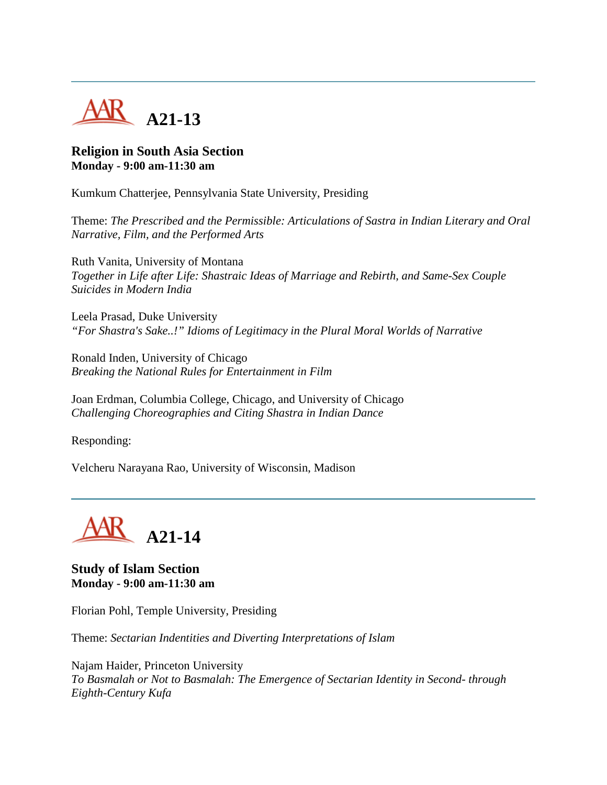

### **Religion in South Asia Section Monday - 9:00 am-11:30 am**

Kumkum Chatterjee, Pennsylvania State University, Presiding

Theme: *The Prescribed and the Permissible: Articulations of Sastra in Indian Literary and Oral Narrative, Film, and the Performed Arts*

Ruth Vanita, University of Montana *Together in Life after Life: Shastraic Ideas of Marriage and Rebirth, and Same-Sex Couple Suicides in Modern India*

Leela Prasad, Duke University *"For Shastra's Sake..!" Idioms of Legitimacy in the Plural Moral Worlds of Narrative*

Ronald Inden, University of Chicago *Breaking the National Rules for Entertainment in Film*

Joan Erdman, Columbia College, Chicago, and University of Chicago *Challenging Choreographies and Citing Shastra in Indian Dance*

Responding:

Velcheru Narayana Rao, University of Wisconsin, Madison



**Study of Islam Section Monday - 9:00 am-11:30 am**

Florian Pohl, Temple University, Presiding

Theme: *Sectarian Indentities and Diverting Interpretations of Islam*

Najam Haider, Princeton University *To Basmalah or Not to Basmalah: The Emergence of Sectarian Identity in Second- through Eighth-Century Kufa*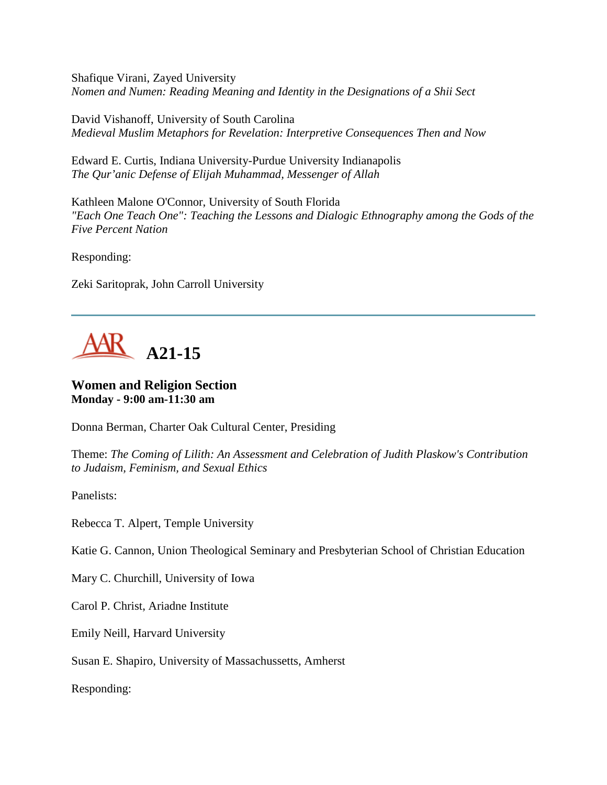Shafique Virani, Zayed University *Nomen and Numen: Reading Meaning and Identity in the Designations of a Shii Sect*

David Vishanoff, University of South Carolina *Medieval Muslim Metaphors for Revelation: Interpretive Consequences Then and Now*

Edward E. Curtis, Indiana University-Purdue University Indianapolis *The Qur'anic Defense of Elijah Muhammad, Messenger of Allah*

Kathleen Malone O'Connor, University of South Florida *"Each One Teach One": Teaching the Lessons and Dialogic Ethnography among the Gods of the Five Percent Nation*

Responding:

Zeki Saritoprak, John Carroll University



# **Women and Religion Section Monday - 9:00 am-11:30 am**

Donna Berman, Charter Oak Cultural Center, Presiding

Theme: *The Coming of Lilith: An Assessment and Celebration of Judith Plaskow's Contribution to Judaism, Feminism, and Sexual Ethics*

Panelists:

Rebecca T. Alpert, Temple University

Katie G. Cannon, Union Theological Seminary and Presbyterian School of Christian Education

Mary C. Churchill, University of Iowa

Carol P. Christ, Ariadne Institute

Emily Neill, Harvard University

Susan E. Shapiro, University of Massachussetts, Amherst

Responding: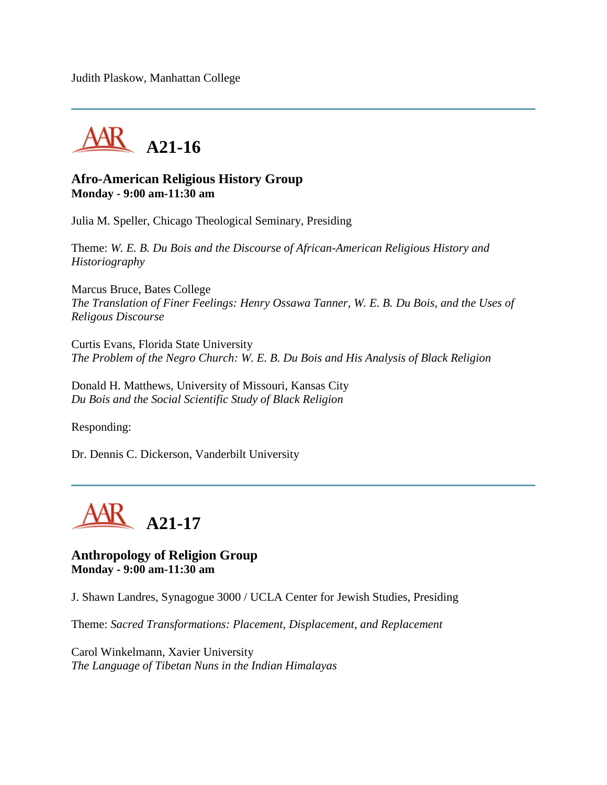Judith Plaskow, Manhattan College



## **Afro-American Religious History Group Monday - 9:00 am-11:30 am**

Julia M. Speller, Chicago Theological Seminary, Presiding

Theme: *W. E. B. Du Bois and the Discourse of African-American Religious History and Historiography*

Marcus Bruce, Bates College *The Translation of Finer Feelings: Henry Ossawa Tanner, W. E. B. Du Bois, and the Uses of Religous Discourse*

Curtis Evans, Florida State University *The Problem of the Negro Church: W. E. B. Du Bois and His Analysis of Black Religion*

Donald H. Matthews, University of Missouri, Kansas City *Du Bois and the Social Scientific Study of Black Religion*

Responding:

Dr. Dennis C. Dickerson, Vanderbilt University



### **Anthropology of Religion Group Monday - 9:00 am-11:30 am**

J. Shawn Landres, Synagogue 3000 / UCLA Center for Jewish Studies, Presiding

Theme: *Sacred Transformations: Placement, Displacement, and Replacement*

Carol Winkelmann, Xavier University *The Language of Tibetan Nuns in the Indian Himalayas*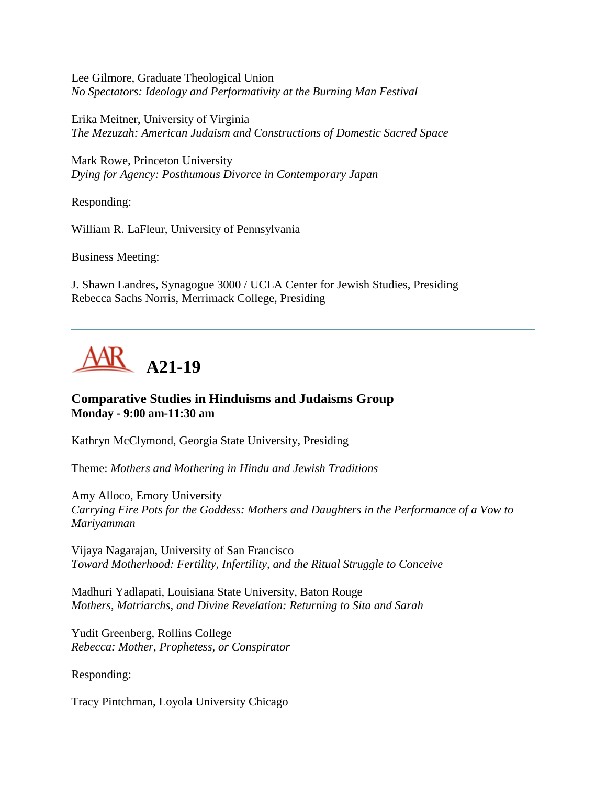Lee Gilmore, Graduate Theological Union *No Spectators: Ideology and Performativity at the Burning Man Festival*

Erika Meitner, University of Virginia *The Mezuzah: American Judaism and Constructions of Domestic Sacred Space*

Mark Rowe, Princeton University *Dying for Agency: Posthumous Divorce in Contemporary Japan*

Responding:

William R. LaFleur, University of Pennsylvania

Business Meeting:

J. Shawn Landres, Synagogue 3000 / UCLA Center for Jewish Studies, Presiding Rebecca Sachs Norris, Merrimack College, Presiding



### **Comparative Studies in Hinduisms and Judaisms Group Monday - 9:00 am-11:30 am**

Kathryn McClymond, Georgia State University, Presiding

Theme: *Mothers and Mothering in Hindu and Jewish Traditions*

Amy Alloco, Emory University *Carrying Fire Pots for the Goddess: Mothers and Daughters in the Performance of a Vow to Mariyamman*

Vijaya Nagarajan, University of San Francisco *Toward Motherhood: Fertility, Infertility, and the Ritual Struggle to Conceive*

Madhuri Yadlapati, Louisiana State University, Baton Rouge *Mothers, Matriarchs, and Divine Revelation: Returning to Sita and Sarah*

Yudit Greenberg, Rollins College *Rebecca: Mother, Prophetess, or Conspirator*

Responding:

Tracy Pintchman, Loyola University Chicago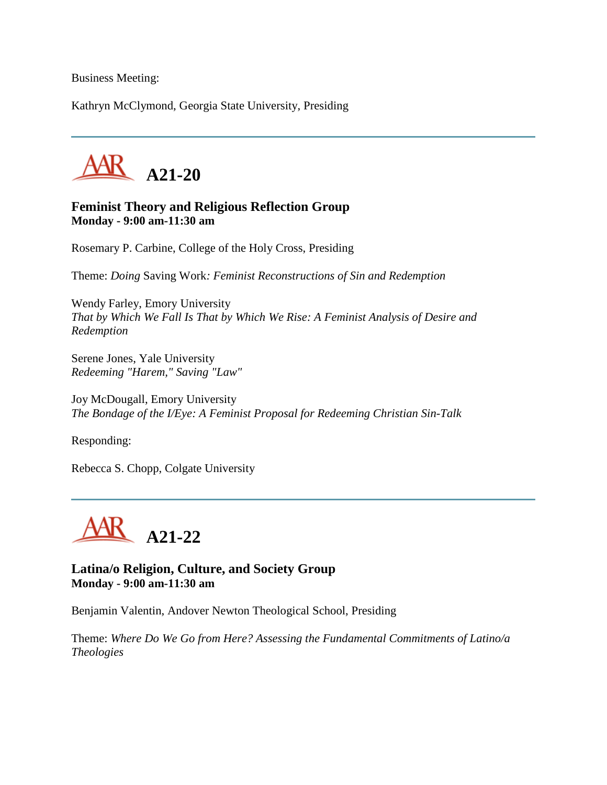Business Meeting:

Kathryn McClymond, Georgia State University, Presiding



#### **Feminist Theory and Religious Reflection Group Monday - 9:00 am-11:30 am**

Rosemary P. Carbine, College of the Holy Cross, Presiding

Theme: *Doing* Saving Work*: Feminist Reconstructions of Sin and Redemption*

Wendy Farley, Emory University *That by Which We Fall Is That by Which We Rise: A Feminist Analysis of Desire and Redemption*

Serene Jones, Yale University *Redeeming "Harem," Saving "Law"*

Joy McDougall, Emory University *The Bondage of the I/Eye: A Feminist Proposal for Redeeming Christian Sin-Talk*

Responding:

Rebecca S. Chopp, Colgate University



**Latina/o Religion, Culture, and Society Group Monday - 9:00 am-11:30 am**

Benjamin Valentin, Andover Newton Theological School, Presiding

Theme: *Where Do We Go from Here? Assessing the Fundamental Commitments of Latino/a Theologies*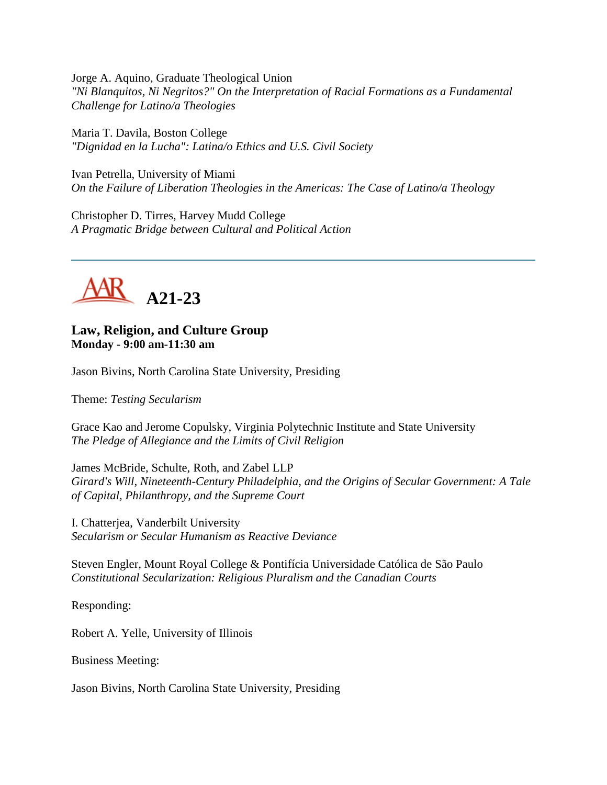Jorge A. Aquino, Graduate Theological Union *"Ni Blanquitos, Ni Negritos?" On the Interpretation of Racial Formations as a Fundamental Challenge for Latino/a Theologies*

Maria T. Davila, Boston College *"Dignidad en la Lucha": Latina/o Ethics and U.S. Civil Society*

Ivan Petrella, University of Miami *On the Failure of Liberation Theologies in the Americas: The Case of Latino/a Theology*

Christopher D. Tirres, Harvey Mudd College *A Pragmatic Bridge between Cultural and Political Action*



**Law, Religion, and Culture Group Monday - 9:00 am-11:30 am**

Jason Bivins, North Carolina State University, Presiding

Theme: *Testing Secularism*

Grace Kao and Jerome Copulsky, Virginia Polytechnic Institute and State University *The Pledge of Allegiance and the Limits of Civil Religion*

James McBride, Schulte, Roth, and Zabel LLP *Girard's Will, Nineteenth-Century Philadelphia, and the Origins of Secular Government: A Tale of Capital, Philanthropy, and the Supreme Court*

I. Chatterjea, Vanderbilt University *Secularism or Secular Humanism as Reactive Deviance*

Steven Engler, Mount Royal College & Pontifícia Universidade Católica de São Paulo *Constitutional Secularization: Religious Pluralism and the Canadian Courts*

Responding:

Robert A. Yelle, University of Illinois

Business Meeting:

Jason Bivins, North Carolina State University, Presiding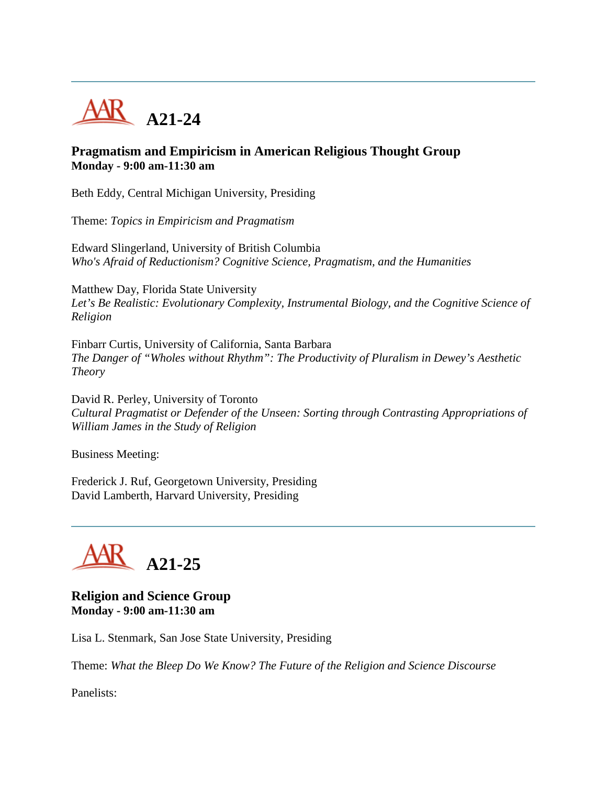

## **Pragmatism and Empiricism in American Religious Thought Group Monday - 9:00 am-11:30 am**

Beth Eddy, Central Michigan University, Presiding

Theme: *Topics in Empiricism and Pragmatism*

Edward Slingerland, University of British Columbia *Who's Afraid of Reductionism? Cognitive Science, Pragmatism, and the Humanities*

Matthew Day, Florida State University *Let's Be Realistic: Evolutionary Complexity, Instrumental Biology, and the Cognitive Science of Religion*

Finbarr Curtis, University of California, Santa Barbara *The Danger of "Wholes without Rhythm": The Productivity of Pluralism in Dewey's Aesthetic Theory*

David R. Perley, University of Toronto *Cultural Pragmatist or Defender of the Unseen: Sorting through Contrasting Appropriations of William James in the Study of Religion*

Business Meeting:

Frederick J. Ruf, Georgetown University, Presiding David Lamberth, Harvard University, Presiding



**Religion and Science Group Monday - 9:00 am-11:30 am**

Lisa L. Stenmark, San Jose State University, Presiding

Theme: *What the Bleep Do We Know? The Future of the Religion and Science Discourse*

Panelists: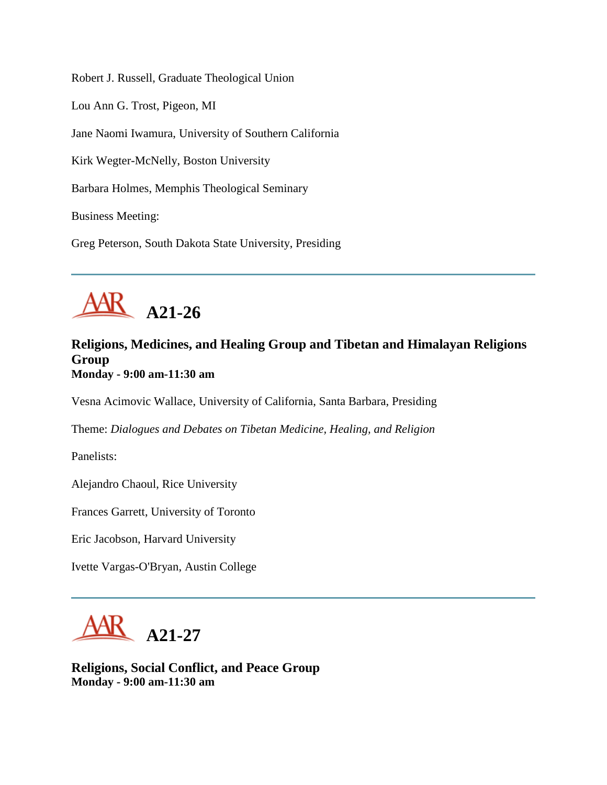Robert J. Russell, Graduate Theological Union

Lou Ann G. Trost, Pigeon, MI

Jane Naomi Iwamura, University of Southern California

Kirk Wegter-McNelly, Boston University

Barbara Holmes, Memphis Theological Seminary

Business Meeting:

Greg Peterson, South Dakota State University, Presiding



## **Religions, Medicines, and Healing Group and Tibetan and Himalayan Religions Group Monday - 9:00 am-11:30 am**

Vesna Acimovic Wallace, University of California, Santa Barbara, Presiding

Theme: *Dialogues and Debates on Tibetan Medicine, Healing, and Religion*

Panelists:

Alejandro Chaoul, Rice University

Frances Garrett, University of Toronto

Eric Jacobson, Harvard University

Ivette Vargas-O'Bryan, Austin College



**Religions, Social Conflict, and Peace Group Monday - 9:00 am-11:30 am**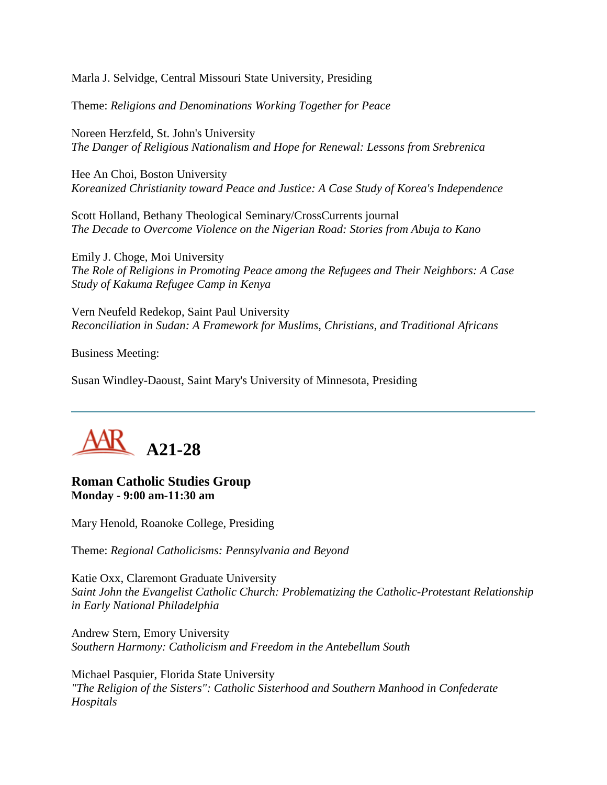Marla J. Selvidge, Central Missouri State University, Presiding

Theme: *Religions and Denominations Working Together for Peace*

Noreen Herzfeld, St. John's University *The Danger of Religious Nationalism and Hope for Renewal: Lessons from Srebrenica*

Hee An Choi, Boston University *Koreanized Christianity toward Peace and Justice: A Case Study of Korea's Independence*

Scott Holland, Bethany Theological Seminary/CrossCurrents journal *The Decade to Overcome Violence on the Nigerian Road: Stories from Abuja to Kano*

Emily J. Choge, Moi University *The Role of Religions in Promoting Peace among the Refugees and Their Neighbors: A Case Study of Kakuma Refugee Camp in Kenya*

Vern Neufeld Redekop, Saint Paul University *Reconciliation in Sudan: A Framework for Muslims, Christians, and Traditional Africans*

Business Meeting:

Susan Windley-Daoust, Saint Mary's University of Minnesota, Presiding



### **Roman Catholic Studies Group Monday - 9:00 am-11:30 am**

Mary Henold, Roanoke College, Presiding

Theme: *Regional Catholicisms: Pennsylvania and Beyond*

Katie Oxx, Claremont Graduate University *Saint John the Evangelist Catholic Church: Problematizing the Catholic-Protestant Relationship in Early National Philadelphia*

Andrew Stern, Emory University *Southern Harmony: Catholicism and Freedom in the Antebellum South*

Michael Pasquier, Florida State University *"The Religion of the Sisters": Catholic Sisterhood and Southern Manhood in Confederate Hospitals*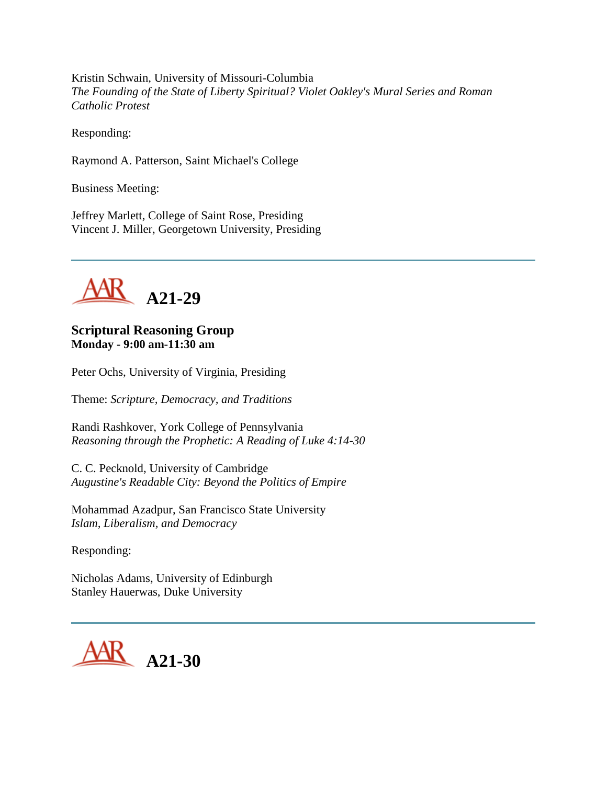Kristin Schwain, University of Missouri-Columbia *The Founding of the State of Liberty Spiritual? Violet Oakley's Mural Series and Roman Catholic Protest*

Responding:

Raymond A. Patterson, Saint Michael's College

Business Meeting:

Jeffrey Marlett, College of Saint Rose, Presiding Vincent J. Miller, Georgetown University, Presiding



### **Scriptural Reasoning Group Monday - 9:00 am-11:30 am**

Peter Ochs, University of Virginia, Presiding

Theme: *Scripture, Democracy, and Traditions*

Randi Rashkover, York College of Pennsylvania *Reasoning through the Prophetic: A Reading of Luke 4:14-30*

C. C. Pecknold, University of Cambridge *Augustine's Readable City: Beyond the Politics of Empire*

Mohammad Azadpur, San Francisco State University *Islam, Liberalism, and Democracy*

Responding:

Nicholas Adams, University of Edinburgh Stanley Hauerwas, Duke University

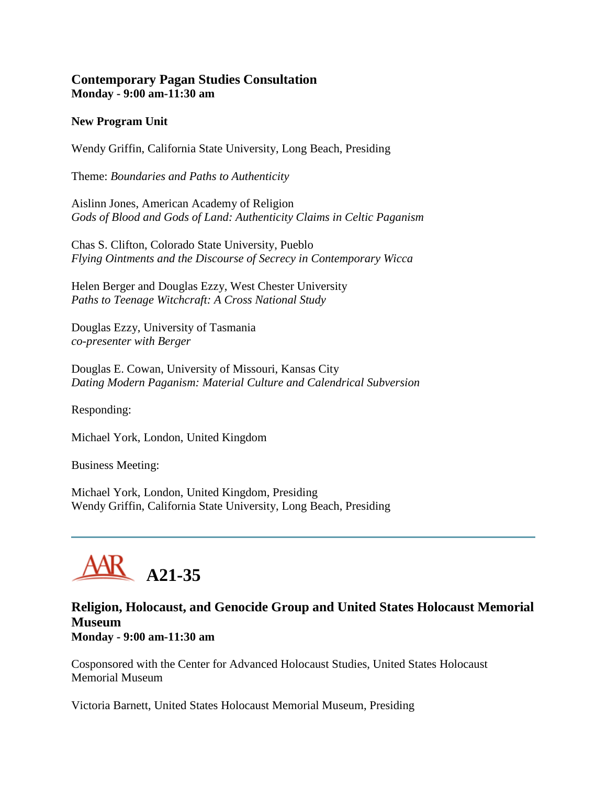## **Contemporary Pagan Studies Consultation Monday - 9:00 am-11:30 am**

#### **New Program Unit**

Wendy Griffin, California State University, Long Beach, Presiding

Theme: *Boundaries and Paths to Authenticity*

Aislinn Jones, American Academy of Religion *Gods of Blood and Gods of Land: Authenticity Claims in Celtic Paganism*

Chas S. Clifton, Colorado State University, Pueblo *Flying Ointments and the Discourse of Secrecy in Contemporary Wicca*

Helen Berger and Douglas Ezzy, West Chester University *Paths to Teenage Witchcraft: A Cross National Study*

Douglas Ezzy, University of Tasmania *co-presenter with Berger*

Douglas E. Cowan, University of Missouri, Kansas City *Dating Modern Paganism: Material Culture and Calendrical Subversion*

Responding:

Michael York, London, United Kingdom

Business Meeting:

Michael York, London, United Kingdom, Presiding Wendy Griffin, California State University, Long Beach, Presiding



## **Religion, Holocaust, and Genocide Group and United States Holocaust Memorial Museum Monday - 9:00 am-11:30 am**

Cosponsored with the Center for Advanced Holocaust Studies, United States Holocaust Memorial Museum

Victoria Barnett, United States Holocaust Memorial Museum, Presiding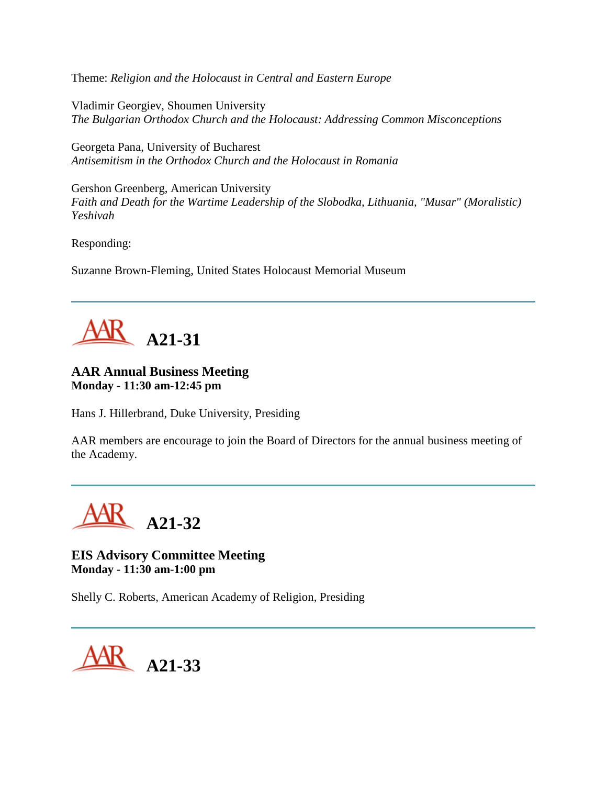Theme: *Religion and the Holocaust in Central and Eastern Europe*

Vladimir Georgiev, Shoumen University *The Bulgarian Orthodox Church and the Holocaust: Addressing Common Misconceptions*

Georgeta Pana, University of Bucharest *Antisemitism in the Orthodox Church and the Holocaust in Romania*

Gershon Greenberg, American University *Faith and Death for the Wartime Leadership of the Slobodka, Lithuania, "Musar" (Moralistic) Yeshivah*

Responding:

Suzanne Brown-Fleming, United States Holocaust Memorial Museum



#### **AAR Annual Business Meeting Monday - 11:30 am-12:45 pm**

Hans J. Hillerbrand, Duke University, Presiding

AAR members are encourage to join the Board of Directors for the annual business meeting of the Academy.

**A21-32**

**EIS Advisory Committee Meeting Monday - 11:30 am-1:00 pm**

Shelly C. Roberts, American Academy of Religion, Presiding

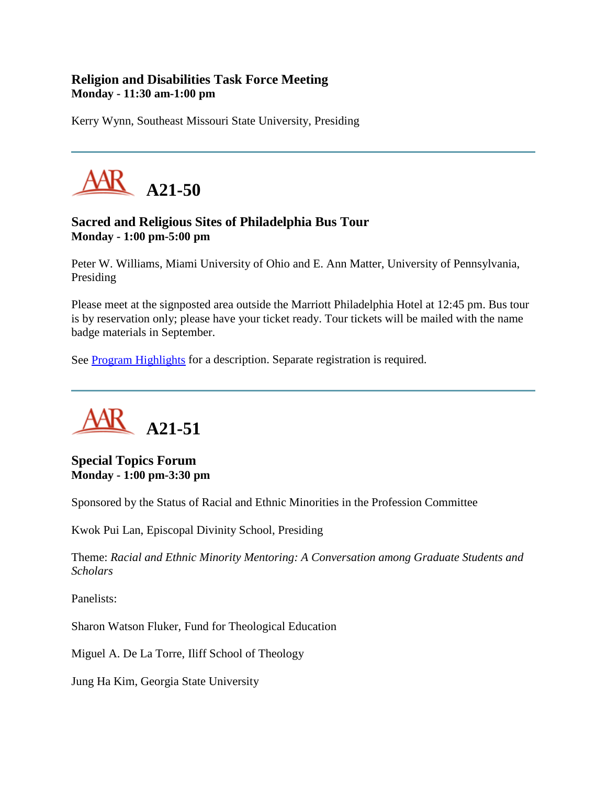# **Religion and Disabilities Task Force Meeting Monday - 11:30 am-1:00 pm**

Kerry Wynn, Southeast Missouri State University, Presiding



# **Sacred and Religious Sites of Philadelphia Bus Tour Monday - 1:00 pm-5:00 pm**

Peter W. Williams, Miami University of Ohio and E. Ann Matter, University of Pennsylvania, Presiding

Please meet at the signposted area outside the Marriott Philadelphia Hotel at 12:45 pm. Bus tour is by reservation only; please have your ticket ready. Tour tickets will be mailed with the name badge materials in September.

See [Program Highlights](http://www.aarweb.org/Meetings/Annual_Meeting/Past_and_Future_Meetings/2005/highlights.asp) for a description. Separate registration is required.



**Special Topics Forum Monday - 1:00 pm-3:30 pm**

Sponsored by the Status of Racial and Ethnic Minorities in the Profession Committee

Kwok Pui Lan, Episcopal Divinity School, Presiding

Theme: *Racial and Ethnic Minority Mentoring: A Conversation among Graduate Students and Scholars*

Panelists:

Sharon Watson Fluker, Fund for Theological Education

Miguel A. De La Torre, Iliff School of Theology

Jung Ha Kim, Georgia State University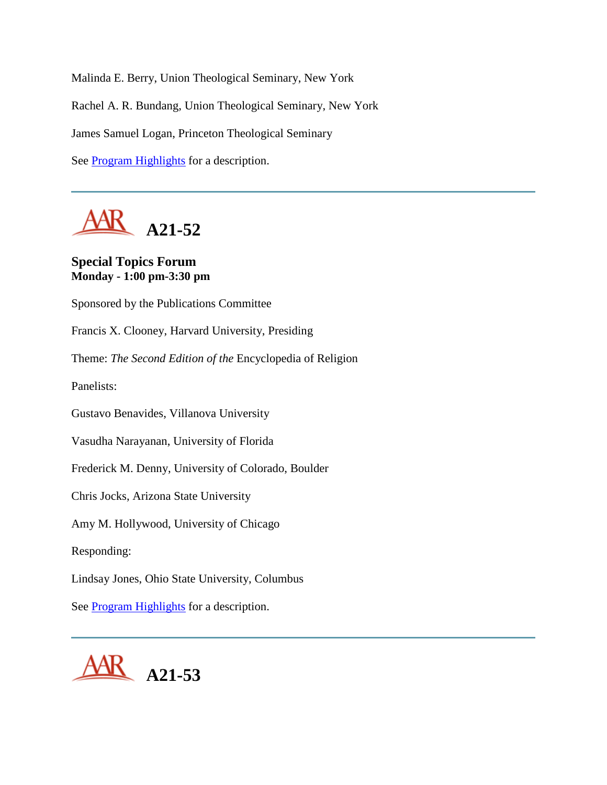Malinda E. Berry, Union Theological Seminary, New York Rachel A. R. Bundang, Union Theological Seminary, New York James Samuel Logan, Princeton Theological Seminary See [Program Highlights](http://www.aarweb.org/Meetings/Annual_Meeting/Past_and_Future_Meetings/2005/highlights.asp) for a description.

**A21-52**

### **Special Topics Forum Monday - 1:00 pm-3:30 pm**

Sponsored by the Publications Committee Francis X. Clooney, Harvard University, Presiding Theme: *The Second Edition of the* Encyclopedia of Religion Panelists: Gustavo Benavides, Villanova University Vasudha Narayanan, University of Florida Frederick M. Denny, University of Colorado, Boulder Chris Jocks, Arizona State University Amy M. Hollywood, University of Chicago Responding: Lindsay Jones, Ohio State University, Columbus See [Program Highlights](http://www.aarweb.org/Meetings/Annual_Meeting/Past_and_Future_Meetings/2005/highlights.asp) for a description.

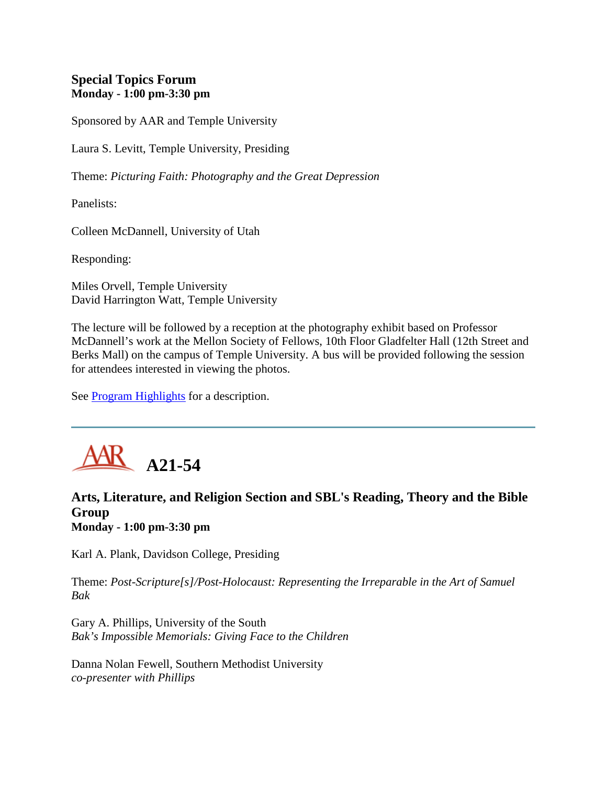# **Special Topics Forum Monday - 1:00 pm-3:30 pm**

Sponsored by AAR and Temple University

Laura S. Levitt, Temple University, Presiding

Theme: *Picturing Faith: Photography and the Great Depression*

Panelists:

Colleen McDannell, University of Utah

Responding:

Miles Orvell, Temple University David Harrington Watt, Temple University

The lecture will be followed by a reception at the photography exhibit based on Professor McDannell's work at the Mellon Society of Fellows, 10th Floor Gladfelter Hall (12th Street and Berks Mall) on the campus of Temple University. A bus will be provided following the session for attendees interested in viewing the photos.

See [Program Highlights](http://www.aarweb.org/Meetings/Annual_Meeting/Past_and_Future_Meetings/2005/highlights.asp) for a description.



# **Arts, Literature, and Religion Section and SBL's Reading, Theory and the Bible Group Monday - 1:00 pm-3:30 pm**

Karl A. Plank, Davidson College, Presiding

Theme: *Post-Scripture[s]/Post-Holocaust: Representing the Irreparable in the Art of Samuel Bak*

Gary A. Phillips, University of the South *Bak's Impossible Memorials: Giving Face to the Children*

Danna Nolan Fewell, Southern Methodist University *co-presenter with Phillips*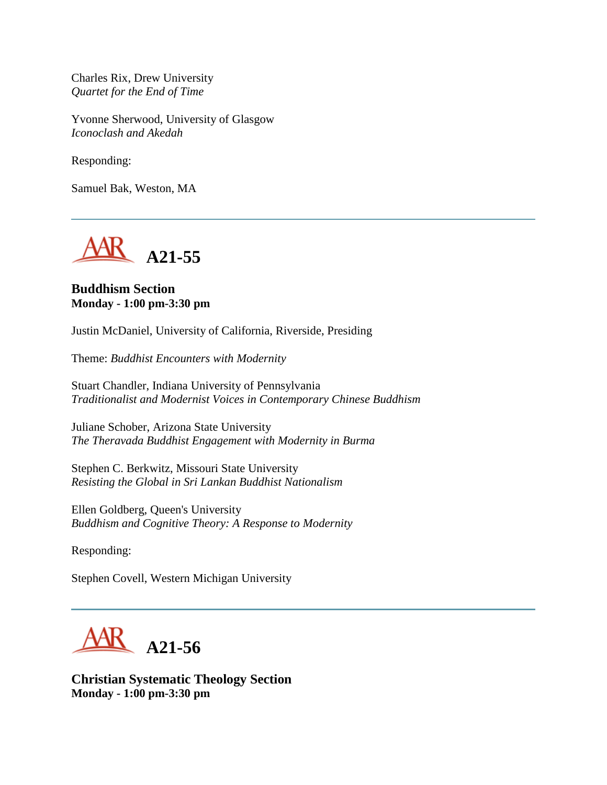Charles Rix, Drew University *Quartet for the End of Time*

Yvonne Sherwood, University of Glasgow *Iconoclash and Akedah*

Responding:

Samuel Bak, Weston, MA



#### **Buddhism Section Monday - 1:00 pm-3:30 pm**

Justin McDaniel, University of California, Riverside, Presiding

Theme: *Buddhist Encounters with Modernity*

Stuart Chandler, Indiana University of Pennsylvania *Traditionalist and Modernist Voices in Contemporary Chinese Buddhism*

Juliane Schober, Arizona State University *The Theravada Buddhist Engagement with Modernity in Burma*

Stephen C. Berkwitz, Missouri State University *Resisting the Global in Sri Lankan Buddhist Nationalism*

Ellen Goldberg, Queen's University *Buddhism and Cognitive Theory: A Response to Modernity*

Responding:

Stephen Covell, Western Michigan University



**Christian Systematic Theology Section Monday - 1:00 pm-3:30 pm**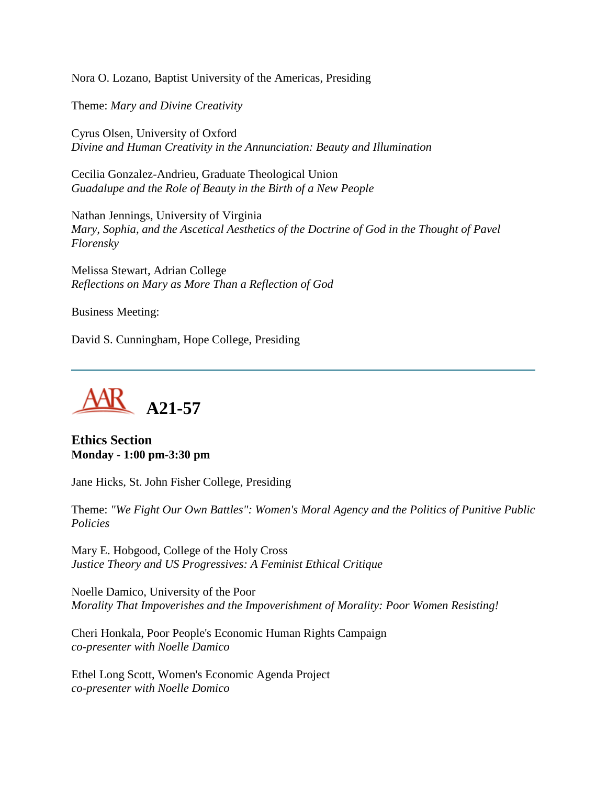Nora O. Lozano, Baptist University of the Americas, Presiding

Theme: *Mary and Divine Creativity*

Cyrus Olsen, University of Oxford *Divine and Human Creativity in the Annunciation: Beauty and Illumination*

Cecilia Gonzalez-Andrieu, Graduate Theological Union *Guadalupe and the Role of Beauty in the Birth of a New People*

Nathan Jennings, University of Virginia *Mary, Sophia, and the Ascetical Aesthetics of the Doctrine of God in the Thought of Pavel Florensky*

Melissa Stewart, Adrian College *Reflections on Mary as More Than a Reflection of God*

Business Meeting:

David S. Cunningham, Hope College, Presiding



**Ethics Section Monday - 1:00 pm-3:30 pm**

Jane Hicks, St. John Fisher College, Presiding

Theme: *"We Fight Our Own Battles": Women's Moral Agency and the Politics of Punitive Public Policies*

Mary E. Hobgood, College of the Holy Cross *Justice Theory and US Progressives: A Feminist Ethical Critique*

Noelle Damico, University of the Poor *Morality That Impoverishes and the Impoverishment of Morality: Poor Women Resisting!*

Cheri Honkala, Poor People's Economic Human Rights Campaign *co-presenter with Noelle Damico*

Ethel Long Scott, Women's Economic Agenda Project *co-presenter with Noelle Domico*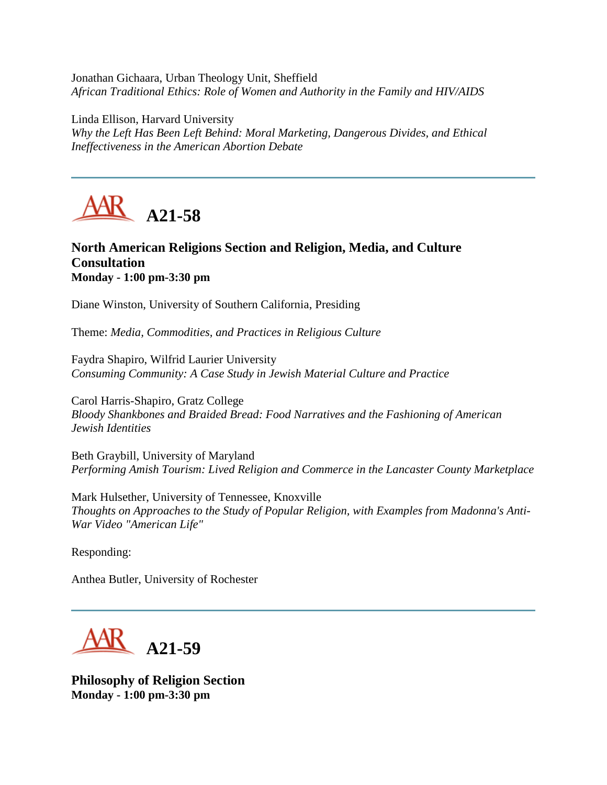Jonathan Gichaara, Urban Theology Unit, Sheffield *African Traditional Ethics: Role of Women and Authority in the Family and HIV/AIDS*

Linda Ellison, Harvard University *Why the Left Has Been Left Behind: Moral Marketing, Dangerous Divides, and Ethical Ineffectiveness in the American Abortion Debate*



# **North American Religions Section and Religion, Media, and Culture Consultation Monday - 1:00 pm-3:30 pm**

Diane Winston, University of Southern California, Presiding

Theme: *Media, Commodities, and Practices in Religious Culture*

Faydra Shapiro, Wilfrid Laurier University *Consuming Community: A Case Study in Jewish Material Culture and Practice*

Carol Harris-Shapiro, Gratz College *Bloody Shankbones and Braided Bread: Food Narratives and the Fashioning of American Jewish Identities*

Beth Graybill, University of Maryland *Performing Amish Tourism: Lived Religion and Commerce in the Lancaster County Marketplace*

Mark Hulsether, University of Tennessee, Knoxville *Thoughts on Approaches to the Study of Popular Religion, with Examples from Madonna's Anti-War Video "American Life"*

Responding:

Anthea Butler, University of Rochester

**A21-59**

**Philosophy of Religion Section Monday - 1:00 pm-3:30 pm**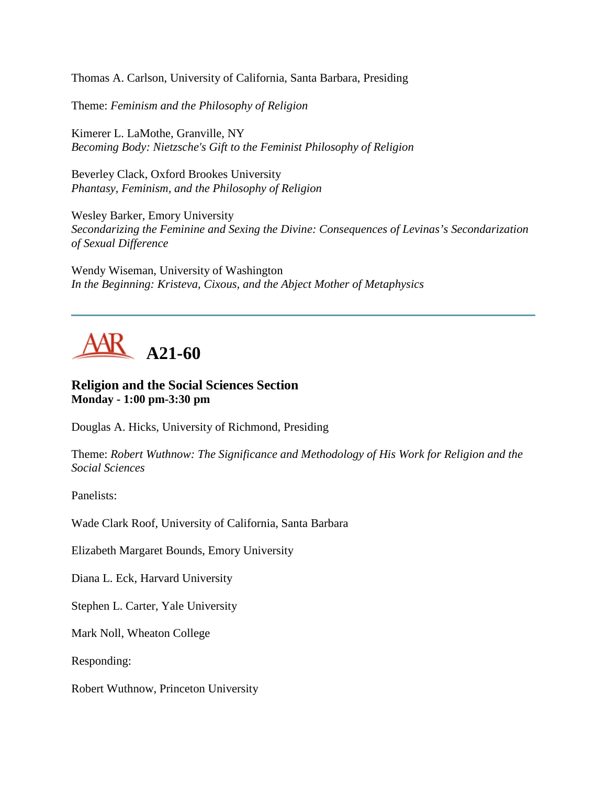Thomas A. Carlson, University of California, Santa Barbara, Presiding

Theme: *Feminism and the Philosophy of Religion*

Kimerer L. LaMothe, Granville, NY *Becoming Body: Nietzsche's Gift to the Feminist Philosophy of Religion*

Beverley Clack, Oxford Brookes University *Phantasy, Feminism, and the Philosophy of Religion*

Wesley Barker, Emory University *Secondarizing the Feminine and Sexing the Divine: Consequences of Levinas's Secondarization of Sexual Difference*

Wendy Wiseman, University of Washington *In the Beginning: Kristeva, Cixous, and the Abject Mother of Metaphysics*



## **Religion and the Social Sciences Section Monday - 1:00 pm-3:30 pm**

Douglas A. Hicks, University of Richmond, Presiding

Theme: *Robert Wuthnow: The Significance and Methodology of His Work for Religion and the Social Sciences*

Panelists:

Wade Clark Roof, University of California, Santa Barbara

Elizabeth Margaret Bounds, Emory University

Diana L. Eck, Harvard University

Stephen L. Carter, Yale University

Mark Noll, Wheaton College

Responding:

Robert Wuthnow, Princeton University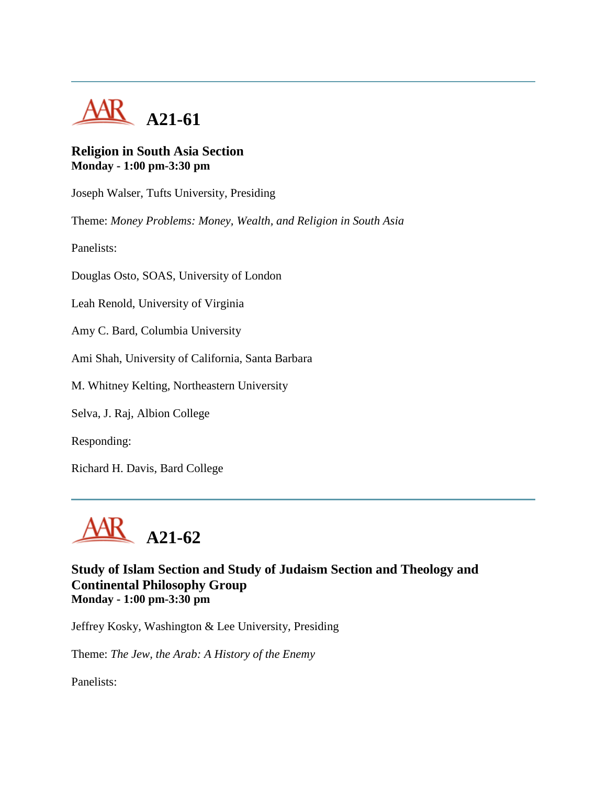

## **Religion in South Asia Section Monday - 1:00 pm-3:30 pm**

Joseph Walser, Tufts University, Presiding

Theme: *Money Problems: Money, Wealth, and Religion in South Asia*

Panelists:

Douglas Osto, SOAS, University of London

Leah Renold, University of Virginia

Amy C. Bard, Columbia University

Ami Shah, University of California, Santa Barbara

M. Whitney Kelting, Northeastern University

Selva, J. Raj, Albion College

Responding:

Richard H. Davis, Bard College



**Study of Islam Section and Study of Judaism Section and Theology and Continental Philosophy Group Monday - 1:00 pm-3:30 pm**

Jeffrey Kosky, Washington & Lee University, Presiding

Theme: *The Jew, the Arab: A History of the Enemy*

Panelists: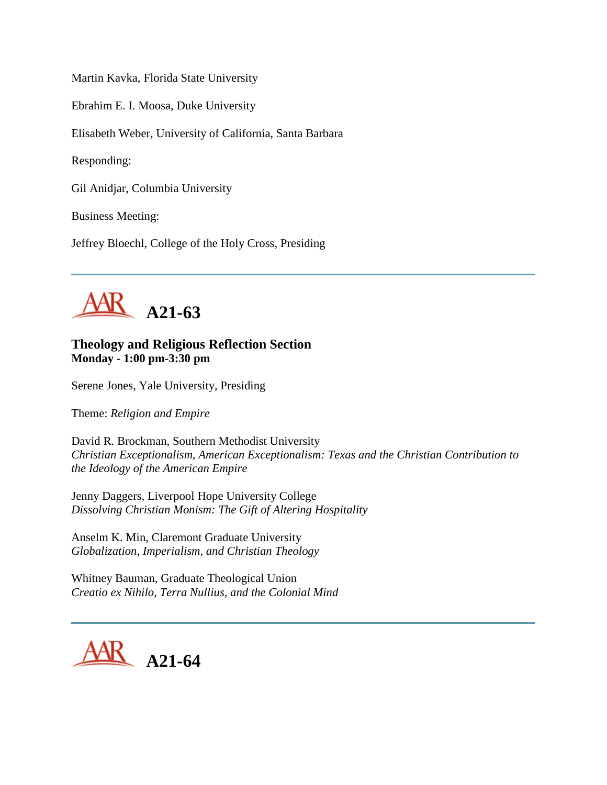Martin Kavka, Florida State University

Ebrahim E. I. Moosa, Duke University

Elisabeth Weber, University of California, Santa Barbara

Responding:

Gil Anidjar, Columbia University

Business Meeting:

Jeffrey Bloechl, College of the Holy Cross, Presiding



## **Theology and Religious Reflection Section Monday - 1:00 pm-3:30 pm**

Serene Jones, Yale University, Presiding

Theme: *Religion and Empire*

David R. Brockman, Southern Methodist University *Christian Exceptionalism, American Exceptionalism: Texas and the Christian Contribution to the Ideology of the American Empire*

Jenny Daggers, Liverpool Hope University College *Dissolving Christian Monism: The Gift of Altering Hospitality*

Anselm K. Min, Claremont Graduate University *Globalization, Imperialism, and Christian Theology*

Whitney Bauman, Graduate Theological Union *Creatio ex Nihilo, Terra Nullius, and the Colonial Mind*

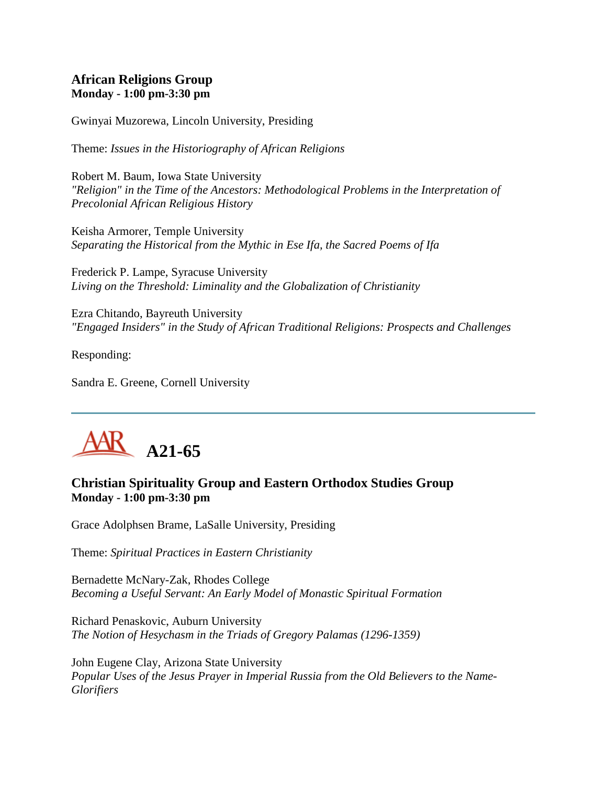## **African Religions Group Monday - 1:00 pm-3:30 pm**

Gwinyai Muzorewa, Lincoln University, Presiding

Theme: *Issues in the Historiography of African Religions*

Robert M. Baum, Iowa State University *"Religion" in the Time of the Ancestors: Methodological Problems in the Interpretation of Precolonial African Religious History*

Keisha Armorer, Temple University *Separating the Historical from the Mythic in Ese Ifa, the Sacred Poems of Ifa*

Frederick P. Lampe, Syracuse University *Living on the Threshold: Liminality and the Globalization of Christianity*

Ezra Chitando, Bayreuth University *"Engaged Insiders" in the Study of African Traditional Religions: Prospects and Challenges*

Responding:

Sandra E. Greene, Cornell University

# **A21-65**

# **Christian Spirituality Group and Eastern Orthodox Studies Group Monday - 1:00 pm-3:30 pm**

Grace Adolphsen Brame, LaSalle University, Presiding

Theme: *Spiritual Practices in Eastern Christianity*

Bernadette McNary-Zak, Rhodes College *Becoming a Useful Servant: An Early Model of Monastic Spiritual Formation*

Richard Penaskovic, Auburn University *The Notion of Hesychasm in the Triads of Gregory Palamas (1296-1359)*

John Eugene Clay, Arizona State University *Popular Uses of the Jesus Prayer in Imperial Russia from the Old Believers to the Name-Glorifiers*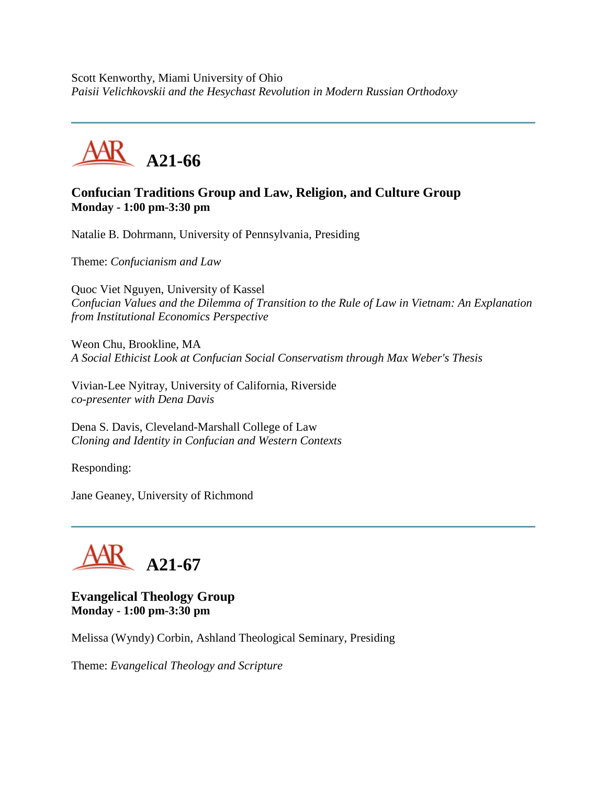Scott Kenworthy, Miami University of Ohio *Paisii Velichkovskii and the Hesychast Revolution in Modern Russian Orthodoxy*



# **Confucian Traditions Group and Law, Religion, and Culture Group Monday - 1:00 pm-3:30 pm**

Natalie B. Dohrmann, University of Pennsylvania, Presiding

Theme: *Confucianism and Law*

Quoc Viet Nguyen, University of Kassel *Confucian Values and the Dilemma of Transition to the Rule of Law in Vietnam: An Explanation from Institutional Economics Perspective*

Weon Chu, Brookline, MA *A Social Ethicist Look at Confucian Social Conservatism through Max Weber's Thesis*

Vivian-Lee Nyitray, University of California, Riverside *co-presenter with Dena Davis*

Dena S. Davis, Cleveland-Marshall College of Law *Cloning and Identity in Confucian and Western Contexts*

Responding:

Jane Geaney, University of Richmond



# **Evangelical Theology Group Monday - 1:00 pm-3:30 pm**

Melissa (Wyndy) Corbin, Ashland Theological Seminary, Presiding

Theme: *Evangelical Theology and Scripture*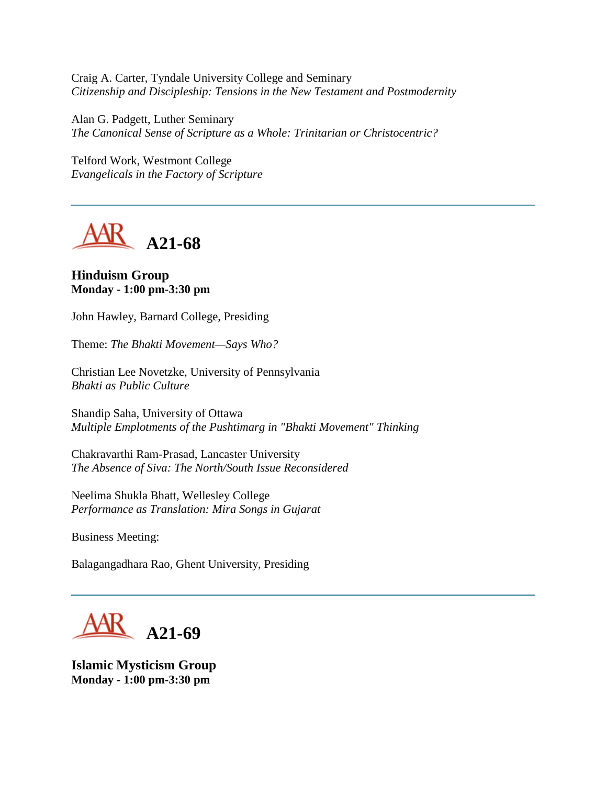Craig A. Carter, Tyndale University College and Seminary *Citizenship and Discipleship: Tensions in the New Testament and Postmodernity*

Alan G. Padgett, Luther Seminary *The Canonical Sense of Scripture as a Whole: Trinitarian or Christocentric?*

Telford Work, Westmont College *Evangelicals in the Factory of Scripture*



#### **Hinduism Group Monday - 1:00 pm-3:30 pm**

John Hawley, Barnard College, Presiding

Theme: *The Bhakti Movement—Says Who?*

Christian Lee Novetzke, University of Pennsylvania *Bhakti as Public Culture*

Shandip Saha, University of Ottawa *Multiple Emplotments of the Pushtimarg in "Bhakti Movement" Thinking*

Chakravarthi Ram-Prasad, Lancaster University *The Absence of Siva: The North/South Issue Reconsidered*

Neelima Shukla Bhatt, Wellesley College *Performance as Translation: Mira Songs in Gujarat*

Business Meeting:

Balagangadhara Rao, Ghent University, Presiding

**A21-69**

**Islamic Mysticism Group Monday - 1:00 pm-3:30 pm**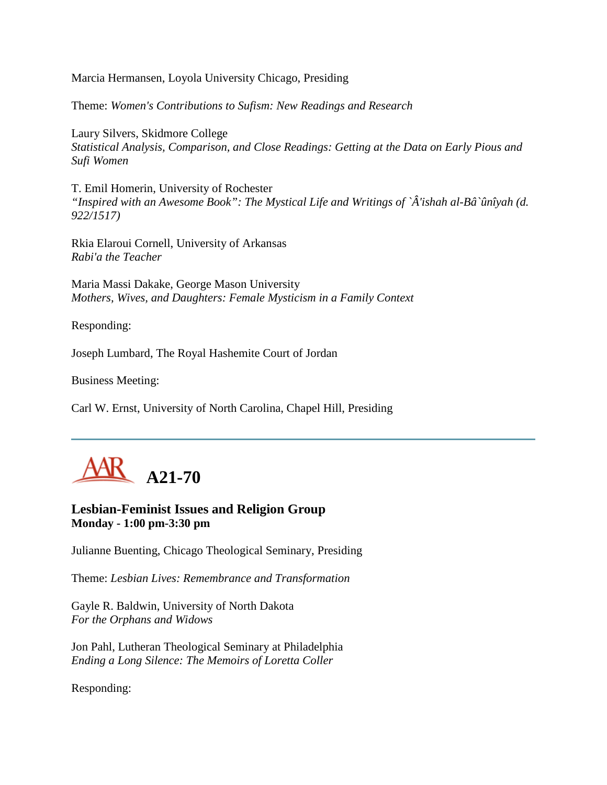Marcia Hermansen, Loyola University Chicago, Presiding

Theme: *Women's Contributions to Sufism: New Readings and Research*

Laury Silvers, Skidmore College *Statistical Analysis, Comparison, and Close Readings: Getting at the Data on Early Pious and Sufi Women*

T. Emil Homerin, University of Rochester *"Inspired with an Awesome Book": The Mystical Life and Writings of `Â'ishah al-Bâ`ûnîyah (d. 922/1517)*

Rkia Elaroui Cornell, University of Arkansas *Rabi'a the Teacher*

Maria Massi Dakake, George Mason University *Mothers, Wives, and Daughters: Female Mysticism in a Family Context*

Responding:

Joseph Lumbard, The Royal Hashemite Court of Jordan

Business Meeting:

Carl W. Ernst, University of North Carolina, Chapel Hill, Presiding



## **Lesbian-Feminist Issues and Religion Group Monday - 1:00 pm-3:30 pm**

Julianne Buenting, Chicago Theological Seminary, Presiding

Theme: *Lesbian Lives: Remembrance and Transformation*

Gayle R. Baldwin, University of North Dakota *For the Orphans and Widows*

Jon Pahl, Lutheran Theological Seminary at Philadelphia *Ending a Long Silence: The Memoirs of Loretta Coller*

Responding: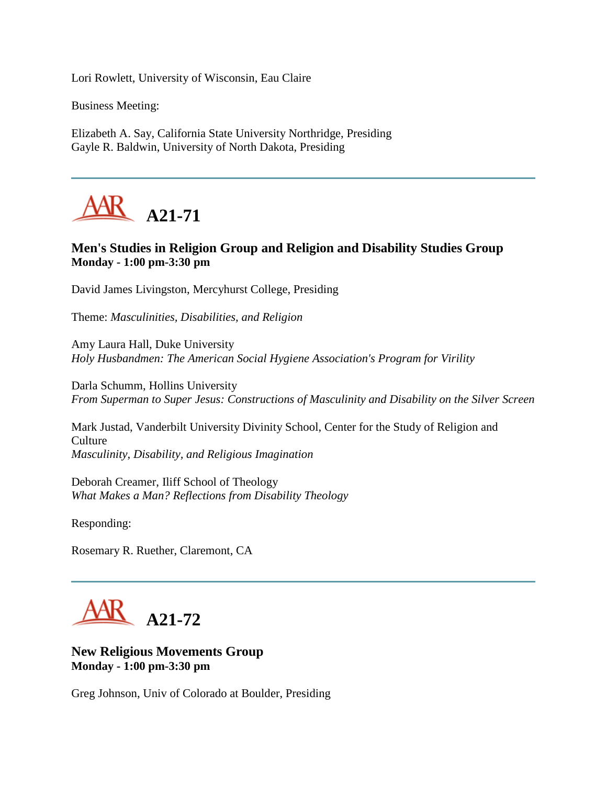Lori Rowlett, University of Wisconsin, Eau Claire

Business Meeting:

Elizabeth A. Say, California State University Northridge, Presiding Gayle R. Baldwin, University of North Dakota, Presiding



# **Men's Studies in Religion Group and Religion and Disability Studies Group Monday - 1:00 pm-3:30 pm**

David James Livingston, Mercyhurst College, Presiding

Theme: *Masculinities, Disabilities, and Religion*

Amy Laura Hall, Duke University *Holy Husbandmen: The American Social Hygiene Association's Program for Virility*

Darla Schumm, Hollins University *From Superman to Super Jesus: Constructions of Masculinity and Disability on the Silver Screen*

Mark Justad, Vanderbilt University Divinity School, Center for the Study of Religion and **Culture** *Masculinity, Disability, and Religious Imagination*

Deborah Creamer, Iliff School of Theology *What Makes a Man? Reflections from Disability Theology*

Responding:

Rosemary R. Ruether, Claremont, CA



**New Religious Movements Group Monday - 1:00 pm-3:30 pm**

Greg Johnson, Univ of Colorado at Boulder, Presiding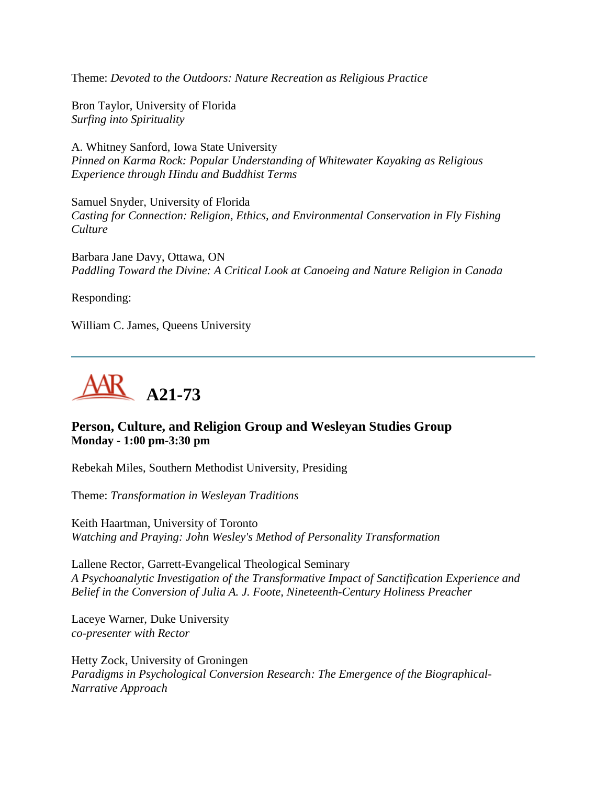Theme: *Devoted to the Outdoors: Nature Recreation as Religious Practice*

Bron Taylor, University of Florida *Surfing into Spirituality*

A. Whitney Sanford, Iowa State University *Pinned on Karma Rock: Popular Understanding of Whitewater Kayaking as Religious Experience through Hindu and Buddhist Terms*

Samuel Snyder, University of Florida *Casting for Connection: Religion, Ethics, and Environmental Conservation in Fly Fishing Culture*

Barbara Jane Davy, Ottawa, ON *Paddling Toward the Divine: A Critical Look at Canoeing and Nature Religion in Canada*

Responding:

William C. James, Queens University



# **Person, Culture, and Religion Group and Wesleyan Studies Group Monday - 1:00 pm-3:30 pm**

Rebekah Miles, Southern Methodist University, Presiding

Theme: *Transformation in Wesleyan Traditions*

Keith Haartman, University of Toronto *Watching and Praying: John Wesley's Method of Personality Transformation*

Lallene Rector, Garrett-Evangelical Theological Seminary *A Psychoanalytic Investigation of the Transformative Impact of Sanctification Experience and Belief in the Conversion of Julia A. J. Foote, Nineteenth-Century Holiness Preacher*

Laceye Warner, Duke University *co-presenter with Rector*

Hetty Zock, University of Groningen *Paradigms in Psychological Conversion Research: The Emergence of the Biographical-Narrative Approach*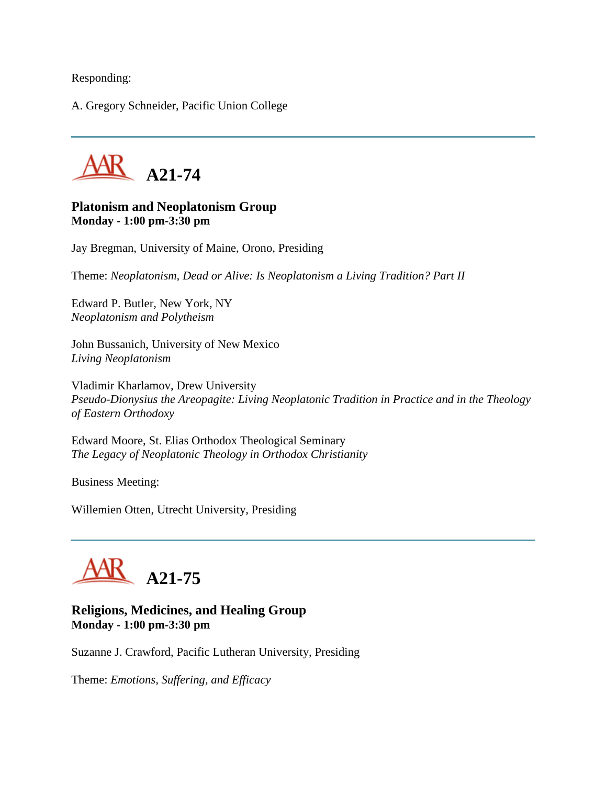Responding:

A. Gregory Schneider, Pacific Union College



## **Platonism and Neoplatonism Group Monday - 1:00 pm-3:30 pm**

Jay Bregman, University of Maine, Orono, Presiding

Theme: *Neoplatonism, Dead or Alive: Is Neoplatonism a Living Tradition? Part II*

Edward P. Butler, New York, NY *Neoplatonism and Polytheism*

John Bussanich, University of New Mexico *Living Neoplatonism*

Vladimir Kharlamov, Drew University *Pseudo-Dionysius the Areopagite: Living Neoplatonic Tradition in Practice and in the Theology of Eastern Orthodoxy*

Edward Moore, St. Elias Orthodox Theological Seminary *The Legacy of Neoplatonic Theology in Orthodox Christianity*

Business Meeting:

Willemien Otten, Utrecht University, Presiding



# **Religions, Medicines, and Healing Group Monday - 1:00 pm-3:30 pm**

Suzanne J. Crawford, Pacific Lutheran University, Presiding

Theme: *Emotions, Suffering, and Efficacy*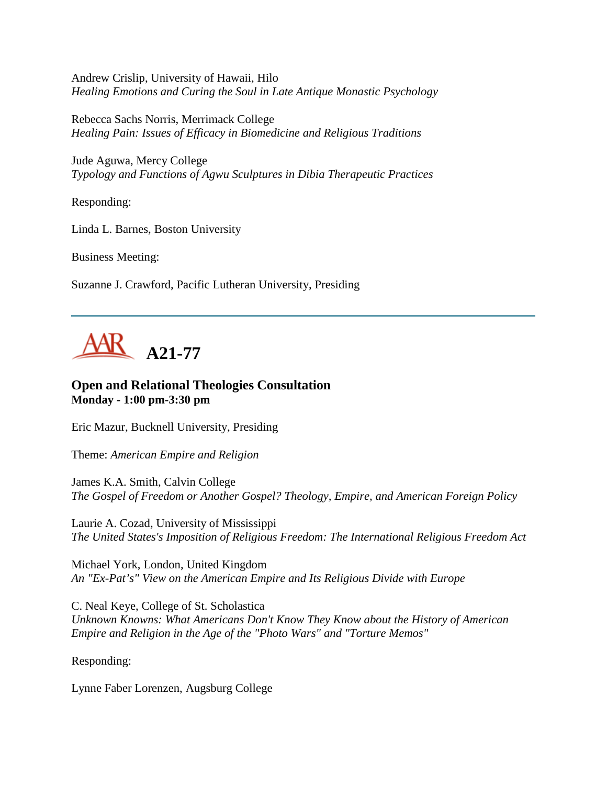Andrew Crislip, University of Hawaii, Hilo *Healing Emotions and Curing the Soul in Late Antique Monastic Psychology*

Rebecca Sachs Norris, Merrimack College *Healing Pain: Issues of Efficacy in Biomedicine and Religious Traditions*

Jude Aguwa, Mercy College *Typology and Functions of Agwu Sculptures in Dibia Therapeutic Practices*

Responding:

Linda L. Barnes, Boston University

Business Meeting:

Suzanne J. Crawford, Pacific Lutheran University, Presiding



# **Open and Relational Theologies Consultation Monday - 1:00 pm-3:30 pm**

Eric Mazur, Bucknell University, Presiding

Theme: *American Empire and Religion*

James K.A. Smith, Calvin College *The Gospel of Freedom or Another Gospel? Theology, Empire, and American Foreign Policy*

Laurie A. Cozad, University of Mississippi *The United States's Imposition of Religious Freedom: The International Religious Freedom Act*

Michael York, London, United Kingdom *An "Ex-Pat's" View on the American Empire and Its Religious Divide with Europe*

C. Neal Keye, College of St. Scholastica *Unknown Knowns: What Americans Don't Know They Know about the History of American Empire and Religion in the Age of the "Photo Wars" and "Torture Memos"*

Responding:

Lynne Faber Lorenzen, Augsburg College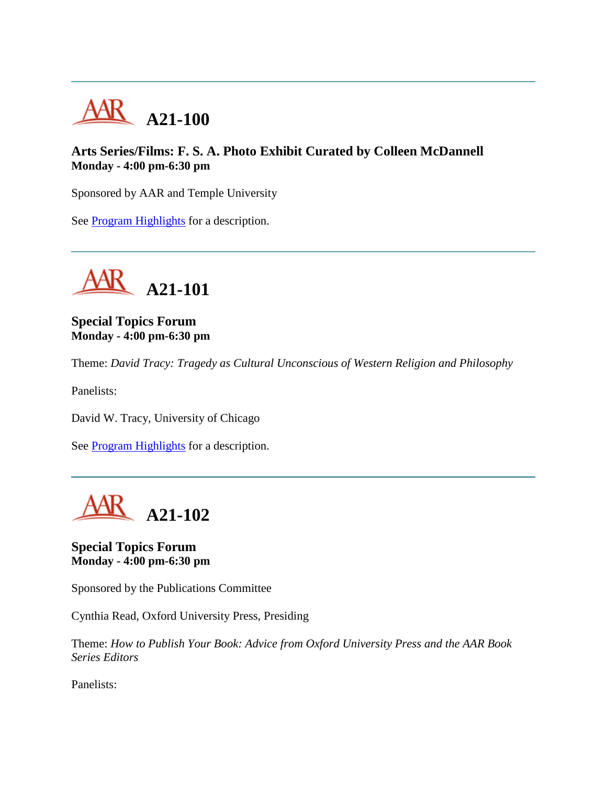

# **Arts Series/Films: F. S. A. Photo Exhibit Curated by Colleen McDannell Monday - 4:00 pm-6:30 pm**

Sponsored by AAR and Temple University

See [Program Highlights](http://www.aarweb.org/Meetings/Annual_Meeting/Past_and_Future_Meetings/2005/highlights.asp) for a description.



**Special Topics Forum Monday - 4:00 pm-6:30 pm**

Theme: *David Tracy: Tragedy as Cultural Unconscious of Western Religion and Philosophy*

Panelists:

David W. Tracy, University of Chicago

See [Program Highlights](http://www.aarweb.org/Meetings/Annual_Meeting/Past_and_Future_Meetings/2005/highlights.asp) for a description.



**Special Topics Forum Monday - 4:00 pm-6:30 pm**

Sponsored by the Publications Committee

Cynthia Read, Oxford University Press, Presiding

Theme: *How to Publish Your Book: Advice from Oxford University Press and the AAR Book Series Editors*

Panelists: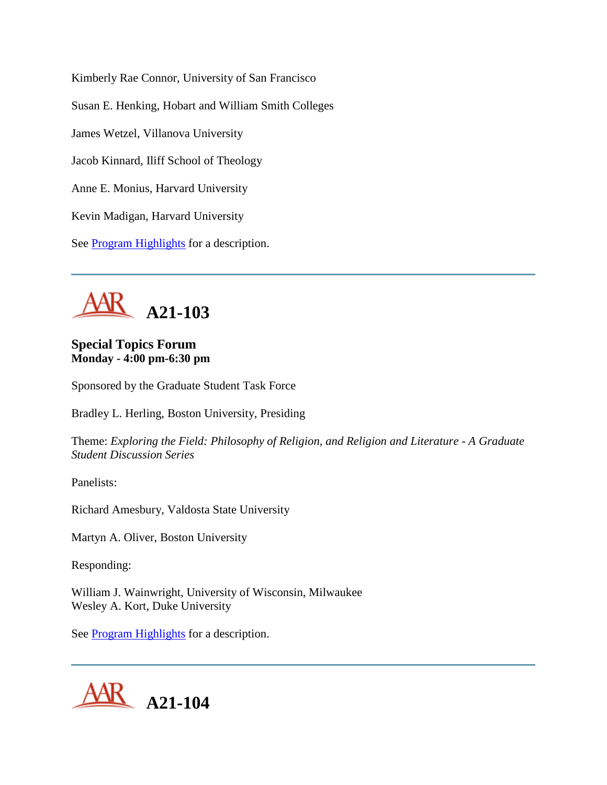Kimberly Rae Connor, University of San Francisco Susan E. Henking, Hobart and William Smith Colleges James Wetzel, Villanova University Jacob Kinnard, Iliff School of Theology Anne E. Monius, Harvard University Kevin Madigan, Harvard University See **Program Highlights** for a description.



# **Special Topics Forum Monday - 4:00 pm-6:30 pm**

Sponsored by the Graduate Student Task Force

Bradley L. Herling, Boston University, Presiding

Theme: *Exploring the Field: Philosophy of Religion, and Religion and Literature - A Graduate Student Discussion Series*

Panelists:

Richard Amesbury, Valdosta State University

Martyn A. Oliver, Boston University

Responding:

William J. Wainwright, University of Wisconsin, Milwaukee Wesley A. Kort, Duke University

See **Program Highlights** for a description.

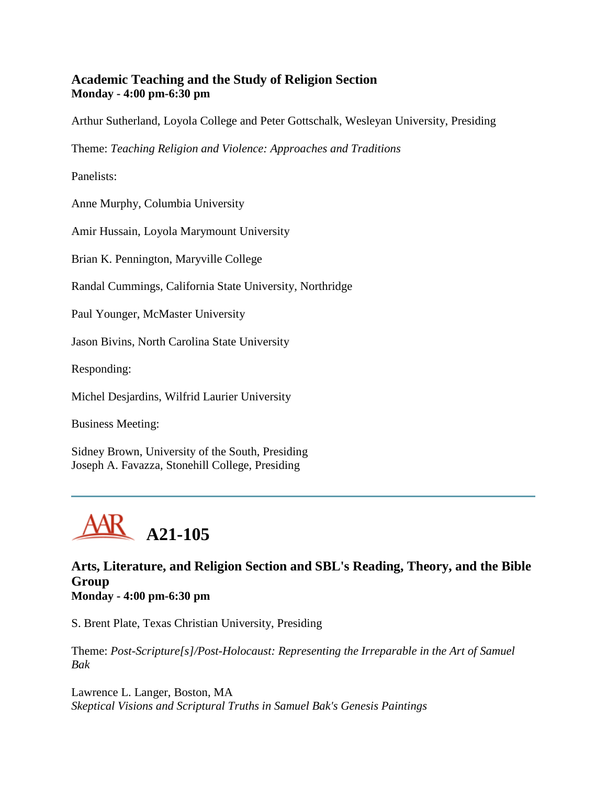# **Academic Teaching and the Study of Religion Section Monday - 4:00 pm-6:30 pm**

Arthur Sutherland, Loyola College and Peter Gottschalk, Wesleyan University, Presiding

Theme: *Teaching Religion and Violence: Approaches and Traditions*

Panelists:

Anne Murphy, Columbia University

Amir Hussain, Loyola Marymount University

Brian K. Pennington, Maryville College

Randal Cummings, California State University, Northridge

Paul Younger, McMaster University

Jason Bivins, North Carolina State University

Responding:

Michel Desjardins, Wilfrid Laurier University

Business Meeting:

Sidney Brown, University of the South, Presiding Joseph A. Favazza, Stonehill College, Presiding



## **Arts, Literature, and Religion Section and SBL's Reading, Theory, and the Bible Group Monday - 4:00 pm-6:30 pm**

S. Brent Plate, Texas Christian University, Presiding

Theme: *Post-Scripture[s]/Post-Holocaust: Representing the Irreparable in the Art of Samuel Bak*

Lawrence L. Langer, Boston, MA *Skeptical Visions and Scriptural Truths in Samuel Bak's Genesis Paintings*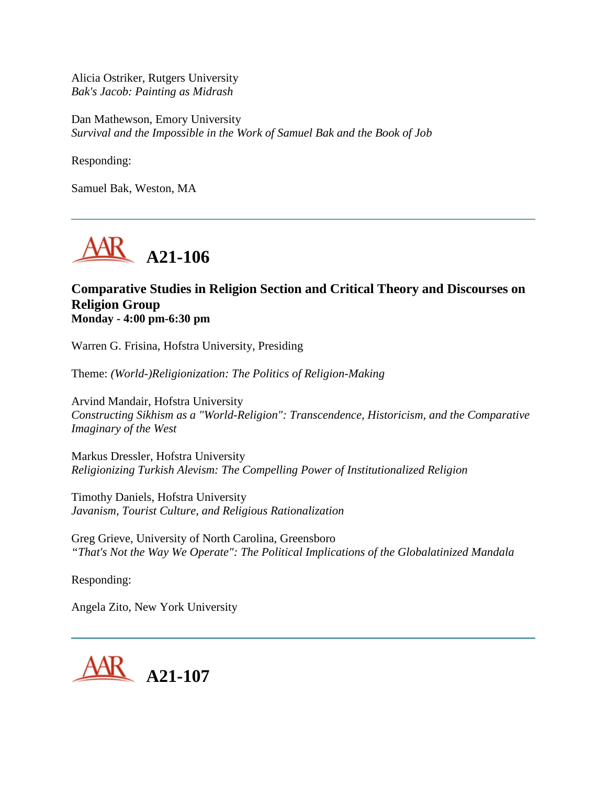Alicia Ostriker, Rutgers University *Bak's Jacob: Painting as Midrash*

Dan Mathewson, Emory University *Survival and the Impossible in the Work of Samuel Bak and the Book of Job*

Responding:

Samuel Bak, Weston, MA



## **Comparative Studies in Religion Section and Critical Theory and Discourses on Religion Group Monday - 4:00 pm-6:30 pm**

Warren G. Frisina, Hofstra University, Presiding

Theme: *(World-)Religionization: The Politics of Religion-Making*

Arvind Mandair, Hofstra University *Constructing Sikhism as a "World-Religion": Transcendence, Historicism, and the Comparative Imaginary of the West*

Markus Dressler, Hofstra University *Religionizing Turkish Alevism: The Compelling Power of Institutionalized Religion*

Timothy Daniels, Hofstra University *Javanism, Tourist Culture, and Religious Rationalization*

Greg Grieve, University of North Carolina, Greensboro *"That's Not the Way We Operate": The Political Implications of the Globalatinized Mandala*

Responding:

Angela Zito, New York University

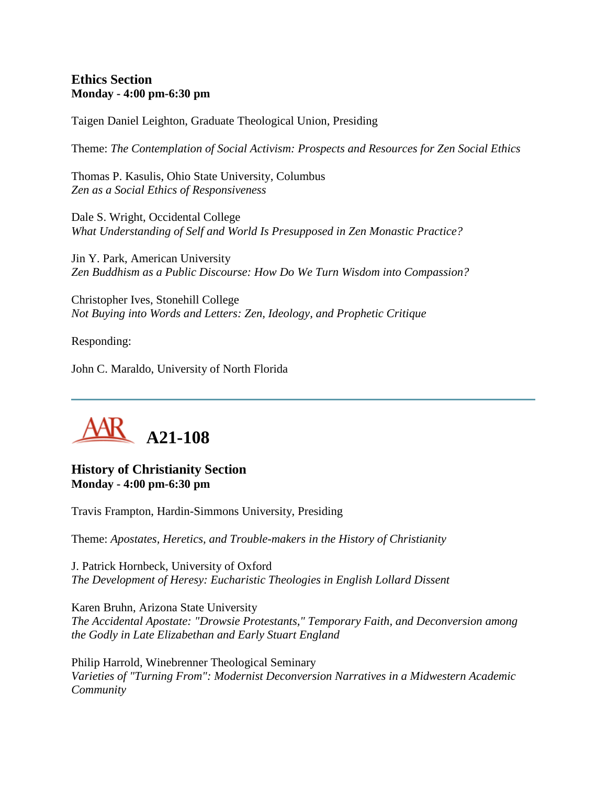## **Ethics Section Monday - 4:00 pm-6:30 pm**

Taigen Daniel Leighton, Graduate Theological Union, Presiding

Theme: *The Contemplation of Social Activism: Prospects and Resources for Zen Social Ethics*

Thomas P. Kasulis, Ohio State University, Columbus *Zen as a Social Ethics of Responsiveness*

Dale S. Wright, Occidental College *What Understanding of Self and World Is Presupposed in Zen Monastic Practice?*

Jin Y. Park, American University *Zen Buddhism as a Public Discourse: How Do We Turn Wisdom into Compassion?*

Christopher Ives, Stonehill College *Not Buying into Words and Letters: Zen, Ideology, and Prophetic Critique*

Responding:

John C. Maraldo, University of North Florida



## **History of Christianity Section Monday - 4:00 pm-6:30 pm**

Travis Frampton, Hardin-Simmons University, Presiding

Theme: *Apostates, Heretics, and Trouble-makers in the History of Christianity*

J. Patrick Hornbeck, University of Oxford *The Development of Heresy: Eucharistic Theologies in English Lollard Dissent*

Karen Bruhn, Arizona State University *The Accidental Apostate: "Drowsie Protestants," Temporary Faith, and Deconversion among the Godly in Late Elizabethan and Early Stuart England*

Philip Harrold, Winebrenner Theological Seminary *Varieties of "Turning From": Modernist Deconversion Narratives in a Midwestern Academic Community*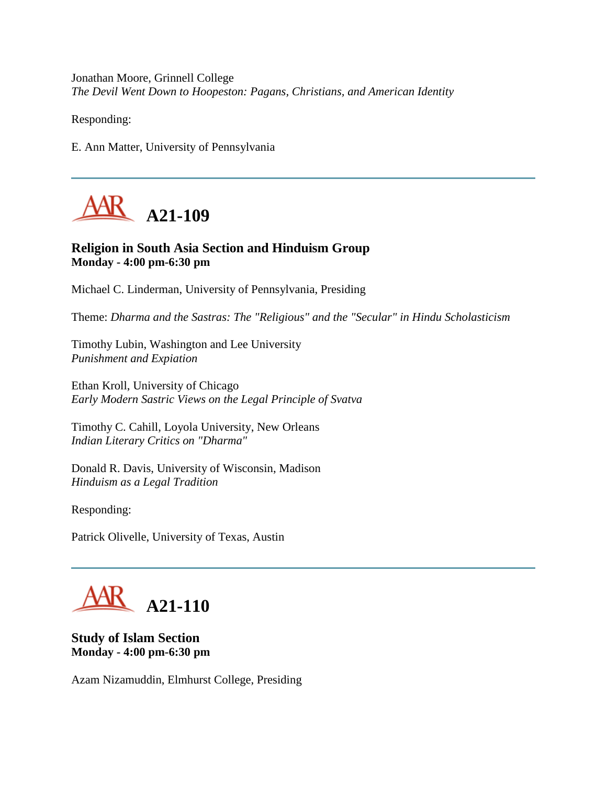Jonathan Moore, Grinnell College *The Devil Went Down to Hoopeston: Pagans, Christians, and American Identity*

Responding:

E. Ann Matter, University of Pennsylvania



# **Religion in South Asia Section and Hinduism Group Monday - 4:00 pm-6:30 pm**

Michael C. Linderman, University of Pennsylvania, Presiding

Theme: *Dharma and the Sastras: The "Religious" and the "Secular" in Hindu Scholasticism*

Timothy Lubin, Washington and Lee University *Punishment and Expiation*

Ethan Kroll, University of Chicago *Early Modern Sastric Views on the Legal Principle of Svatva*

Timothy C. Cahill, Loyola University, New Orleans *Indian Literary Critics on "Dharma"*

Donald R. Davis, University of Wisconsin, Madison *Hinduism as a Legal Tradition*

Responding:

Patrick Olivelle, University of Texas, Austin

# **A21-110**

**Study of Islam Section Monday - 4:00 pm-6:30 pm**

Azam Nizamuddin, Elmhurst College, Presiding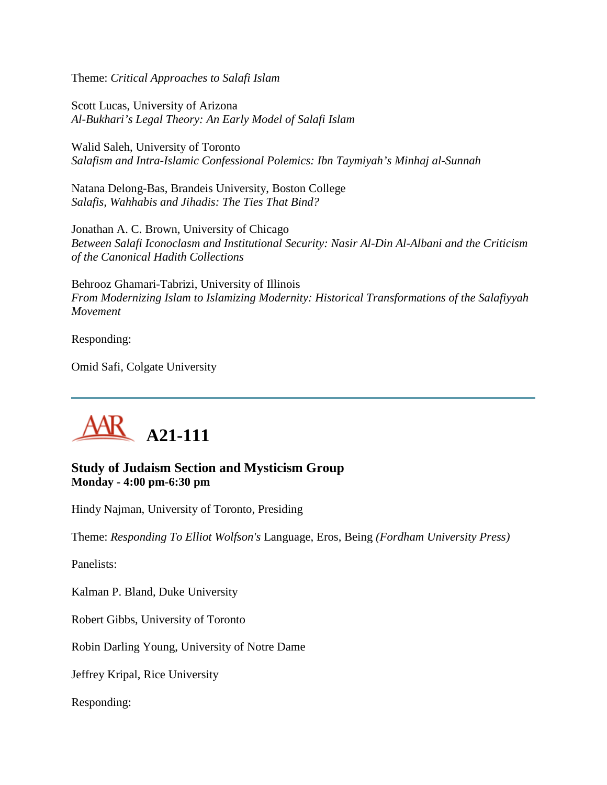Theme: *Critical Approaches to Salafi Islam*

Scott Lucas, University of Arizona *Al-Bukhari's Legal Theory: An Early Model of Salafi Islam*

Walid Saleh, University of Toronto *Salafism and Intra-Islamic Confessional Polemics: Ibn Taymiyah's Minhaj al-Sunnah*

Natana Delong-Bas, Brandeis University, Boston College *Salafis, Wahhabis and Jihadis: The Ties That Bind?*

Jonathan A. C. Brown, University of Chicago *Between Salafi Iconoclasm and Institutional Security: Nasir Al-Din Al-Albani and the Criticism of the Canonical Hadith Collections*

Behrooz Ghamari-Tabrizi, University of Illinois *From Modernizing Islam to Islamizing Modernity: Historical Transformations of the Salafiyyah Movement*

Responding:

Omid Safi, Colgate University



**Study of Judaism Section and Mysticism Group Monday - 4:00 pm-6:30 pm**

Hindy Najman, University of Toronto, Presiding

Theme: *Responding To Elliot Wolfson's* Language, Eros, Being *(Fordham University Press)*

Panelists:

Kalman P. Bland, Duke University

Robert Gibbs, University of Toronto

Robin Darling Young, University of Notre Dame

Jeffrey Kripal, Rice University

Responding: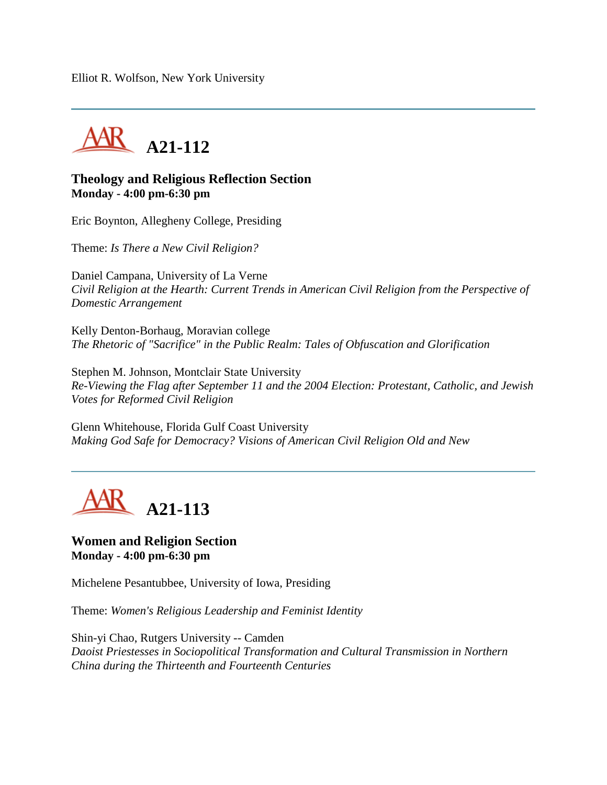Elliot R. Wolfson, New York University



## **Theology and Religious Reflection Section Monday - 4:00 pm-6:30 pm**

Eric Boynton, Allegheny College, Presiding

Theme: *Is There a New Civil Religion?*

Daniel Campana, University of La Verne *Civil Religion at the Hearth: Current Trends in American Civil Religion from the Perspective of Domestic Arrangement*

Kelly Denton-Borhaug, Moravian college *The Rhetoric of "Sacrifice" in the Public Realm: Tales of Obfuscation and Glorification*

Stephen M. Johnson, Montclair State University *Re-Viewing the Flag after September 11 and the 2004 Election: Protestant, Catholic, and Jewish Votes for Reformed Civil Religion*

Glenn Whitehouse, Florida Gulf Coast University *Making God Safe for Democracy? Visions of American Civil Religion Old and New*



## **Women and Religion Section Monday - 4:00 pm-6:30 pm**

Michelene Pesantubbee, University of Iowa, Presiding

Theme: *Women's Religious Leadership and Feminist Identity*

Shin-yi Chao, Rutgers University -- Camden *Daoist Priestesses in Sociopolitical Transformation and Cultural Transmission in Northern China during the Thirteenth and Fourteenth Centuries*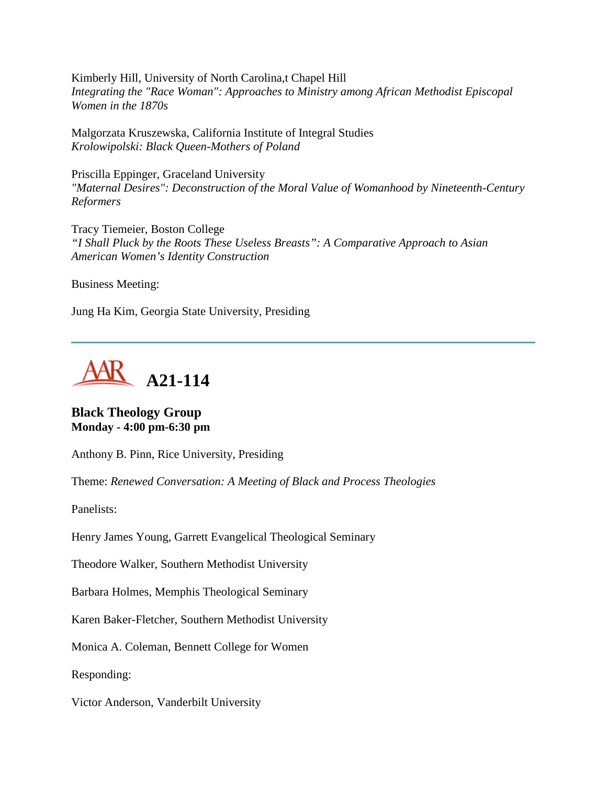Kimberly Hill, University of North Carolina,t Chapel Hill *Integrating the "Race Woman": Approaches to Ministry among African Methodist Episcopal Women in the 1870s*

Malgorzata Kruszewska, California Institute of Integral Studies *Krolowipolski: Black Queen-Mothers of Poland*

Priscilla Eppinger, Graceland University *"Maternal Desires": Deconstruction of the Moral Value of Womanhood by Nineteenth-Century Reformers*

Tracy Tiemeier, Boston College *"I Shall Pluck by the Roots These Useless Breasts": A Comparative Approach to Asian American Women's Identity Construction*

Business Meeting:

Jung Ha Kim, Georgia State University, Presiding



**Black Theology Group Monday - 4:00 pm-6:30 pm**

Anthony B. Pinn, Rice University, Presiding

Theme: *Renewed Conversation: A Meeting of Black and Process Theologies*

Panelists:

Henry James Young, Garrett Evangelical Theological Seminary

Theodore Walker, Southern Methodist University

Barbara Holmes, Memphis Theological Seminary

Karen Baker-Fletcher, Southern Methodist University

Monica A. Coleman, Bennett College for Women

Responding:

Victor Anderson, Vanderbilt University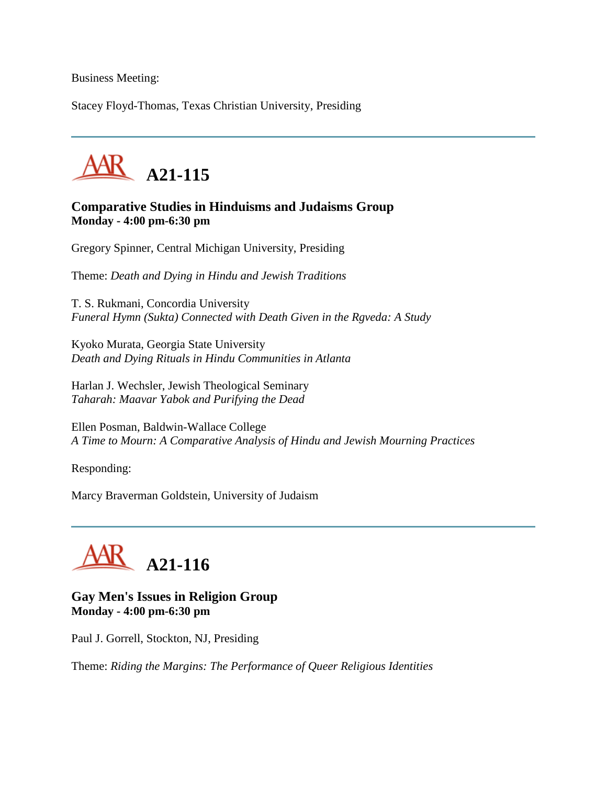Business Meeting:

Stacey Floyd-Thomas, Texas Christian University, Presiding



**Comparative Studies in Hinduisms and Judaisms Group Monday - 4:00 pm-6:30 pm**

Gregory Spinner, Central Michigan University, Presiding

Theme: *Death and Dying in Hindu and Jewish Traditions*

T. S. Rukmani, Concordia University *Funeral Hymn (Sukta) Connected with Death Given in the Rgveda: A Study*

Kyoko Murata, Georgia State University *Death and Dying Rituals in Hindu Communities in Atlanta*

Harlan J. Wechsler, Jewish Theological Seminary *Taharah: Maavar Yabok and Purifying the Dead*

Ellen Posman, Baldwin-Wallace College *A Time to Mourn: A Comparative Analysis of Hindu and Jewish Mourning Practices*

Responding:

Marcy Braverman Goldstein, University of Judaism



#### **Gay Men's Issues in Religion Group Monday - 4:00 pm-6:30 pm**

Paul J. Gorrell, Stockton, NJ, Presiding

Theme: *Riding the Margins: The Performance of Queer Religious Identities*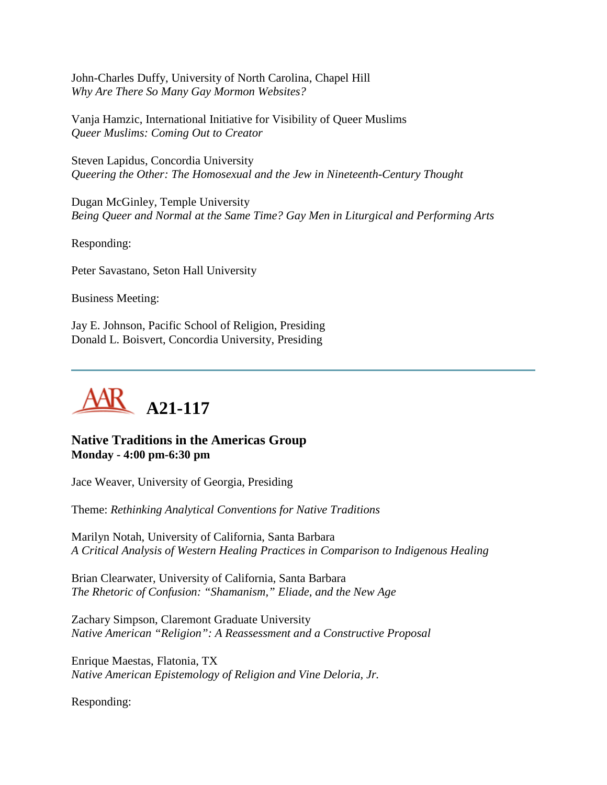John-Charles Duffy, University of North Carolina, Chapel Hill *Why Are There So Many Gay Mormon Websites?*

Vanja Hamzic, International Initiative for Visibility of Queer Muslims *Queer Muslims: Coming Out to Creator*

Steven Lapidus, Concordia University *Queering the Other: The Homosexual and the Jew in Nineteenth-Century Thought*

Dugan McGinley, Temple University *Being Queer and Normal at the Same Time? Gay Men in Liturgical and Performing Arts*

Responding:

Peter Savastano, Seton Hall University

Business Meeting:

Jay E. Johnson, Pacific School of Religion, Presiding Donald L. Boisvert, Concordia University, Presiding



# **Native Traditions in the Americas Group Monday - 4:00 pm-6:30 pm**

Jace Weaver, University of Georgia, Presiding

Theme: *Rethinking Analytical Conventions for Native Traditions*

Marilyn Notah, University of California, Santa Barbara *A Critical Analysis of Western Healing Practices in Comparison to Indigenous Healing*

Brian Clearwater, University of California, Santa Barbara *The Rhetoric of Confusion: "Shamanism," Eliade, and the New Age*

Zachary Simpson, Claremont Graduate University *Native American "Religion": A Reassessment and a Constructive Proposal*

Enrique Maestas, Flatonia, TX *Native American Epistemology of Religion and Vine Deloria, Jr.*

Responding: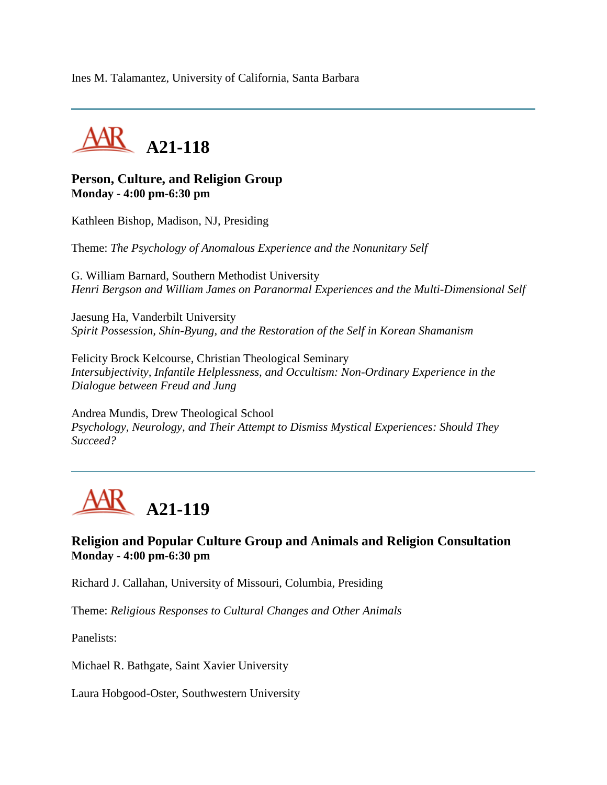Ines M. Talamantez, University of California, Santa Barbara



## **Person, Culture, and Religion Group Monday - 4:00 pm-6:30 pm**

Kathleen Bishop, Madison, NJ, Presiding

Theme: *The Psychology of Anomalous Experience and the Nonunitary Self*

G. William Barnard, Southern Methodist University *Henri Bergson and William James on Paranormal Experiences and the Multi-Dimensional Self*

Jaesung Ha, Vanderbilt University *Spirit Possession, Shin-Byung, and the Restoration of the Self in Korean Shamanism*

Felicity Brock Kelcourse, Christian Theological Seminary *Intersubjectivity, Infantile Helplessness, and Occultism: Non-Ordinary Experience in the Dialogue between Freud and Jung*

Andrea Mundis, Drew Theological School *Psychology, Neurology, and Their Attempt to Dismiss Mystical Experiences: Should They Succeed?*



# **Religion and Popular Culture Group and Animals and Religion Consultation Monday - 4:00 pm-6:30 pm**

Richard J. Callahan, University of Missouri, Columbia, Presiding

Theme: *Religious Responses to Cultural Changes and Other Animals*

Panelists:

Michael R. Bathgate, Saint Xavier University

Laura Hobgood-Oster, Southwestern University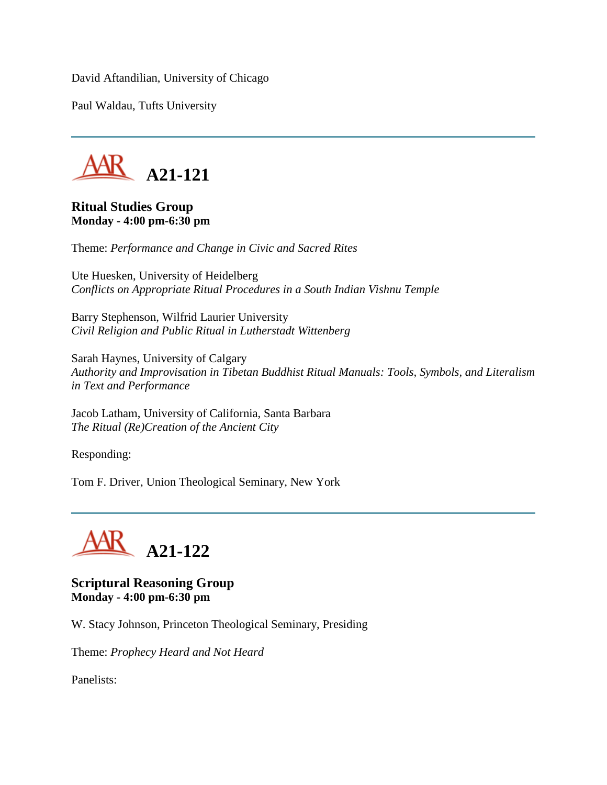David Aftandilian, University of Chicago

Paul Waldau, Tufts University



#### **Ritual Studies Group Monday - 4:00 pm-6:30 pm**

Theme: *Performance and Change in Civic and Sacred Rites*

Ute Huesken, University of Heidelberg *Conflicts on Appropriate Ritual Procedures in a South Indian Vishnu Temple*

Barry Stephenson, Wilfrid Laurier University *Civil Religion and Public Ritual in Lutherstadt Wittenberg*

Sarah Haynes, University of Calgary *Authority and Improvisation in Tibetan Buddhist Ritual Manuals: Tools, Symbols, and Literalism in Text and Performance*

Jacob Latham, University of California, Santa Barbara *The Ritual (Re)Creation of the Ancient City*

Responding:

Tom F. Driver, Union Theological Seminary, New York



**Scriptural Reasoning Group Monday - 4:00 pm-6:30 pm**

W. Stacy Johnson, Princeton Theological Seminary, Presiding

Theme: *Prophecy Heard and Not Heard*

Panelists: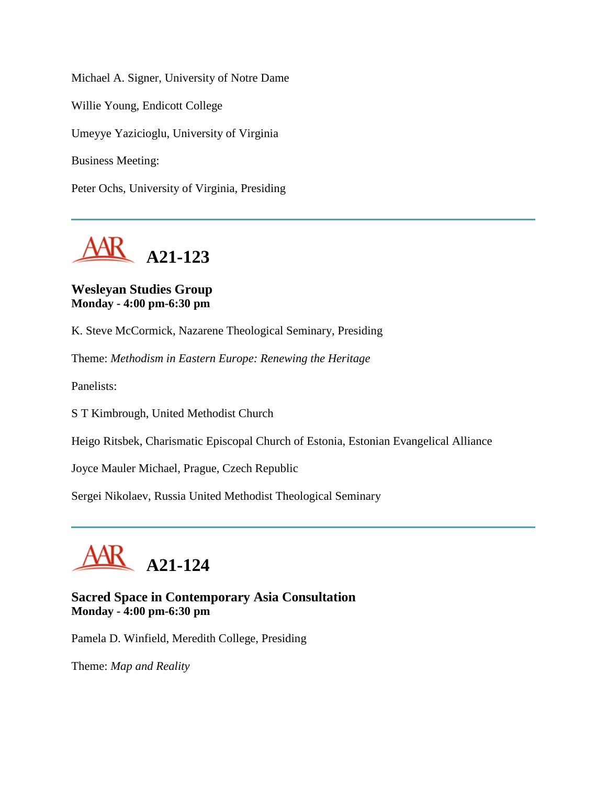Michael A. Signer, University of Notre Dame Willie Young, Endicott College Umeyye Yazicioglu, University of Virginia Business Meeting: Peter Ochs, University of Virginia, Presiding



# **Wesleyan Studies Group Monday - 4:00 pm-6:30 pm**

K. Steve McCormick, Nazarene Theological Seminary, Presiding

Theme: *Methodism in Eastern Europe: Renewing the Heritage*

Panelists:

S T Kimbrough, United Methodist Church

Heigo Ritsbek, Charismatic Episcopal Church of Estonia, Estonian Evangelical Alliance

Joyce Mauler Michael, Prague, Czech Republic

Sergei Nikolaev, Russia United Methodist Theological Seminary



# **Sacred Space in Contemporary Asia Consultation Monday - 4:00 pm-6:30 pm**

Pamela D. Winfield, Meredith College, Presiding

Theme: *Map and Reality*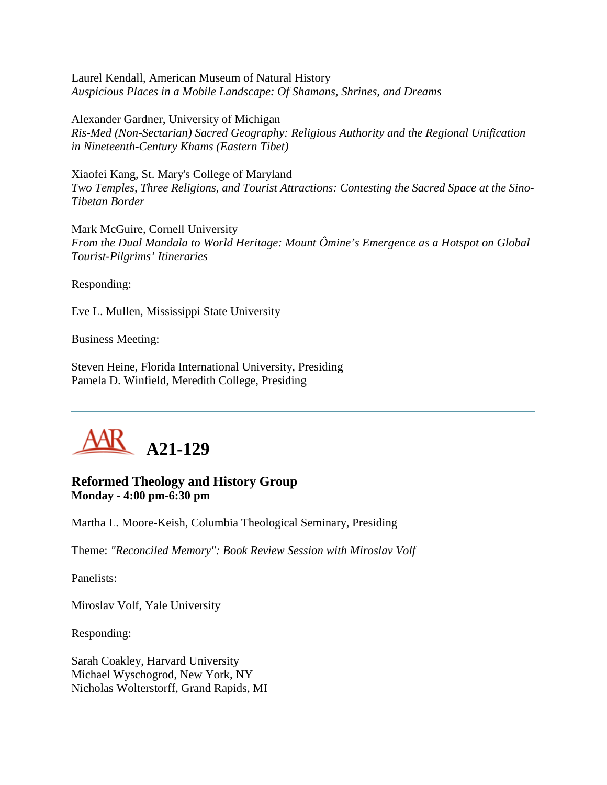Laurel Kendall, American Museum of Natural History *Auspicious Places in a Mobile Landscape: Of Shamans, Shrines, and Dreams*

Alexander Gardner, University of Michigan *Ris-Med (Non-Sectarian) Sacred Geography: Religious Authority and the Regional Unification in Nineteenth-Century Khams (Eastern Tibet)*

Xiaofei Kang, St. Mary's College of Maryland *Two Temples, Three Religions, and Tourist Attractions: Contesting the Sacred Space at the Sino-Tibetan Border*

Mark McGuire, Cornell University *From the Dual Mandala to World Heritage: Mount Ômine's Emergence as a Hotspot on Global Tourist-Pilgrims' Itineraries*

Responding:

Eve L. Mullen, Mississippi State University

Business Meeting:

Steven Heine, Florida International University, Presiding Pamela D. Winfield, Meredith College, Presiding



# **Reformed Theology and History Group Monday - 4:00 pm-6:30 pm**

Martha L. Moore-Keish, Columbia Theological Seminary, Presiding

Theme: *"Reconciled Memory": Book Review Session with Miroslav Volf*

Panelists:

Miroslav Volf, Yale University

Responding:

Sarah Coakley, Harvard University Michael Wyschogrod, New York, NY Nicholas Wolterstorff, Grand Rapids, MI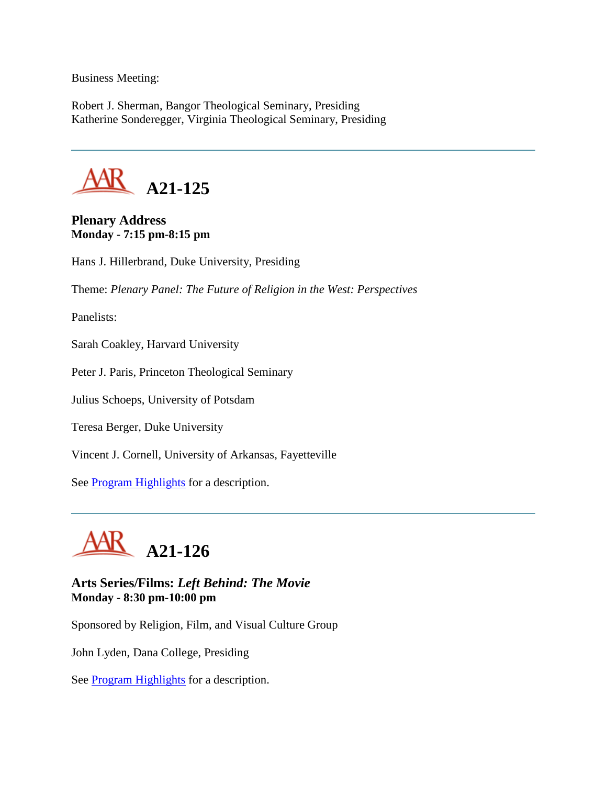Business Meeting:

Robert J. Sherman, Bangor Theological Seminary, Presiding Katherine Sonderegger, Virginia Theological Seminary, Presiding



## **Plenary Address Monday - 7:15 pm-8:15 pm**

Hans J. Hillerbrand, Duke University, Presiding

Theme: *Plenary Panel: The Future of Religion in the West: Perspectives*

Panelists:

Sarah Coakley, Harvard University

Peter J. Paris, Princeton Theological Seminary

Julius Schoeps, University of Potsdam

Teresa Berger, Duke University

Vincent J. Cornell, University of Arkansas, Fayetteville

See **Program Highlights** for a description.



**Arts Series/Films:** *Left Behind: The Movie* **Monday - 8:30 pm-10:00 pm**

Sponsored by Religion, Film, and Visual Culture Group

John Lyden, Dana College, Presiding

See **Program Highlights** for a description.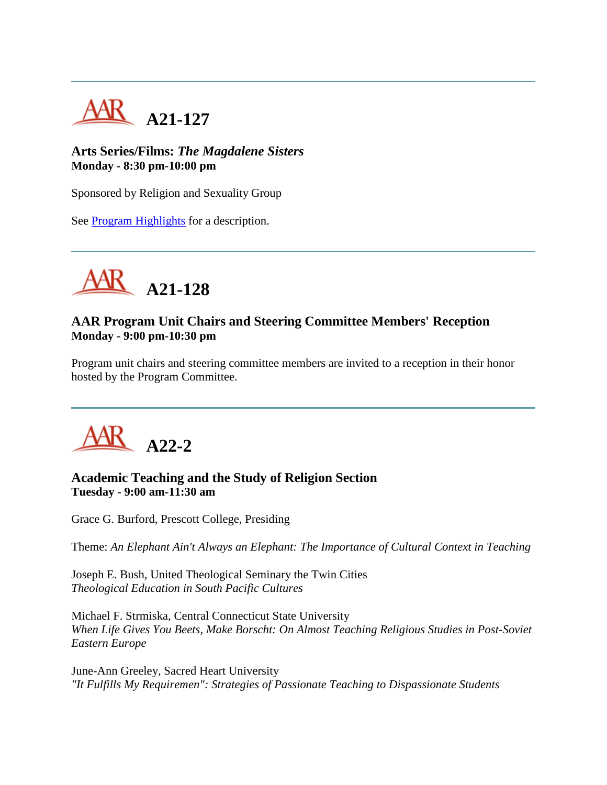

# **Arts Series/Films:** *The Magdalene Sisters* **Monday - 8:30 pm-10:00 pm**

Sponsored by Religion and Sexuality Group

See **Program Highlights** for a description.



# **AAR Program Unit Chairs and Steering Committee Members' Reception Monday - 9:00 pm-10:30 pm**

Program unit chairs and steering committee members are invited to a reception in their honor hosted by the Program Committee.



## **Academic Teaching and the Study of Religion Section Tuesday - 9:00 am-11:30 am**

Grace G. Burford, Prescott College, Presiding

Theme: *An Elephant Ain't Always an Elephant: The Importance of Cultural Context in Teaching*

Joseph E. Bush, United Theological Seminary the Twin Cities *Theological Education in South Pacific Cultures*

Michael F. Strmiska, Central Connecticut State University *When Life Gives You Beets, Make Borscht: On Almost Teaching Religious Studies in Post-Soviet Eastern Europe*

June-Ann Greeley, Sacred Heart University *"It Fulfills My Requiremen": Strategies of Passionate Teaching to Dispassionate Students*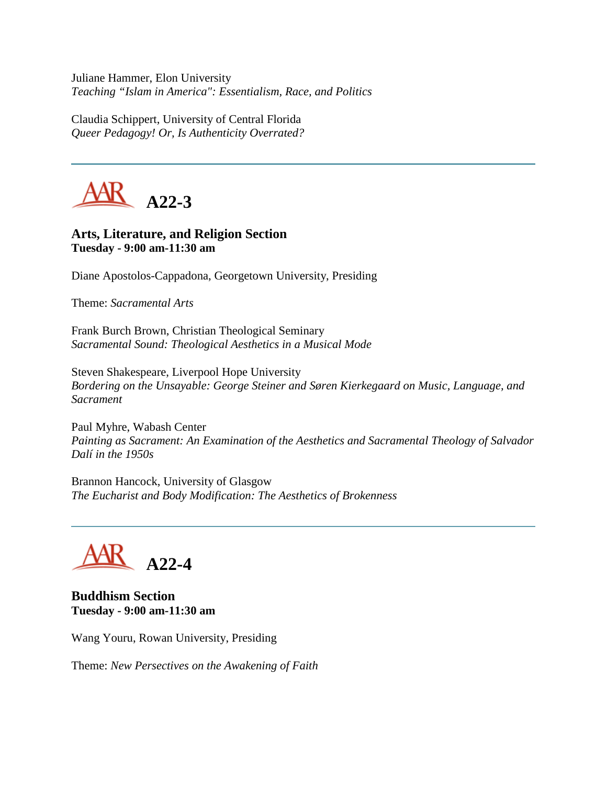Juliane Hammer, Elon University *Teaching "Islam in America": Essentialism, Race, and Politics*

Claudia Schippert, University of Central Florida *Queer Pedagogy! Or, Is Authenticity Overrated?*



# **Arts, Literature, and Religion Section Tuesday - 9:00 am-11:30 am**

Diane Apostolos-Cappadona, Georgetown University, Presiding

Theme: *Sacramental Arts*

Frank Burch Brown, Christian Theological Seminary *Sacramental Sound: Theological Aesthetics in a Musical Mode*

Steven Shakespeare, Liverpool Hope University *Bordering on the Unsayable: George Steiner and Søren Kierkegaard on Music, Language, and Sacrament*

Paul Myhre, Wabash Center *Painting as Sacrament: An Examination of the Aesthetics and Sacramental Theology of Salvador Dalí in the 1950s*

Brannon Hancock, University of Glasgow *The Eucharist and Body Modification: The Aesthetics of Brokenness*

**A22-4**

**Buddhism Section Tuesday - 9:00 am-11:30 am**

Wang Youru, Rowan University, Presiding

Theme: *New Persectives on the Awakening of Faith*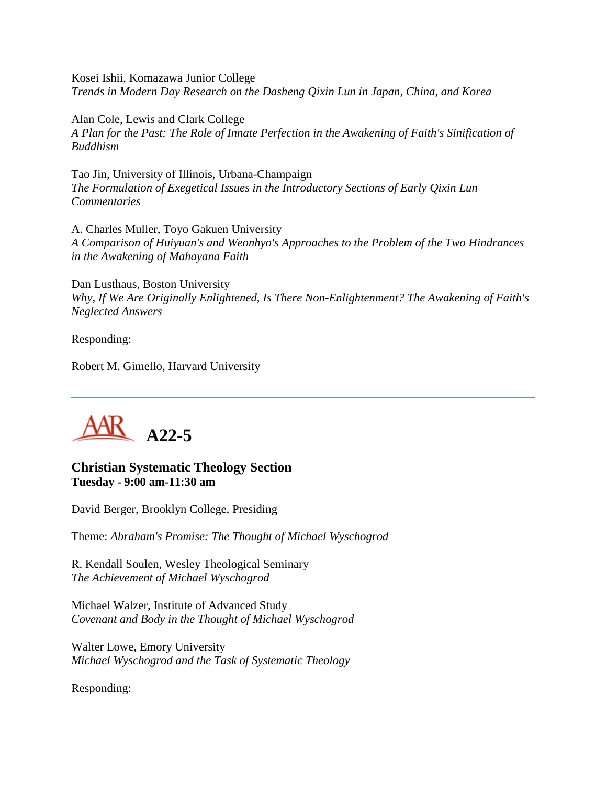Kosei Ishii, Komazawa Junior College *Trends in Modern Day Research on the Dasheng Qixin Lun in Japan, China, and Korea*

Alan Cole, Lewis and Clark College *A Plan for the Past: The Role of Innate Perfection in the Awakening of Faith's Sinification of Buddhism*

Tao Jin, University of Illinois, Urbana-Champaign *The Formulation of Exegetical Issues in the Introductory Sections of Early Qixin Lun Commentaries*

A. Charles Muller, Toyo Gakuen University *A Comparison of Huiyuan's and Weonhyo's Approaches to the Problem of the Two Hindrances in the Awakening of Mahayana Faith*

Dan Lusthaus, Boston University *Why, If We Are Originally Enlightened, Is There Non-Enlightenment? The Awakening of Faith's Neglected Answers*

Responding:

Robert M. Gimello, Harvard University



#### **Christian Systematic Theology Section Tuesday - 9:00 am-11:30 am**

David Berger, Brooklyn College, Presiding

Theme: *Abraham's Promise: The Thought of Michael Wyschogrod*

R. Kendall Soulen, Wesley Theological Seminary *The Achievement of Michael Wyschogrod*

Michael Walzer, Institute of Advanced Study *Covenant and Body in the Thought of Michael Wyschogrod*

Walter Lowe, Emory University *Michael Wyschogrod and the Task of Systematic Theology*

Responding: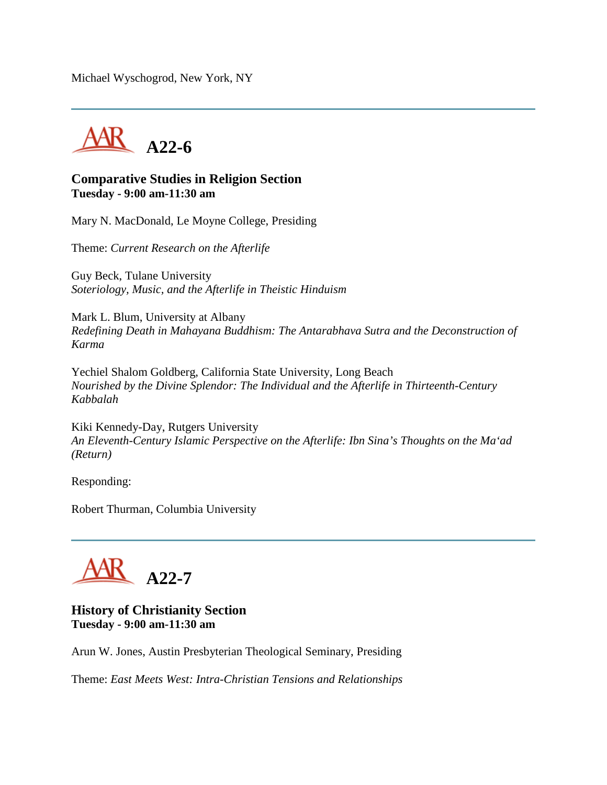Michael Wyschogrod, New York, NY



## **Comparative Studies in Religion Section Tuesday - 9:00 am-11:30 am**

Mary N. MacDonald, Le Moyne College, Presiding

Theme: *Current Research on the Afterlife*

Guy Beck, Tulane University *Soteriology, Music, and the Afterlife in Theistic Hinduism*

Mark L. Blum, University at Albany *Redefining Death in Mahayana Buddhism: The Antarabhava Sutra and the Deconstruction of Karma*

Yechiel Shalom Goldberg, California State University, Long Beach *Nourished by the Divine Splendor: The Individual and the Afterlife in Thirteenth-Century Kabbalah*

Kiki Kennedy-Day, Rutgers University *An Eleventh-Century Islamic Perspective on the Afterlife: Ibn Sina's Thoughts on the Ma'ad (Return)*

Responding:

Robert Thurman, Columbia University



#### **History of Christianity Section Tuesday - 9:00 am-11:30 am**

Arun W. Jones, Austin Presbyterian Theological Seminary, Presiding

Theme: *East Meets West: Intra-Christian Tensions and Relationships*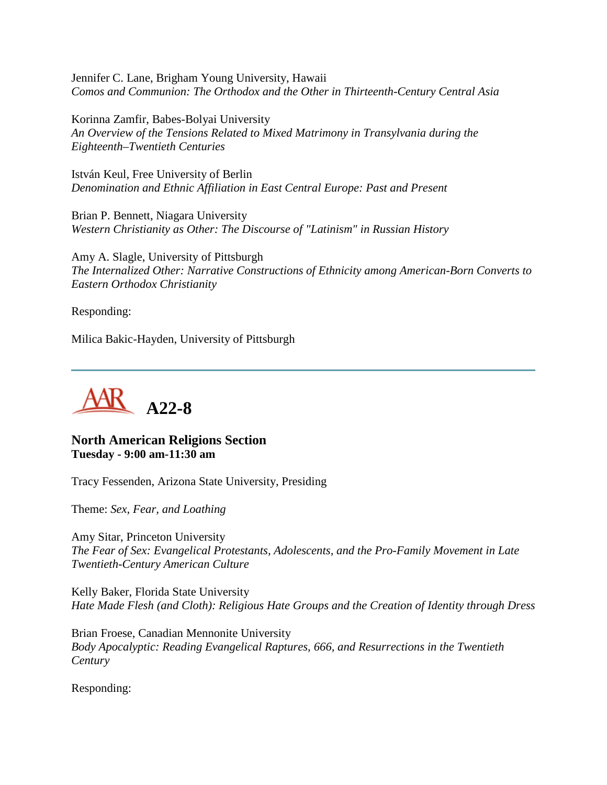Jennifer C. Lane, Brigham Young University, Hawaii *Comos and Communion: The Orthodox and the Other in Thirteenth-Century Central Asia*

Korinna Zamfir, Babes-Bolyai University *An Overview of the Tensions Related to Mixed Matrimony in Transylvania during the Eighteenth–Twentieth Centuries*

István Keul, Free University of Berlin *Denomination and Ethnic Affiliation in East Central Europe: Past and Present*

Brian P. Bennett, Niagara University *Western Christianity as Other: The Discourse of "Latinism" in Russian History*

Amy A. Slagle, University of Pittsburgh *The Internalized Other: Narrative Constructions of Ethnicity among American-Born Converts to Eastern Orthodox Christianity*

Responding:

Milica Bakic-Hayden, University of Pittsburgh



**North American Religions Section Tuesday - 9:00 am-11:30 am**

Tracy Fessenden, Arizona State University, Presiding

Theme: *Sex, Fear, and Loathing*

Amy Sitar, Princeton University *The Fear of Sex: Evangelical Protestants, Adolescents, and the Pro-Family Movement in Late Twentieth-Century American Culture*

Kelly Baker, Florida State University *Hate Made Flesh (and Cloth): Religious Hate Groups and the Creation of Identity through Dress*

Brian Froese, Canadian Mennonite University *Body Apocalyptic: Reading Evangelical Raptures, 666, and Resurrections in the Twentieth Century*

Responding: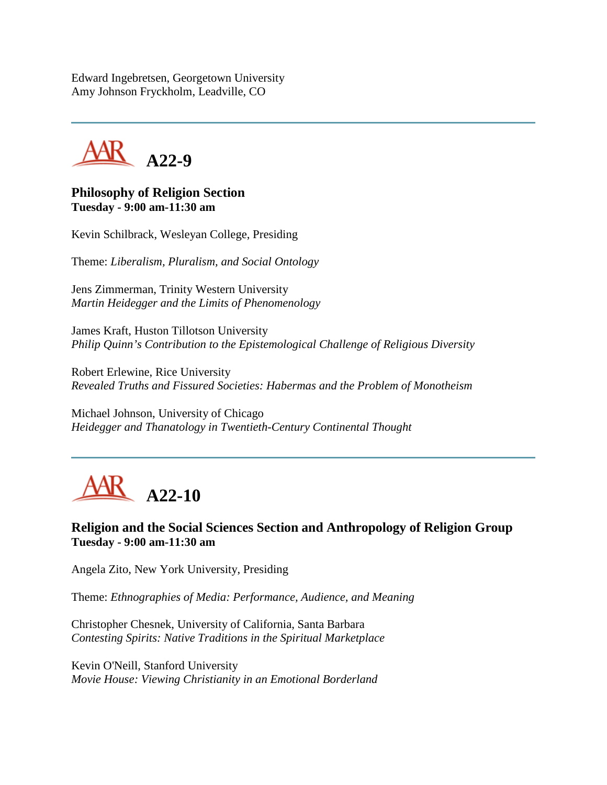Edward Ingebretsen, Georgetown University Amy Johnson Fryckholm, Leadville, CO

**A22-9**

**Philosophy of Religion Section Tuesday - 9:00 am-11:30 am**

Kevin Schilbrack, Wesleyan College, Presiding

Theme: *Liberalism, Pluralism, and Social Ontology*

Jens Zimmerman, Trinity Western University *Martin Heidegger and the Limits of Phenomenology*

James Kraft, Huston Tillotson University *Philip Quinn's Contribution to the Epistemological Challenge of Religious Diversity*

Robert Erlewine, Rice University *Revealed Truths and Fissured Societies: Habermas and the Problem of Monotheism*

Michael Johnson, University of Chicago *Heidegger and Thanatology in Twentieth-Century Continental Thought*



**Religion and the Social Sciences Section and Anthropology of Religion Group Tuesday - 9:00 am-11:30 am**

Angela Zito, New York University, Presiding

Theme: *Ethnographies of Media: Performance, Audience, and Meaning*

Christopher Chesnek, University of California, Santa Barbara *Contesting Spirits: Native Traditions in the Spiritual Marketplace*

Kevin O'Neill, Stanford University *Movie House: Viewing Christianity in an Emotional Borderland*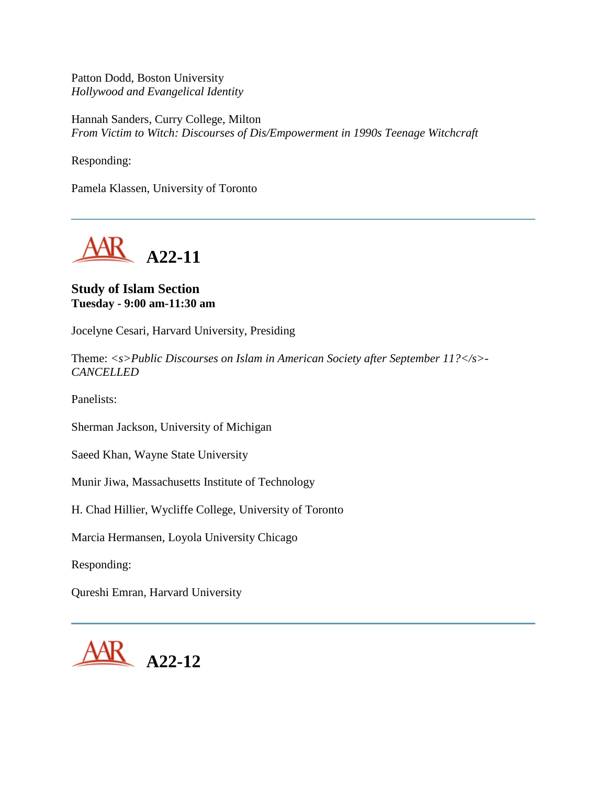Patton Dodd, Boston University *Hollywood and Evangelical Identity*

Hannah Sanders, Curry College, Milton *From Victim to Witch: Discourses of Dis/Empowerment in 1990s Teenage Witchcraft*

Responding:

Pamela Klassen, University of Toronto



## **Study of Islam Section Tuesday - 9:00 am-11:30 am**

Jocelyne Cesari, Harvard University, Presiding

Theme: *<s>Public Discourses on Islam in American Society after September 11?</s>- CANCELLED*

Panelists:

Sherman Jackson, University of Michigan

Saeed Khan, Wayne State University

Munir Jiwa, Massachusetts Institute of Technology

H. Chad Hillier, Wycliffe College, University of Toronto

Marcia Hermansen, Loyola University Chicago

Responding:

Qureshi Emran, Harvard University

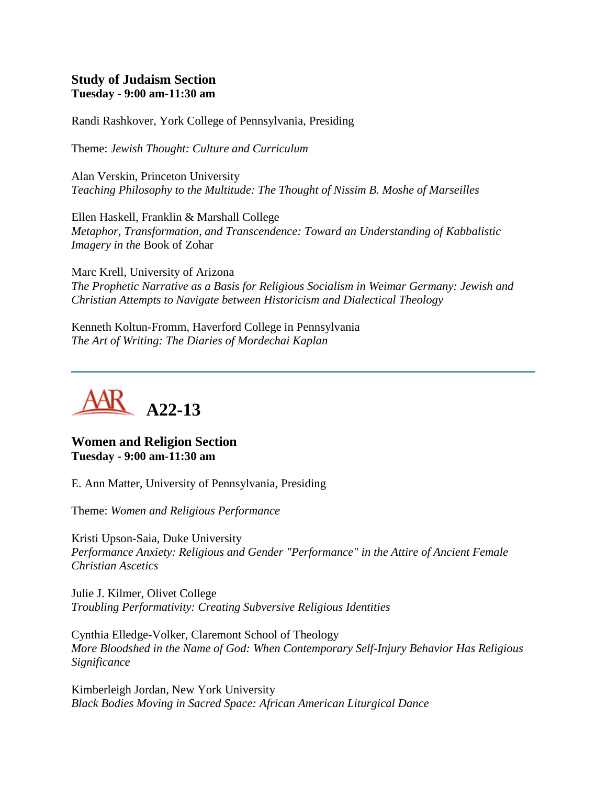#### **Study of Judaism Section Tuesday - 9:00 am-11:30 am**

Randi Rashkover, York College of Pennsylvania, Presiding

Theme: *Jewish Thought: Culture and Curriculum*

Alan Verskin, Princeton University *Teaching Philosophy to the Multitude: The Thought of Nissim B. Moshe of Marseilles*

Ellen Haskell, Franklin & Marshall College *Metaphor, Transformation, and Transcendence: Toward an Understanding of Kabbalistic Imagery in the* Book of Zohar

Marc Krell, University of Arizona *The Prophetic Narrative as a Basis for Religious Socialism in Weimar Germany: Jewish and Christian Attempts to Navigate between Historicism and Dialectical Theology*

Kenneth Koltun-Fromm, Haverford College in Pennsylvania *The Art of Writing: The Diaries of Mordechai Kaplan*



**Women and Religion Section Tuesday - 9:00 am-11:30 am**

E. Ann Matter, University of Pennsylvania, Presiding

Theme: *Women and Religious Performance*

Kristi Upson-Saia, Duke University *Performance Anxiety: Religious and Gender "Performance" in the Attire of Ancient Female Christian Ascetics*

Julie J. Kilmer, Olivet College *Troubling Performativity: Creating Subversive Religious Identities*

Cynthia Elledge-Volker, Claremont School of Theology *More Bloodshed in the Name of God: When Contemporary Self-Injury Behavior Has Religious Significance*

Kimberleigh Jordan, New York University *Black Bodies Moving in Sacred Space: African American Liturgical Dance*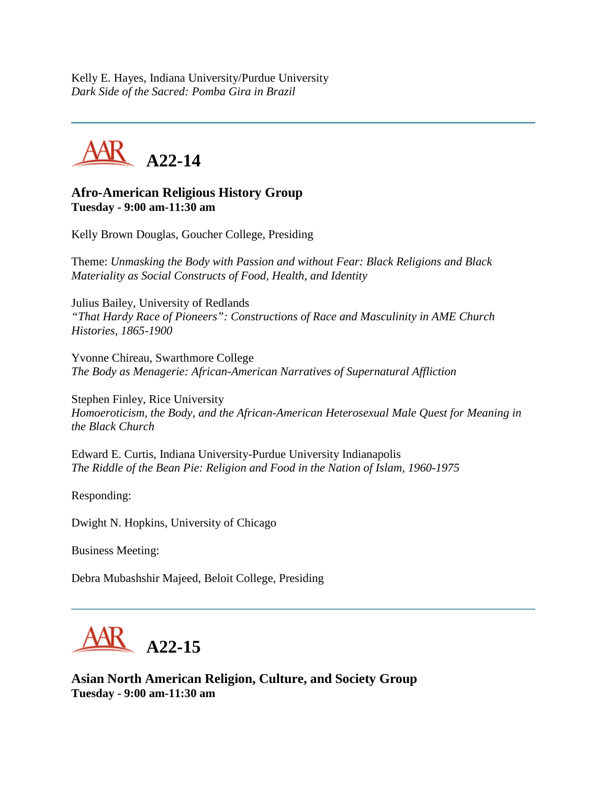Kelly E. Hayes, Indiana University/Purdue University *Dark Side of the Sacred: Pomba Gira in Brazil*

**A22-14**

## **Afro-American Religious History Group Tuesday - 9:00 am-11:30 am**

Kelly Brown Douglas, Goucher College, Presiding

Theme: *Unmasking the Body with Passion and without Fear: Black Religions and Black Materiality as Social Constructs of Food, Health, and Identity*

Julius Bailey, University of Redlands *"That Hardy Race of Pioneers": Constructions of Race and Masculinity in AME Church Histories, 1865-1900*

Yvonne Chireau, Swarthmore College *The Body as Menagerie: African-American Narratives of Supernatural Affliction*

Stephen Finley, Rice University *Homoeroticism, the Body, and the African-American Heterosexual Male Quest for Meaning in the Black Church*

Edward E. Curtis, Indiana University-Purdue University Indianapolis *The Riddle of the Bean Pie: Religion and Food in the Nation of Islam, 1960-1975*

Responding:

Dwight N. Hopkins, University of Chicago

Business Meeting:

Debra Mubashshir Majeed, Beloit College, Presiding



**Asian North American Religion, Culture, and Society Group Tuesday - 9:00 am-11:30 am**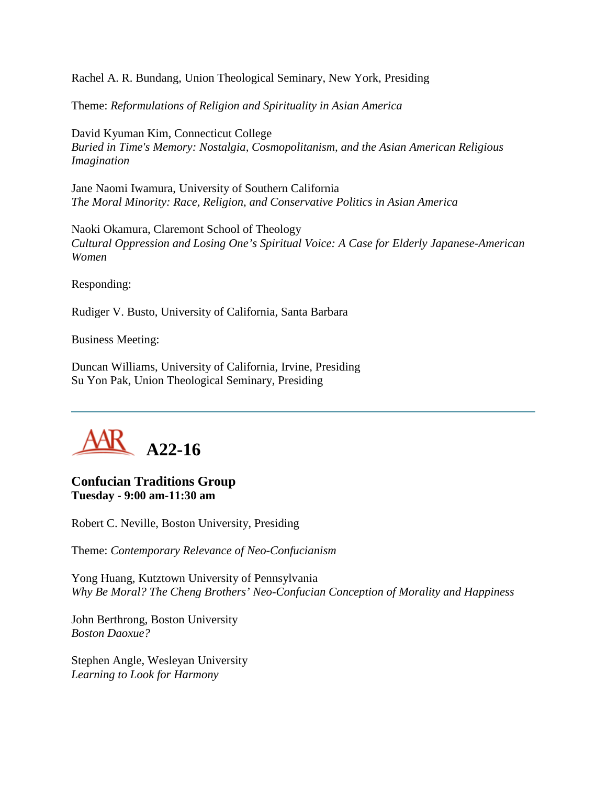Rachel A. R. Bundang, Union Theological Seminary, New York, Presiding

Theme: *Reformulations of Religion and Spirituality in Asian America*

David Kyuman Kim, Connecticut College *Buried in Time's Memory: Nostalgia, Cosmopolitanism, and the Asian American Religious Imagination*

Jane Naomi Iwamura, University of Southern California *The Moral Minority: Race, Religion, and Conservative Politics in Asian America*

Naoki Okamura, Claremont School of Theology *Cultural Oppression and Losing One's Spiritual Voice: A Case for Elderly Japanese-American Women*

Responding:

Rudiger V. Busto, University of California, Santa Barbara

Business Meeting:

Duncan Williams, University of California, Irvine, Presiding Su Yon Pak, Union Theological Seminary, Presiding



## **Confucian Traditions Group Tuesday - 9:00 am-11:30 am**

Robert C. Neville, Boston University, Presiding

Theme: *Contemporary Relevance of Neo-Confucianism*

Yong Huang, Kutztown University of Pennsylvania *Why Be Moral? The Cheng Brothers' Neo-Confucian Conception of Morality and Happiness*

John Berthrong, Boston University *Boston Daoxue?*

Stephen Angle, Wesleyan University *Learning to Look for Harmony*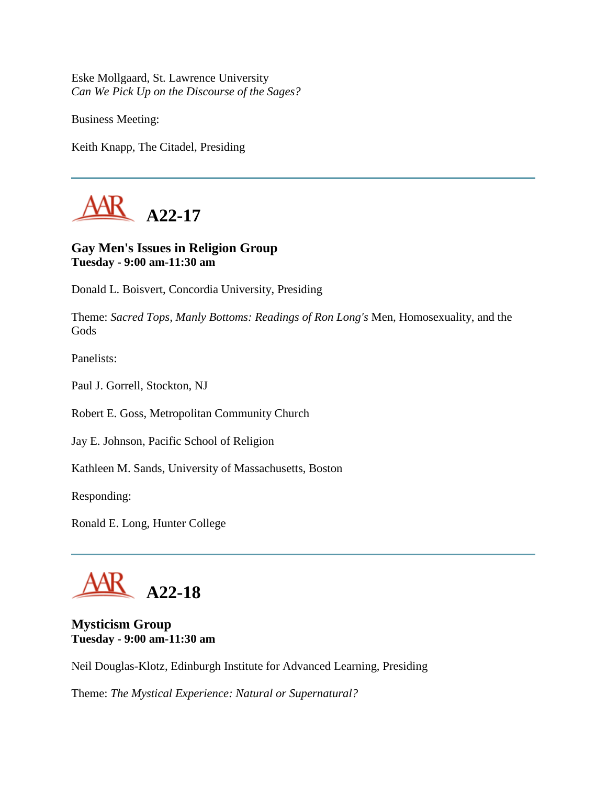Eske Mollgaard, St. Lawrence University *Can We Pick Up on the Discourse of the Sages?*

Business Meeting:

Keith Knapp, The Citadel, Presiding



# **Gay Men's Issues in Religion Group Tuesday - 9:00 am-11:30 am**

Donald L. Boisvert, Concordia University, Presiding

Theme: *Sacred Tops, Manly Bottoms: Readings of Ron Long's* Men, Homosexuality, and the Gods

Panelists:

Paul J. Gorrell, Stockton, NJ

Robert E. Goss, Metropolitan Community Church

Jay E. Johnson, Pacific School of Religion

Kathleen M. Sands, University of Massachusetts, Boston

Responding:

Ronald E. Long, Hunter College

**A22-18**

**Mysticism Group Tuesday - 9:00 am-11:30 am**

Neil Douglas-Klotz, Edinburgh Institute for Advanced Learning, Presiding

Theme: *The Mystical Experience: Natural or Supernatural?*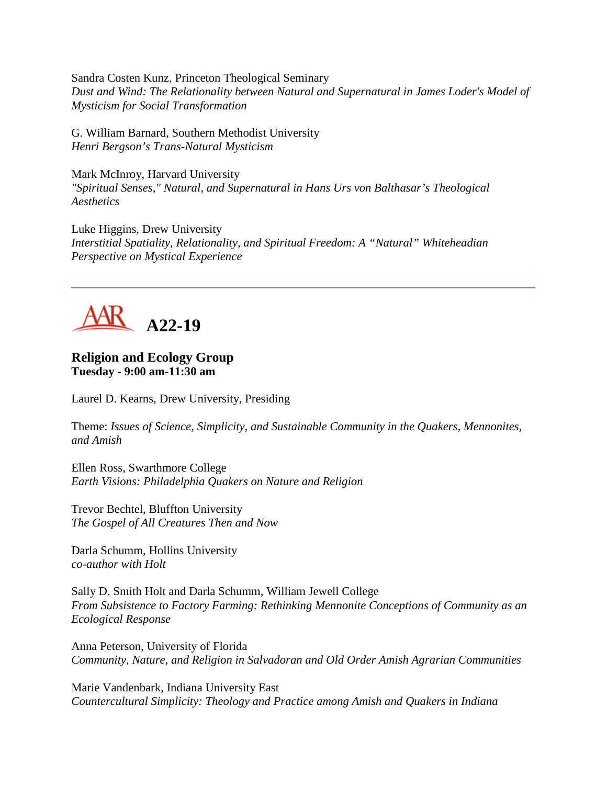Sandra Costen Kunz, Princeton Theological Seminary *Dust and Wind: The Relationality between Natural and Supernatural in James Loder's Model of Mysticism for Social Transformation*

G. William Barnard, Southern Methodist University *Henri Bergson's Trans-Natural Mysticism*

Mark McInroy, Harvard University *"Spiritual Senses," Natural, and Supernatural in Hans Urs von Balthasar's Theological Aesthetics*

Luke Higgins, Drew University *Interstitial Spatiality, Relationality, and Spiritual Freedom: A "Natural" Whiteheadian Perspective on Mystical Experience*



#### **Religion and Ecology Group Tuesday - 9:00 am-11:30 am**

Laurel D. Kearns, Drew University, Presiding

Theme: *Issues of Science, Simplicity, and Sustainable Community in the Quakers, Mennonites, and Amish*

Ellen Ross, Swarthmore College *Earth Visions: Philadelphia Quakers on Nature and Religion*

Trevor Bechtel, Bluffton University *The Gospel of All Creatures Then and Now*

Darla Schumm, Hollins University *co-author with Holt*

Sally D. Smith Holt and Darla Schumm, William Jewell College *From Subsistence to Factory Farming: Rethinking Mennonite Conceptions of Community as an Ecological Response*

Anna Peterson, University of Florida *Community, Nature, and Religion in Salvadoran and Old Order Amish Agrarian Communities*

Marie Vandenbark, Indiana University East *Countercultural Simplicity: Theology and Practice among Amish and Quakers in Indiana*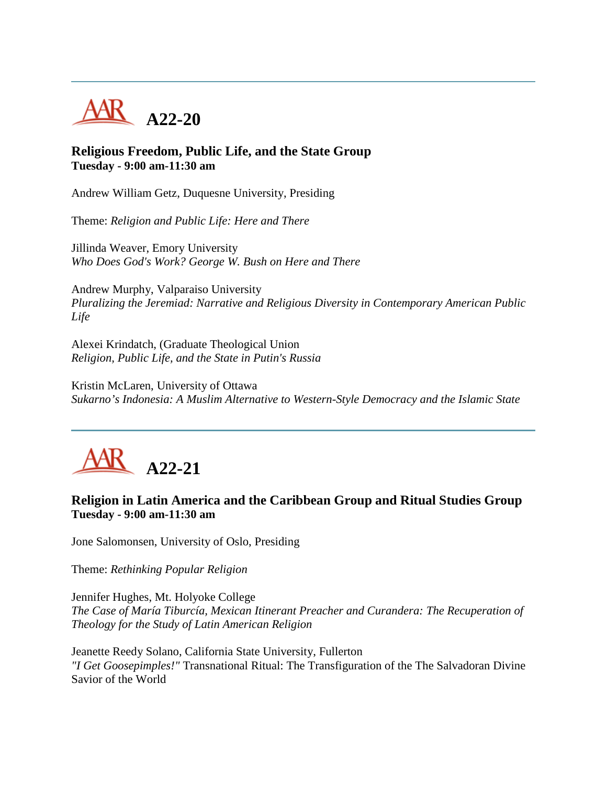

## **Religious Freedom, Public Life, and the State Group Tuesday - 9:00 am-11:30 am**

Andrew William Getz, Duquesne University, Presiding

Theme: *Religion and Public Life: Here and There*

Jillinda Weaver, Emory University *Who Does God's Work? George W. Bush on Here and There*

Andrew Murphy, Valparaiso University *Pluralizing the Jeremiad: Narrative and Religious Diversity in Contemporary American Public Life*

Alexei Krindatch, (Graduate Theological Union *Religion, Public Life, and the State in Putin's Russia*

Kristin McLaren, University of Ottawa *Sukarno's Indonesia: A Muslim Alternative to Western-Style Democracy and the Islamic State*



## **Religion in Latin America and the Caribbean Group and Ritual Studies Group Tuesday - 9:00 am-11:30 am**

Jone Salomonsen, University of Oslo, Presiding

Theme: *Rethinking Popular Religion*

Jennifer Hughes, Mt. Holyoke College *The Case of María Tiburcía, Mexican Itinerant Preacher and Curandera: The Recuperation of Theology for the Study of Latin American Religion*

Jeanette Reedy Solano, California State University, Fullerton *"I Get Goosepimples!"* Transnational Ritual: The Transfiguration of the The Salvadoran Divine Savior of the World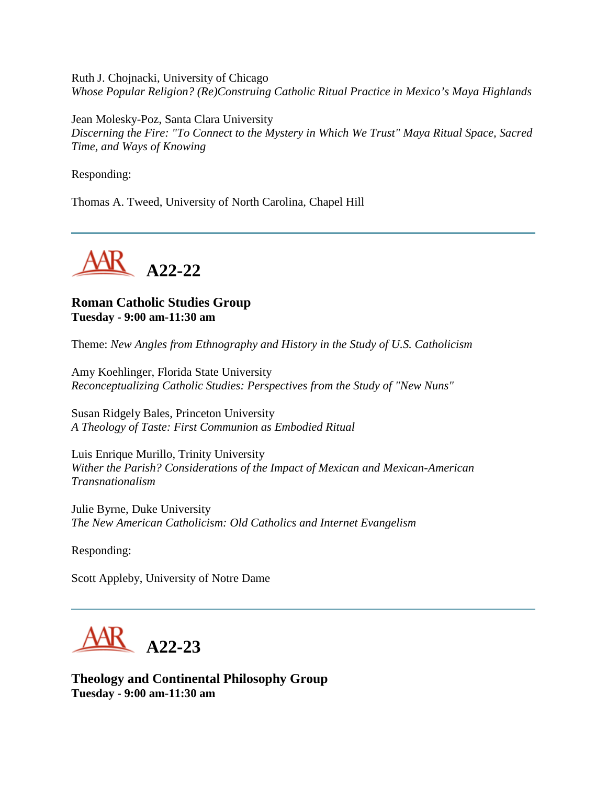Ruth J. Chojnacki, University of Chicago *Whose Popular Religion? (Re)Construing Catholic Ritual Practice in Mexico's Maya Highlands*

Jean Molesky-Poz, Santa Clara University *Discerning the Fire: "To Connect to the Mystery in Which We Trust" Maya Ritual Space, Sacred Time, and Ways of Knowing*

Responding:

Thomas A. Tweed, University of North Carolina, Chapel Hill



# **Roman Catholic Studies Group Tuesday - 9:00 am-11:30 am**

Theme: *New Angles from Ethnography and History in the Study of U.S. Catholicism*

Amy Koehlinger, Florida State University *Reconceptualizing Catholic Studies: Perspectives from the Study of "New Nuns"*

Susan Ridgely Bales, Princeton University *A Theology of Taste: First Communion as Embodied Ritual*

Luis Enrique Murillo, Trinity University *Wither the Parish? Considerations of the Impact of Mexican and Mexican-American Transnationalism*

Julie Byrne, Duke University *The New American Catholicism: Old Catholics and Internet Evangelism*

Responding:

Scott Appleby, University of Notre Dame



**Theology and Continental Philosophy Group Tuesday - 9:00 am-11:30 am**